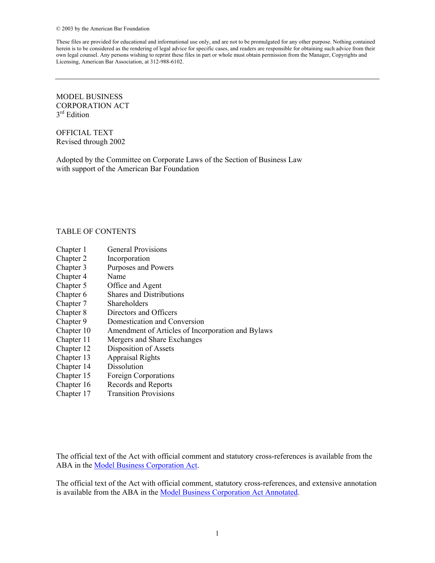MODEL BUSINESS CORPORATION ACT 3<sup>rd</sup> Edition

OFFICIAL TEXT Revised through 2002

Adopted by the Committee on Corporate Laws of the Section of Business Law with support of the American Bar Foundation

## TABLE OF CONTENTS

- Chapter 1 General Provisions
- Chapter 2 Incorporation
- Chapter 3 Purposes and Powers
- Chapter 4 Name
- Chapter 5 Office and Agent
- Chapter 6 Shares and Distributions
- Chapter 7 Shareholders
- Chapter 8 Directors and Officers
- Chapter 9 Domestication and Conversion
- Chapter 10 Amendment of Articles of Incorporation and Bylaws
- Chapter 11 Mergers and Share Exchanges
- Chapter 12 Disposition of Assets
- Chapter 13 Appraisal Rights
- Chapter 14 Dissolution
- Chapter 15 Foreign Corporations
- Chapter 16 Records and Reports
- Chapter 17 Transition Provisions

The official text of the Act with official comment and statutory cross-references is available from the ABA in the **Model Business Corporation Act.** 

The official text of the Act with official comment, statutory cross-references, and extensive annotation is available from the ABA in the [Model Business Corporation Act Annotated.](http://www.abanet.org/webapp/wcs/stores/servlet/ProductDisplay?storeId=10251&productId=-17901&categoryId=-3582)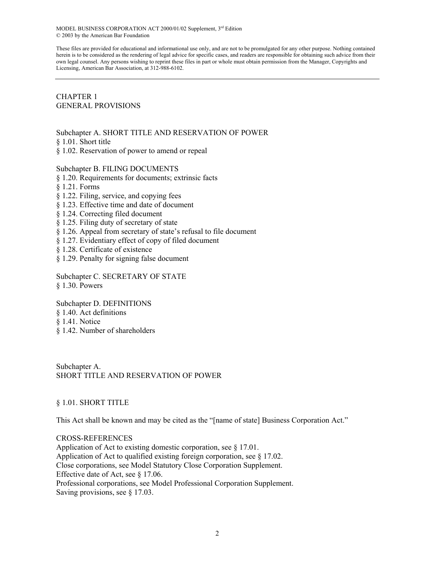These files are provided for educational and informational use only, and are not to be promulgated for any other purpose. Nothing contained herein is to be considered as the rendering of legal advice for specific cases, and readers are responsible for obtaining such advice from their own legal counsel. Any persons wishing to reprint these files in part or whole must obtain permission from the Manager, Copyrights and Licensing, American Bar Association, at 312-988-6102.

## CHAPTER 1 GENERAL PROVISIONS

Subchapter A. SHORT TITLE AND RESERVATION OF POWER

§ 1.01. Short title

§ 1.02. Reservation of power to amend or repeal

Subchapter B. FILING DOCUMENTS

- § 1.20. Requirements for documents; extrinsic facts
- § 1.21. Forms
- § 1.22. Filing, service, and copying fees
- § 1.23. Effective time and date of document
- § 1.24. Correcting filed document
- § 1.25. Filing duty of secretary of state
- § 1.26. Appeal from secretary of state's refusal to file document
- § 1.27. Evidentiary effect of copy of filed document
- § 1.28. Certificate of existence
- § 1.29. Penalty for signing false document

Subchapter C. SECRETARY OF STATE § 1.30. Powers

Subchapter D. DEFINITIONS § 1.40. Act definitions § 1.41. Notice § 1.42. Number of shareholders

Subchapter A. SHORT TITLE AND RESERVATION OF POWER

§ 1.01. SHORT TITLE

This Act shall be known and may be cited as the "[name of state] Business Corporation Act."

## CROSS-REFERENCES

Application of Act to existing domestic corporation, see § 17.01. Application of Act to qualified existing foreign corporation, see § 17.02. Close corporations, see Model Statutory Close Corporation Supplement. Effective date of Act, see § 17.06. Professional corporations, see Model Professional Corporation Supplement. Saving provisions, see § 17.03.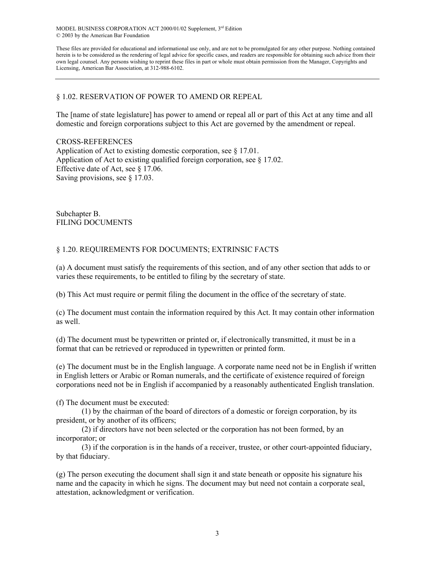These files are provided for educational and informational use only, and are not to be promulgated for any other purpose. Nothing contained herein is to be considered as the rendering of legal advice for specific cases, and readers are responsible for obtaining such advice from their own legal counsel. Any persons wishing to reprint these files in part or whole must obtain permission from the Manager, Copyrights and Licensing, American Bar Association, at 312-988-6102.

## § 1.02. RESERVATION OF POWER TO AMEND OR REPEAL

The [name of state legislature] has power to amend or repeal all or part of this Act at any time and all domestic and foreign corporations subject to this Act are governed by the amendment or repeal.

CROSS-REFERENCES Application of Act to existing domestic corporation, see § 17.01. Application of Act to existing qualified foreign corporation, see § 17.02. Effective date of Act, see § 17.06. Saving provisions, see  $\S$  17.03.

Subchapter B. FILING DOCUMENTS

## § 1.20. REQUIREMENTS FOR DOCUMENTS; EXTRINSIC FACTS

(a) A document must satisfy the requirements of this section, and of any other section that adds to or varies these requirements, to be entitled to filing by the secretary of state.

(b) This Act must require or permit filing the document in the office of the secretary of state.

(c) The document must contain the information required by this Act. It may contain other information as well.

(d) The document must be typewritten or printed or, if electronically transmitted, it must be in a format that can be retrieved or reproduced in typewritten or printed form.

(e) The document must be in the English language. A corporate name need not be in English if written in English letters or Arabic or Roman numerals, and the certificate of existence required of foreign corporations need not be in English if accompanied by a reasonably authenticated English translation.

(f) The document must be executed:

 (1) by the chairman of the board of directors of a domestic or foreign corporation, by its president, or by another of its officers;

 (2) if directors have not been selected or the corporation has not been formed, by an incorporator; or

 (3) if the corporation is in the hands of a receiver, trustee, or other court-appointed fiduciary, by that fiduciary.

(g) The person executing the document shall sign it and state beneath or opposite his signature his name and the capacity in which he signs. The document may but need not contain a corporate seal, attestation, acknowledgment or verification.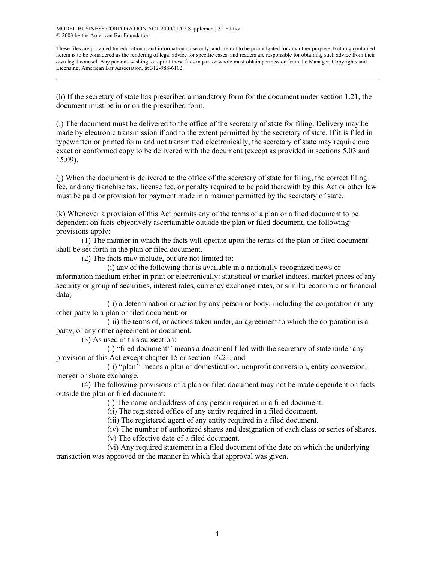(h) If the secretary of state has prescribed a mandatory form for the document under section 1.21, the document must be in or on the prescribed form.

(i) The document must be delivered to the office of the secretary of state for filing. Delivery may be made by electronic transmission if and to the extent permitted by the secretary of state. If it is filed in typewritten or printed form and not transmitted electronically, the secretary of state may require one exact or conformed copy to be delivered with the document (except as provided in sections 5.03 and 15.09).

(j) When the document is delivered to the office of the secretary of state for filing, the correct filing fee, and any franchise tax, license fee, or penalty required to be paid therewith by this Act or other law must be paid or provision for payment made in a manner permitted by the secretary of state.

(k) Whenever a provision of this Act permits any of the terms of a plan or a filed document to be dependent on facts objectively ascertainable outside the plan or filed document, the following provisions apply:

 (1) The manner in which the facts will operate upon the terms of the plan or filed document shall be set forth in the plan or filed document.

(2) The facts may include, but are not limited to:

 (i) any of the following that is available in a nationally recognized news or information medium either in print or electronically: statistical or market indices, market prices of any security or group of securities, interest rates, currency exchange rates, or similar economic or financial data;

 (ii) a determination or action by any person or body, including the corporation or any other party to a plan or filed document; or

 (iii) the terms of, or actions taken under, an agreement to which the corporation is a party, or any other agreement or document.

(3) As used in this subsection:

 (i) "filed document'' means a document filed with the secretary of state under any provision of this Act except chapter 15 or section 16.21; and

 (ii) "plan'' means a plan of domestication, nonprofit conversion, entity conversion, merger or share exchange.

 (4) The following provisions of a plan or filed document may not be made dependent on facts outside the plan or filed document:

(i) The name and address of any person required in a filed document.

(ii) The registered office of any entity required in a filed document.

(iii) The registered agent of any entity required in a filed document.

(iv) The number of authorized shares and designation of each class or series of shares.

(v) The effective date of a filed document.

 (vi) Any required statement in a filed document of the date on which the underlying transaction was approved or the manner in which that approval was given.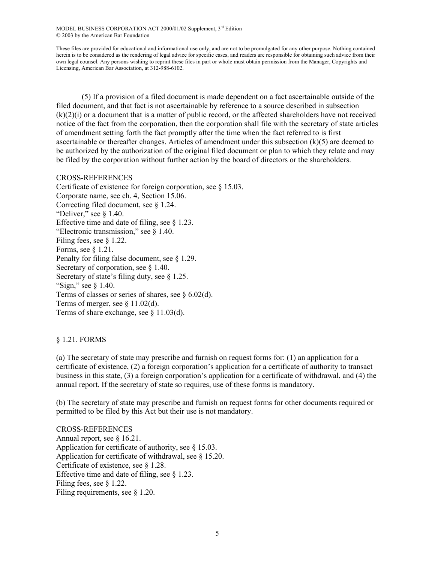These files are provided for educational and informational use only, and are not to be promulgated for any other purpose. Nothing contained herein is to be considered as the rendering of legal advice for specific cases, and readers are responsible for obtaining such advice from their own legal counsel. Any persons wishing to reprint these files in part or whole must obtain permission from the Manager, Copyrights and Licensing, American Bar Association, at 312-988-6102.

 (5) If a provision of a filed document is made dependent on a fact ascertainable outside of the filed document, and that fact is not ascertainable by reference to a source described in subsection (k)(2)(i) or a document that is a matter of public record, or the affected shareholders have not received notice of the fact from the corporation, then the corporation shall file with the secretary of state articles of amendment setting forth the fact promptly after the time when the fact referred to is first ascertainable or thereafter changes. Articles of amendment under this subsection (k)(5) are deemed to be authorized by the authorization of the original filed document or plan to which they relate and may be filed by the corporation without further action by the board of directors or the shareholders.

### CROSS-REFERENCES

Certificate of existence for foreign corporation, see § 15.03. Corporate name, see ch. 4, Section 15.06. Correcting filed document, see § 1.24. "Deliver," see § 1.40. Effective time and date of filing, see § 1.23. "Electronic transmission," see § 1.40. Filing fees, see § 1.22. Forms, see § 1.21. Penalty for filing false document, see § 1.29. Secretary of corporation, see § 1.40. Secretary of state's filing duty, see § 1.25. "Sign," see § 1.40. Terms of classes or series of shares, see  $\S$  6.02(d). Terms of merger, see § 11.02(d). Terms of share exchange, see § 11.03(d).

## § 1.21. FORMS

(a) The secretary of state may prescribe and furnish on request forms for: (1) an application for a certificate of existence, (2) a foreign corporation's application for a certificate of authority to transact business in this state, (3) a foreign corporation's application for a certificate of withdrawal, and (4) the annual report. If the secretary of state so requires, use of these forms is mandatory.

(b) The secretary of state may prescribe and furnish on request forms for other documents required or permitted to be filed by this Act but their use is not mandatory.

CROSS-REFERENCES Annual report, see § 16.21. Application for certificate of authority, see § 15.03. Application for certificate of withdrawal, see § 15.20. Certificate of existence, see § 1.28. Effective time and date of filing, see § 1.23. Filing fees, see § 1.22. Filing requirements, see § 1.20.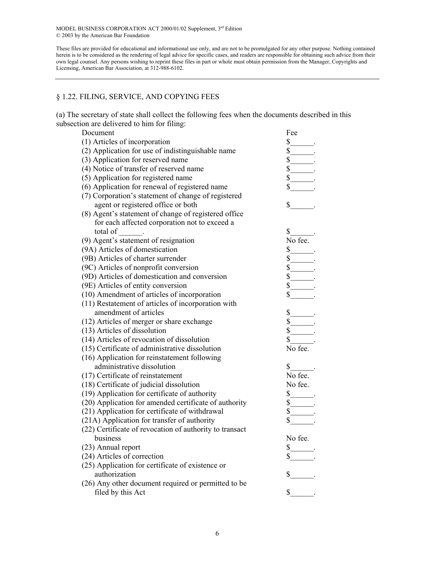These files are provided for educational and informational use only, and are not to be promulgated for any other purpose. Nothing contained herein is to be considered as the rendering of legal advice for specific cases, and readers are responsible for obtaining such advice from their own legal counsel. Any persons wishing to reprint these files in part or whole must obtain permission from the Manager, Copyrights and Licensing, American Bar Association, at 312-988-6102.

## § 1.22. FILING, SERVICE, AND COPYING FEES

(a) The secretary of state shall collect the following fees when the documents described in this subsection are delivered to him for filing:

| Document                                                | Fee                  |
|---------------------------------------------------------|----------------------|
| (1) Articles of incorporation                           | \$                   |
| (2) Application for use of indistinguishable name       | \$                   |
| (3) Application for reserved name                       | \$                   |
| (4) Notice of transfer of reserved name                 | \$                   |
| (5) Application for registered name                     | \$                   |
| (6) Application for renewal of registered name          | \$                   |
| (7) Corporation's statement of change of registered     |                      |
| agent or registered office or both                      | \$                   |
| (8) Agent's statement of change of registered office    |                      |
| for each affected corporation not to exceed a           |                      |
| total of                                                | \$                   |
| (9) Agent's statement of resignation                    | No fee.              |
| (9A) Articles of domestication                          | $\mathbb{S}$         |
| (9B) Articles of charter surrender                      | \$                   |
| (9C) Articles of nonprofit conversion                   | \$                   |
| (9D) Articles of domestication and conversion           | \$                   |
| (9E) Articles of entity conversion                      | \$                   |
| (10) Amendment of articles of incorporation             | \$                   |
| (11) Restatement of articles of incorporation with      |                      |
| amendment of articles                                   | \$                   |
| (12) Articles of merger or share exchange               | \$                   |
| (13) Articles of dissolution                            | \$                   |
| (14) Articles of revocation of dissolution              | \$                   |
| (15) Certificate of administrative dissolution          | No fee.              |
| (16) Application for reinstatement following            |                      |
| administrative dissolution                              | $\mathbb{S}$ .       |
| (17) Certificate of reinstatement                       | No fee.              |
| (18) Certificate of judicial dissolution                | No fee.              |
| (19) Application for certificate of authority           | \$                   |
| (20) Application for amended certificate of authority   | $\frac{\sqrt{2}}{2}$ |
| (21) Application for certificate of withdrawal          | s                    |
| (21A) Application for transfer of authority             |                      |
| (22) Certificate of revocation of authority to transact |                      |
| business                                                | No fee.              |
| (23) Annual report                                      | S                    |
| (24) Articles of correction                             |                      |
| (25) Application for certificate of existence or        |                      |
| authorization                                           | \$                   |
| (26) Any other document required or permitted to be     |                      |
| filed by this Act                                       | \$                   |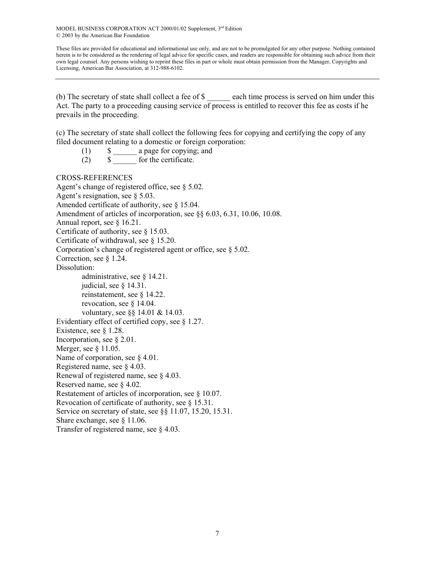These files are provided for educational and informational use only, and are not to be promulgated for any other purpose. Nothing contained herein is to be considered as the rendering of legal advice for specific cases, and readers are responsible for obtaining such advice from their own legal counsel. Any persons wishing to reprint these files in part or whole must obtain permission from the Manager, Copyrights and Licensing, American Bar Association, at 312-988-6102.

(b) The secretary of state shall collect a fee of \$ \_\_\_\_\_\_ each time process is served on him under this Act. The party to a proceeding causing service of process is entitled to recover this fee as costs if he prevails in the proceeding.

(c) The secretary of state shall collect the following fees for copying and certifying the copy of any filed document relating to a domestic or foreign corporation:

- (1) \$ \_\_\_\_\_\_ a page for copying; and
- $\sqrt{(2)}$   $\sqrt[3]{}$  for the certificate.

### CROSS-REFERENCES

Agent's change of registered office, see § 5.02. Agent's resignation, see § 5.03. Amended certificate of authority, see § 15.04. Amendment of articles of incorporation, see §§ 6.03, 6.31, 10.06, 10.08. Annual report, see § 16.21. Certificate of authority, see § 15.03. Certificate of withdrawal, see § 15.20. Corporation's change of registered agent or office, see § 5.02. Correction, see § 1.24. Dissolution: administrative, see § 14.21. judicial, see § 14.31. reinstatement, see § 14.22. revocation, see § 14.04. voluntary, see §§ 14.01 & 14.03. Evidentiary effect of certified copy, see § 1.27. Existence, see § 1.28. Incorporation, see § 2.01. Merger, see § 11.05. Name of corporation, see  $§$  4.01. Registered name, see § 4.03. Renewal of registered name, see § 4.03. Reserved name, see § 4.02. Restatement of articles of incorporation, see § 10.07. Revocation of certificate of authority, see § 15.31. Service on secretary of state, see §§ 11.07, 15.20, 15.31. Share exchange, see § 11.06. Transfer of registered name, see § 4.03.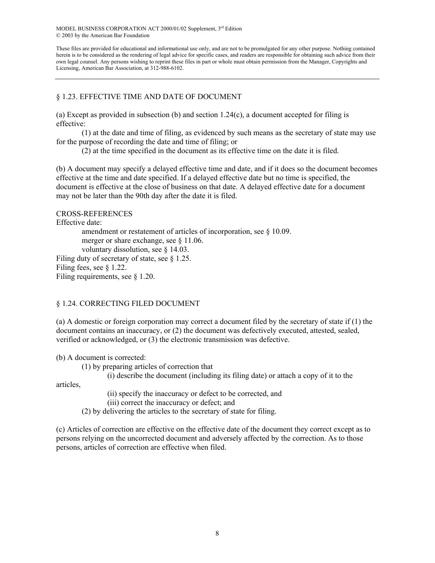These files are provided for educational and informational use only, and are not to be promulgated for any other purpose. Nothing contained herein is to be considered as the rendering of legal advice for specific cases, and readers are responsible for obtaining such advice from their own legal counsel. Any persons wishing to reprint these files in part or whole must obtain permission from the Manager, Copyrights and Licensing, American Bar Association, at 312-988-6102.

# § 1.23. EFFECTIVE TIME AND DATE OF DOCUMENT

(a) Except as provided in subsection (b) and section  $1.24(c)$ , a document accepted for filing is effective:

 (1) at the date and time of filing, as evidenced by such means as the secretary of state may use for the purpose of recording the date and time of filing; or

(2) at the time specified in the document as its effective time on the date it is filed.

(b) A document may specify a delayed effective time and date, and if it does so the document becomes effective at the time and date specified. If a delayed effective date but no time is specified, the document is effective at the close of business on that date. A delayed effective date for a document may not be later than the 90th day after the date it is filed.

### CROSS-REFERENCES

Effective date:

 amendment or restatement of articles of incorporation, see § 10.09. merger or share exchange, see § 11.06. voluntary dissolution, see § 14.03. Filing duty of secretary of state, see § 1.25. Filing fees, see § 1.22.

Filing requirements, see § 1.20.

## § 1.24. CORRECTING FILED DOCUMENT

(a) A domestic or foreign corporation may correct a document filed by the secretary of state if (1) the document contains an inaccuracy, or (2) the document was defectively executed, attested, sealed, verified or acknowledged, or (3) the electronic transmission was defective.

(b) A document is corrected:

(1) by preparing articles of correction that

(i) describe the document (including its filing date) or attach a copy of it to the

articles,

(ii) specify the inaccuracy or defect to be corrected, and

(iii) correct the inaccuracy or defect; and

(2) by delivering the articles to the secretary of state for filing.

(c) Articles of correction are effective on the effective date of the document they correct except as to persons relying on the uncorrected document and adversely affected by the correction. As to those persons, articles of correction are effective when filed.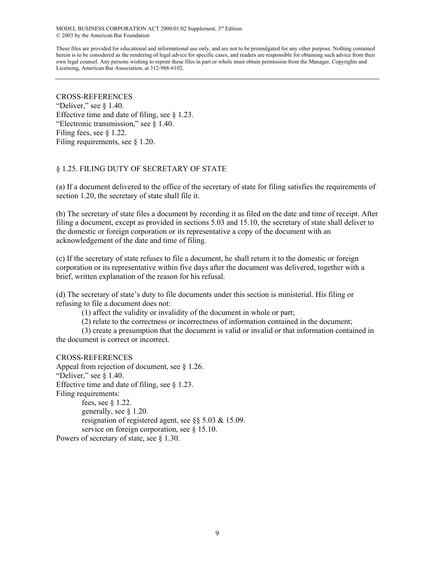These files are provided for educational and informational use only, and are not to be promulgated for any other purpose. Nothing contained herein is to be considered as the rendering of legal advice for specific cases, and readers are responsible for obtaining such advice from their own legal counsel. Any persons wishing to reprint these files in part or whole must obtain permission from the Manager, Copyrights and Licensing, American Bar Association, at 312-988-6102.

CROSS-REFERENCES "Deliver," see § 1.40. Effective time and date of filing, see § 1.23. "Electronic transmission," see § 1.40. Filing fees, see § 1.22. Filing requirements, see § 1.20.

## § 1.25. FILING DUTY OF SECRETARY OF STATE

(a) If a document delivered to the office of the secretary of state for filing satisfies the requirements of section 1.20, the secretary of state shall file it.

(b) The secretary of state files a document by recording it as filed on the date and time of receipt. After filing a document, except as provided in sections 5.03 and 15.10, the secretary of state shall deliver to the domestic or foreign corporation or its representative a copy of the document with an acknowledgement of the date and time of filing.

(c) If the secretary of state refuses to file a document, he shall return it to the domestic or foreign corporation or its representative within five days after the document was delivered, together with a brief, written explanation of the reason for his refusal.

(d) The secretary of state's duty to file documents under this section is ministerial. His filing or refusing to file a document does not:

(1) affect the validity or invalidity of the document in whole or part;

(2) relate to the correctness or incorrectness of information contained in the document;

 (3) create a presumption that the document is valid or invalid or that information contained in the document is correct or incorrect.

## CROSS-REFERENCES

Appeal from rejection of document, see § 1.26. "Deliver," see § 1.40. Effective time and date of filing, see § 1.23. Filing requirements: fees, see § 1.22. generally, see § 1.20. resignation of registered agent, see §§ 5.03 & 15.09. service on foreign corporation, see  $\S$  15.10. Powers of secretary of state, see § 1.30.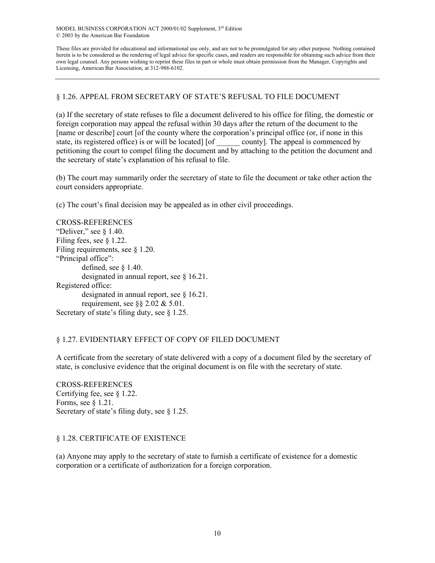These files are provided for educational and informational use only, and are not to be promulgated for any other purpose. Nothing contained herein is to be considered as the rendering of legal advice for specific cases, and readers are responsible for obtaining such advice from their own legal counsel. Any persons wishing to reprint these files in part or whole must obtain permission from the Manager, Copyrights and Licensing, American Bar Association, at 312-988-6102.

## § 1.26. APPEAL FROM SECRETARY OF STATE'S REFUSAL TO FILE DOCUMENT

(a) If the secretary of state refuses to file a document delivered to his office for filing, the domestic or foreign corporation may appeal the refusal within 30 days after the return of the document to the [name or describe] court [of the county where the corporation's principal office (or, if none in this state, its registered office) is or will be located] [of county]. The appeal is commenced by petitioning the court to compel filing the document and by attaching to the petition the document and the secretary of state's explanation of his refusal to file.

(b) The court may summarily order the secretary of state to file the document or take other action the court considers appropriate.

(c) The court's final decision may be appealed as in other civil proceedings.

CROSS-REFERENCES "Deliver," see § 1.40. Filing fees, see § 1.22. Filing requirements, see § 1.20. "Principal office": defined, see § 1.40. designated in annual report, see § 16.21. Registered office: designated in annual report, see § 16.21. requirement, see §§ 2.02 & 5.01. Secretary of state's filing duty, see § 1.25.

## § 1.27. EVIDENTIARY EFFECT OF COPY OF FILED DOCUMENT

A certificate from the secretary of state delivered with a copy of a document filed by the secretary of state, is conclusive evidence that the original document is on file with the secretary of state.

CROSS-REFERENCES Certifying fee, see § 1.22. Forms, see  $\S$  1.21. Secretary of state's filing duty, see § 1.25.

## § 1.28. CERTIFICATE OF EXISTENCE

(a) Anyone may apply to the secretary of state to furnish a certificate of existence for a domestic corporation or a certificate of authorization for a foreign corporation.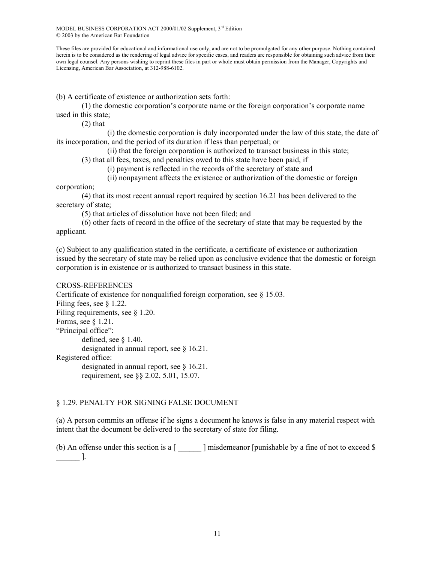These files are provided for educational and informational use only, and are not to be promulgated for any other purpose. Nothing contained herein is to be considered as the rendering of legal advice for specific cases, and readers are responsible for obtaining such advice from their own legal counsel. Any persons wishing to reprint these files in part or whole must obtain permission from the Manager, Copyrights and Licensing, American Bar Association, at 312-988-6102.

(b) A certificate of existence or authorization sets forth:

 (1) the domestic corporation's corporate name or the foreign corporation's corporate name used in this state;

(2) that

 (i) the domestic corporation is duly incorporated under the law of this state, the date of its incorporation, and the period of its duration if less than perpetual; or

(ii) that the foreign corporation is authorized to transact business in this state;

(3) that all fees, taxes, and penalties owed to this state have been paid, if

(i) payment is reflected in the records of the secretary of state and

(ii) nonpayment affects the existence or authorization of the domestic or foreign

corporation;

 (4) that its most recent annual report required by section 16.21 has been delivered to the secretary of state;

(5) that articles of dissolution have not been filed; and

 (6) other facts of record in the office of the secretary of state that may be requested by the applicant.

(c) Subject to any qualification stated in the certificate, a certificate of existence or authorization issued by the secretary of state may be relied upon as conclusive evidence that the domestic or foreign corporation is in existence or is authorized to transact business in this state.

CROSS-REFERENCES

Certificate of existence for nonqualified foreign corporation, see § 15.03. Filing fees, see § 1.22. Filing requirements, see § 1.20. Forms, see § 1.21. "Principal office": defined, see § 1.40. designated in annual report, see § 16.21. Registered office: designated in annual report, see § 16.21. requirement, see §§ 2.02, 5.01, 15.07.

# § 1.29. PENALTY FOR SIGNING FALSE DOCUMENT

(a) A person commits an offense if he signs a document he knows is false in any material respect with intent that the document be delivered to the secretary of state for filing.

(b) An offense under this section is a [ \_\_\_\_\_\_ ] misdemeanor [punishable by a fine of not to exceed \$  $\blacksquare$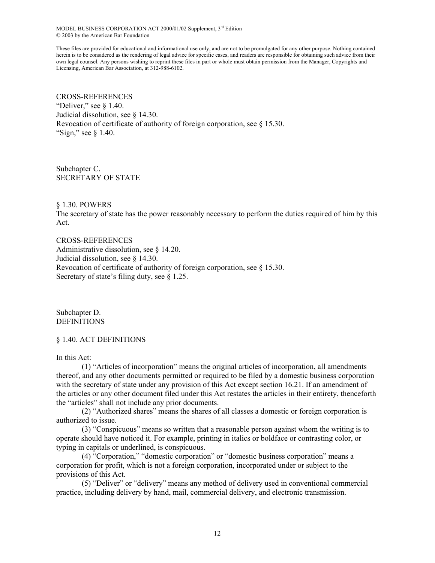These files are provided for educational and informational use only, and are not to be promulgated for any other purpose. Nothing contained herein is to be considered as the rendering of legal advice for specific cases, and readers are responsible for obtaining such advice from their own legal counsel. Any persons wishing to reprint these files in part or whole must obtain permission from the Manager, Copyrights and Licensing, American Bar Association, at 312-988-6102.

CROSS-REFERENCES "Deliver," see § 1.40. Judicial dissolution, see § 14.30. Revocation of certificate of authority of foreign corporation, see § 15.30. "Sign," see § 1.40.

Subchapter C. SECRETARY OF STATE

§ 1.30. POWERS

The secretary of state has the power reasonably necessary to perform the duties required of him by this Act.

CROSS-REFERENCES

Administrative dissolution, see § 14.20. Judicial dissolution, see § 14.30. Revocation of certificate of authority of foreign corporation, see § 15.30. Secretary of state's filing duty, see § 1.25.

Subchapter D. **DEFINITIONS** 

§ 1.40. ACT DEFINITIONS

In this Act:

 (1) "Articles of incorporation" means the original articles of incorporation, all amendments thereof, and any other documents permitted or required to be filed by a domestic business corporation with the secretary of state under any provision of this Act except section 16.21. If an amendment of the articles or any other document filed under this Act restates the articles in their entirety, thenceforth the "articles" shall not include any prior documents.

 (2) "Authorized shares" means the shares of all classes a domestic or foreign corporation is authorized to issue.

 (3) "Conspicuous" means so written that a reasonable person against whom the writing is to operate should have noticed it. For example, printing in italics or boldface or contrasting color, or typing in capitals or underlined, is conspicuous.

 (4) "Corporation," "domestic corporation" or "domestic business corporation" means a corporation for profit, which is not a foreign corporation, incorporated under or subject to the provisions of this Act.

 (5) "Deliver" or "delivery" means any method of delivery used in conventional commercial practice, including delivery by hand, mail, commercial delivery, and electronic transmission.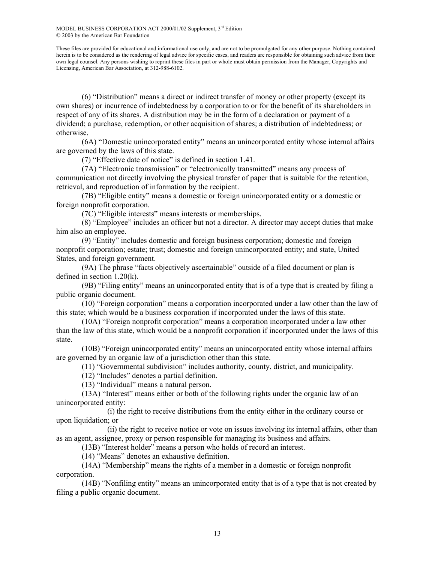These files are provided for educational and informational use only, and are not to be promulgated for any other purpose. Nothing contained herein is to be considered as the rendering of legal advice for specific cases, and readers are responsible for obtaining such advice from their own legal counsel. Any persons wishing to reprint these files in part or whole must obtain permission from the Manager, Copyrights and Licensing, American Bar Association, at 312-988-6102.

 (6) "Distribution" means a direct or indirect transfer of money or other property (except its own shares) or incurrence of indebtedness by a corporation to or for the benefit of its shareholders in respect of any of its shares. A distribution may be in the form of a declaration or payment of a dividend; a purchase, redemption, or other acquisition of shares; a distribution of indebtedness; or otherwise.

 (6A) "Domestic unincorporated entity" means an unincorporated entity whose internal affairs are governed by the laws of this state.

(7) "Effective date of notice" is defined in section 1.41.

 (7A) "Electronic transmission" or "electronically transmitted" means any process of communication not directly involving the physical transfer of paper that is suitable for the retention, retrieval, and reproduction of information by the recipient.

 (7B) "Eligible entity" means a domestic or foreign unincorporated entity or a domestic or foreign nonprofit corporation.

(7C) "Eligible interests" means interests or memberships.

 (8) "Employee" includes an officer but not a director. A director may accept duties that make him also an employee.

 (9) "Entity" includes domestic and foreign business corporation; domestic and foreign nonprofit corporation; estate; trust; domestic and foreign unincorporated entity; and state, United States, and foreign government.

 (9A) The phrase "facts objectively ascertainable" outside of a filed document or plan is defined in section 1.20(k).

 (9B) "Filing entity" means an unincorporated entity that is of a type that is created by filing a public organic document.

 (10) "Foreign corporation" means a corporation incorporated under a law other than the law of this state; which would be a business corporation if incorporated under the laws of this state.

 (10A) "Foreign nonprofit corporation" means a corporation incorporated under a law other than the law of this state, which would be a nonprofit corporation if incorporated under the laws of this state.

 (10B) "Foreign unincorporated entity" means an unincorporated entity whose internal affairs are governed by an organic law of a jurisdiction other than this state.

(11) "Governmental subdivision" includes authority, county, district, and municipality.

(12) "Includes" denotes a partial definition.

(13) "Individual" means a natural person.

 (13A) "Interest" means either or both of the following rights under the organic law of an unincorporated entity:

 (i) the right to receive distributions from the entity either in the ordinary course or upon liquidation; or

 (ii) the right to receive notice or vote on issues involving its internal affairs, other than as an agent, assignee, proxy or person responsible for managing its business and affairs.

(13B) "Interest holder" means a person who holds of record an interest.

(14) "Means" denotes an exhaustive definition.

 (14A) "Membership" means the rights of a member in a domestic or foreign nonprofit corporation.

 (14B) "Nonfiling entity" means an unincorporated entity that is of a type that is not created by filing a public organic document.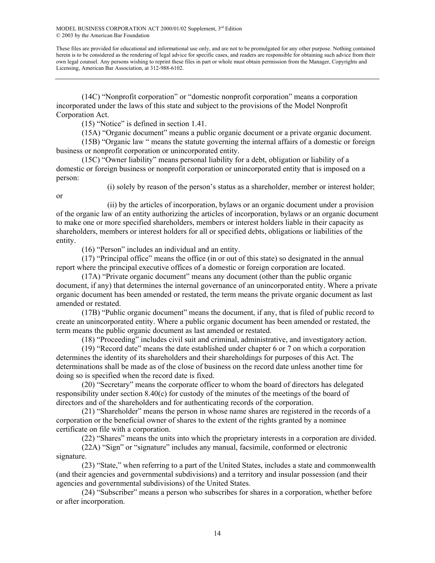(14C) "Nonprofit corporation" or "domestic nonprofit corporation" means a corporation incorporated under the laws of this state and subject to the provisions of the Model Nonprofit Corporation Act.

(15) "Notice" is defined in section 1.41.

(15A) "Organic document" means a public organic document or a private organic document.

 (15B) "Organic law " means the statute governing the internal affairs of a domestic or foreign business or nonprofit corporation or unincorporated entity.

 (15C) "Owner liability" means personal liability for a debt, obligation or liability of a domestic or foreign business or nonprofit corporation or unincorporated entity that is imposed on a person:

or

(i) solely by reason of the person's status as a shareholder, member or interest holder;

 (ii) by the articles of incorporation, bylaws or an organic document under a provision of the organic law of an entity authorizing the articles of incorporation, bylaws or an organic document to make one or more specified shareholders, members or interest holders liable in their capacity as shareholders, members or interest holders for all or specified debts, obligations or liabilities of the entity.

(16) "Person" includes an individual and an entity.

 (17) "Principal office" means the office (in or out of this state) so designated in the annual report where the principal executive offices of a domestic or foreign corporation are located.

 (17A) "Private organic document" means any document (other than the public organic document, if any) that determines the internal governance of an unincorporated entity. Where a private organic document has been amended or restated, the term means the private organic document as last amended or restated.

 (17B) "Public organic document" means the document, if any, that is filed of public record to create an unincorporated entity. Where a public organic document has been amended or restated, the term means the public organic document as last amended or restated.

(18) "Proceeding" includes civil suit and criminal, administrative, and investigatory action.

 (19) "Record date" means the date established under chapter 6 or 7 on which a corporation determines the identity of its shareholders and their shareholdings for purposes of this Act. The determinations shall be made as of the close of business on the record date unless another time for doing so is specified when the record date is fixed.

 (20) "Secretary" means the corporate officer to whom the board of directors has delegated responsibility under section 8.40(c) for custody of the minutes of the meetings of the board of directors and of the shareholders and for authenticating records of the corporation.

 (21) "Shareholder" means the person in whose name shares are registered in the records of a corporation or the beneficial owner of shares to the extent of the rights granted by a nominee certificate on file with a corporation.

(22) "Shares" means the units into which the proprietary interests in a corporation are divided.

 (22A) "Sign" or "signature" includes any manual, facsimile, conformed or electronic signature.

 (23) "State," when referring to a part of the United States, includes a state and commonwealth (and their agencies and governmental subdivisions) and a territory and insular possession (and their agencies and governmental subdivisions) of the United States.

 (24) "Subscriber" means a person who subscribes for shares in a corporation, whether before or after incorporation.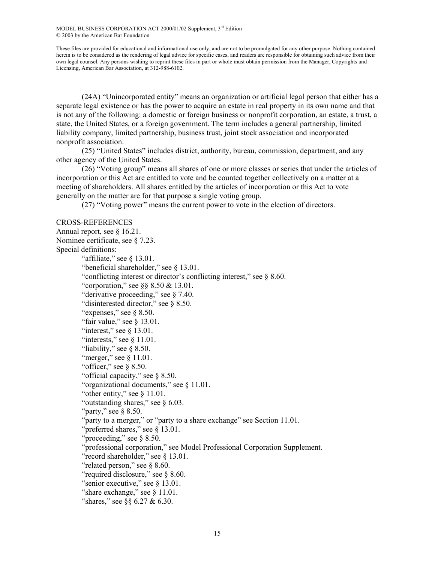These files are provided for educational and informational use only, and are not to be promulgated for any other purpose. Nothing contained herein is to be considered as the rendering of legal advice for specific cases, and readers are responsible for obtaining such advice from their own legal counsel. Any persons wishing to reprint these files in part or whole must obtain permission from the Manager, Copyrights and Licensing, American Bar Association, at 312-988-6102.

 (24A) "Unincorporated entity" means an organization or artificial legal person that either has a separate legal existence or has the power to acquire an estate in real property in its own name and that is not any of the following: a domestic or foreign business or nonprofit corporation, an estate, a trust, a state, the United States, or a foreign government. The term includes a general partnership, limited liability company, limited partnership, business trust, joint stock association and incorporated nonprofit association.

 (25) "United States" includes district, authority, bureau, commission, department, and any other agency of the United States.

 (26) "Voting group" means all shares of one or more classes or series that under the articles of incorporation or this Act are entitled to vote and be counted together collectively on a matter at a meeting of shareholders. All shares entitled by the articles of incorporation or this Act to vote generally on the matter are for that purpose a single voting group.

(27) "Voting power" means the current power to vote in the election of directors.

CROSS-REFERENCES Annual report, see § 16.21. Nominee certificate, see § 7.23. Special definitions: "affiliate," see § 13.01. "beneficial shareholder," see § 13.01. "conflicting interest or director's conflicting interest," see § 8.60. "corporation," see §§ 8.50 & 13.01. "derivative proceeding," see § 7.40. "disinterested director," see § 8.50. "expenses," see § 8.50. "fair value," see § 13.01. "interest," see § 13.01. "interests," see  $\S$  11.01. "liability," see § 8.50. "merger," see § 11.01. "officer," see § 8.50. "official capacity," see § 8.50. "organizational documents," see § 11.01. "other entity," see § 11.01. "outstanding shares," see § 6.03. "party," see  $\S$  8.50. "party to a merger," or "party to a share exchange" see Section 11.01. "preferred shares," see § 13.01. "proceeding," see § 8.50. "professional corporation," see Model Professional Corporation Supplement. "record shareholder," see § 13.01. "related person," see § 8.60. "required disclosure," see  $\&$  8.60. "senior executive," see § 13.01. "share exchange," see § 11.01. "shares," see §§ 6.27 & 6.30.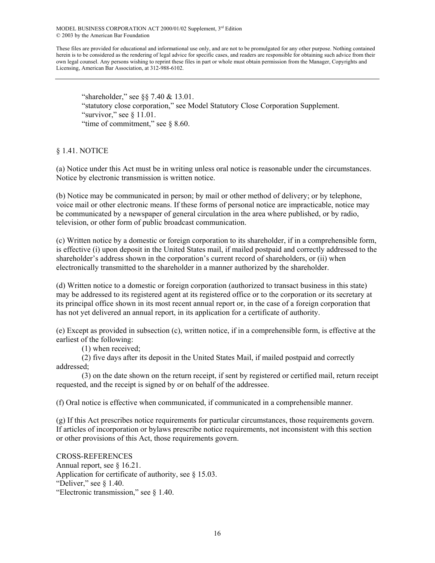These files are provided for educational and informational use only, and are not to be promulgated for any other purpose. Nothing contained herein is to be considered as the rendering of legal advice for specific cases, and readers are responsible for obtaining such advice from their own legal counsel. Any persons wishing to reprint these files in part or whole must obtain permission from the Manager, Copyrights and Licensing, American Bar Association, at 312-988-6102.

 "shareholder," see §§ 7.40 & 13.01. "statutory close corporation," see Model Statutory Close Corporation Supplement. "survivor," see  $§$  11.01. "time of commitment," see § 8.60.

§ 1.41. NOTICE

(a) Notice under this Act must be in writing unless oral notice is reasonable under the circumstances. Notice by electronic transmission is written notice.

(b) Notice may be communicated in person; by mail or other method of delivery; or by telephone, voice mail or other electronic means. If these forms of personal notice are impracticable, notice may be communicated by a newspaper of general circulation in the area where published, or by radio, television, or other form of public broadcast communication.

(c) Written notice by a domestic or foreign corporation to its shareholder, if in a comprehensible form, is effective (i) upon deposit in the United States mail, if mailed postpaid and correctly addressed to the shareholder's address shown in the corporation's current record of shareholders, or (ii) when electronically transmitted to the shareholder in a manner authorized by the shareholder.

(d) Written notice to a domestic or foreign corporation (authorized to transact business in this state) may be addressed to its registered agent at its registered office or to the corporation or its secretary at its principal office shown in its most recent annual report or, in the case of a foreign corporation that has not yet delivered an annual report, in its application for a certificate of authority.

(e) Except as provided in subsection (c), written notice, if in a comprehensible form, is effective at the earliest of the following:

(1) when received;

 (2) five days after its deposit in the United States Mail, if mailed postpaid and correctly addressed;

 (3) on the date shown on the return receipt, if sent by registered or certified mail, return receipt requested, and the receipt is signed by or on behalf of the addressee.

(f) Oral notice is effective when communicated, if communicated in a comprehensible manner.

(g) If this Act prescribes notice requirements for particular circumstances, those requirements govern. If articles of incorporation or bylaws prescribe notice requirements, not inconsistent with this section or other provisions of this Act, those requirements govern.

CROSS-REFERENCES

Annual report, see § 16.21. Application for certificate of authority, see § 15.03. "Deliver," see § 1.40. "Electronic transmission," see § 1.40.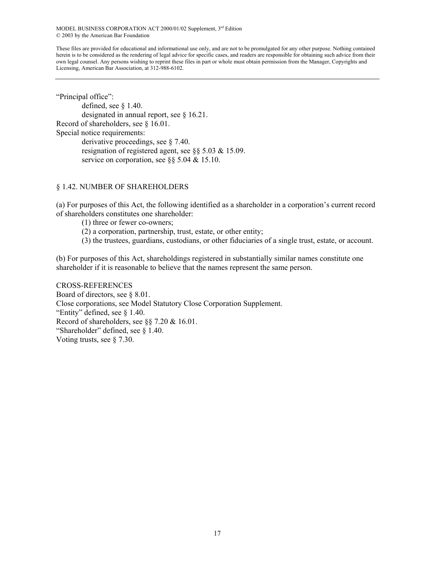These files are provided for educational and informational use only, and are not to be promulgated for any other purpose. Nothing contained herein is to be considered as the rendering of legal advice for specific cases, and readers are responsible for obtaining such advice from their own legal counsel. Any persons wishing to reprint these files in part or whole must obtain permission from the Manager, Copyrights and Licensing, American Bar Association, at 312-988-6102.

"Principal office":

 defined, see § 1.40. designated in annual report, see § 16.21. Record of shareholders, see § 16.01. Special notice requirements: derivative proceedings, see § 7.40. resignation of registered agent, see §§ 5.03 & 15.09. service on corporation, see §§ 5.04 & 15.10.

### § 1.42. NUMBER OF SHAREHOLDERS

(a) For purposes of this Act, the following identified as a shareholder in a corporation's current record of shareholders constitutes one shareholder:

- (1) three or fewer co-owners;
- (2) a corporation, partnership, trust, estate, or other entity;
- (3) the trustees, guardians, custodians, or other fiduciaries of a single trust, estate, or account.

(b) For purposes of this Act, shareholdings registered in substantially similar names constitute one shareholder if it is reasonable to believe that the names represent the same person.

CROSS-REFERENCES Board of directors, see § 8.01. Close corporations, see Model Statutory Close Corporation Supplement. "Entity" defined, see § 1.40. Record of shareholders, see §§ 7.20 & 16.01. "Shareholder" defined, see § 1.40. Voting trusts, see § 7.30.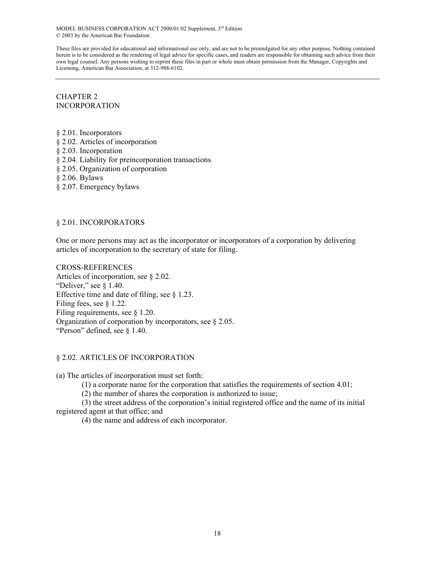These files are provided for educational and informational use only, and are not to be promulgated for any other purpose. Nothing contained herein is to be considered as the rendering of legal advice for specific cases, and readers are responsible for obtaining such advice from their own legal counsel. Any persons wishing to reprint these files in part or whole must obtain permission from the Manager, Copyrights and Licensing, American Bar Association, at 312-988-6102.

CHAPTER 2 INCORPORATION

§ 2.01. Incorporators

- § 2.02. Articles of incorporation
- § 2.03. Incorporation
- § 2.04. Liability for preincorporation transactions
- § 2.05. Organization of corporation
- § 2.06. Bylaws
- § 2.07. Emergency bylaws

## § 2.01. INCORPORATORS

One or more persons may act as the incorporator or incorporators of a corporation by delivering articles of incorporation to the secretary of state for filing.

CROSS-REFERENCES Articles of incorporation, see § 2.02. "Deliver," see § 1.40. Effective time and date of filing, see  $\S$  1.23. Filing fees, see § 1.22. Filing requirements, see § 1.20. Organization of corporation by incorporators, see § 2.05. "Person" defined, see § 1.40.

## § 2.02. ARTICLES OF INCORPORATION

(a) The articles of incorporation must set forth:

(1) a corporate name for the corporation that satisfies the requirements of section 4.01;

(2) the number of shares the corporation is authorized to issue;

 (3) the street address of the corporation's initial registered office and the name of its initial registered agent at that office; and

(4) the name and address of each incorporator.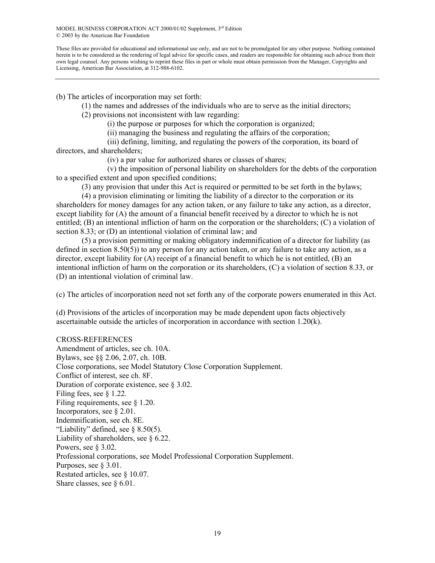(b) The articles of incorporation may set forth:

(1) the names and addresses of the individuals who are to serve as the initial directors;

(2) provisions not inconsistent with law regarding:

(i) the purpose or purposes for which the corporation is organized;

(ii) managing the business and regulating the affairs of the corporation;

 (iii) defining, limiting, and regulating the powers of the corporation, its board of directors, and shareholders;

(iv) a par value for authorized shares or classes of shares;

 (v) the imposition of personal liability on shareholders for the debts of the corporation to a specified extent and upon specified conditions;

(3) any provision that under this Act is required or permitted to be set forth in the bylaws;

 (4) a provision eliminating or limiting the liability of a director to the corporation or its shareholders for money damages for any action taken, or any failure to take any action, as a director, except liability for (A) the amount of a financial benefit received by a director to which he is not entitled; (B) an intentional infliction of harm on the corporation or the shareholders; (C) a violation of section 8.33; or (D) an intentional violation of criminal law; and

 (5) a provision permitting or making obligatory indemnification of a director for liability (as defined in section 8.50(5)) to any person for any action taken, or any failure to take any action, as a director, except liability for (A) receipt of a financial benefit to which he is not entitled, (B) an intentional infliction of harm on the corporation or its shareholders, (C) a violation of section 8.33, or (D) an intentional violation of criminal law.

(c) The articles of incorporation need not set forth any of the corporate powers enumerated in this Act.

(d) Provisions of the articles of incorporation may be made dependent upon facts objectively ascertainable outside the articles of incorporation in accordance with section 1.20(k).

# CROSS-REFERENCES

Amendment of articles, see ch. 10A. Bylaws, see §§ 2.06, 2.07, ch. 10B. Close corporations, see Model Statutory Close Corporation Supplement. Conflict of interest, see ch. 8F. Duration of corporate existence, see § 3.02. Filing fees, see § 1.22. Filing requirements, see § 1.20. Incorporators, see § 2.01. Indemnification, see ch. 8E. "Liability" defined, see  $\S$  8.50(5). Liability of shareholders, see § 6.22. Powers, see § 3.02. Professional corporations, see Model Professional Corporation Supplement. Purposes, see § 3.01. Restated articles, see § 10.07. Share classes, see § 6.01.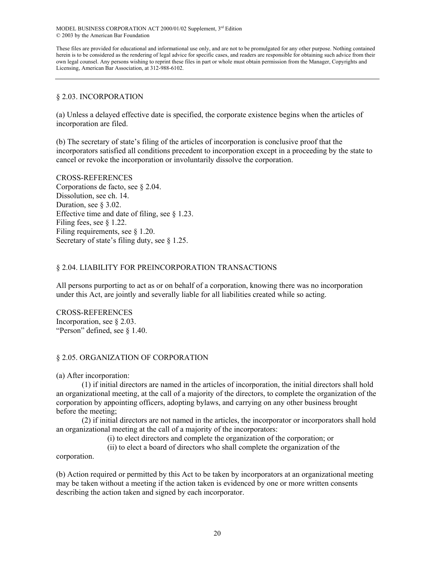These files are provided for educational and informational use only, and are not to be promulgated for any other purpose. Nothing contained herein is to be considered as the rendering of legal advice for specific cases, and readers are responsible for obtaining such advice from their own legal counsel. Any persons wishing to reprint these files in part or whole must obtain permission from the Manager, Copyrights and Licensing, American Bar Association, at 312-988-6102.

## § 2.03. INCORPORATION

(a) Unless a delayed effective date is specified, the corporate existence begins when the articles of incorporation are filed.

(b) The secretary of state's filing of the articles of incorporation is conclusive proof that the incorporators satisfied all conditions precedent to incorporation except in a proceeding by the state to cancel or revoke the incorporation or involuntarily dissolve the corporation.

CROSS-REFERENCES Corporations de facto, see § 2.04. Dissolution, see ch. 14. Duration, see § 3.02. Effective time and date of filing, see § 1.23. Filing fees, see § 1.22. Filing requirements, see § 1.20. Secretary of state's filing duty, see § 1.25.

## § 2.04. LIABILITY FOR PREINCORPORATION TRANSACTIONS

All persons purporting to act as or on behalf of a corporation, knowing there was no incorporation under this Act, are jointly and severally liable for all liabilities created while so acting.

CROSS-REFERENCES Incorporation, see § 2.03. "Person" defined, see § 1.40.

## § 2.05. ORGANIZATION OF CORPORATION

(a) After incorporation:

 (1) if initial directors are named in the articles of incorporation, the initial directors shall hold an organizational meeting, at the call of a majority of the directors, to complete the organization of the corporation by appointing officers, adopting bylaws, and carrying on any other business brought before the meeting;

 (2) if initial directors are not named in the articles, the incorporator or incorporators shall hold an organizational meeting at the call of a majority of the incorporators:

(i) to elect directors and complete the organization of the corporation; or

(ii) to elect a board of directors who shall complete the organization of the

corporation.

(b) Action required or permitted by this Act to be taken by incorporators at an organizational meeting may be taken without a meeting if the action taken is evidenced by one or more written consents describing the action taken and signed by each incorporator.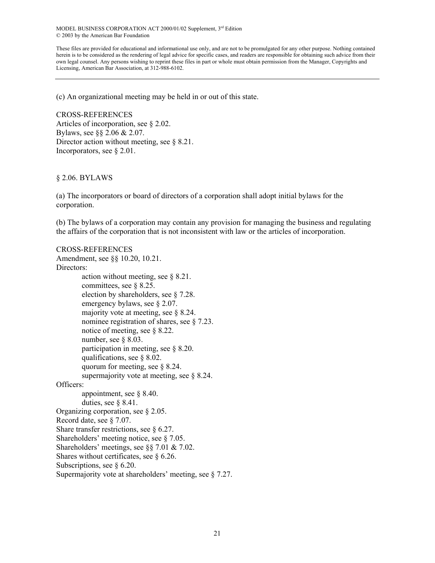These files are provided for educational and informational use only, and are not to be promulgated for any other purpose. Nothing contained herein is to be considered as the rendering of legal advice for specific cases, and readers are responsible for obtaining such advice from their own legal counsel. Any persons wishing to reprint these files in part or whole must obtain permission from the Manager, Copyrights and Licensing, American Bar Association, at 312-988-6102.

(c) An organizational meeting may be held in or out of this state.

CROSS-REFERENCES Articles of incorporation, see § 2.02. Bylaws, see §§ 2.06 & 2.07. Director action without meeting, see § 8.21. Incorporators, see § 2.01.

## § 2.06. BYLAWS

(a) The incorporators or board of directors of a corporation shall adopt initial bylaws for the corporation.

(b) The bylaws of a corporation may contain any provision for managing the business and regulating the affairs of the corporation that is not inconsistent with law or the articles of incorporation.

CROSS-REFERENCES Amendment, see §§ 10.20, 10.21. Directors: action without meeting, see § 8.21. committees, see § 8.25. election by shareholders, see § 7.28. emergency bylaws, see § 2.07. majority vote at meeting, see § 8.24. nominee registration of shares, see § 7.23. notice of meeting, see § 8.22. number, see § 8.03. participation in meeting, see § 8.20. qualifications, see § 8.02. quorum for meeting, see § 8.24. supermajority vote at meeting, see § 8.24. Officers: appointment, see § 8.40. duties, see § 8.41. Organizing corporation, see § 2.05. Record date, see § 7.07. Share transfer restrictions, see § 6.27. Shareholders' meeting notice, see § 7.05. Shareholders' meetings, see §§ 7.01 & 7.02. Shares without certificates, see § 6.26. Subscriptions, see § 6.20. Supermajority vote at shareholders' meeting, see  $\S 7.27$ .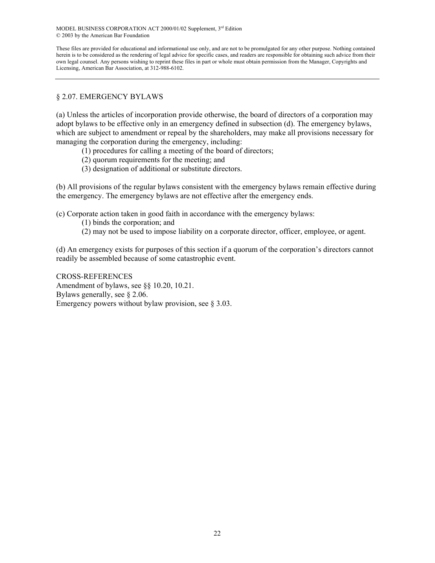These files are provided for educational and informational use only, and are not to be promulgated for any other purpose. Nothing contained herein is to be considered as the rendering of legal advice for specific cases, and readers are responsible for obtaining such advice from their own legal counsel. Any persons wishing to reprint these files in part or whole must obtain permission from the Manager, Copyrights and Licensing, American Bar Association, at 312-988-6102.

# § 2.07. EMERGENCY BYLAWS

(a) Unless the articles of incorporation provide otherwise, the board of directors of a corporation may adopt bylaws to be effective only in an emergency defined in subsection (d). The emergency bylaws, which are subject to amendment or repeal by the shareholders, may make all provisions necessary for managing the corporation during the emergency, including:

- (1) procedures for calling a meeting of the board of directors;
- (2) quorum requirements for the meeting; and
- (3) designation of additional or substitute directors.

(b) All provisions of the regular bylaws consistent with the emergency bylaws remain effective during the emergency. The emergency bylaws are not effective after the emergency ends.

(c) Corporate action taken in good faith in accordance with the emergency bylaws:

- (1) binds the corporation; and
- (2) may not be used to impose liability on a corporate director, officer, employee, or agent.

(d) An emergency exists for purposes of this section if a quorum of the corporation's directors cannot readily be assembled because of some catastrophic event.

CROSS-REFERENCES Amendment of bylaws, see §§ 10.20, 10.21. Bylaws generally, see § 2.06. Emergency powers without bylaw provision, see § 3.03.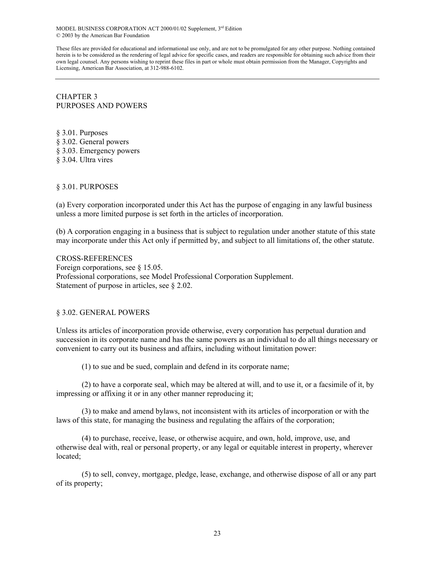These files are provided for educational and informational use only, and are not to be promulgated for any other purpose. Nothing contained herein is to be considered as the rendering of legal advice for specific cases, and readers are responsible for obtaining such advice from their own legal counsel. Any persons wishing to reprint these files in part or whole must obtain permission from the Manager, Copyrights and Licensing, American Bar Association, at 312-988-6102.

CHAPTER 3 PURPOSES AND POWERS

§ 3.01. Purposes § 3.02. General powers § 3.03. Emergency powers § 3.04. Ultra vires

#### § 3.01. PURPOSES

(a) Every corporation incorporated under this Act has the purpose of engaging in any lawful business unless a more limited purpose is set forth in the articles of incorporation.

(b) A corporation engaging in a business that is subject to regulation under another statute of this state may incorporate under this Act only if permitted by, and subject to all limitations of, the other statute.

CROSS-REFERENCES Foreign corporations, see § 15.05. Professional corporations, see Model Professional Corporation Supplement. Statement of purpose in articles, see § 2.02.

## § 3.02. GENERAL POWERS

Unless its articles of incorporation provide otherwise, every corporation has perpetual duration and succession in its corporate name and has the same powers as an individual to do all things necessary or convenient to carry out its business and affairs, including without limitation power:

(1) to sue and be sued, complain and defend in its corporate name;

 (2) to have a corporate seal, which may be altered at will, and to use it, or a facsimile of it, by impressing or affixing it or in any other manner reproducing it;

 (3) to make and amend bylaws, not inconsistent with its articles of incorporation or with the laws of this state, for managing the business and regulating the affairs of the corporation;

 (4) to purchase, receive, lease, or otherwise acquire, and own, hold, improve, use, and otherwise deal with, real or personal property, or any legal or equitable interest in property, wherever located;

 (5) to sell, convey, mortgage, pledge, lease, exchange, and otherwise dispose of all or any part of its property;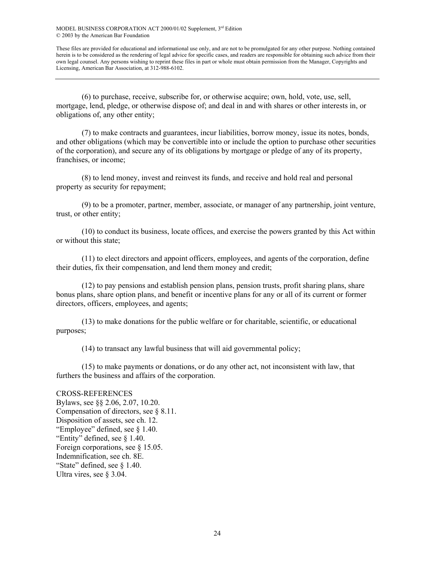(6) to purchase, receive, subscribe for, or otherwise acquire; own, hold, vote, use, sell, mortgage, lend, pledge, or otherwise dispose of; and deal in and with shares or other interests in, or obligations of, any other entity;

 (7) to make contracts and guarantees, incur liabilities, borrow money, issue its notes, bonds, and other obligations (which may be convertible into or include the option to purchase other securities of the corporation), and secure any of its obligations by mortgage or pledge of any of its property, franchises, or income;

 (8) to lend money, invest and reinvest its funds, and receive and hold real and personal property as security for repayment;

 (9) to be a promoter, partner, member, associate, or manager of any partnership, joint venture, trust, or other entity;

 (10) to conduct its business, locate offices, and exercise the powers granted by this Act within or without this state;

 (11) to elect directors and appoint officers, employees, and agents of the corporation, define their duties, fix their compensation, and lend them money and credit;

 (12) to pay pensions and establish pension plans, pension trusts, profit sharing plans, share bonus plans, share option plans, and benefit or incentive plans for any or all of its current or former directors, officers, employees, and agents;

 (13) to make donations for the public welfare or for charitable, scientific, or educational purposes;

(14) to transact any lawful business that will aid governmental policy;

 (15) to make payments or donations, or do any other act, not inconsistent with law, that furthers the business and affairs of the corporation.

CROSS-REFERENCES Bylaws, see §§ 2.06, 2.07, 10.20. Compensation of directors, see § 8.11. Disposition of assets, see ch. 12. "Employee" defined, see § 1.40. "Entity" defined, see § 1.40. Foreign corporations, see § 15.05. Indemnification, see ch. 8E. "State" defined, see § 1.40. Ultra vires, see § 3.04.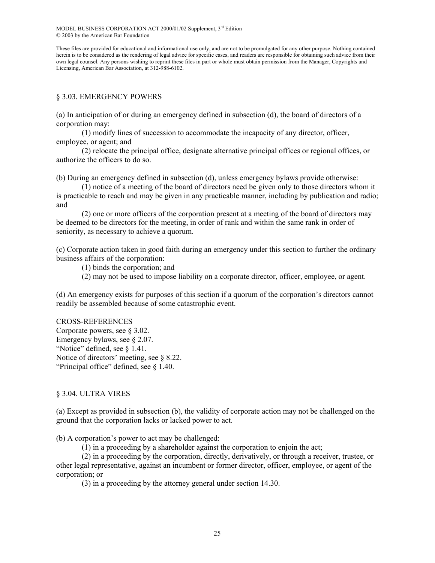These files are provided for educational and informational use only, and are not to be promulgated for any other purpose. Nothing contained herein is to be considered as the rendering of legal advice for specific cases, and readers are responsible for obtaining such advice from their own legal counsel. Any persons wishing to reprint these files in part or whole must obtain permission from the Manager, Copyrights and Licensing, American Bar Association, at 312-988-6102.

## § 3.03. EMERGENCY POWERS

(a) In anticipation of or during an emergency defined in subsection (d), the board of directors of a corporation may:

 (1) modify lines of succession to accommodate the incapacity of any director, officer, employee, or agent; and

 (2) relocate the principal office, designate alternative principal offices or regional offices, or authorize the officers to do so.

(b) During an emergency defined in subsection (d), unless emergency bylaws provide otherwise:

 (1) notice of a meeting of the board of directors need be given only to those directors whom it is practicable to reach and may be given in any practicable manner, including by publication and radio; and

 (2) one or more officers of the corporation present at a meeting of the board of directors may be deemed to be directors for the meeting, in order of rank and within the same rank in order of seniority, as necessary to achieve a quorum.

(c) Corporate action taken in good faith during an emergency under this section to further the ordinary business affairs of the corporation:

(1) binds the corporation; and

(2) may not be used to impose liability on a corporate director, officer, employee, or agent.

(d) An emergency exists for purposes of this section if a quorum of the corporation's directors cannot readily be assembled because of some catastrophic event.

### CROSS-REFERENCES

Corporate powers, see § 3.02. Emergency bylaws, see § 2.07. "Notice" defined, see § 1.41. Notice of directors' meeting, see  $\&$  8.22. "Principal office" defined, see § 1.40.

## § 3.04. ULTRA VIRES

(a) Except as provided in subsection (b), the validity of corporate action may not be challenged on the ground that the corporation lacks or lacked power to act.

(b) A corporation's power to act may be challenged:

(1) in a proceeding by a shareholder against the corporation to enjoin the act;

 (2) in a proceeding by the corporation, directly, derivatively, or through a receiver, trustee, or other legal representative, against an incumbent or former director, officer, employee, or agent of the corporation; or

(3) in a proceeding by the attorney general under section 14.30.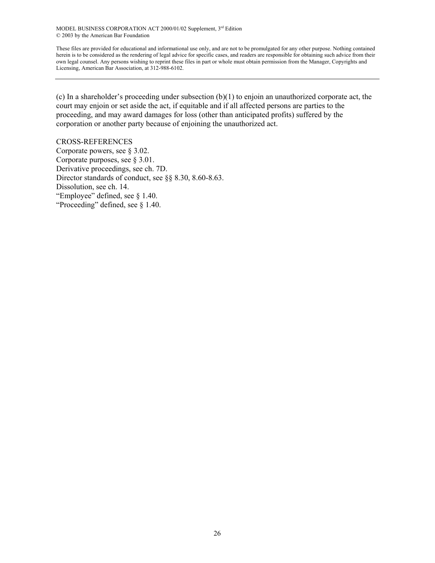These files are provided for educational and informational use only, and are not to be promulgated for any other purpose. Nothing contained herein is to be considered as the rendering of legal advice for specific cases, and readers are responsible for obtaining such advice from their own legal counsel. Any persons wishing to reprint these files in part or whole must obtain permission from the Manager, Copyrights and Licensing, American Bar Association, at 312-988-6102.

(c) In a shareholder's proceeding under subsection  $(b)(1)$  to enjoin an unauthorized corporate act, the court may enjoin or set aside the act, if equitable and if all affected persons are parties to the proceeding, and may award damages for loss (other than anticipated profits) suffered by the corporation or another party because of enjoining the unauthorized act.

CROSS-REFERENCES Corporate powers, see § 3.02. Corporate purposes, see § 3.01. Derivative proceedings, see ch. 7D. Director standards of conduct, see §§ 8.30, 8.60-8.63. Dissolution, see ch. 14. "Employee" defined, see § 1.40. "Proceeding" defined, see § 1.40.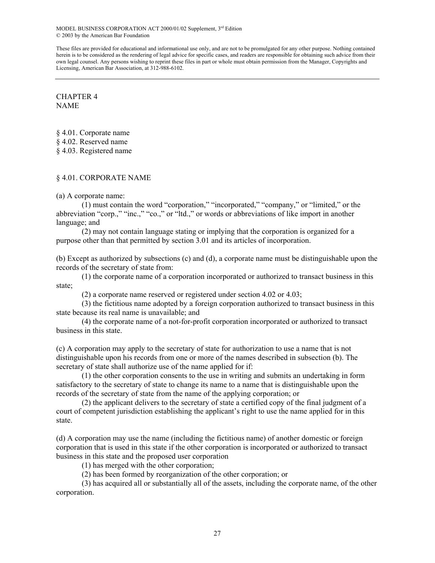These files are provided for educational and informational use only, and are not to be promulgated for any other purpose. Nothing contained herein is to be considered as the rendering of legal advice for specific cases, and readers are responsible for obtaining such advice from their own legal counsel. Any persons wishing to reprint these files in part or whole must obtain permission from the Manager, Copyrights and Licensing, American Bar Association, at 312-988-6102.

CHAPTER 4 NAME

§ 4.01. Corporate name

§ 4.02. Reserved name

§ 4.03. Registered name

### § 4.01. CORPORATE NAME

### (a) A corporate name:

 (1) must contain the word "corporation," "incorporated," "company," or "limited," or the abbreviation "corp.," "inc.," "co.," or "ltd.," or words or abbreviations of like import in another language; and

 (2) may not contain language stating or implying that the corporation is organized for a purpose other than that permitted by section 3.01 and its articles of incorporation.

(b) Except as authorized by subsections (c) and (d), a corporate name must be distinguishable upon the records of the secretary of state from:

 (1) the corporate name of a corporation incorporated or authorized to transact business in this state;

(2) a corporate name reserved or registered under section 4.02 or 4.03;

 (3) the fictitious name adopted by a foreign corporation authorized to transact business in this state because its real name is unavailable; and

 (4) the corporate name of a not-for-profit corporation incorporated or authorized to transact business in this state.

(c) A corporation may apply to the secretary of state for authorization to use a name that is not distinguishable upon his records from one or more of the names described in subsection (b). The secretary of state shall authorize use of the name applied for if:

 (1) the other corporation consents to the use in writing and submits an undertaking in form satisfactory to the secretary of state to change its name to a name that is distinguishable upon the records of the secretary of state from the name of the applying corporation; or

 (2) the applicant delivers to the secretary of state a certified copy of the final judgment of a court of competent jurisdiction establishing the applicant's right to use the name applied for in this state.

(d) A corporation may use the name (including the fictitious name) of another domestic or foreign corporation that is used in this state if the other corporation is incorporated or authorized to transact business in this state and the proposed user corporation

(1) has merged with the other corporation;

(2) has been formed by reorganization of the other corporation; or

 (3) has acquired all or substantially all of the assets, including the corporate name, of the other corporation.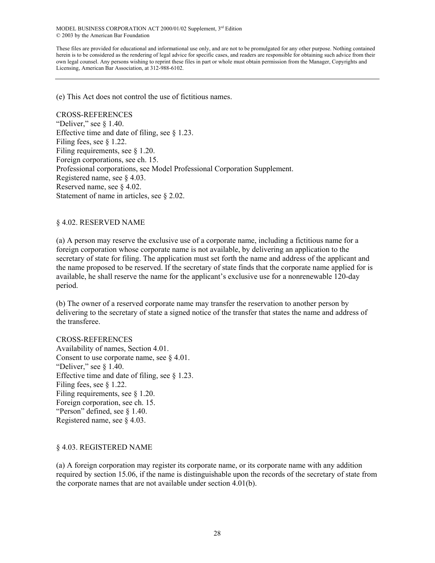These files are provided for educational and informational use only, and are not to be promulgated for any other purpose. Nothing contained herein is to be considered as the rendering of legal advice for specific cases, and readers are responsible for obtaining such advice from their own legal counsel. Any persons wishing to reprint these files in part or whole must obtain permission from the Manager, Copyrights and Licensing, American Bar Association, at 312-988-6102.

(e) This Act does not control the use of fictitious names.

CROSS-REFERENCES "Deliver," see  $§$  1.40. Effective time and date of filing, see § 1.23. Filing fees, see § 1.22. Filing requirements, see § 1.20. Foreign corporations, see ch. 15. Professional corporations, see Model Professional Corporation Supplement. Registered name, see § 4.03. Reserved name, see § 4.02. Statement of name in articles, see § 2.02.

## § 4.02. RESERVED NAME

(a) A person may reserve the exclusive use of a corporate name, including a fictitious name for a foreign corporation whose corporate name is not available, by delivering an application to the secretary of state for filing. The application must set forth the name and address of the applicant and the name proposed to be reserved. If the secretary of state finds that the corporate name applied for is available, he shall reserve the name for the applicant's exclusive use for a nonrenewable 120-day period.

(b) The owner of a reserved corporate name may transfer the reservation to another person by delivering to the secretary of state a signed notice of the transfer that states the name and address of the transferee.

## CROSS-REFERENCES

Availability of names, Section 4.01. Consent to use corporate name, see § 4.01. "Deliver," see § 1.40. Effective time and date of filing, see § 1.23. Filing fees, see § 1.22. Filing requirements, see § 1.20. Foreign corporation, see ch. 15. "Person" defined, see § 1.40. Registered name, see § 4.03.

## § 4.03. REGISTERED NAME

(a) A foreign corporation may register its corporate name, or its corporate name with any addition required by section 15.06, if the name is distinguishable upon the records of the secretary of state from the corporate names that are not available under section 4.01(b).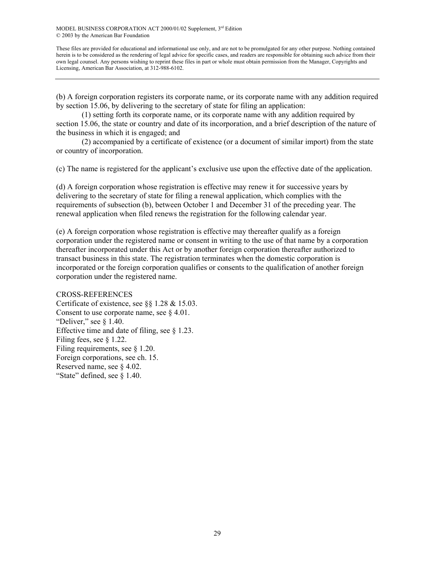(b) A foreign corporation registers its corporate name, or its corporate name with any addition required by section 15.06, by delivering to the secretary of state for filing an application:

 (1) setting forth its corporate name, or its corporate name with any addition required by section 15.06, the state or country and date of its incorporation, and a brief description of the nature of the business in which it is engaged; and

 (2) accompanied by a certificate of existence (or a document of similar import) from the state or country of incorporation.

(c) The name is registered for the applicant's exclusive use upon the effective date of the application.

(d) A foreign corporation whose registration is effective may renew it for successive years by delivering to the secretary of state for filing a renewal application, which complies with the requirements of subsection (b), between October 1 and December 31 of the preceding year. The renewal application when filed renews the registration for the following calendar year.

(e) A foreign corporation whose registration is effective may thereafter qualify as a foreign corporation under the registered name or consent in writing to the use of that name by a corporation thereafter incorporated under this Act or by another foreign corporation thereafter authorized to transact business in this state. The registration terminates when the domestic corporation is incorporated or the foreign corporation qualifies or consents to the qualification of another foreign corporation under the registered name.

CROSS-REFERENCES Certificate of existence, see §§ 1.28 & 15.03. Consent to use corporate name, see § 4.01. "Deliver," see § 1.40. Effective time and date of filing, see § 1.23. Filing fees, see § 1.22. Filing requirements, see § 1.20. Foreign corporations, see ch. 15. Reserved name, see § 4.02. "State" defined, see § 1.40.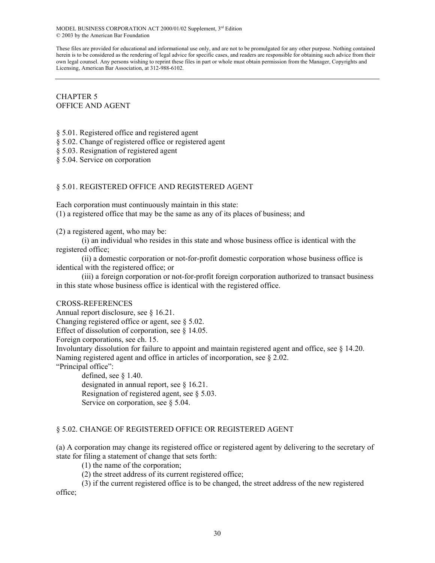These files are provided for educational and informational use only, and are not to be promulgated for any other purpose. Nothing contained herein is to be considered as the rendering of legal advice for specific cases, and readers are responsible for obtaining such advice from their own legal counsel. Any persons wishing to reprint these files in part or whole must obtain permission from the Manager, Copyrights and Licensing, American Bar Association, at 312-988-6102.

CHAPTER 5 OFFICE AND AGENT

§ 5.01. Registered office and registered agent

§ 5.02. Change of registered office or registered agent

§ 5.03. Resignation of registered agent

§ 5.04. Service on corporation

### § 5.01. REGISTERED OFFICE AND REGISTERED AGENT

Each corporation must continuously maintain in this state: (1) a registered office that may be the same as any of its places of business; and

(2) a registered agent, who may be:

 (i) an individual who resides in this state and whose business office is identical with the registered office;

 (ii) a domestic corporation or not-for-profit domestic corporation whose business office is identical with the registered office; or

 (iii) a foreign corporation or not-for-profit foreign corporation authorized to transact business in this state whose business office is identical with the registered office.

#### CROSS-REFERENCES

Annual report disclosure, see § 16.21.

Changing registered office or agent, see § 5.02.

Effect of dissolution of corporation, see § 14.05.

Foreign corporations, see ch. 15.

Involuntary dissolution for failure to appoint and maintain registered agent and office, see § 14.20. Naming registered agent and office in articles of incorporation, see § 2.02.

"Principal office":

 defined, see § 1.40. designated in annual report, see § 16.21. Resignation of registered agent, see § 5.03. Service on corporation, see § 5.04.

## § 5.02. CHANGE OF REGISTERED OFFICE OR REGISTERED AGENT

(a) A corporation may change its registered office or registered agent by delivering to the secretary of state for filing a statement of change that sets forth:

(1) the name of the corporation;

(2) the street address of its current registered office;

 (3) if the current registered office is to be changed, the street address of the new registered office;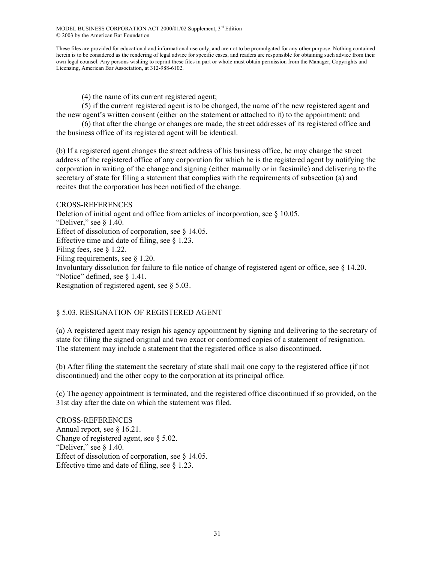(4) the name of its current registered agent;

 (5) if the current registered agent is to be changed, the name of the new registered agent and the new agent's written consent (either on the statement or attached to it) to the appointment; and

 (6) that after the change or changes are made, the street addresses of its registered office and the business office of its registered agent will be identical.

(b) If a registered agent changes the street address of his business office, he may change the street address of the registered office of any corporation for which he is the registered agent by notifying the corporation in writing of the change and signing (either manually or in facsimile) and delivering to the secretary of state for filing a statement that complies with the requirements of subsection (a) and recites that the corporation has been notified of the change.

CROSS-REFERENCES Deletion of initial agent and office from articles of incorporation, see § 10.05. "Deliver," see § 1.40. Effect of dissolution of corporation, see § 14.05. Effective time and date of filing, see § 1.23. Filing fees, see § 1.22. Filing requirements, see § 1.20. Involuntary dissolution for failure to file notice of change of registered agent or office, see § 14.20. "Notice" defined, see § 1.41. Resignation of registered agent, see § 5.03.

# § 5.03. RESIGNATION OF REGISTERED AGENT

(a) A registered agent may resign his agency appointment by signing and delivering to the secretary of state for filing the signed original and two exact or conformed copies of a statement of resignation. The statement may include a statement that the registered office is also discontinued.

(b) After filing the statement the secretary of state shall mail one copy to the registered office (if not discontinued) and the other copy to the corporation at its principal office.

(c) The agency appointment is terminated, and the registered office discontinued if so provided, on the 31st day after the date on which the statement was filed.

CROSS-REFERENCES Annual report, see § 16.21. Change of registered agent, see § 5.02. "Deliver," see § 1.40. Effect of dissolution of corporation, see § 14.05. Effective time and date of filing, see § 1.23.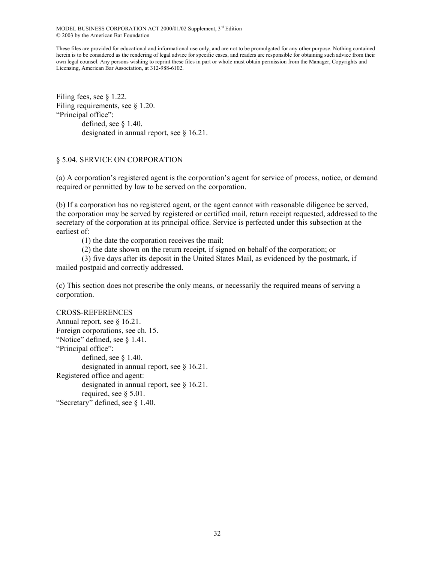These files are provided for educational and informational use only, and are not to be promulgated for any other purpose. Nothing contained herein is to be considered as the rendering of legal advice for specific cases, and readers are responsible for obtaining such advice from their own legal counsel. Any persons wishing to reprint these files in part or whole must obtain permission from the Manager, Copyrights and Licensing, American Bar Association, at 312-988-6102.

Filing fees, see § 1.22. Filing requirements, see § 1.20. "Principal office": defined, see § 1.40. designated in annual report, see § 16.21.

### § 5.04. SERVICE ON CORPORATION

(a) A corporation's registered agent is the corporation's agent for service of process, notice, or demand required or permitted by law to be served on the corporation.

(b) If a corporation has no registered agent, or the agent cannot with reasonable diligence be served, the corporation may be served by registered or certified mail, return receipt requested, addressed to the secretary of the corporation at its principal office. Service is perfected under this subsection at the earliest of:

(1) the date the corporation receives the mail;

(2) the date shown on the return receipt, if signed on behalf of the corporation; or

 (3) five days after its deposit in the United States Mail, as evidenced by the postmark, if mailed postpaid and correctly addressed.

(c) This section does not prescribe the only means, or necessarily the required means of serving a corporation.

CROSS-REFERENCES Annual report, see § 16.21. Foreign corporations, see ch. 15. "Notice" defined, see § 1.41. "Principal office": defined, see § 1.40. designated in annual report, see § 16.21. Registered office and agent: designated in annual report, see § 16.21. required, see § 5.01. "Secretary" defined, see § 1.40.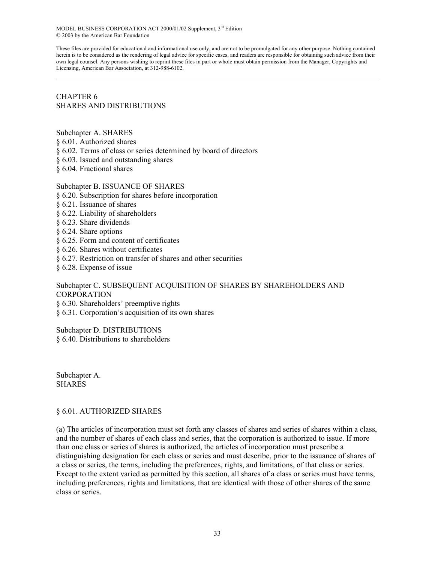These files are provided for educational and informational use only, and are not to be promulgated for any other purpose. Nothing contained herein is to be considered as the rendering of legal advice for specific cases, and readers are responsible for obtaining such advice from their own legal counsel. Any persons wishing to reprint these files in part or whole must obtain permission from the Manager, Copyrights and Licensing, American Bar Association, at 312-988-6102.

CHAPTER 6 SHARES AND DISTRIBUTIONS

Subchapter A. SHARES

§ 6.01. Authorized shares

- § 6.02. Terms of class or series determined by board of directors
- § 6.03. Issued and outstanding shares
- § 6.04. Fractional shares

Subchapter B. ISSUANCE OF SHARES

- § 6.20. Subscription for shares before incorporation
- § 6.21. Issuance of shares
- § 6.22. Liability of shareholders
- § 6.23. Share dividends
- § 6.24. Share options
- § 6.25. Form and content of certificates
- § 6.26. Shares without certificates
- § 6.27. Restriction on transfer of shares and other securities
- § 6.28. Expense of issue

Subchapter C. SUBSEQUENT ACQUISITION OF SHARES BY SHAREHOLDERS AND CORPORATION

§ 6.30. Shareholders' preemptive rights

§ 6.31. Corporation's acquisition of its own shares

Subchapter D. DISTRIBUTIONS § 6.40. Distributions to shareholders

Subchapter A. SHARES

## § 6.01. AUTHORIZED SHARES

(a) The articles of incorporation must set forth any classes of shares and series of shares within a class, and the number of shares of each class and series, that the corporation is authorized to issue. If more than one class or series of shares is authorized, the articles of incorporation must prescribe a distinguishing designation for each class or series and must describe, prior to the issuance of shares of a class or series, the terms, including the preferences, rights, and limitations, of that class or series. Except to the extent varied as permitted by this section, all shares of a class or series must have terms, including preferences, rights and limitations, that are identical with those of other shares of the same class or series.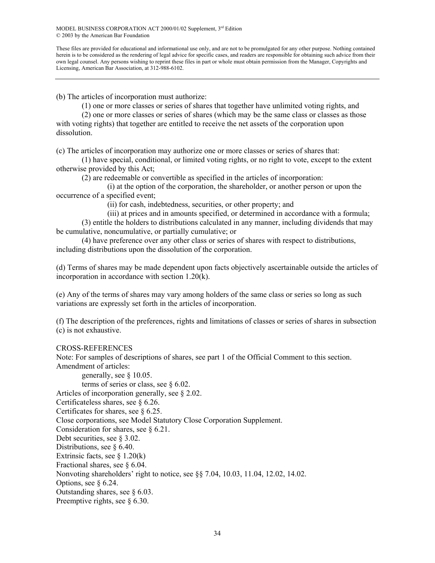(b) The articles of incorporation must authorize:

(1) one or more classes or series of shares that together have unlimited voting rights, and

 (2) one or more classes or series of shares (which may be the same class or classes as those with voting rights) that together are entitled to receive the net assets of the corporation upon dissolution.

(c) The articles of incorporation may authorize one or more classes or series of shares that:

 (1) have special, conditional, or limited voting rights, or no right to vote, except to the extent otherwise provided by this Act;

(2) are redeemable or convertible as specified in the articles of incorporation:

 (i) at the option of the corporation, the shareholder, or another person or upon the occurrence of a specified event;

(ii) for cash, indebtedness, securities, or other property; and

(iii) at prices and in amounts specified, or determined in accordance with a formula;

 (3) entitle the holders to distributions calculated in any manner, including dividends that may be cumulative, noncumulative, or partially cumulative; or

 (4) have preference over any other class or series of shares with respect to distributions, including distributions upon the dissolution of the corporation.

(d) Terms of shares may be made dependent upon facts objectively ascertainable outside the articles of incorporation in accordance with section 1.20(k).

(e) Any of the terms of shares may vary among holders of the same class or series so long as such variations are expressly set forth in the articles of incorporation.

(f) The description of the preferences, rights and limitations of classes or series of shares in subsection (c) is not exhaustive.

# CROSS-REFERENCES

Note: For samples of descriptions of shares, see part 1 of the Official Comment to this section. Amendment of articles:

 generally, see § 10.05. terms of series or class, see § 6.02. Articles of incorporation generally, see § 2.02. Certificateless shares, see § 6.26. Certificates for shares, see § 6.25. Close corporations, see Model Statutory Close Corporation Supplement. Consideration for shares, see § 6.21. Debt securities, see § 3.02. Distributions, see  $\& 6.40$ . Extrinsic facts, see  $\S 1.20(k)$ Fractional shares, see § 6.04. Nonvoting shareholders' right to notice, see §§ 7.04, 10.03, 11.04, 12.02, 14.02. Options, see § 6.24. Outstanding shares, see § 6.03. Preemptive rights, see § 6.30.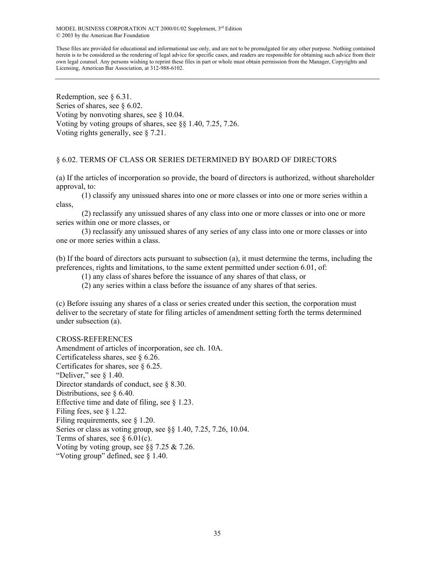These files are provided for educational and informational use only, and are not to be promulgated for any other purpose. Nothing contained herein is to be considered as the rendering of legal advice for specific cases, and readers are responsible for obtaining such advice from their own legal counsel. Any persons wishing to reprint these files in part or whole must obtain permission from the Manager, Copyrights and Licensing, American Bar Association, at 312-988-6102.

Redemption, see § 6.31. Series of shares, see § 6.02. Voting by nonvoting shares, see § 10.04. Voting by voting groups of shares, see §§ 1.40, 7.25, 7.26. Voting rights generally, see § 7.21.

#### § 6.02. TERMS OF CLASS OR SERIES DETERMINED BY BOARD OF DIRECTORS

(a) If the articles of incorporation so provide, the board of directors is authorized, without shareholder approval, to:

 (1) classify any unissued shares into one or more classes or into one or more series within a class,

 (2) reclassify any unissued shares of any class into one or more classes or into one or more series within one or more classes, or

 (3) reclassify any unissued shares of any series of any class into one or more classes or into one or more series within a class.

(b) If the board of directors acts pursuant to subsection (a), it must determine the terms, including the preferences, rights and limitations, to the same extent permitted under section 6.01, of:

(1) any class of shares before the issuance of any shares of that class, or

(2) any series within a class before the issuance of any shares of that series.

(c) Before issuing any shares of a class or series created under this section, the corporation must deliver to the secretary of state for filing articles of amendment setting forth the terms determined under subsection (a).

#### CROSS-REFERENCES

Amendment of articles of incorporation, see ch. 10A. Certificateless shares, see § 6.26. Certificates for shares, see § 6.25. "Deliver," see § 1.40. Director standards of conduct, see § 8.30. Distributions, see  $\& 6.40$ . Effective time and date of filing, see § 1.23. Filing fees, see § 1.22. Filing requirements, see § 1.20. Series or class as voting group, see §§ 1.40, 7.25, 7.26, 10.04. Terms of shares, see  $\S 6.01(c)$ . Voting by voting group, see  $\S$ § 7.25 & 7.26. "Voting group" defined, see § 1.40.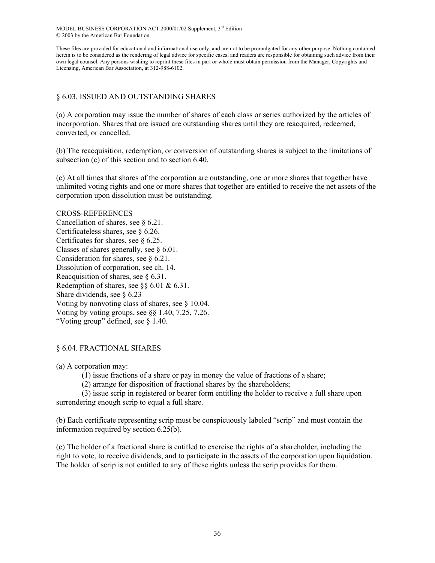These files are provided for educational and informational use only, and are not to be promulgated for any other purpose. Nothing contained herein is to be considered as the rendering of legal advice for specific cases, and readers are responsible for obtaining such advice from their own legal counsel. Any persons wishing to reprint these files in part or whole must obtain permission from the Manager, Copyrights and Licensing, American Bar Association, at 312-988-6102.

## § 6.03. ISSUED AND OUTSTANDING SHARES

(a) A corporation may issue the number of shares of each class or series authorized by the articles of incorporation. Shares that are issued are outstanding shares until they are reacquired, redeemed, converted, or cancelled.

(b) The reacquisition, redemption, or conversion of outstanding shares is subject to the limitations of subsection (c) of this section and to section 6.40.

(c) At all times that shares of the corporation are outstanding, one or more shares that together have unlimited voting rights and one or more shares that together are entitled to receive the net assets of the corporation upon dissolution must be outstanding.

CROSS-REFERENCES Cancellation of shares, see § 6.21. Certificateless shares, see § 6.26. Certificates for shares, see § 6.25. Classes of shares generally, see § 6.01. Consideration for shares, see § 6.21. Dissolution of corporation, see ch. 14. Reacquisition of shares, see § 6.31. Redemption of shares, see §§ 6.01 & 6.31. Share dividends, see § 6.23 Voting by nonvoting class of shares, see § 10.04. Voting by voting groups, see §§ 1.40, 7.25, 7.26. "Voting group" defined, see § 1.40.

## § 6.04. FRACTIONAL SHARES

(a) A corporation may:

- (1) issue fractions of a share or pay in money the value of fractions of a share;
- (2) arrange for disposition of fractional shares by the shareholders;

 (3) issue scrip in registered or bearer form entitling the holder to receive a full share upon surrendering enough scrip to equal a full share.

(b) Each certificate representing scrip must be conspicuously labeled "scrip" and must contain the information required by section 6.25(b).

(c) The holder of a fractional share is entitled to exercise the rights of a shareholder, including the right to vote, to receive dividends, and to participate in the assets of the corporation upon liquidation. The holder of scrip is not entitled to any of these rights unless the scrip provides for them.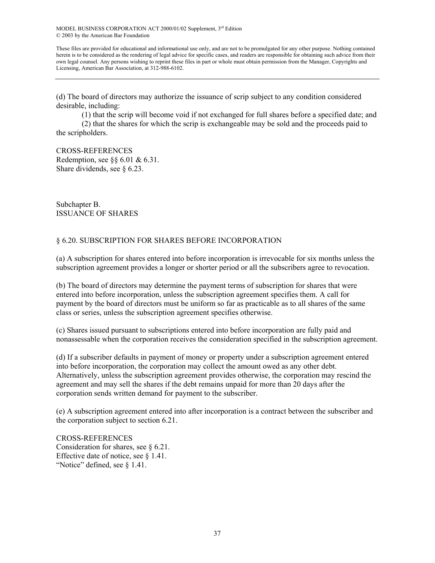These files are provided for educational and informational use only, and are not to be promulgated for any other purpose. Nothing contained herein is to be considered as the rendering of legal advice for specific cases, and readers are responsible for obtaining such advice from their own legal counsel. Any persons wishing to reprint these files in part or whole must obtain permission from the Manager, Copyrights and Licensing, American Bar Association, at 312-988-6102.

(d) The board of directors may authorize the issuance of scrip subject to any condition considered desirable, including:

(1) that the scrip will become void if not exchanged for full shares before a specified date; and

 (2) that the shares for which the scrip is exchangeable may be sold and the proceeds paid to the scripholders.

CROSS-REFERENCES Redemption, see §§ 6.01 & 6.31. Share dividends, see § 6.23.

Subchapter B. ISSUANCE OF SHARES

# § 6.20. SUBSCRIPTION FOR SHARES BEFORE INCORPORATION

(a) A subscription for shares entered into before incorporation is irrevocable for six months unless the subscription agreement provides a longer or shorter period or all the subscribers agree to revocation.

(b) The board of directors may determine the payment terms of subscription for shares that were entered into before incorporation, unless the subscription agreement specifies them. A call for payment by the board of directors must be uniform so far as practicable as to all shares of the same class or series, unless the subscription agreement specifies otherwise.

(c) Shares issued pursuant to subscriptions entered into before incorporation are fully paid and nonassessable when the corporation receives the consideration specified in the subscription agreement.

(d) If a subscriber defaults in payment of money or property under a subscription agreement entered into before incorporation, the corporation may collect the amount owed as any other debt. Alternatively, unless the subscription agreement provides otherwise, the corporation may rescind the agreement and may sell the shares if the debt remains unpaid for more than 20 days after the corporation sends written demand for payment to the subscriber.

(e) A subscription agreement entered into after incorporation is a contract between the subscriber and the corporation subject to section 6.21.

CROSS-REFERENCES Consideration for shares, see § 6.21. Effective date of notice, see § 1.41. "Notice" defined, see § 1.41.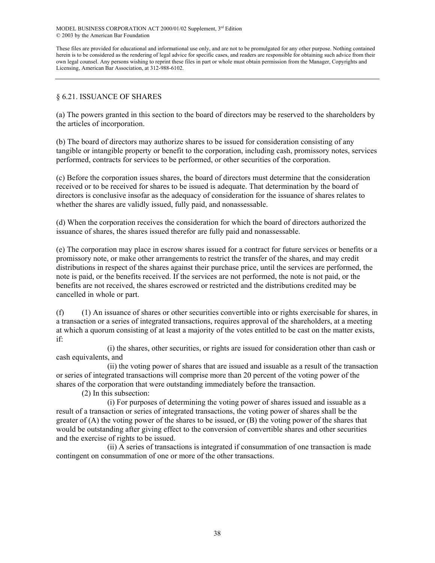These files are provided for educational and informational use only, and are not to be promulgated for any other purpose. Nothing contained herein is to be considered as the rendering of legal advice for specific cases, and readers are responsible for obtaining such advice from their own legal counsel. Any persons wishing to reprint these files in part or whole must obtain permission from the Manager, Copyrights and Licensing, American Bar Association, at 312-988-6102.

# § 6.21. ISSUANCE OF SHARES

(a) The powers granted in this section to the board of directors may be reserved to the shareholders by the articles of incorporation.

(b) The board of directors may authorize shares to be issued for consideration consisting of any tangible or intangible property or benefit to the corporation, including cash, promissory notes, services performed, contracts for services to be performed, or other securities of the corporation.

(c) Before the corporation issues shares, the board of directors must determine that the consideration received or to be received for shares to be issued is adequate. That determination by the board of directors is conclusive insofar as the adequacy of consideration for the issuance of shares relates to whether the shares are validly issued, fully paid, and nonassessable.

(d) When the corporation receives the consideration for which the board of directors authorized the issuance of shares, the shares issued therefor are fully paid and nonassessable.

(e) The corporation may place in escrow shares issued for a contract for future services or benefits or a promissory note, or make other arrangements to restrict the transfer of the shares, and may credit distributions in respect of the shares against their purchase price, until the services are performed, the note is paid, or the benefits received. If the services are not performed, the note is not paid, or the benefits are not received, the shares escrowed or restricted and the distributions credited may be cancelled in whole or part.

(f) (1) An issuance of shares or other securities convertible into or rights exercisable for shares, in a transaction or a series of integrated transactions, requires approval of the shareholders, at a meeting at which a quorum consisting of at least a majority of the votes entitled to be cast on the matter exists, if:

 (i) the shares, other securities, or rights are issued for consideration other than cash or cash equivalents, and

 (ii) the voting power of shares that are issued and issuable as a result of the transaction or series of integrated transactions will comprise more than 20 percent of the voting power of the shares of the corporation that were outstanding immediately before the transaction.

(2) In this subsection:

 (i) For purposes of determining the voting power of shares issued and issuable as a result of a transaction or series of integrated transactions, the voting power of shares shall be the greater of  $(A)$  the voting power of the shares to be issued, or  $(B)$  the voting power of the shares that would be outstanding after giving effect to the conversion of convertible shares and other securities and the exercise of rights to be issued.

 (ii) A series of transactions is integrated if consummation of one transaction is made contingent on consummation of one or more of the other transactions.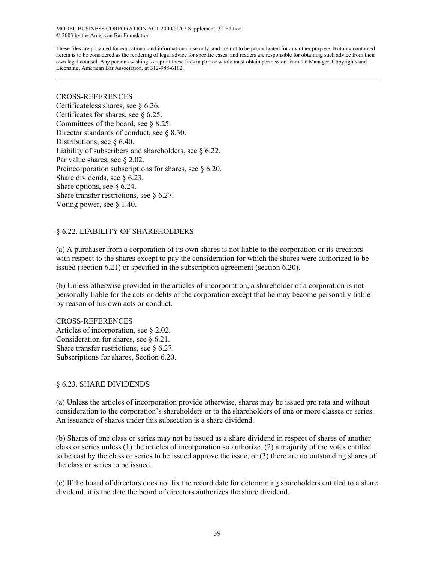These files are provided for educational and informational use only, and are not to be promulgated for any other purpose. Nothing contained herein is to be considered as the rendering of legal advice for specific cases, and readers are responsible for obtaining such advice from their own legal counsel. Any persons wishing to reprint these files in part or whole must obtain permission from the Manager, Copyrights and Licensing, American Bar Association, at 312-988-6102.

CROSS-REFERENCES Certificateless shares, see § 6.26. Certificates for shares, see § 6.25. Committees of the board, see § 8.25. Director standards of conduct, see § 8.30. Distributions, see  $\& 6.40$ . Liability of subscribers and shareholders, see § 6.22. Par value shares, see § 2.02. Preincorporation subscriptions for shares, see § 6.20. Share dividends, see § 6.23. Share options, see § 6.24. Share transfer restrictions, see § 6.27. Voting power, see § 1.40.

## § 6.22. LIABILITY OF SHAREHOLDERS

(a) A purchaser from a corporation of its own shares is not liable to the corporation or its creditors with respect to the shares except to pay the consideration for which the shares were authorized to be issued (section 6.21) or specified in the subscription agreement (section 6.20).

(b) Unless otherwise provided in the articles of incorporation, a shareholder of a corporation is not personally liable for the acts or debts of the corporation except that he may become personally liable by reason of his own acts or conduct.

CROSS-REFERENCES Articles of incorporation, see § 2.02. Consideration for shares, see § 6.21. Share transfer restrictions, see § 6.27. Subscriptions for shares, Section 6.20.

## § 6.23. SHARE DIVIDENDS

(a) Unless the articles of incorporation provide otherwise, shares may be issued pro rata and without consideration to the corporation's shareholders or to the shareholders of one or more classes or series. An issuance of shares under this subsection is a share dividend.

(b) Shares of one class or series may not be issued as a share dividend in respect of shares of another class or series unless (1) the articles of incorporation so authorize, (2) a majority of the votes entitled to be cast by the class or series to be issued approve the issue, or (3) there are no outstanding shares of the class or series to be issued.

(c) If the board of directors does not fix the record date for determining shareholders entitled to a share dividend, it is the date the board of directors authorizes the share dividend.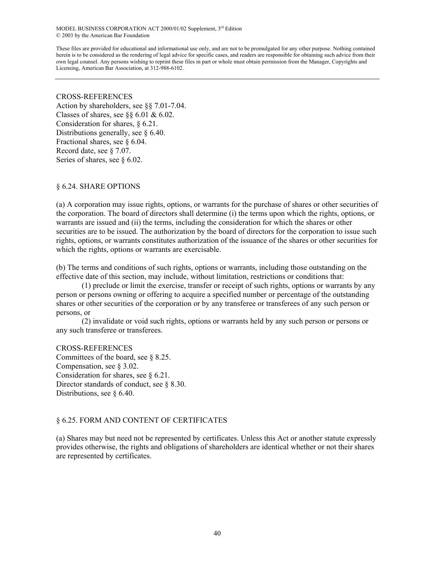These files are provided for educational and informational use only, and are not to be promulgated for any other purpose. Nothing contained herein is to be considered as the rendering of legal advice for specific cases, and readers are responsible for obtaining such advice from their own legal counsel. Any persons wishing to reprint these files in part or whole must obtain permission from the Manager, Copyrights and Licensing, American Bar Association, at 312-988-6102.

CROSS-REFERENCES Action by shareholders, see §§ 7.01-7.04. Classes of shares, see  $\S$ § 6.01 & 6.02. Consideration for shares, § 6.21. Distributions generally, see § 6.40. Fractional shares, see § 6.04. Record date, see § 7.07. Series of shares, see § 6.02.

#### § 6.24. SHARE OPTIONS

(a) A corporation may issue rights, options, or warrants for the purchase of shares or other securities of the corporation. The board of directors shall determine (i) the terms upon which the rights, options, or warrants are issued and (ii) the terms, including the consideration for which the shares or other securities are to be issued. The authorization by the board of directors for the corporation to issue such rights, options, or warrants constitutes authorization of the issuance of the shares or other securities for which the rights, options or warrants are exercisable.

(b) The terms and conditions of such rights, options or warrants, including those outstanding on the effective date of this section, may include, without limitation, restrictions or conditions that:

 (1) preclude or limit the exercise, transfer or receipt of such rights, options or warrants by any person or persons owning or offering to acquire a specified number or percentage of the outstanding shares or other securities of the corporation or by any transferee or transferees of any such person or persons, or

 (2) invalidate or void such rights, options or warrants held by any such person or persons or any such transferee or transferees.

CROSS-REFERENCES Committees of the board, see § 8.25. Compensation, see § 3.02. Consideration for shares, see § 6.21. Director standards of conduct, see § 8.30. Distributions, see § 6.40.

## § 6.25. FORM AND CONTENT OF CERTIFICATES

(a) Shares may but need not be represented by certificates. Unless this Act or another statute expressly provides otherwise, the rights and obligations of shareholders are identical whether or not their shares are represented by certificates.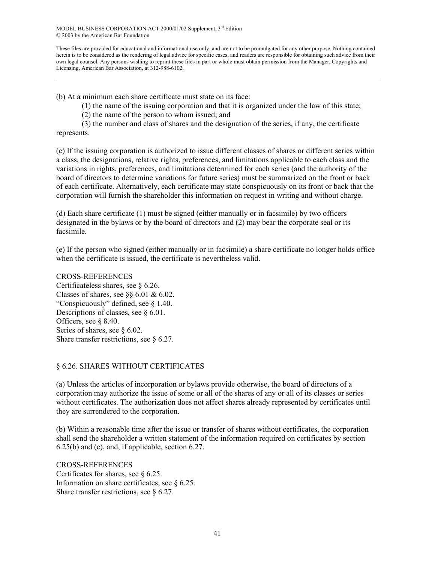These files are provided for educational and informational use only, and are not to be promulgated for any other purpose. Nothing contained herein is to be considered as the rendering of legal advice for specific cases, and readers are responsible for obtaining such advice from their own legal counsel. Any persons wishing to reprint these files in part or whole must obtain permission from the Manager, Copyrights and Licensing, American Bar Association, at 312-988-6102.

(b) At a minimum each share certificate must state on its face:

(1) the name of the issuing corporation and that it is organized under the law of this state;

(2) the name of the person to whom issued; and

 (3) the number and class of shares and the designation of the series, if any, the certificate represents.

(c) If the issuing corporation is authorized to issue different classes of shares or different series within a class, the designations, relative rights, preferences, and limitations applicable to each class and the variations in rights, preferences, and limitations determined for each series (and the authority of the board of directors to determine variations for future series) must be summarized on the front or back of each certificate. Alternatively, each certificate may state conspicuously on its front or back that the corporation will furnish the shareholder this information on request in writing and without charge.

(d) Each share certificate (1) must be signed (either manually or in facsimile) by two officers designated in the bylaws or by the board of directors and (2) may bear the corporate seal or its facsimile.

(e) If the person who signed (either manually or in facsimile) a share certificate no longer holds office when the certificate is issued, the certificate is nevertheless valid.

CROSS-REFERENCES Certificateless shares, see § 6.26. Classes of shares, see  $886.01 \& 6.02$ .

"Conspicuously" defined, see § 1.40. Descriptions of classes, see § 6.01. Officers, see § 8.40. Series of shares, see  $\S 6.02$ . Share transfer restrictions, see § 6.27.

# § 6.26. SHARES WITHOUT CERTIFICATES

(a) Unless the articles of incorporation or bylaws provide otherwise, the board of directors of a corporation may authorize the issue of some or all of the shares of any or all of its classes or series without certificates. The authorization does not affect shares already represented by certificates until they are surrendered to the corporation.

(b) Within a reasonable time after the issue or transfer of shares without certificates, the corporation shall send the shareholder a written statement of the information required on certificates by section 6.25(b) and (c), and, if applicable, section 6.27.

CROSS-REFERENCES Certificates for shares, see § 6.25. Information on share certificates, see § 6.25. Share transfer restrictions, see § 6.27.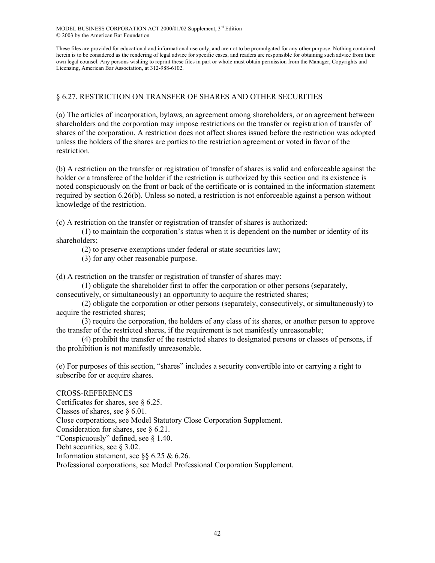These files are provided for educational and informational use only, and are not to be promulgated for any other purpose. Nothing contained herein is to be considered as the rendering of legal advice for specific cases, and readers are responsible for obtaining such advice from their own legal counsel. Any persons wishing to reprint these files in part or whole must obtain permission from the Manager, Copyrights and Licensing, American Bar Association, at 312-988-6102.

# § 6.27. RESTRICTION ON TRANSFER OF SHARES AND OTHER SECURITIES

(a) The articles of incorporation, bylaws, an agreement among shareholders, or an agreement between shareholders and the corporation may impose restrictions on the transfer or registration of transfer of shares of the corporation. A restriction does not affect shares issued before the restriction was adopted unless the holders of the shares are parties to the restriction agreement or voted in favor of the restriction.

(b) A restriction on the transfer or registration of transfer of shares is valid and enforceable against the holder or a transferee of the holder if the restriction is authorized by this section and its existence is noted conspicuously on the front or back of the certificate or is contained in the information statement required by section 6.26(b). Unless so noted, a restriction is not enforceable against a person without knowledge of the restriction.

(c) A restriction on the transfer or registration of transfer of shares is authorized:

 (1) to maintain the corporation's status when it is dependent on the number or identity of its shareholders;

(2) to preserve exemptions under federal or state securities law;

(3) for any other reasonable purpose.

(d) A restriction on the transfer or registration of transfer of shares may:

 (1) obligate the shareholder first to offer the corporation or other persons (separately, consecutively, or simultaneously) an opportunity to acquire the restricted shares;

 (2) obligate the corporation or other persons (separately, consecutively, or simultaneously) to acquire the restricted shares;

 (3) require the corporation, the holders of any class of its shares, or another person to approve the transfer of the restricted shares, if the requirement is not manifestly unreasonable;

 (4) prohibit the transfer of the restricted shares to designated persons or classes of persons, if the prohibition is not manifestly unreasonable.

(e) For purposes of this section, "shares" includes a security convertible into or carrying a right to subscribe for or acquire shares.

CROSS-REFERENCES Certificates for shares, see § 6.25. Classes of shares, see § 6.01. Close corporations, see Model Statutory Close Corporation Supplement. Consideration for shares, see § 6.21. "Conspicuously" defined, see § 1.40. Debt securities, see § 3.02. Information statement, see §§ 6.25 & 6.26. Professional corporations, see Model Professional Corporation Supplement.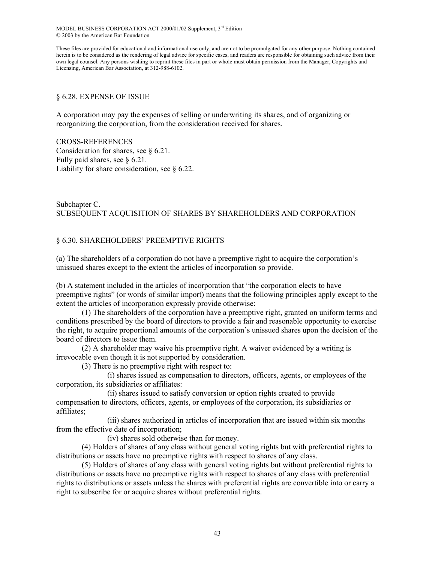These files are provided for educational and informational use only, and are not to be promulgated for any other purpose. Nothing contained herein is to be considered as the rendering of legal advice for specific cases, and readers are responsible for obtaining such advice from their own legal counsel. Any persons wishing to reprint these files in part or whole must obtain permission from the Manager, Copyrights and Licensing, American Bar Association, at 312-988-6102.

#### § 6.28. EXPENSE OF ISSUE

A corporation may pay the expenses of selling or underwriting its shares, and of organizing or reorganizing the corporation, from the consideration received for shares.

CROSS-REFERENCES Consideration for shares, see § 6.21. Fully paid shares, see § 6.21. Liability for share consideration, see § 6.22.

# Subchapter C. SUBSEQUENT ACQUISITION OF SHARES BY SHAREHOLDERS AND CORPORATION

## § 6.30. SHAREHOLDERS' PREEMPTIVE RIGHTS

(a) The shareholders of a corporation do not have a preemptive right to acquire the corporation's unissued shares except to the extent the articles of incorporation so provide.

(b) A statement included in the articles of incorporation that "the corporation elects to have preemptive rights" (or words of similar import) means that the following principles apply except to the extent the articles of incorporation expressly provide otherwise:

 (1) The shareholders of the corporation have a preemptive right, granted on uniform terms and conditions prescribed by the board of directors to provide a fair and reasonable opportunity to exercise the right, to acquire proportional amounts of the corporation's unissued shares upon the decision of the board of directors to issue them.

 (2) A shareholder may waive his preemptive right. A waiver evidenced by a writing is irrevocable even though it is not supported by consideration.

(3) There is no preemptive right with respect to:

 (i) shares issued as compensation to directors, officers, agents, or employees of the corporation, its subsidiaries or affiliates:

 (ii) shares issued to satisfy conversion or option rights created to provide compensation to directors, officers, agents, or employees of the corporation, its subsidiaries or affiliates;

 (iii) shares authorized in articles of incorporation that are issued within six months from the effective date of incorporation;

(iv) shares sold otherwise than for money.

 (4) Holders of shares of any class without general voting rights but with preferential rights to distributions or assets have no preemptive rights with respect to shares of any class.

 (5) Holders of shares of any class with general voting rights but without preferential rights to distributions or assets have no preemptive rights with respect to shares of any class with preferential rights to distributions or assets unless the shares with preferential rights are convertible into or carry a right to subscribe for or acquire shares without preferential rights.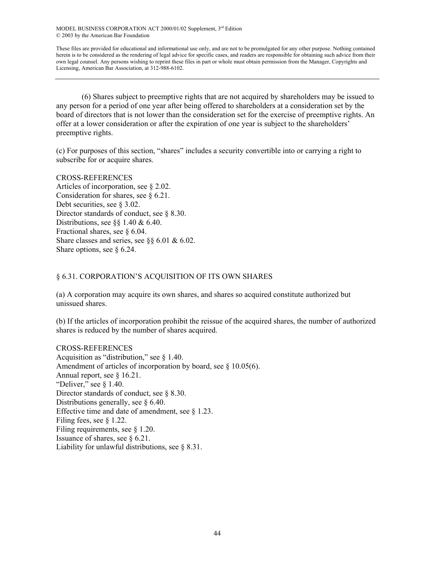These files are provided for educational and informational use only, and are not to be promulgated for any other purpose. Nothing contained herein is to be considered as the rendering of legal advice for specific cases, and readers are responsible for obtaining such advice from their own legal counsel. Any persons wishing to reprint these files in part or whole must obtain permission from the Manager, Copyrights and Licensing, American Bar Association, at 312-988-6102.

 (6) Shares subject to preemptive rights that are not acquired by shareholders may be issued to any person for a period of one year after being offered to shareholders at a consideration set by the board of directors that is not lower than the consideration set for the exercise of preemptive rights. An offer at a lower consideration or after the expiration of one year is subject to the shareholders' preemptive rights.

(c) For purposes of this section, "shares" includes a security convertible into or carrying a right to subscribe for or acquire shares.

## CROSS-REFERENCES

Articles of incorporation, see § 2.02. Consideration for shares, see § 6.21. Debt securities, see § 3.02. Director standards of conduct, see § 8.30. Distributions, see §§ 1.40 & 6.40. Fractional shares, see § 6.04. Share classes and series, see §§ 6.01 & 6.02. Share options, see § 6.24.

#### § 6.31. CORPORATION'S ACQUISITION OF ITS OWN SHARES

(a) A corporation may acquire its own shares, and shares so acquired constitute authorized but unissued shares.

(b) If the articles of incorporation prohibit the reissue of the acquired shares, the number of authorized shares is reduced by the number of shares acquired.

CROSS-REFERENCES Acquisition as "distribution," see § 1.40. Amendment of articles of incorporation by board, see § 10.05(6). Annual report, see § 16.21. "Deliver," see § 1.40. Director standards of conduct, see § 8.30. Distributions generally, see § 6.40. Effective time and date of amendment, see § 1.23. Filing fees, see § 1.22. Filing requirements, see § 1.20. Issuance of shares, see § 6.21. Liability for unlawful distributions, see § 8.31.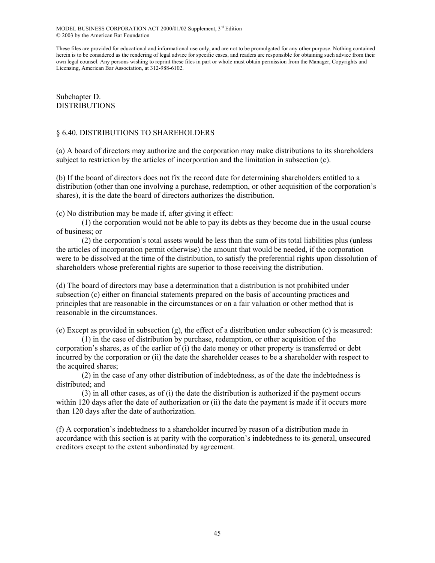These files are provided for educational and informational use only, and are not to be promulgated for any other purpose. Nothing contained herein is to be considered as the rendering of legal advice for specific cases, and readers are responsible for obtaining such advice from their own legal counsel. Any persons wishing to reprint these files in part or whole must obtain permission from the Manager, Copyrights and Licensing, American Bar Association, at 312-988-6102.

Subchapter D. DISTRIBUTIONS

# § 6.40. DISTRIBUTIONS TO SHAREHOLDERS

(a) A board of directors may authorize and the corporation may make distributions to its shareholders subject to restriction by the articles of incorporation and the limitation in subsection (c).

(b) If the board of directors does not fix the record date for determining shareholders entitled to a distribution (other than one involving a purchase, redemption, or other acquisition of the corporation's shares), it is the date the board of directors authorizes the distribution.

(c) No distribution may be made if, after giving it effect:

 (1) the corporation would not be able to pay its debts as they become due in the usual course of business; or

 (2) the corporation's total assets would be less than the sum of its total liabilities plus (unless the articles of incorporation permit otherwise) the amount that would be needed, if the corporation were to be dissolved at the time of the distribution, to satisfy the preferential rights upon dissolution of shareholders whose preferential rights are superior to those receiving the distribution.

(d) The board of directors may base a determination that a distribution is not prohibited under subsection (c) either on financial statements prepared on the basis of accounting practices and principles that are reasonable in the circumstances or on a fair valuation or other method that is reasonable in the circumstances.

(e) Except as provided in subsection (g), the effect of a distribution under subsection (c) is measured:

 (1) in the case of distribution by purchase, redemption, or other acquisition of the corporation's shares, as of the earlier of (i) the date money or other property is transferred or debt incurred by the corporation or (ii) the date the shareholder ceases to be a shareholder with respect to the acquired shares;

 (2) in the case of any other distribution of indebtedness, as of the date the indebtedness is distributed; and

 (3) in all other cases, as of (i) the date the distribution is authorized if the payment occurs within 120 days after the date of authorization or (ii) the date the payment is made if it occurs more than 120 days after the date of authorization.

(f) A corporation's indebtedness to a shareholder incurred by reason of a distribution made in accordance with this section is at parity with the corporation's indebtedness to its general, unsecured creditors except to the extent subordinated by agreement.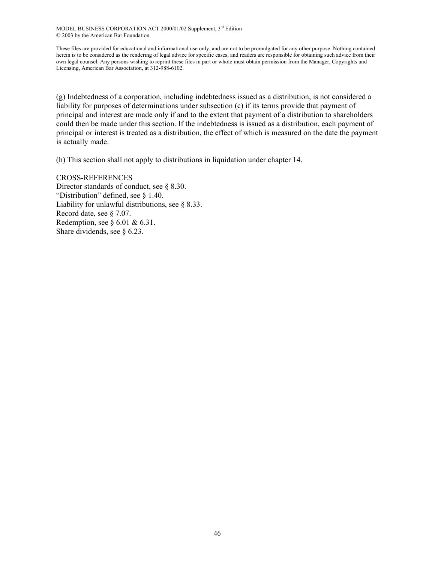These files are provided for educational and informational use only, and are not to be promulgated for any other purpose. Nothing contained herein is to be considered as the rendering of legal advice for specific cases, and readers are responsible for obtaining such advice from their own legal counsel. Any persons wishing to reprint these files in part or whole must obtain permission from the Manager, Copyrights and Licensing, American Bar Association, at 312-988-6102.

(g) Indebtedness of a corporation, including indebtedness issued as a distribution, is not considered a liability for purposes of determinations under subsection (c) if its terms provide that payment of principal and interest are made only if and to the extent that payment of a distribution to shareholders could then be made under this section. If the indebtedness is issued as a distribution, each payment of principal or interest is treated as a distribution, the effect of which is measured on the date the payment is actually made.

(h) This section shall not apply to distributions in liquidation under chapter 14.

CROSS-REFERENCES Director standards of conduct, see § 8.30. "Distribution" defined, see § 1.40. Liability for unlawful distributions, see § 8.33. Record date, see § 7.07. Redemption, see § 6.01 & 6.31. Share dividends, see § 6.23.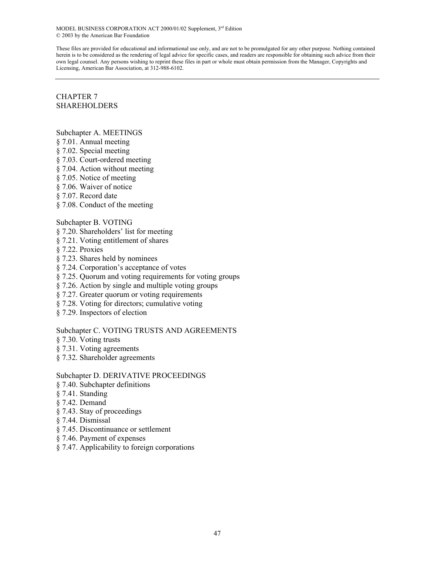These files are provided for educational and informational use only, and are not to be promulgated for any other purpose. Nothing contained herein is to be considered as the rendering of legal advice for specific cases, and readers are responsible for obtaining such advice from their own legal counsel. Any persons wishing to reprint these files in part or whole must obtain permission from the Manager, Copyrights and Licensing, American Bar Association, at 312-988-6102.

CHAPTER 7 SHAREHOLDERS

#### Subchapter A. MEETINGS

- § 7.01. Annual meeting
- § 7.02. Special meeting
- § 7.03. Court-ordered meeting
- § 7.04. Action without meeting
- § 7.05. Notice of meeting
- § 7.06. Waiver of notice
- § 7.07. Record date
- § 7.08. Conduct of the meeting

#### Subchapter B. VOTING

- § 7.20. Shareholders' list for meeting
- § 7.21. Voting entitlement of shares
- § 7.22. Proxies
- § 7.23. Shares held by nominees
- § 7.24. Corporation's acceptance of votes
- § 7.25. Quorum and voting requirements for voting groups
- § 7.26. Action by single and multiple voting groups
- § 7.27. Greater quorum or voting requirements
- § 7.28. Voting for directors; cumulative voting
- § 7.29. Inspectors of election

#### Subchapter C. VOTING TRUSTS AND AGREEMENTS

- § 7.30. Voting trusts
- § 7.31. Voting agreements
- § 7.32. Shareholder agreements

#### Subchapter D. DERIVATIVE PROCEEDINGS

- § 7.40. Subchapter definitions
- § 7.41. Standing
- § 7.42. Demand
- § 7.43. Stay of proceedings
- § 7.44. Dismissal
- § 7.45. Discontinuance or settlement
- § 7.46. Payment of expenses
- § 7.47. Applicability to foreign corporations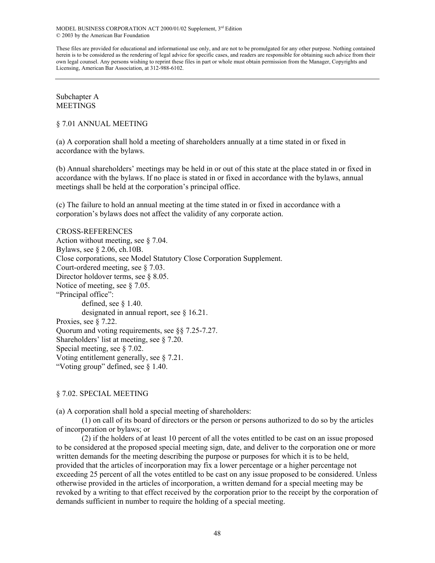These files are provided for educational and informational use only, and are not to be promulgated for any other purpose. Nothing contained herein is to be considered as the rendering of legal advice for specific cases, and readers are responsible for obtaining such advice from their own legal counsel. Any persons wishing to reprint these files in part or whole must obtain permission from the Manager, Copyrights and Licensing, American Bar Association, at 312-988-6102.

Subchapter A **MEETINGS** 

## § 7.01 ANNUAL MEETING

(a) A corporation shall hold a meeting of shareholders annually at a time stated in or fixed in accordance with the bylaws.

(b) Annual shareholders' meetings may be held in or out of this state at the place stated in or fixed in accordance with the bylaws. If no place is stated in or fixed in accordance with the bylaws, annual meetings shall be held at the corporation's principal office.

(c) The failure to hold an annual meeting at the time stated in or fixed in accordance with a corporation's bylaws does not affect the validity of any corporate action.

CROSS-REFERENCES Action without meeting, see § 7.04. Bylaws, see § 2.06, ch.10B. Close corporations, see Model Statutory Close Corporation Supplement. Court-ordered meeting, see § 7.03. Director holdover terms, see § 8.05. Notice of meeting, see § 7.05. "Principal office": defined, see § 1.40. designated in annual report, see § 16.21. Proxies, see § 7.22. Quorum and voting requirements, see §§ 7.25-7.27. Shareholders' list at meeting, see § 7.20. Special meeting, see § 7.02. Voting entitlement generally, see § 7.21. "Voting group" defined, see § 1.40.

## § 7.02. SPECIAL MEETING

(a) A corporation shall hold a special meeting of shareholders:

 (1) on call of its board of directors or the person or persons authorized to do so by the articles of incorporation or bylaws; or

 (2) if the holders of at least 10 percent of all the votes entitled to be cast on an issue proposed to be considered at the proposed special meeting sign, date, and deliver to the corporation one or more written demands for the meeting describing the purpose or purposes for which it is to be held, provided that the articles of incorporation may fix a lower percentage or a higher percentage not exceeding 25 percent of all the votes entitled to be cast on any issue proposed to be considered. Unless otherwise provided in the articles of incorporation, a written demand for a special meeting may be revoked by a writing to that effect received by the corporation prior to the receipt by the corporation of demands sufficient in number to require the holding of a special meeting.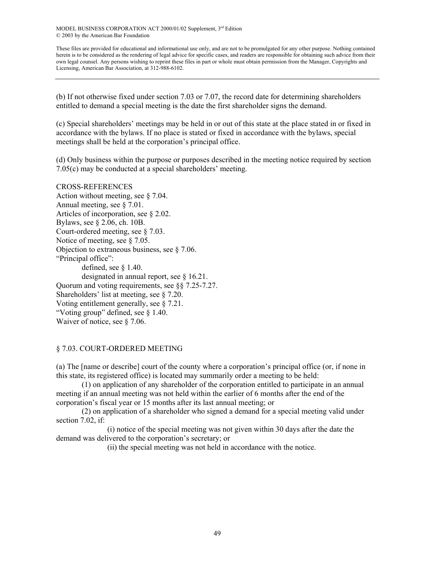These files are provided for educational and informational use only, and are not to be promulgated for any other purpose. Nothing contained herein is to be considered as the rendering of legal advice for specific cases, and readers are responsible for obtaining such advice from their own legal counsel. Any persons wishing to reprint these files in part or whole must obtain permission from the Manager, Copyrights and Licensing, American Bar Association, at 312-988-6102.

(b) If not otherwise fixed under section 7.03 or 7.07, the record date for determining shareholders entitled to demand a special meeting is the date the first shareholder signs the demand.

(c) Special shareholders' meetings may be held in or out of this state at the place stated in or fixed in accordance with the bylaws. If no place is stated or fixed in accordance with the bylaws, special meetings shall be held at the corporation's principal office.

(d) Only business within the purpose or purposes described in the meeting notice required by section 7.05(c) may be conducted at a special shareholders' meeting.

CROSS-REFERENCES Action without meeting, see § 7.04. Annual meeting, see § 7.01. Articles of incorporation, see § 2.02. Bylaws, see § 2.06, ch. 10B. Court-ordered meeting, see § 7.03. Notice of meeting, see § 7.05. Objection to extraneous business, see § 7.06. "Principal office": defined, see § 1.40. designated in annual report, see § 16.21. Quorum and voting requirements, see §§ 7.25-7.27. Shareholders' list at meeting, see § 7.20. Voting entitlement generally, see § 7.21. "Voting group" defined, see § 1.40. Waiver of notice, see § 7.06.

## § 7.03. COURT-ORDERED MEETING

(a) The [name or describe] court of the county where a corporation's principal office (or, if none in this state, its registered office) is located may summarily order a meeting to be held:

 (1) on application of any shareholder of the corporation entitled to participate in an annual meeting if an annual meeting was not held within the earlier of 6 months after the end of the corporation's fiscal year or 15 months after its last annual meeting; or

 (2) on application of a shareholder who signed a demand for a special meeting valid under section 7.02, if:

 (i) notice of the special meeting was not given within 30 days after the date the demand was delivered to the corporation's secretary; or

(ii) the special meeting was not held in accordance with the notice.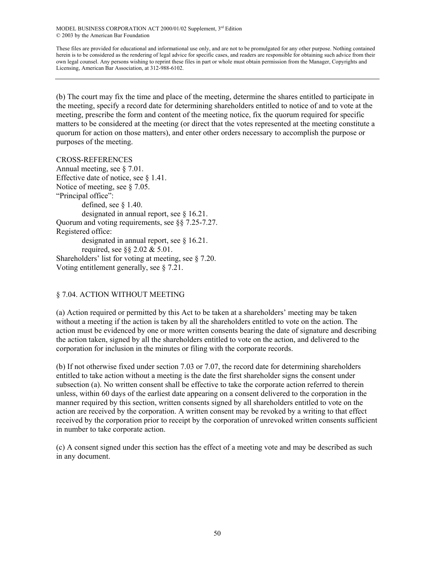These files are provided for educational and informational use only, and are not to be promulgated for any other purpose. Nothing contained herein is to be considered as the rendering of legal advice for specific cases, and readers are responsible for obtaining such advice from their own legal counsel. Any persons wishing to reprint these files in part or whole must obtain permission from the Manager, Copyrights and Licensing, American Bar Association, at 312-988-6102.

(b) The court may fix the time and place of the meeting, determine the shares entitled to participate in the meeting, specify a record date for determining shareholders entitled to notice of and to vote at the meeting, prescribe the form and content of the meeting notice, fix the quorum required for specific matters to be considered at the meeting (or direct that the votes represented at the meeting constitute a quorum for action on those matters), and enter other orders necessary to accomplish the purpose or purposes of the meeting.

#### CROSS-REFERENCES

Annual meeting, see § 7.01. Effective date of notice, see § 1.41. Notice of meeting, see § 7.05. "Principal office": defined, see § 1.40. designated in annual report, see § 16.21. Quorum and voting requirements, see §§ 7.25-7.27. Registered office: designated in annual report, see § 16.21. required, see §§ 2.02 & 5.01. Shareholders' list for voting at meeting, see § 7.20. Voting entitlement generally, see § 7.21.

## § 7.04. ACTION WITHOUT MEETING

(a) Action required or permitted by this Act to be taken at a shareholders' meeting may be taken without a meeting if the action is taken by all the shareholders entitled to vote on the action. The action must be evidenced by one or more written consents bearing the date of signature and describing the action taken, signed by all the shareholders entitled to vote on the action, and delivered to the corporation for inclusion in the minutes or filing with the corporate records.

(b) If not otherwise fixed under section 7.03 or 7.07, the record date for determining shareholders entitled to take action without a meeting is the date the first shareholder signs the consent under subsection (a). No written consent shall be effective to take the corporate action referred to therein unless, within 60 days of the earliest date appearing on a consent delivered to the corporation in the manner required by this section, written consents signed by all shareholders entitled to vote on the action are received by the corporation. A written consent may be revoked by a writing to that effect received by the corporation prior to receipt by the corporation of unrevoked written consents sufficient in number to take corporate action.

(c) A consent signed under this section has the effect of a meeting vote and may be described as such in any document.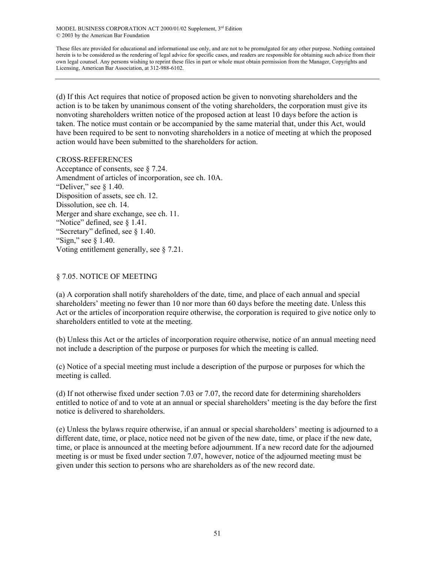These files are provided for educational and informational use only, and are not to be promulgated for any other purpose. Nothing contained herein is to be considered as the rendering of legal advice for specific cases, and readers are responsible for obtaining such advice from their own legal counsel. Any persons wishing to reprint these files in part or whole must obtain permission from the Manager, Copyrights and Licensing, American Bar Association, at 312-988-6102.

(d) If this Act requires that notice of proposed action be given to nonvoting shareholders and the action is to be taken by unanimous consent of the voting shareholders, the corporation must give its nonvoting shareholders written notice of the proposed action at least 10 days before the action is taken. The notice must contain or be accompanied by the same material that, under this Act, would have been required to be sent to nonvoting shareholders in a notice of meeting at which the proposed action would have been submitted to the shareholders for action.

## CROSS-REFERENCES

Acceptance of consents, see § 7.24. Amendment of articles of incorporation, see ch. 10A. "Deliver," see § 1.40. Disposition of assets, see ch. 12. Dissolution, see ch. 14. Merger and share exchange, see ch. 11. "Notice" defined, see § 1.41. "Secretary" defined, see § 1.40. "Sign," see § 1.40. Voting entitlement generally, see § 7.21.

#### § 7.05. NOTICE OF MEETING

(a) A corporation shall notify shareholders of the date, time, and place of each annual and special shareholders' meeting no fewer than 10 nor more than 60 days before the meeting date. Unless this Act or the articles of incorporation require otherwise, the corporation is required to give notice only to shareholders entitled to vote at the meeting.

(b) Unless this Act or the articles of incorporation require otherwise, notice of an annual meeting need not include a description of the purpose or purposes for which the meeting is called.

(c) Notice of a special meeting must include a description of the purpose or purposes for which the meeting is called.

(d) If not otherwise fixed under section 7.03 or 7.07, the record date for determining shareholders entitled to notice of and to vote at an annual or special shareholders' meeting is the day before the first notice is delivered to shareholders.

(e) Unless the bylaws require otherwise, if an annual or special shareholders' meeting is adjourned to a different date, time, or place, notice need not be given of the new date, time, or place if the new date, time, or place is announced at the meeting before adjournment. If a new record date for the adjourned meeting is or must be fixed under section 7.07, however, notice of the adjourned meeting must be given under this section to persons who are shareholders as of the new record date.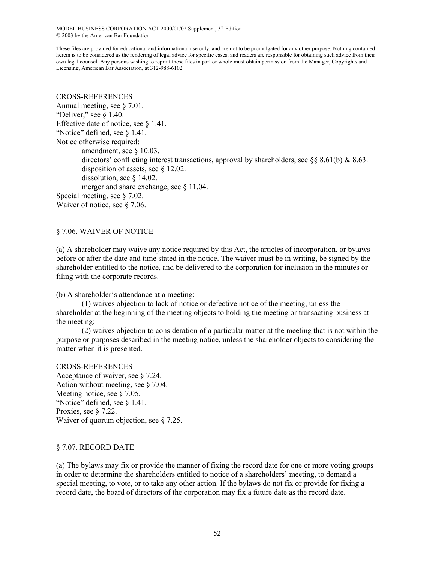These files are provided for educational and informational use only, and are not to be promulgated for any other purpose. Nothing contained herein is to be considered as the rendering of legal advice for specific cases, and readers are responsible for obtaining such advice from their own legal counsel. Any persons wishing to reprint these files in part or whole must obtain permission from the Manager, Copyrights and Licensing, American Bar Association, at 312-988-6102.

#### CROSS-REFERENCES

Annual meeting, see § 7.01. "Deliver," see  $§$  1.40. Effective date of notice, see § 1.41. "Notice" defined, see § 1.41. Notice otherwise required: amendment, see § 10.03. directors' conflicting interest transactions, approval by shareholders, see  $\S$ § 8.61(b) & 8.63. disposition of assets, see § 12.02. dissolution, see § 14.02. merger and share exchange, see § 11.04. Special meeting, see § 7.02. Waiver of notice, see § 7.06.

#### § 7.06. WAIVER OF NOTICE

(a) A shareholder may waive any notice required by this Act, the articles of incorporation, or bylaws before or after the date and time stated in the notice. The waiver must be in writing, be signed by the shareholder entitled to the notice, and be delivered to the corporation for inclusion in the minutes or filing with the corporate records.

(b) A shareholder's attendance at a meeting:

 (1) waives objection to lack of notice or defective notice of the meeting, unless the shareholder at the beginning of the meeting objects to holding the meeting or transacting business at the meeting;

 (2) waives objection to consideration of a particular matter at the meeting that is not within the purpose or purposes described in the meeting notice, unless the shareholder objects to considering the matter when it is presented.

CROSS-REFERENCES Acceptance of waiver, see § 7.24. Action without meeting, see § 7.04. Meeting notice, see § 7.05. "Notice" defined, see § 1.41. Proxies, see § 7.22. Waiver of quorum objection, see § 7.25.

## § 7.07. RECORD DATE

(a) The bylaws may fix or provide the manner of fixing the record date for one or more voting groups in order to determine the shareholders entitled to notice of a shareholders' meeting, to demand a special meeting, to vote, or to take any other action. If the bylaws do not fix or provide for fixing a record date, the board of directors of the corporation may fix a future date as the record date.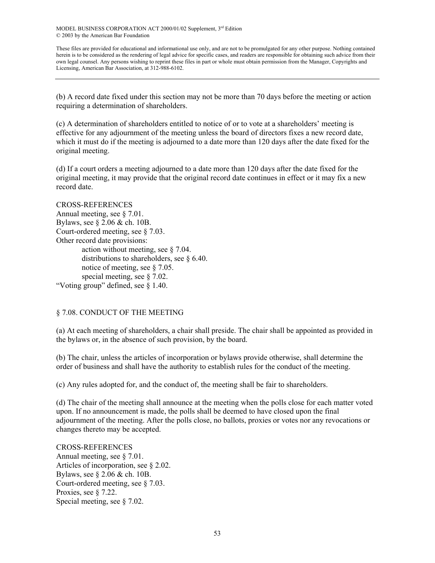These files are provided for educational and informational use only, and are not to be promulgated for any other purpose. Nothing contained herein is to be considered as the rendering of legal advice for specific cases, and readers are responsible for obtaining such advice from their own legal counsel. Any persons wishing to reprint these files in part or whole must obtain permission from the Manager, Copyrights and Licensing, American Bar Association, at 312-988-6102.

(b) A record date fixed under this section may not be more than 70 days before the meeting or action requiring a determination of shareholders.

(c) A determination of shareholders entitled to notice of or to vote at a shareholders' meeting is effective for any adjournment of the meeting unless the board of directors fixes a new record date, which it must do if the meeting is adjourned to a date more than 120 days after the date fixed for the original meeting.

(d) If a court orders a meeting adjourned to a date more than 120 days after the date fixed for the original meeting, it may provide that the original record date continues in effect or it may fix a new record date.

#### CROSS-REFERENCES

Annual meeting, see § 7.01. Bylaws, see § 2.06 & ch. 10B. Court-ordered meeting, see § 7.03. Other record date provisions: action without meeting, see § 7.04. distributions to shareholders, see § 6.40. notice of meeting, see § 7.05. special meeting, see § 7.02. "Voting group" defined, see § 1.40.

## § 7.08. CONDUCT OF THE MEETING

(a) At each meeting of shareholders, a chair shall preside. The chair shall be appointed as provided in the bylaws or, in the absence of such provision, by the board.

(b) The chair, unless the articles of incorporation or bylaws provide otherwise, shall determine the order of business and shall have the authority to establish rules for the conduct of the meeting.

(c) Any rules adopted for, and the conduct of, the meeting shall be fair to shareholders.

(d) The chair of the meeting shall announce at the meeting when the polls close for each matter voted upon. If no announcement is made, the polls shall be deemed to have closed upon the final adjournment of the meeting. After the polls close, no ballots, proxies or votes nor any revocations or changes thereto may be accepted.

CROSS-REFERENCES Annual meeting, see § 7.01. Articles of incorporation, see § 2.02. Bylaws, see § 2.06 & ch. 10B. Court-ordered meeting, see § 7.03. Proxies, see § 7.22. Special meeting, see § 7.02.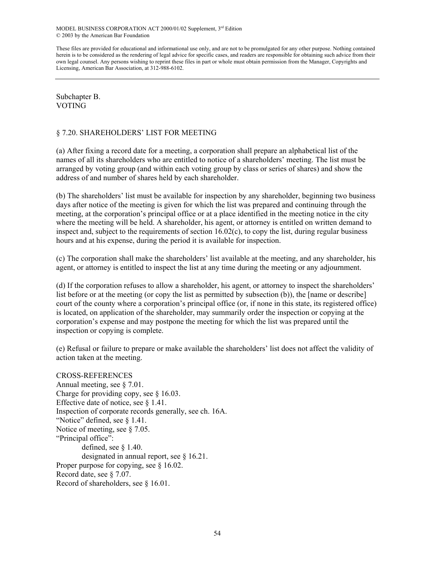These files are provided for educational and informational use only, and are not to be promulgated for any other purpose. Nothing contained herein is to be considered as the rendering of legal advice for specific cases, and readers are responsible for obtaining such advice from their own legal counsel. Any persons wishing to reprint these files in part or whole must obtain permission from the Manager, Copyrights and Licensing, American Bar Association, at 312-988-6102.

Subchapter B. VOTING

# § 7.20. SHAREHOLDERS' LIST FOR MEETING

(a) After fixing a record date for a meeting, a corporation shall prepare an alphabetical list of the names of all its shareholders who are entitled to notice of a shareholders' meeting. The list must be arranged by voting group (and within each voting group by class or series of shares) and show the address of and number of shares held by each shareholder.

(b) The shareholders' list must be available for inspection by any shareholder, beginning two business days after notice of the meeting is given for which the list was prepared and continuing through the meeting, at the corporation's principal office or at a place identified in the meeting notice in the city where the meeting will be held. A shareholder, his agent, or attorney is entitled on written demand to inspect and, subject to the requirements of section  $16.02(c)$ , to copy the list, during regular business hours and at his expense, during the period it is available for inspection.

(c) The corporation shall make the shareholders' list available at the meeting, and any shareholder, his agent, or attorney is entitled to inspect the list at any time during the meeting or any adjournment.

(d) If the corporation refuses to allow a shareholder, his agent, or attorney to inspect the shareholders' list before or at the meeting (or copy the list as permitted by subsection (b)), the [name or describe] court of the county where a corporation's principal office (or, if none in this state, its registered office) is located, on application of the shareholder, may summarily order the inspection or copying at the corporation's expense and may postpone the meeting for which the list was prepared until the inspection or copying is complete.

(e) Refusal or failure to prepare or make available the shareholders' list does not affect the validity of action taken at the meeting.

CROSS-REFERENCES Annual meeting, see § 7.01. Charge for providing copy, see § 16.03. Effective date of notice, see § 1.41. Inspection of corporate records generally, see ch. 16A. "Notice" defined, see § 1.41. Notice of meeting, see § 7.05. "Principal office": defined, see § 1.40. designated in annual report, see § 16.21. Proper purpose for copying, see § 16.02. Record date, see § 7.07. Record of shareholders, see § 16.01.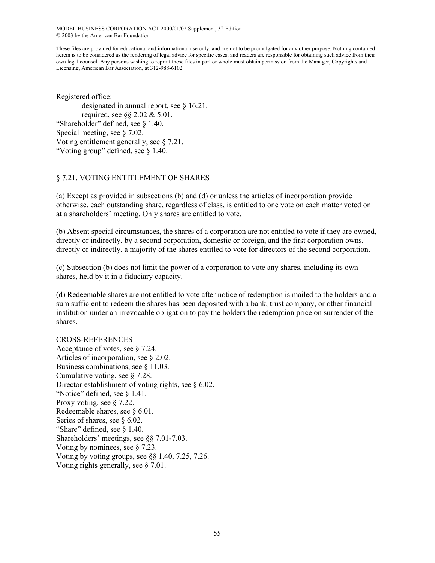These files are provided for educational and informational use only, and are not to be promulgated for any other purpose. Nothing contained herein is to be considered as the rendering of legal advice for specific cases, and readers are responsible for obtaining such advice from their own legal counsel. Any persons wishing to reprint these files in part or whole must obtain permission from the Manager, Copyrights and Licensing, American Bar Association, at 312-988-6102.

Registered office: designated in annual report, see § 16.21. required, see §§ 2.02 & 5.01. "Shareholder" defined, see § 1.40. Special meeting, see § 7.02. Voting entitlement generally, see § 7.21. "Voting group" defined, see § 1.40.

# § 7.21. VOTING ENTITLEMENT OF SHARES

(a) Except as provided in subsections (b) and (d) or unless the articles of incorporation provide otherwise, each outstanding share, regardless of class, is entitled to one vote on each matter voted on at a shareholders' meeting. Only shares are entitled to vote.

(b) Absent special circumstances, the shares of a corporation are not entitled to vote if they are owned, directly or indirectly, by a second corporation, domestic or foreign, and the first corporation owns, directly or indirectly, a majority of the shares entitled to vote for directors of the second corporation.

(c) Subsection (b) does not limit the power of a corporation to vote any shares, including its own shares, held by it in a fiduciary capacity.

(d) Redeemable shares are not entitled to vote after notice of redemption is mailed to the holders and a sum sufficient to redeem the shares has been deposited with a bank, trust company, or other financial institution under an irrevocable obligation to pay the holders the redemption price on surrender of the shares.

## CROSS-REFERENCES

Acceptance of votes, see § 7.24. Articles of incorporation, see § 2.02. Business combinations, see § 11.03. Cumulative voting, see § 7.28. Director establishment of voting rights, see § 6.02. "Notice" defined, see § 1.41. Proxy voting, see § 7.22. Redeemable shares, see § 6.01. Series of shares, see  $\& 6.02$ . "Share" defined, see § 1.40. Shareholders' meetings, see §§ 7.01-7.03. Voting by nominees, see § 7.23. Voting by voting groups, see §§ 1.40, 7.25, 7.26. Voting rights generally, see § 7.01.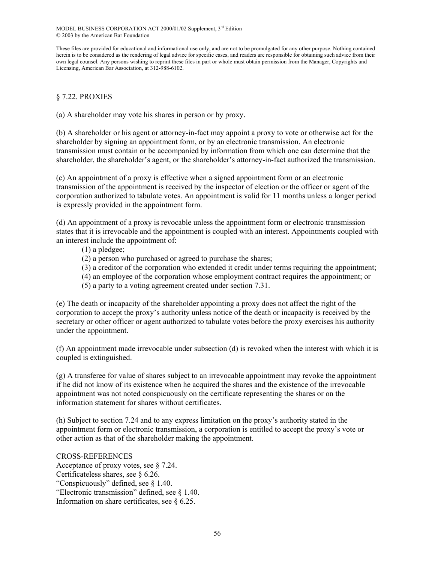These files are provided for educational and informational use only, and are not to be promulgated for any other purpose. Nothing contained herein is to be considered as the rendering of legal advice for specific cases, and readers are responsible for obtaining such advice from their own legal counsel. Any persons wishing to reprint these files in part or whole must obtain permission from the Manager, Copyrights and Licensing, American Bar Association, at 312-988-6102.

# § 7.22. PROXIES

(a) A shareholder may vote his shares in person or by proxy.

(b) A shareholder or his agent or attorney-in-fact may appoint a proxy to vote or otherwise act for the shareholder by signing an appointment form, or by an electronic transmission. An electronic transmission must contain or be accompanied by information from which one can determine that the shareholder, the shareholder's agent, or the shareholder's attorney-in-fact authorized the transmission.

(c) An appointment of a proxy is effective when a signed appointment form or an electronic transmission of the appointment is received by the inspector of election or the officer or agent of the corporation authorized to tabulate votes. An appointment is valid for 11 months unless a longer period is expressly provided in the appointment form.

(d) An appointment of a proxy is revocable unless the appointment form or electronic transmission states that it is irrevocable and the appointment is coupled with an interest. Appointments coupled with an interest include the appointment of:

- (1) a pledgee;
- (2) a person who purchased or agreed to purchase the shares;
- (3) a creditor of the corporation who extended it credit under terms requiring the appointment;
- (4) an employee of the corporation whose employment contract requires the appointment; or
- (5) a party to a voting agreement created under section 7.31.

(e) The death or incapacity of the shareholder appointing a proxy does not affect the right of the corporation to accept the proxy's authority unless notice of the death or incapacity is received by the secretary or other officer or agent authorized to tabulate votes before the proxy exercises his authority under the appointment.

(f) An appointment made irrevocable under subsection (d) is revoked when the interest with which it is coupled is extinguished.

(g) A transferee for value of shares subject to an irrevocable appointment may revoke the appointment if he did not know of its existence when he acquired the shares and the existence of the irrevocable appointment was not noted conspicuously on the certificate representing the shares or on the information statement for shares without certificates.

(h) Subject to section 7.24 and to any express limitation on the proxy's authority stated in the appointment form or electronic transmission, a corporation is entitled to accept the proxy's vote or other action as that of the shareholder making the appointment.

## CROSS-REFERENCES

Acceptance of proxy votes, see § 7.24. Certificateless shares, see § 6.26. "Conspicuously" defined, see § 1.40. "Electronic transmission" defined, see § 1.40. Information on share certificates, see § 6.25.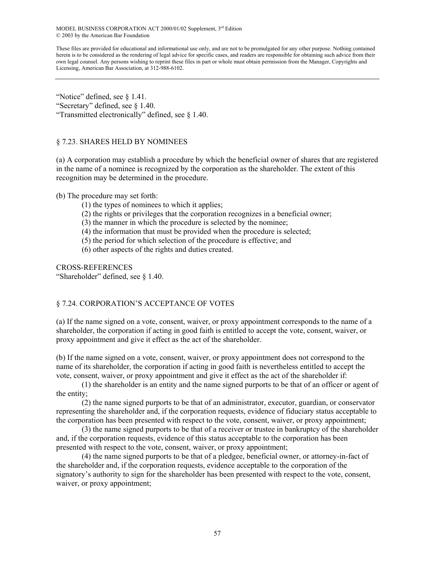These files are provided for educational and informational use only, and are not to be promulgated for any other purpose. Nothing contained herein is to be considered as the rendering of legal advice for specific cases, and readers are responsible for obtaining such advice from their own legal counsel. Any persons wishing to reprint these files in part or whole must obtain permission from the Manager, Copyrights and Licensing, American Bar Association, at 312-988-6102.

"Notice" defined, see § 1.41.

"Secretary" defined, see § 1.40.

"Transmitted electronically" defined, see § 1.40.

# § 7.23. SHARES HELD BY NOMINEES

(a) A corporation may establish a procedure by which the beneficial owner of shares that are registered in the name of a nominee is recognized by the corporation as the shareholder. The extent of this recognition may be determined in the procedure.

(b) The procedure may set forth:

- (1) the types of nominees to which it applies;
- (2) the rights or privileges that the corporation recognizes in a beneficial owner;
- (3) the manner in which the procedure is selected by the nominee;
- (4) the information that must be provided when the procedure is selected;
- (5) the period for which selection of the procedure is effective; and
- (6) other aspects of the rights and duties created.

CROSS-REFERENCES

"Shareholder" defined, see § 1.40.

# § 7.24. CORPORATION'S ACCEPTANCE OF VOTES

(a) If the name signed on a vote, consent, waiver, or proxy appointment corresponds to the name of a shareholder, the corporation if acting in good faith is entitled to accept the vote, consent, waiver, or proxy appointment and give it effect as the act of the shareholder.

(b) If the name signed on a vote, consent, waiver, or proxy appointment does not correspond to the name of its shareholder, the corporation if acting in good faith is nevertheless entitled to accept the vote, consent, waiver, or proxy appointment and give it effect as the act of the shareholder if:

 (1) the shareholder is an entity and the name signed purports to be that of an officer or agent of the entity;

 (2) the name signed purports to be that of an administrator, executor, guardian, or conservator representing the shareholder and, if the corporation requests, evidence of fiduciary status acceptable to the corporation has been presented with respect to the vote, consent, waiver, or proxy appointment;

 (3) the name signed purports to be that of a receiver or trustee in bankruptcy of the shareholder and, if the corporation requests, evidence of this status acceptable to the corporation has been presented with respect to the vote, consent, waiver, or proxy appointment;

 (4) the name signed purports to be that of a pledgee, beneficial owner, or attorney-in-fact of the shareholder and, if the corporation requests, evidence acceptable to the corporation of the signatory's authority to sign for the shareholder has been presented with respect to the vote, consent, waiver, or proxy appointment;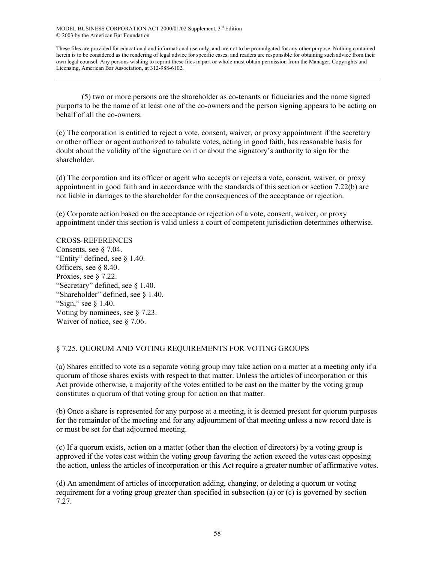These files are provided for educational and informational use only, and are not to be promulgated for any other purpose. Nothing contained herein is to be considered as the rendering of legal advice for specific cases, and readers are responsible for obtaining such advice from their own legal counsel. Any persons wishing to reprint these files in part or whole must obtain permission from the Manager, Copyrights and Licensing, American Bar Association, at 312-988-6102.

 (5) two or more persons are the shareholder as co-tenants or fiduciaries and the name signed purports to be the name of at least one of the co-owners and the person signing appears to be acting on behalf of all the co-owners.

(c) The corporation is entitled to reject a vote, consent, waiver, or proxy appointment if the secretary or other officer or agent authorized to tabulate votes, acting in good faith, has reasonable basis for doubt about the validity of the signature on it or about the signatory's authority to sign for the shareholder.

(d) The corporation and its officer or agent who accepts or rejects a vote, consent, waiver, or proxy appointment in good faith and in accordance with the standards of this section or section 7.22(b) are not liable in damages to the shareholder for the consequences of the acceptance or rejection.

(e) Corporate action based on the acceptance or rejection of a vote, consent, waiver, or proxy appointment under this section is valid unless a court of competent jurisdiction determines otherwise.

# CROSS-REFERENCES

Consents, see § 7.04. "Entity" defined, see § 1.40. Officers, see § 8.40. Proxies, see § 7.22. "Secretary" defined, see § 1.40. "Shareholder" defined, see § 1.40. "Sign," see § 1.40. Voting by nominees, see § 7.23. Waiver of notice, see § 7.06.

# § 7.25. QUORUM AND VOTING REQUIREMENTS FOR VOTING GROUPS

(a) Shares entitled to vote as a separate voting group may take action on a matter at a meeting only if a quorum of those shares exists with respect to that matter. Unless the articles of incorporation or this Act provide otherwise, a majority of the votes entitled to be cast on the matter by the voting group constitutes a quorum of that voting group for action on that matter.

(b) Once a share is represented for any purpose at a meeting, it is deemed present for quorum purposes for the remainder of the meeting and for any adjournment of that meeting unless a new record date is or must be set for that adjourned meeting.

(c) If a quorum exists, action on a matter (other than the election of directors) by a voting group is approved if the votes cast within the voting group favoring the action exceed the votes cast opposing the action, unless the articles of incorporation or this Act require a greater number of affirmative votes.

(d) An amendment of articles of incorporation adding, changing, or deleting a quorum or voting requirement for a voting group greater than specified in subsection (a) or (c) is governed by section 7.27.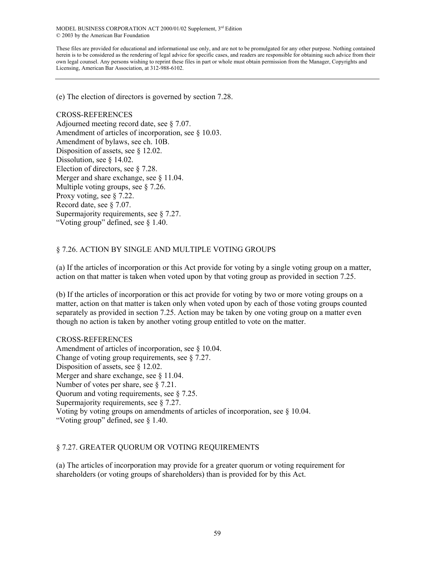These files are provided for educational and informational use only, and are not to be promulgated for any other purpose. Nothing contained herein is to be considered as the rendering of legal advice for specific cases, and readers are responsible for obtaining such advice from their own legal counsel. Any persons wishing to reprint these files in part or whole must obtain permission from the Manager, Copyrights and Licensing, American Bar Association, at 312-988-6102.

(e) The election of directors is governed by section 7.28.

CROSS-REFERENCES Adjourned meeting record date, see § 7.07. Amendment of articles of incorporation, see § 10.03. Amendment of bylaws, see ch. 10B. Disposition of assets, see § 12.02. Dissolution, see  $§$  14.02. Election of directors, see § 7.28. Merger and share exchange, see § 11.04. Multiple voting groups, see § 7.26. Proxy voting, see § 7.22. Record date, see § 7.07. Supermajority requirements, see § 7.27. "Voting group" defined, see § 1.40.

# § 7.26. ACTION BY SINGLE AND MULTIPLE VOTING GROUPS

(a) If the articles of incorporation or this Act provide for voting by a single voting group on a matter, action on that matter is taken when voted upon by that voting group as provided in section 7.25.

(b) If the articles of incorporation or this act provide for voting by two or more voting groups on a matter, action on that matter is taken only when voted upon by each of those voting groups counted separately as provided in section 7.25. Action may be taken by one voting group on a matter even though no action is taken by another voting group entitled to vote on the matter.

## CROSS-REFERENCES

Amendment of articles of incorporation, see § 10.04. Change of voting group requirements, see § 7.27. Disposition of assets, see § 12.02. Merger and share exchange, see § 11.04. Number of votes per share, see § 7.21. Quorum and voting requirements, see § 7.25. Supermajority requirements, see § 7.27. Voting by voting groups on amendments of articles of incorporation, see § 10.04. "Voting group" defined, see § 1.40.

## § 7.27. GREATER QUORUM OR VOTING REQUIREMENTS

(a) The articles of incorporation may provide for a greater quorum or voting requirement for shareholders (or voting groups of shareholders) than is provided for by this Act.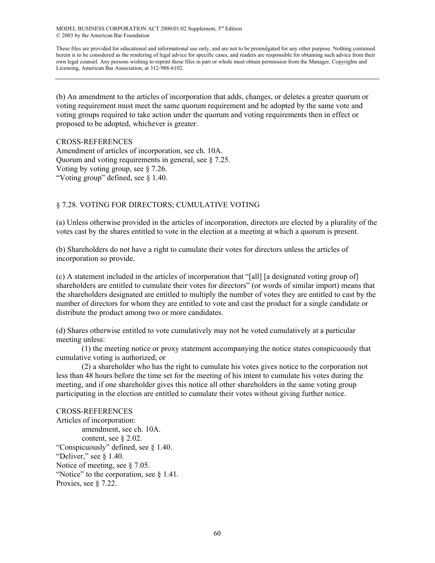These files are provided for educational and informational use only, and are not to be promulgated for any other purpose. Nothing contained herein is to be considered as the rendering of legal advice for specific cases, and readers are responsible for obtaining such advice from their own legal counsel. Any persons wishing to reprint these files in part or whole must obtain permission from the Manager, Copyrights and Licensing, American Bar Association, at 312-988-6102.

(b) An amendment to the articles of incorporation that adds, changes, or deletes a greater quorum or voting requirement must meet the same quorum requirement and be adopted by the same vote and voting groups required to take action under the quorum and voting requirements then in effect or proposed to be adopted, whichever is greater.

CROSS-REFERENCES Amendment of articles of incorporation, see ch. 10A. Quorum and voting requirements in general, see § 7.25. Voting by voting group, see § 7.26. "Voting group" defined, see § 1.40.

## § 7.28. VOTING FOR DIRECTORS; CUMULATIVE VOTING

(a) Unless otherwise provided in the articles of incorporation, directors are elected by a plurality of the votes cast by the shares entitled to vote in the election at a meeting at which a quorum is present.

(b) Shareholders do not have a right to cumulate their votes for directors unless the articles of incorporation so provide.

(c) A statement included in the articles of incorporation that "[all] [a designated voting group of] shareholders are entitled to cumulate their votes for directors" (or words of similar import) means that the shareholders designated are entitled to multiply the number of votes they are entitled to cast by the number of directors for whom they are entitled to vote and cast the product for a single candidate or distribute the product among two or more candidates.

(d) Shares otherwise entitled to vote cumulatively may not be voted cumulatively at a particular meeting unless:

 (1) the meeting notice or proxy statement accompanying the notice states conspicuously that cumulative voting is authorized; or

 (2) a shareholder who has the right to cumulate his votes gives notice to the corporation not less than 48 hours before the time set for the meeting of his intent to cumulate his votes during the meeting, and if one shareholder gives this notice all other shareholders in the same voting group participating in the election are entitled to cumulate their votes without giving further notice.

CROSS-REFERENCES Articles of incorporation: amendment, see ch. 10A. content, see § 2.02. "Conspicuously" defined, see § 1.40. "Deliver," see § 1.40. Notice of meeting, see § 7.05. "Notice" to the corporation, see § 1.41. Proxies, see § 7.22.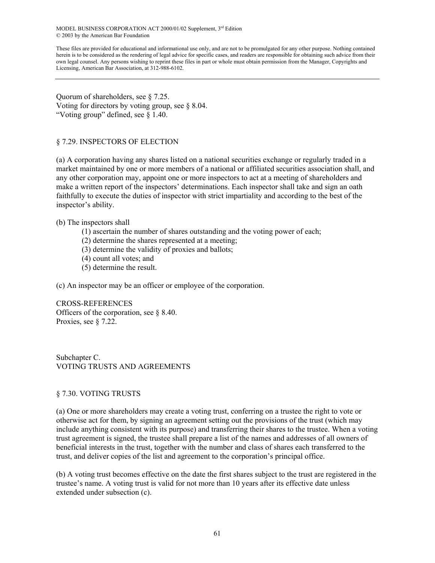These files are provided for educational and informational use only, and are not to be promulgated for any other purpose. Nothing contained herein is to be considered as the rendering of legal advice for specific cases, and readers are responsible for obtaining such advice from their own legal counsel. Any persons wishing to reprint these files in part or whole must obtain permission from the Manager, Copyrights and Licensing, American Bar Association, at 312-988-6102.

Quorum of shareholders, see § 7.25. Voting for directors by voting group, see § 8.04. "Voting group" defined, see § 1.40.

# § 7.29. INSPECTORS OF ELECTION

(a) A corporation having any shares listed on a national securities exchange or regularly traded in a market maintained by one or more members of a national or affiliated securities association shall, and any other corporation may, appoint one or more inspectors to act at a meeting of shareholders and make a written report of the inspectors' determinations. Each inspector shall take and sign an oath faithfully to execute the duties of inspector with strict impartiality and according to the best of the inspector's ability.

(b) The inspectors shall

- (1) ascertain the number of shares outstanding and the voting power of each;
- (2) determine the shares represented at a meeting;
- (3) determine the validity of proxies and ballots;
- (4) count all votes; and
- (5) determine the result.

(c) An inspector may be an officer or employee of the corporation.

CROSS-REFERENCES Officers of the corporation, see § 8.40. Proxies, see § 7.22.

Subchapter C. VOTING TRUSTS AND AGREEMENTS

## § 7.30. VOTING TRUSTS

(a) One or more shareholders may create a voting trust, conferring on a trustee the right to vote or otherwise act for them, by signing an agreement setting out the provisions of the trust (which may include anything consistent with its purpose) and transferring their shares to the trustee. When a voting trust agreement is signed, the trustee shall prepare a list of the names and addresses of all owners of beneficial interests in the trust, together with the number and class of shares each transferred to the trust, and deliver copies of the list and agreement to the corporation's principal office.

(b) A voting trust becomes effective on the date the first shares subject to the trust are registered in the trustee's name. A voting trust is valid for not more than 10 years after its effective date unless extended under subsection (c).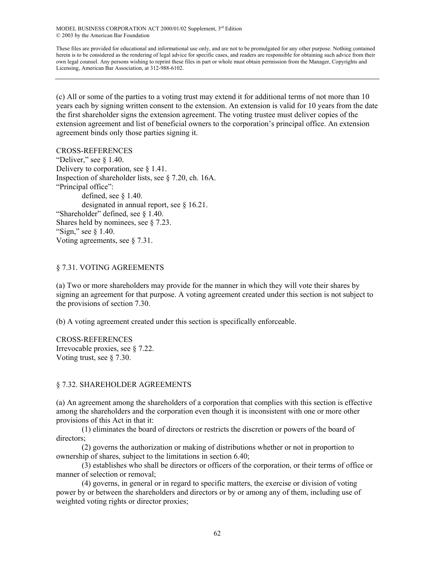These files are provided for educational and informational use only, and are not to be promulgated for any other purpose. Nothing contained herein is to be considered as the rendering of legal advice for specific cases, and readers are responsible for obtaining such advice from their own legal counsel. Any persons wishing to reprint these files in part or whole must obtain permission from the Manager, Copyrights and Licensing, American Bar Association, at 312-988-6102.

(c) All or some of the parties to a voting trust may extend it for additional terms of not more than 10 years each by signing written consent to the extension. An extension is valid for 10 years from the date the first shareholder signs the extension agreement. The voting trustee must deliver copies of the extension agreement and list of beneficial owners to the corporation's principal office. An extension agreement binds only those parties signing it.

CROSS-REFERENCES "Deliver," see § 1.40. Delivery to corporation, see § 1.41. Inspection of shareholder lists, see § 7.20, ch. 16A. "Principal office": defined, see § 1.40. designated in annual report, see § 16.21. "Shareholder" defined, see § 1.40. Shares held by nominees, see § 7.23. "Sign," see § 1.40. Voting agreements, see § 7.31.

## § 7.31. VOTING AGREEMENTS

(a) Two or more shareholders may provide for the manner in which they will vote their shares by signing an agreement for that purpose. A voting agreement created under this section is not subject to the provisions of section 7.30.

(b) A voting agreement created under this section is specifically enforceable.

CROSS-REFERENCES Irrevocable proxies, see § 7.22. Voting trust, see § 7.30.

#### § 7.32. SHAREHOLDER AGREEMENTS

(a) An agreement among the shareholders of a corporation that complies with this section is effective among the shareholders and the corporation even though it is inconsistent with one or more other provisions of this Act in that it:

 (1) eliminates the board of directors or restricts the discretion or powers of the board of directors;

 (2) governs the authorization or making of distributions whether or not in proportion to ownership of shares, subject to the limitations in section 6.40;

 (3) establishes who shall be directors or officers of the corporation, or their terms of office or manner of selection or removal;

 (4) governs, in general or in regard to specific matters, the exercise or division of voting power by or between the shareholders and directors or by or among any of them, including use of weighted voting rights or director proxies;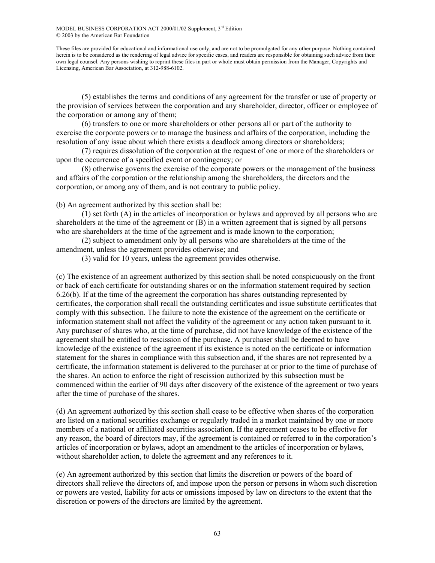These files are provided for educational and informational use only, and are not to be promulgated for any other purpose. Nothing contained herein is to be considered as the rendering of legal advice for specific cases, and readers are responsible for obtaining such advice from their own legal counsel. Any persons wishing to reprint these files in part or whole must obtain permission from the Manager, Copyrights and Licensing, American Bar Association, at 312-988-6102.

 (5) establishes the terms and conditions of any agreement for the transfer or use of property or the provision of services between the corporation and any shareholder, director, officer or employee of the corporation or among any of them;

 (6) transfers to one or more shareholders or other persons all or part of the authority to exercise the corporate powers or to manage the business and affairs of the corporation, including the resolution of any issue about which there exists a deadlock among directors or shareholders;

 (7) requires dissolution of the corporation at the request of one or more of the shareholders or upon the occurrence of a specified event or contingency; or

 (8) otherwise governs the exercise of the corporate powers or the management of the business and affairs of the corporation or the relationship among the shareholders, the directors and the corporation, or among any of them, and is not contrary to public policy.

(b) An agreement authorized by this section shall be:

 (1) set forth (A) in the articles of incorporation or bylaws and approved by all persons who are shareholders at the time of the agreement or (B) in a written agreement that is signed by all persons who are shareholders at the time of the agreement and is made known to the corporation;

 (2) subject to amendment only by all persons who are shareholders at the time of the amendment, unless the agreement provides otherwise; and

(3) valid for 10 years, unless the agreement provides otherwise.

(c) The existence of an agreement authorized by this section shall be noted conspicuously on the front or back of each certificate for outstanding shares or on the information statement required by section 6.26(b). If at the time of the agreement the corporation has shares outstanding represented by certificates, the corporation shall recall the outstanding certificates and issue substitute certificates that comply with this subsection. The failure to note the existence of the agreement on the certificate or information statement shall not affect the validity of the agreement or any action taken pursuant to it. Any purchaser of shares who, at the time of purchase, did not have knowledge of the existence of the agreement shall be entitled to rescission of the purchase. A purchaser shall be deemed to have knowledge of the existence of the agreement if its existence is noted on the certificate or information statement for the shares in compliance with this subsection and, if the shares are not represented by a certificate, the information statement is delivered to the purchaser at or prior to the time of purchase of the shares. An action to enforce the right of rescission authorized by this subsection must be commenced within the earlier of 90 days after discovery of the existence of the agreement or two years after the time of purchase of the shares.

(d) An agreement authorized by this section shall cease to be effective when shares of the corporation are listed on a national securities exchange or regularly traded in a market maintained by one or more members of a national or affiliated securities association. If the agreement ceases to be effective for any reason, the board of directors may, if the agreement is contained or referred to in the corporation's articles of incorporation or bylaws, adopt an amendment to the articles of incorporation or bylaws, without shareholder action, to delete the agreement and any references to it.

(e) An agreement authorized by this section that limits the discretion or powers of the board of directors shall relieve the directors of, and impose upon the person or persons in whom such discretion or powers are vested, liability for acts or omissions imposed by law on directors to the extent that the discretion or powers of the directors are limited by the agreement.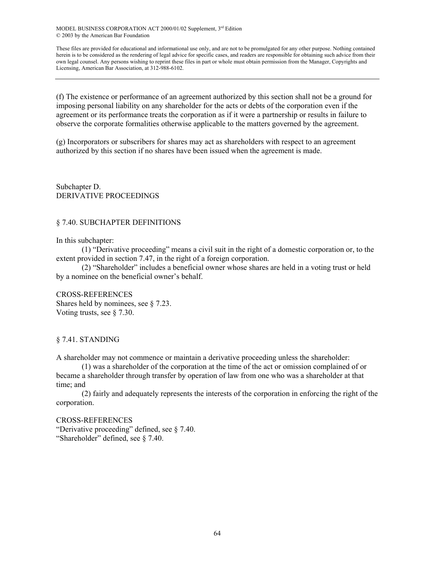These files are provided for educational and informational use only, and are not to be promulgated for any other purpose. Nothing contained herein is to be considered as the rendering of legal advice for specific cases, and readers are responsible for obtaining such advice from their own legal counsel. Any persons wishing to reprint these files in part or whole must obtain permission from the Manager, Copyrights and Licensing, American Bar Association, at 312-988-6102.

(f) The existence or performance of an agreement authorized by this section shall not be a ground for imposing personal liability on any shareholder for the acts or debts of the corporation even if the agreement or its performance treats the corporation as if it were a partnership or results in failure to observe the corporate formalities otherwise applicable to the matters governed by the agreement.

(g) Incorporators or subscribers for shares may act as shareholders with respect to an agreement authorized by this section if no shares have been issued when the agreement is made.

Subchapter D. DERIVATIVE PROCEEDINGS

#### § 7.40. SUBCHAPTER DEFINITIONS

In this subchapter:

 (1) "Derivative proceeding" means a civil suit in the right of a domestic corporation or, to the extent provided in section 7.47, in the right of a foreign corporation.

 (2) "Shareholder" includes a beneficial owner whose shares are held in a voting trust or held by a nominee on the beneficial owner's behalf.

CROSS-REFERENCES Shares held by nominees, see § 7.23. Voting trusts, see § 7.30.

#### § 7.41. STANDING

A shareholder may not commence or maintain a derivative proceeding unless the shareholder:

 (1) was a shareholder of the corporation at the time of the act or omission complained of or became a shareholder through transfer by operation of law from one who was a shareholder at that time; and

 (2) fairly and adequately represents the interests of the corporation in enforcing the right of the corporation.

CROSS-REFERENCES "Derivative proceeding" defined, see § 7.40. "Shareholder" defined, see § 7.40.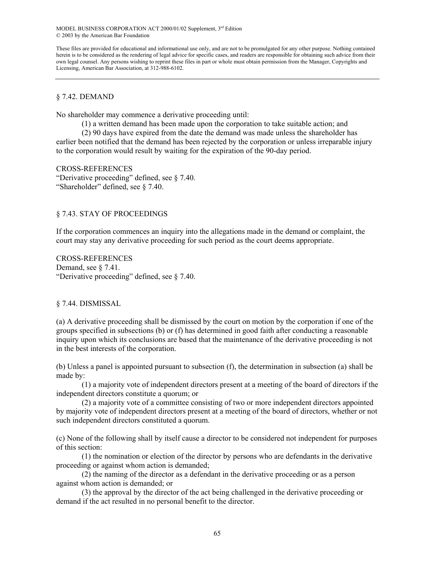These files are provided for educational and informational use only, and are not to be promulgated for any other purpose. Nothing contained herein is to be considered as the rendering of legal advice for specific cases, and readers are responsible for obtaining such advice from their own legal counsel. Any persons wishing to reprint these files in part or whole must obtain permission from the Manager, Copyrights and Licensing, American Bar Association, at 312-988-6102.

## § 7.42. DEMAND

No shareholder may commence a derivative proceeding until:

(1) a written demand has been made upon the corporation to take suitable action; and

 (2) 90 days have expired from the date the demand was made unless the shareholder has earlier been notified that the demand has been rejected by the corporation or unless irreparable injury to the corporation would result by waiting for the expiration of the 90-day period.

CROSS-REFERENCES "Derivative proceeding" defined, see § 7.40. "Shareholder" defined, see § 7.40.

## § 7.43. STAY OF PROCEEDINGS

If the corporation commences an inquiry into the allegations made in the demand or complaint, the court may stay any derivative proceeding for such period as the court deems appropriate.

CROSS-REFERENCES Demand, see § 7.41. "Derivative proceeding" defined, see § 7.40.

## § 7.44. DISMISSAL

(a) A derivative proceeding shall be dismissed by the court on motion by the corporation if one of the groups specified in subsections (b) or (f) has determined in good faith after conducting a reasonable inquiry upon which its conclusions are based that the maintenance of the derivative proceeding is not in the best interests of the corporation.

(b) Unless a panel is appointed pursuant to subsection (f), the determination in subsection (a) shall be made by:

 (1) a majority vote of independent directors present at a meeting of the board of directors if the independent directors constitute a quorum; or

 (2) a majority vote of a committee consisting of two or more independent directors appointed by majority vote of independent directors present at a meeting of the board of directors, whether or not such independent directors constituted a quorum.

(c) None of the following shall by itself cause a director to be considered not independent for purposes of this section:

 (1) the nomination or election of the director by persons who are defendants in the derivative proceeding or against whom action is demanded;

 (2) the naming of the director as a defendant in the derivative proceeding or as a person against whom action is demanded; or

 (3) the approval by the director of the act being challenged in the derivative proceeding or demand if the act resulted in no personal benefit to the director.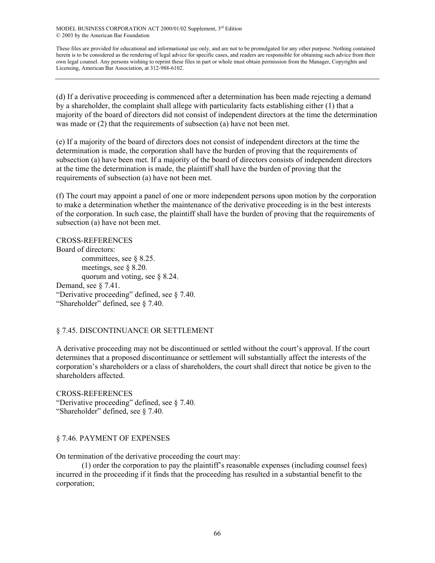These files are provided for educational and informational use only, and are not to be promulgated for any other purpose. Nothing contained herein is to be considered as the rendering of legal advice for specific cases, and readers are responsible for obtaining such advice from their own legal counsel. Any persons wishing to reprint these files in part or whole must obtain permission from the Manager, Copyrights and Licensing, American Bar Association, at 312-988-6102.

(d) If a derivative proceeding is commenced after a determination has been made rejecting a demand by a shareholder, the complaint shall allege with particularity facts establishing either (1) that a majority of the board of directors did not consist of independent directors at the time the determination was made or (2) that the requirements of subsection (a) have not been met.

(e) If a majority of the board of directors does not consist of independent directors at the time the determination is made, the corporation shall have the burden of proving that the requirements of subsection (a) have been met. If a majority of the board of directors consists of independent directors at the time the determination is made, the plaintiff shall have the burden of proving that the requirements of subsection (a) have not been met.

(f) The court may appoint a panel of one or more independent persons upon motion by the corporation to make a determination whether the maintenance of the derivative proceeding is in the best interests of the corporation. In such case, the plaintiff shall have the burden of proving that the requirements of subsection (a) have not been met.

CROSS-REFERENCES Board of directors: committees, see § 8.25. meetings, see § 8.20. quorum and voting, see § 8.24. Demand, see § 7.41. "Derivative proceeding" defined, see § 7.40. "Shareholder" defined, see § 7.40.

## § 7.45. DISCONTINUANCE OR SETTLEMENT

A derivative proceeding may not be discontinued or settled without the court's approval. If the court determines that a proposed discontinuance or settlement will substantially affect the interests of the corporation's shareholders or a class of shareholders, the court shall direct that notice be given to the shareholders affected.

CROSS-REFERENCES "Derivative proceeding" defined, see § 7.40. "Shareholder" defined, see § 7.40.

## § 7.46. PAYMENT OF EXPENSES

On termination of the derivative proceeding the court may:

 (1) order the corporation to pay the plaintiff's reasonable expenses (including counsel fees) incurred in the proceeding if it finds that the proceeding has resulted in a substantial benefit to the corporation;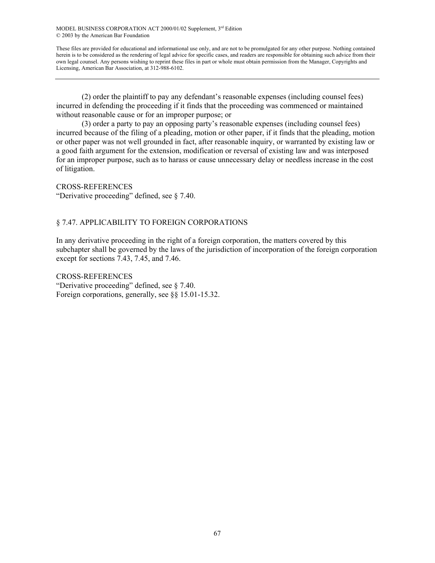These files are provided for educational and informational use only, and are not to be promulgated for any other purpose. Nothing contained herein is to be considered as the rendering of legal advice for specific cases, and readers are responsible for obtaining such advice from their own legal counsel. Any persons wishing to reprint these files in part or whole must obtain permission from the Manager, Copyrights and Licensing, American Bar Association, at 312-988-6102.

 (2) order the plaintiff to pay any defendant's reasonable expenses (including counsel fees) incurred in defending the proceeding if it finds that the proceeding was commenced or maintained without reasonable cause or for an improper purpose; or

 (3) order a party to pay an opposing party's reasonable expenses (including counsel fees) incurred because of the filing of a pleading, motion or other paper, if it finds that the pleading, motion or other paper was not well grounded in fact, after reasonable inquiry, or warranted by existing law or a good faith argument for the extension, modification or reversal of existing law and was interposed for an improper purpose, such as to harass or cause unnecessary delay or needless increase in the cost of litigation.

CROSS-REFERENCES "Derivative proceeding" defined, see § 7.40.

# § 7.47. APPLICABILITY TO FOREIGN CORPORATIONS

In any derivative proceeding in the right of a foreign corporation, the matters covered by this subchapter shall be governed by the laws of the jurisdiction of incorporation of the foreign corporation except for sections 7.43, 7.45, and 7.46.

CROSS-REFERENCES "Derivative proceeding" defined, see § 7.40. Foreign corporations, generally, see §§ 15.01-15.32.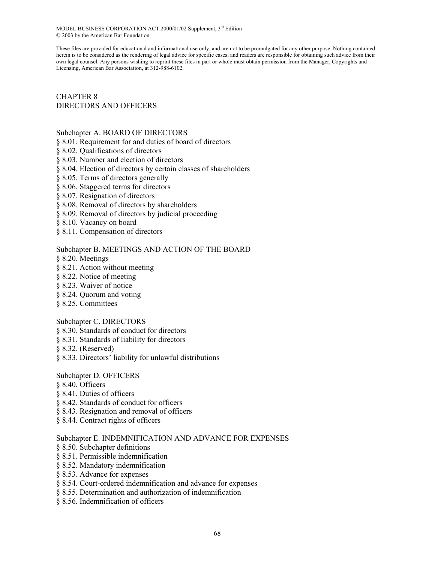These files are provided for educational and informational use only, and are not to be promulgated for any other purpose. Nothing contained herein is to be considered as the rendering of legal advice for specific cases, and readers are responsible for obtaining such advice from their own legal counsel. Any persons wishing to reprint these files in part or whole must obtain permission from the Manager, Copyrights and Licensing, American Bar Association, at 312-988-6102.

# CHAPTER 8 DIRECTORS AND OFFICERS

#### Subchapter A. BOARD OF DIRECTORS

- § 8.01. Requirement for and duties of board of directors
- § 8.02. Qualifications of directors
- § 8.03. Number and election of directors
- § 8.04. Election of directors by certain classes of shareholders
- § 8.05. Terms of directors generally
- § 8.06. Staggered terms for directors
- § 8.07. Resignation of directors
- § 8.08. Removal of directors by shareholders
- § 8.09. Removal of directors by judicial proceeding
- § 8.10. Vacancy on board
- § 8.11. Compensation of directors

#### Subchapter B. MEETINGS AND ACTION OF THE BOARD

- § 8.20. Meetings
- § 8.21. Action without meeting
- § 8.22. Notice of meeting
- § 8.23. Waiver of notice
- § 8.24. Quorum and voting
- § 8.25. Committees

#### Subchapter C. DIRECTORS

- § 8.30. Standards of conduct for directors
- § 8.31. Standards of liability for directors
- § 8.32. (Reserved)
- § 8.33. Directors' liability for unlawful distributions

#### Subchapter D. OFFICERS

- § 8.40. Officers
- § 8.41. Duties of officers
- § 8.42. Standards of conduct for officers
- § 8.43. Resignation and removal of officers
- § 8.44. Contract rights of officers

#### Subchapter E. INDEMNIFICATION AND ADVANCE FOR EXPENSES

- § 8.50. Subchapter definitions
- § 8.51. Permissible indemnification
- § 8.52. Mandatory indemnification
- § 8.53. Advance for expenses
- § 8.54. Court-ordered indemnification and advance for expenses
- § 8.55. Determination and authorization of indemnification
- § 8.56. Indemnification of officers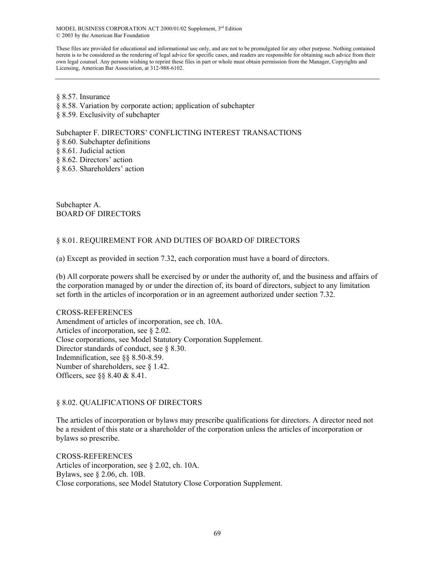These files are provided for educational and informational use only, and are not to be promulgated for any other purpose. Nothing contained herein is to be considered as the rendering of legal advice for specific cases, and readers are responsible for obtaining such advice from their own legal counsel. Any persons wishing to reprint these files in part or whole must obtain permission from the Manager, Copyrights and Licensing, American Bar Association, at 312-988-6102.

§ 8.57. Insurance

§ 8.58. Variation by corporate action; application of subchapter

§ 8.59. Exclusivity of subchapter

#### Subchapter F. DIRECTORS' CONFLICTING INTEREST TRANSACTIONS

§ 8.60. Subchapter definitions

§ 8.61. Judicial action

§ 8.62. Directors' action

§ 8.63. Shareholders' action

Subchapter A. BOARD OF DIRECTORS

# § 8.01. REQUIREMENT FOR AND DUTIES OF BOARD OF DIRECTORS

(a) Except as provided in section 7.32, each corporation must have a board of directors.

(b) All corporate powers shall be exercised by or under the authority of, and the business and affairs of the corporation managed by or under the direction of, its board of directors, subject to any limitation set forth in the articles of incorporation or in an agreement authorized under section 7.32.

# CROSS-REFERENCES

Amendment of articles of incorporation, see ch. 10A. Articles of incorporation, see § 2.02. Close corporations, see Model Statutory Corporation Supplement. Director standards of conduct, see § 8.30. Indemnification, see §§ 8.50-8.59. Number of shareholders, see § 1.42. Officers, see §§ 8.40 & 8.41.

## § 8.02. QUALIFICATIONS OF DIRECTORS

The articles of incorporation or bylaws may prescribe qualifications for directors. A director need not be a resident of this state or a shareholder of the corporation unless the articles of incorporation or bylaws so prescribe.

CROSS-REFERENCES Articles of incorporation, see § 2.02, ch. 10A. Bylaws, see § 2.06, ch. 10B. Close corporations, see Model Statutory Close Corporation Supplement.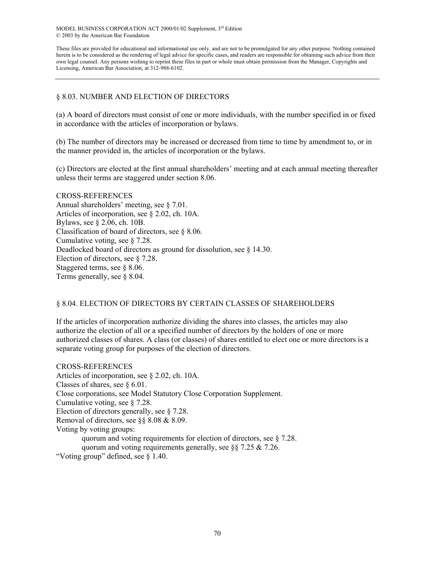These files are provided for educational and informational use only, and are not to be promulgated for any other purpose. Nothing contained herein is to be considered as the rendering of legal advice for specific cases, and readers are responsible for obtaining such advice from their own legal counsel. Any persons wishing to reprint these files in part or whole must obtain permission from the Manager, Copyrights and Licensing, American Bar Association, at 312-988-6102.

# § 8.03. NUMBER AND ELECTION OF DIRECTORS

(a) A board of directors must consist of one or more individuals, with the number specified in or fixed in accordance with the articles of incorporation or bylaws.

(b) The number of directors may be increased or decreased from time to time by amendment to, or in the manner provided in, the articles of incorporation or the bylaws.

(c) Directors are elected at the first annual shareholders' meeting and at each annual meeting thereafter unless their terms are staggered under section 8.06.

CROSS-REFERENCES Annual shareholders' meeting, see § 7.01. Articles of incorporation, see § 2.02, ch. 10A. Bylaws, see § 2.06, ch. 10B. Classification of board of directors, see § 8.06. Cumulative voting, see § 7.28. Deadlocked board of directors as ground for dissolution, see § 14.30. Election of directors, see § 7.28. Staggered terms, see § 8.06. Terms generally, see § 8.04.

## § 8.04. ELECTION OF DIRECTORS BY CERTAIN CLASSES OF SHAREHOLDERS

If the articles of incorporation authorize dividing the shares into classes, the articles may also authorize the election of all or a specified number of directors by the holders of one or more authorized classes of shares. A class (or classes) of shares entitled to elect one or more directors is a separate voting group for purposes of the election of directors.

CROSS-REFERENCES Articles of incorporation, see § 2.02, ch. 10A. Classes of shares, see § 6.01. Close corporations, see Model Statutory Close Corporation Supplement. Cumulative voting, see § 7.28. Election of directors generally, see § 7.28. Removal of directors, see §§ 8.08 & 8.09. Voting by voting groups: quorum and voting requirements for election of directors, see § 7.28. quorum and voting requirements generally, see §§ 7.25 & 7.26. "Voting group" defined, see § 1.40.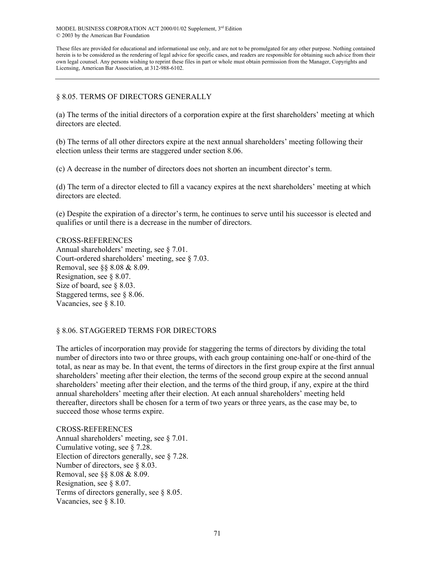These files are provided for educational and informational use only, and are not to be promulgated for any other purpose. Nothing contained herein is to be considered as the rendering of legal advice for specific cases, and readers are responsible for obtaining such advice from their own legal counsel. Any persons wishing to reprint these files in part or whole must obtain permission from the Manager, Copyrights and Licensing, American Bar Association, at 312-988-6102.

# § 8.05. TERMS OF DIRECTORS GENERALLY

(a) The terms of the initial directors of a corporation expire at the first shareholders' meeting at which directors are elected.

(b) The terms of all other directors expire at the next annual shareholders' meeting following their election unless their terms are staggered under section 8.06.

(c) A decrease in the number of directors does not shorten an incumbent director's term.

(d) The term of a director elected to fill a vacancy expires at the next shareholders' meeting at which directors are elected.

(e) Despite the expiration of a director's term, he continues to serve until his successor is elected and qualifies or until there is a decrease in the number of directors.

#### CROSS-REFERENCES

Annual shareholders' meeting, see § 7.01. Court-ordered shareholders' meeting, see § 7.03. Removal, see §§ 8.08 & 8.09. Resignation, see § 8.07. Size of board, see § 8.03. Staggered terms, see § 8.06. Vacancies, see § 8.10.

## § 8.06. STAGGERED TERMS FOR DIRECTORS

The articles of incorporation may provide for staggering the terms of directors by dividing the total number of directors into two or three groups, with each group containing one-half or one-third of the total, as near as may be. In that event, the terms of directors in the first group expire at the first annual shareholders' meeting after their election, the terms of the second group expire at the second annual shareholders' meeting after their election, and the terms of the third group, if any, expire at the third annual shareholders' meeting after their election. At each annual shareholders' meeting held thereafter, directors shall be chosen for a term of two years or three years, as the case may be, to succeed those whose terms expire.

#### CROSS-REFERENCES

Annual shareholders' meeting, see § 7.01. Cumulative voting, see § 7.28. Election of directors generally, see § 7.28. Number of directors, see § 8.03. Removal, see §§ 8.08 & 8.09. Resignation, see § 8.07. Terms of directors generally, see § 8.05. Vacancies, see § 8.10.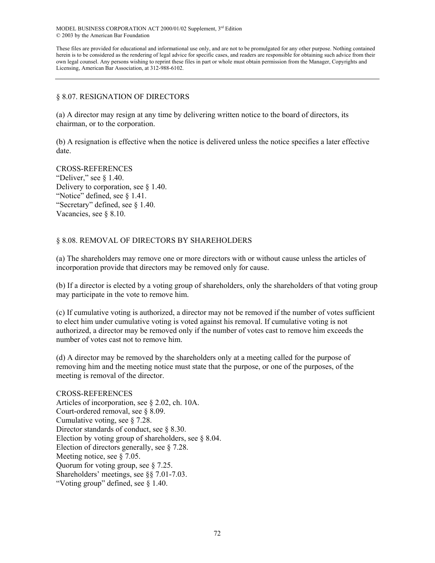These files are provided for educational and informational use only, and are not to be promulgated for any other purpose. Nothing contained herein is to be considered as the rendering of legal advice for specific cases, and readers are responsible for obtaining such advice from their own legal counsel. Any persons wishing to reprint these files in part or whole must obtain permission from the Manager, Copyrights and Licensing, American Bar Association, at 312-988-6102.

## § 8.07. RESIGNATION OF DIRECTORS

(a) A director may resign at any time by delivering written notice to the board of directors, its chairman, or to the corporation.

(b) A resignation is effective when the notice is delivered unless the notice specifies a later effective date.

CROSS-REFERENCES "Deliver," see § 1.40. Delivery to corporation, see § 1.40. "Notice" defined, see § 1.41. "Secretary" defined, see § 1.40. Vacancies, see § 8.10.

# § 8.08. REMOVAL OF DIRECTORS BY SHAREHOLDERS

(a) The shareholders may remove one or more directors with or without cause unless the articles of incorporation provide that directors may be removed only for cause.

(b) If a director is elected by a voting group of shareholders, only the shareholders of that voting group may participate in the vote to remove him.

(c) If cumulative voting is authorized, a director may not be removed if the number of votes sufficient to elect him under cumulative voting is voted against his removal. If cumulative voting is not authorized, a director may be removed only if the number of votes cast to remove him exceeds the number of votes cast not to remove him.

(d) A director may be removed by the shareholders only at a meeting called for the purpose of removing him and the meeting notice must state that the purpose, or one of the purposes, of the meeting is removal of the director.

CROSS-REFERENCES Articles of incorporation, see § 2.02, ch. 10A. Court-ordered removal, see § 8.09. Cumulative voting, see § 7.28. Director standards of conduct, see § 8.30. Election by voting group of shareholders, see § 8.04. Election of directors generally, see § 7.28. Meeting notice, see § 7.05. Quorum for voting group, see § 7.25. Shareholders' meetings, see §§ 7.01-7.03. "Voting group" defined, see § 1.40.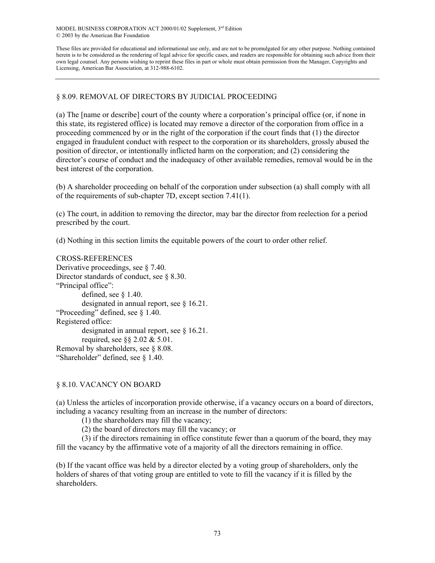These files are provided for educational and informational use only, and are not to be promulgated for any other purpose. Nothing contained herein is to be considered as the rendering of legal advice for specific cases, and readers are responsible for obtaining such advice from their own legal counsel. Any persons wishing to reprint these files in part or whole must obtain permission from the Manager, Copyrights and Licensing, American Bar Association, at 312-988-6102.

## § 8.09. REMOVAL OF DIRECTORS BY JUDICIAL PROCEEDING

(a) The [name or describe] court of the county where a corporation's principal office (or, if none in this state, its registered office) is located may remove a director of the corporation from office in a proceeding commenced by or in the right of the corporation if the court finds that (1) the director engaged in fraudulent conduct with respect to the corporation or its shareholders, grossly abused the position of director, or intentionally inflicted harm on the corporation; and (2) considering the director's course of conduct and the inadequacy of other available remedies, removal would be in the best interest of the corporation.

(b) A shareholder proceeding on behalf of the corporation under subsection (a) shall comply with all of the requirements of sub-chapter 7D, except section 7.41(1).

(c) The court, in addition to removing the director, may bar the director from reelection for a period prescribed by the court.

(d) Nothing in this section limits the equitable powers of the court to order other relief.

CROSS-REFERENCES Derivative proceedings, see § 7.40. Director standards of conduct, see § 8.30. "Principal office": defined, see § 1.40. designated in annual report, see § 16.21. "Proceeding" defined, see § 1.40. Registered office: designated in annual report, see § 16.21. required, see §§ 2.02 & 5.01. Removal by shareholders, see § 8.08. "Shareholder" defined, see § 1.40.

#### § 8.10. VACANCY ON BOARD

(a) Unless the articles of incorporation provide otherwise, if a vacancy occurs on a board of directors, including a vacancy resulting from an increase in the number of directors:

(1) the shareholders may fill the vacancy;

(2) the board of directors may fill the vacancy; or

 (3) if the directors remaining in office constitute fewer than a quorum of the board, they may fill the vacancy by the affirmative vote of a majority of all the directors remaining in office.

(b) If the vacant office was held by a director elected by a voting group of shareholders, only the holders of shares of that voting group are entitled to vote to fill the vacancy if it is filled by the shareholders.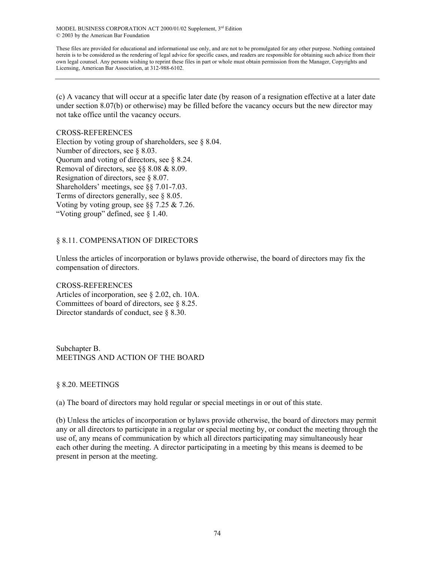These files are provided for educational and informational use only, and are not to be promulgated for any other purpose. Nothing contained herein is to be considered as the rendering of legal advice for specific cases, and readers are responsible for obtaining such advice from their own legal counsel. Any persons wishing to reprint these files in part or whole must obtain permission from the Manager, Copyrights and Licensing, American Bar Association, at 312-988-6102.

(c) A vacancy that will occur at a specific later date (by reason of a resignation effective at a later date under section 8.07(b) or otherwise) may be filled before the vacancy occurs but the new director may not take office until the vacancy occurs.

CROSS-REFERENCES Election by voting group of shareholders, see § 8.04. Number of directors, see § 8.03. Quorum and voting of directors, see § 8.24. Removal of directors, see §§ 8.08 & 8.09. Resignation of directors, see § 8.07. Shareholders' meetings, see §§ 7.01-7.03. Terms of directors generally, see § 8.05. Voting by voting group, see  $\S$ § 7.25 & 7.26. "Voting group" defined, see § 1.40.

## § 8.11. COMPENSATION OF DIRECTORS

Unless the articles of incorporation or bylaws provide otherwise, the board of directors may fix the compensation of directors.

CROSS-REFERENCES Articles of incorporation, see § 2.02, ch. 10A. Committees of board of directors, see § 8.25. Director standards of conduct, see § 8.30.

Subchapter B. MEETINGS AND ACTION OF THE BOARD

§ 8.20. MEETINGS

(a) The board of directors may hold regular or special meetings in or out of this state.

(b) Unless the articles of incorporation or bylaws provide otherwise, the board of directors may permit any or all directors to participate in a regular or special meeting by, or conduct the meeting through the use of, any means of communication by which all directors participating may simultaneously hear each other during the meeting. A director participating in a meeting by this means is deemed to be present in person at the meeting.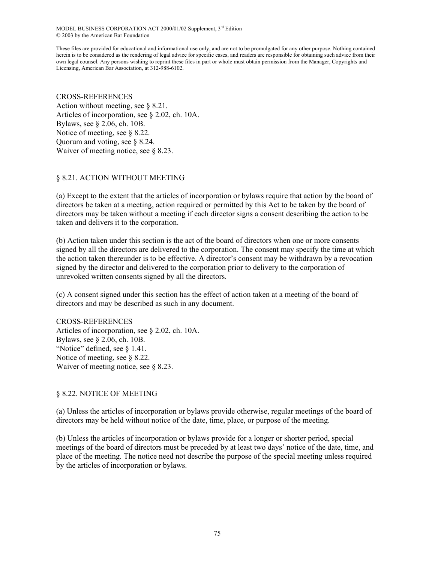These files are provided for educational and informational use only, and are not to be promulgated for any other purpose. Nothing contained herein is to be considered as the rendering of legal advice for specific cases, and readers are responsible for obtaining such advice from their own legal counsel. Any persons wishing to reprint these files in part or whole must obtain permission from the Manager, Copyrights and Licensing, American Bar Association, at 312-988-6102.

CROSS-REFERENCES Action without meeting, see § 8.21. Articles of incorporation, see § 2.02, ch. 10A. Bylaws, see § 2.06, ch. 10B. Notice of meeting, see § 8.22. Quorum and voting, see § 8.24. Waiver of meeting notice, see § 8.23.

# § 8.21. ACTION WITHOUT MEETING

(a) Except to the extent that the articles of incorporation or bylaws require that action by the board of directors be taken at a meeting, action required or permitted by this Act to be taken by the board of directors may be taken without a meeting if each director signs a consent describing the action to be taken and delivers it to the corporation.

(b) Action taken under this section is the act of the board of directors when one or more consents signed by all the directors are delivered to the corporation. The consent may specify the time at which the action taken thereunder is to be effective. A director's consent may be withdrawn by a revocation signed by the director and delivered to the corporation prior to delivery to the corporation of unrevoked written consents signed by all the directors.

(c) A consent signed under this section has the effect of action taken at a meeting of the board of directors and may be described as such in any document.

# CROSS-REFERENCES

Articles of incorporation, see § 2.02, ch. 10A. Bylaws, see § 2.06, ch. 10B. "Notice" defined, see § 1.41. Notice of meeting, see  $\S$  8.22. Waiver of meeting notice, see § 8.23.

## § 8.22. NOTICE OF MEETING

(a) Unless the articles of incorporation or bylaws provide otherwise, regular meetings of the board of directors may be held without notice of the date, time, place, or purpose of the meeting.

(b) Unless the articles of incorporation or bylaws provide for a longer or shorter period, special meetings of the board of directors must be preceded by at least two days' notice of the date, time, and place of the meeting. The notice need not describe the purpose of the special meeting unless required by the articles of incorporation or bylaws.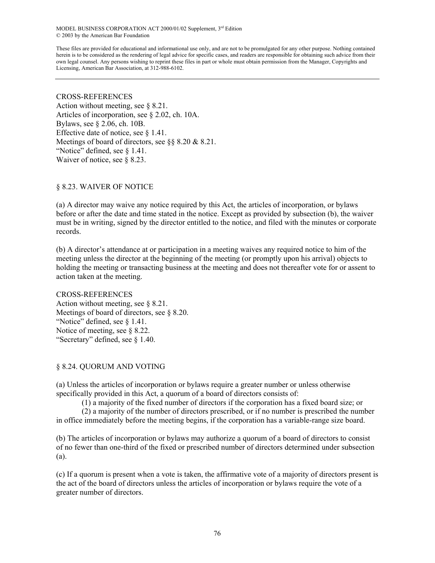These files are provided for educational and informational use only, and are not to be promulgated for any other purpose. Nothing contained herein is to be considered as the rendering of legal advice for specific cases, and readers are responsible for obtaining such advice from their own legal counsel. Any persons wishing to reprint these files in part or whole must obtain permission from the Manager, Copyrights and Licensing, American Bar Association, at 312-988-6102.

CROSS-REFERENCES Action without meeting, see § 8.21. Articles of incorporation, see § 2.02, ch. 10A. Bylaws, see § 2.06, ch. 10B. Effective date of notice, see § 1.41. Meetings of board of directors, see §§ 8.20 & 8.21. "Notice" defined, see § 1.41. Waiver of notice, see § 8.23.

#### § 8.23. WAIVER OF NOTICE

(a) A director may waive any notice required by this Act, the articles of incorporation, or bylaws before or after the date and time stated in the notice. Except as provided by subsection (b), the waiver must be in writing, signed by the director entitled to the notice, and filed with the minutes or corporate records.

(b) A director's attendance at or participation in a meeting waives any required notice to him of the meeting unless the director at the beginning of the meeting (or promptly upon his arrival) objects to holding the meeting or transacting business at the meeting and does not thereafter vote for or assent to action taken at the meeting.

# CROSS-REFERENCES

Action without meeting, see § 8.21. Meetings of board of directors, see § 8.20. "Notice" defined, see § 1.41. Notice of meeting, see § 8.22. "Secretary" defined, see § 1.40.

## § 8.24. QUORUM AND VOTING

(a) Unless the articles of incorporation or bylaws require a greater number or unless otherwise specifically provided in this Act, a quorum of a board of directors consists of:

(1) a majority of the fixed number of directors if the corporation has a fixed board size; or

 (2) a majority of the number of directors prescribed, or if no number is prescribed the number in office immediately before the meeting begins, if the corporation has a variable-range size board.

(b) The articles of incorporation or bylaws may authorize a quorum of a board of directors to consist of no fewer than one-third of the fixed or prescribed number of directors determined under subsection (a).

(c) If a quorum is present when a vote is taken, the affirmative vote of a majority of directors present is the act of the board of directors unless the articles of incorporation or bylaws require the vote of a greater number of directors.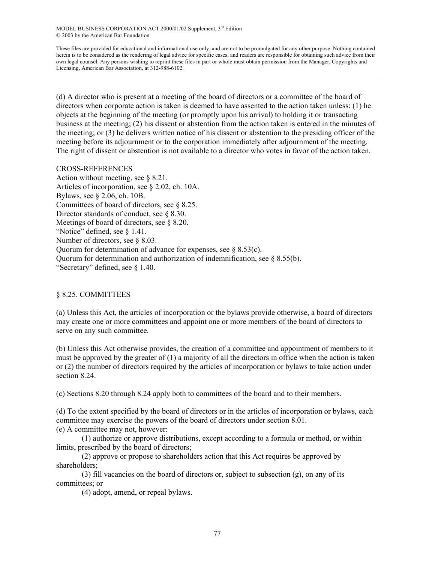These files are provided for educational and informational use only, and are not to be promulgated for any other purpose. Nothing contained herein is to be considered as the rendering of legal advice for specific cases, and readers are responsible for obtaining such advice from their own legal counsel. Any persons wishing to reprint these files in part or whole must obtain permission from the Manager, Copyrights and Licensing, American Bar Association, at 312-988-6102.

(d) A director who is present at a meeting of the board of directors or a committee of the board of directors when corporate action is taken is deemed to have assented to the action taken unless: (1) he objects at the beginning of the meeting (or promptly upon his arrival) to holding it or transacting business at the meeting; (2) his dissent or abstention from the action taken is entered in the minutes of the meeting; or (3) he delivers written notice of his dissent or abstention to the presiding officer of the meeting before its adjournment or to the corporation immediately after adjournment of the meeting. The right of dissent or abstention is not available to a director who votes in favor of the action taken.

#### CROSS-REFERENCES

Action without meeting, see § 8.21. Articles of incorporation, see § 2.02, ch. 10A. Bylaws, see § 2.06, ch. 10B. Committees of board of directors, see § 8.25. Director standards of conduct, see § 8.30. Meetings of board of directors, see § 8.20. "Notice" defined, see § 1.41. Number of directors, see § 8.03. Quorum for determination of advance for expenses, see § 8.53(c). Quorum for determination and authorization of indemnification, see § 8.55(b). "Secretary" defined, see § 1.40.

## § 8.25. COMMITTEES

(a) Unless this Act, the articles of incorporation or the bylaws provide otherwise, a board of directors may create one or more committees and appoint one or more members of the board of directors to serve on any such committee.

(b) Unless this Act otherwise provides, the creation of a committee and appointment of members to it must be approved by the greater of (1) a majority of all the directors in office when the action is taken or (2) the number of directors required by the articles of incorporation or bylaws to take action under section 8.24.

(c) Sections 8.20 through 8.24 apply both to committees of the board and to their members.

(d) To the extent specified by the board of directors or in the articles of incorporation or bylaws, each committee may exercise the powers of the board of directors under section 8.01. (e) A committee may not, however:

 (1) authorize or approve distributions, except according to a formula or method, or within limits, prescribed by the board of directors;

 (2) approve or propose to shareholders action that this Act requires be approved by shareholders;

 (3) fill vacancies on the board of directors or, subject to subsection (g), on any of its committees; or

(4) adopt, amend, or repeal bylaws.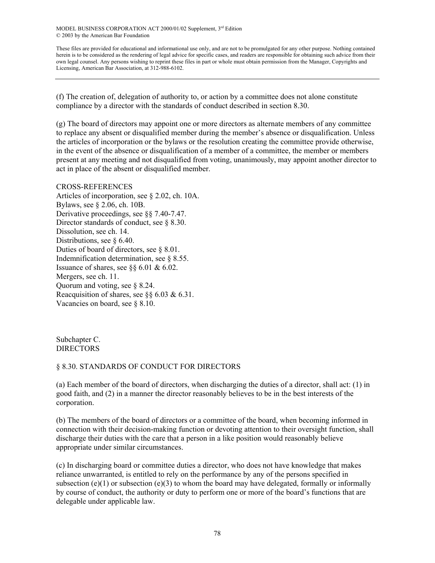These files are provided for educational and informational use only, and are not to be promulgated for any other purpose. Nothing contained herein is to be considered as the rendering of legal advice for specific cases, and readers are responsible for obtaining such advice from their own legal counsel. Any persons wishing to reprint these files in part or whole must obtain permission from the Manager, Copyrights and Licensing, American Bar Association, at 312-988-6102.

(f) The creation of, delegation of authority to, or action by a committee does not alone constitute compliance by a director with the standards of conduct described in section 8.30.

(g) The board of directors may appoint one or more directors as alternate members of any committee to replace any absent or disqualified member during the member's absence or disqualification. Unless the articles of incorporation or the bylaws or the resolution creating the committee provide otherwise, in the event of the absence or disqualification of a member of a committee, the member or members present at any meeting and not disqualified from voting, unanimously, may appoint another director to act in place of the absent or disqualified member.

#### CROSS-REFERENCES

Articles of incorporation, see § 2.02, ch. 10A. Bylaws, see § 2.06, ch. 10B. Derivative proceedings, see §§ 7.40-7.47. Director standards of conduct, see § 8.30. Dissolution, see ch. 14. Distributions, see § 6.40. Duties of board of directors, see § 8.01. Indemnification determination, see § 8.55. Issuance of shares, see §§ 6.01 & 6.02. Mergers, see ch. 11. Quorum and voting, see § 8.24. Reacquisition of shares, see  $886.03 \& 6.31$ . Vacancies on board, see § 8.10.

Subchapter C. **DIRECTORS** 

#### § 8.30. STANDARDS OF CONDUCT FOR DIRECTORS

(a) Each member of the board of directors, when discharging the duties of a director, shall act: (1) in good faith, and (2) in a manner the director reasonably believes to be in the best interests of the corporation.

(b) The members of the board of directors or a committee of the board, when becoming informed in connection with their decision-making function or devoting attention to their oversight function, shall discharge their duties with the care that a person in a like position would reasonably believe appropriate under similar circumstances.

(c) In discharging board or committee duties a director, who does not have knowledge that makes reliance unwarranted, is entitled to rely on the performance by any of the persons specified in subsection (e)(1) or subsection (e)(3) to whom the board may have delegated, formally or informally by course of conduct, the authority or duty to perform one or more of the board's functions that are delegable under applicable law.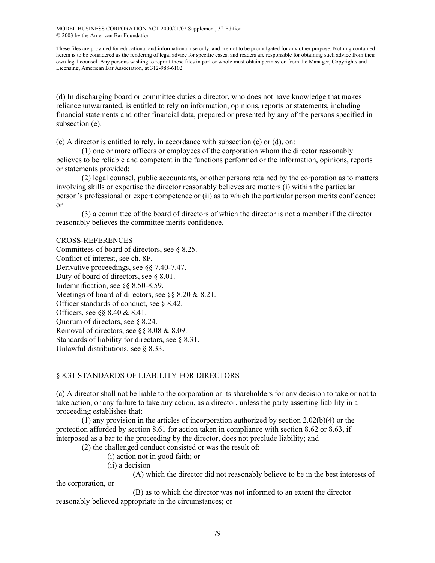(d) In discharging board or committee duties a director, who does not have knowledge that makes reliance unwarranted, is entitled to rely on information, opinions, reports or statements, including financial statements and other financial data, prepared or presented by any of the persons specified in subsection (e).

(e) A director is entitled to rely, in accordance with subsection (c) or (d), on:

 (1) one or more officers or employees of the corporation whom the director reasonably believes to be reliable and competent in the functions performed or the information, opinions, reports or statements provided;

 (2) legal counsel, public accountants, or other persons retained by the corporation as to matters involving skills or expertise the director reasonably believes are matters (i) within the particular person's professional or expert competence or (ii) as to which the particular person merits confidence; or

 (3) a committee of the board of directors of which the director is not a member if the director reasonably believes the committee merits confidence.

## CROSS-REFERENCES

Committees of board of directors, see § 8.25. Conflict of interest, see ch. 8F. Derivative proceedings, see §§ 7.40-7.47. Duty of board of directors, see § 8.01. Indemnification, see §§ 8.50-8.59. Meetings of board of directors, see  $888.20 \& 8.21$ . Officer standards of conduct, see § 8.42. Officers, see §§ 8.40 & 8.41. Quorum of directors, see § 8.24. Removal of directors, see §§ 8.08 & 8.09. Standards of liability for directors, see § 8.31. Unlawful distributions, see § 8.33.

# § 8.31 STANDARDS OF LIABILITY FOR DIRECTORS

(a) A director shall not be liable to the corporation or its shareholders for any decision to take or not to take action, or any failure to take any action, as a director, unless the party asserting liability in a proceeding establishes that:

 (1) any provision in the articles of incorporation authorized by section 2.02(b)(4) or the protection afforded by section 8.61 for action taken in compliance with section 8.62 or 8.63, if interposed as a bar to the proceeding by the director, does not preclude liability; and

(2) the challenged conduct consisted or was the result of:

- (i) action not in good faith; or
- (ii) a decision

 (A) which the director did not reasonably believe to be in the best interests of the corporation, or

 (B) as to which the director was not informed to an extent the director reasonably believed appropriate in the circumstances; or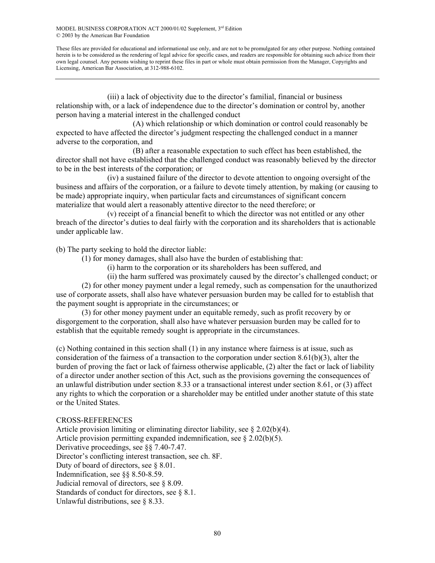(iii) a lack of objectivity due to the director's familial, financial or business relationship with, or a lack of independence due to the director's domination or control by, another person having a material interest in the challenged conduct

 (A) which relationship or which domination or control could reasonably be expected to have affected the director's judgment respecting the challenged conduct in a manner adverse to the corporation, and

 (B) after a reasonable expectation to such effect has been established, the director shall not have established that the challenged conduct was reasonably believed by the director to be in the best interests of the corporation; or

 (iv) a sustained failure of the director to devote attention to ongoing oversight of the business and affairs of the corporation, or a failure to devote timely attention, by making (or causing to be made) appropriate inquiry, when particular facts and circumstances of significant concern materialize that would alert a reasonably attentive director to the need therefore; or

 (v) receipt of a financial benefit to which the director was not entitled or any other breach of the director's duties to deal fairly with the corporation and its shareholders that is actionable under applicable law.

(b) The party seeking to hold the director liable:

(1) for money damages, shall also have the burden of establishing that:

(i) harm to the corporation or its shareholders has been suffered, and

(ii) the harm suffered was proximately caused by the director's challenged conduct; or

 (2) for other money payment under a legal remedy, such as compensation for the unauthorized use of corporate assets, shall also have whatever persuasion burden may be called for to establish that the payment sought is appropriate in the circumstances; or

 (3) for other money payment under an equitable remedy, such as profit recovery by or disgorgement to the corporation, shall also have whatever persuasion burden may be called for to establish that the equitable remedy sought is appropriate in the circumstances.

(c) Nothing contained in this section shall (1) in any instance where fairness is at issue, such as consideration of the fairness of a transaction to the corporation under section 8.61(b)(3), alter the burden of proving the fact or lack of fairness otherwise applicable, (2) alter the fact or lack of liability of a director under another section of this Act, such as the provisions governing the consequences of an unlawful distribution under section 8.33 or a transactional interest under section 8.61, or (3) affect any rights to which the corporation or a shareholder may be entitled under another statute of this state or the United States.

## CROSS-REFERENCES

Article provision limiting or eliminating director liability, see § 2.02(b)(4). Article provision permitting expanded indemnification, see  $\S 2.02(b)(5)$ . Derivative proceedings, see §§ 7.40-7.47. Director's conflicting interest transaction, see ch. 8F. Duty of board of directors, see § 8.01. Indemnification, see §§ 8.50-8.59. Judicial removal of directors, see § 8.09. Standards of conduct for directors, see § 8.1. Unlawful distributions, see § 8.33.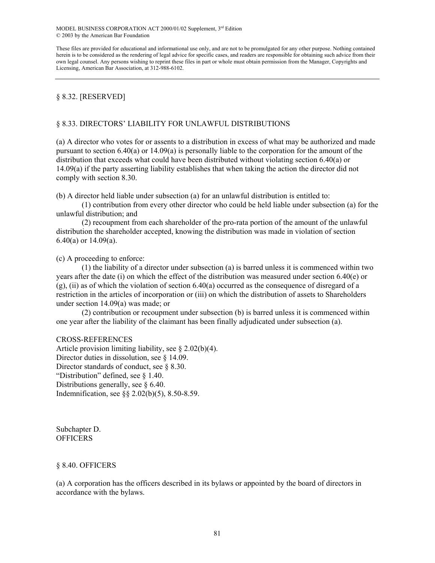These files are provided for educational and informational use only, and are not to be promulgated for any other purpose. Nothing contained herein is to be considered as the rendering of legal advice for specific cases, and readers are responsible for obtaining such advice from their own legal counsel. Any persons wishing to reprint these files in part or whole must obtain permission from the Manager, Copyrights and Licensing, American Bar Association, at 312-988-6102.

§ 8.32. [RESERVED]

# § 8.33. DIRECTORS' LIABILITY FOR UNLAWFUL DISTRIBUTIONS

(a) A director who votes for or assents to a distribution in excess of what may be authorized and made pursuant to section  $6.40(a)$  or  $14.09(a)$  is personally liable to the corporation for the amount of the distribution that exceeds what could have been distributed without violating section 6.40(a) or 14.09(a) if the party asserting liability establishes that when taking the action the director did not comply with section 8.30.

(b) A director held liable under subsection (a) for an unlawful distribution is entitled to:

 (1) contribution from every other director who could be held liable under subsection (a) for the unlawful distribution; and

 (2) recoupment from each shareholder of the pro-rata portion of the amount of the unlawful distribution the shareholder accepted, knowing the distribution was made in violation of section 6.40(a) or 14.09(a).

(c) A proceeding to enforce:

 (1) the liability of a director under subsection (a) is barred unless it is commenced within two years after the date (i) on which the effect of the distribution was measured under section 6.40(e) or  $(g)$ , (ii) as of which the violation of section 6.40(a) occurred as the consequence of disregard of a restriction in the articles of incorporation or (iii) on which the distribution of assets to Shareholders under section 14.09(a) was made; or

 (2) contribution or recoupment under subsection (b) is barred unless it is commenced within one year after the liability of the claimant has been finally adjudicated under subsection (a).

## CROSS-REFERENCES

Article provision limiting liability, see § 2.02(b)(4). Director duties in dissolution, see  $\S$  14.09. Director standards of conduct, see § 8.30. "Distribution" defined, see § 1.40. Distributions generally, see § 6.40. Indemnification, see §§ 2.02(b)(5), 8.50-8.59.

Subchapter D. **OFFICERS** 

## § 8.40. OFFICERS

(a) A corporation has the officers described in its bylaws or appointed by the board of directors in accordance with the bylaws.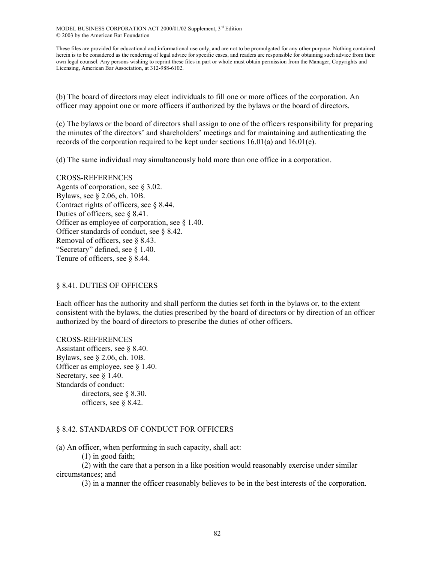These files are provided for educational and informational use only, and are not to be promulgated for any other purpose. Nothing contained herein is to be considered as the rendering of legal advice for specific cases, and readers are responsible for obtaining such advice from their own legal counsel. Any persons wishing to reprint these files in part or whole must obtain permission from the Manager, Copyrights and Licensing, American Bar Association, at 312-988-6102.

(b) The board of directors may elect individuals to fill one or more offices of the corporation. An officer may appoint one or more officers if authorized by the bylaws or the board of directors.

(c) The bylaws or the board of directors shall assign to one of the officers responsibility for preparing the minutes of the directors' and shareholders' meetings and for maintaining and authenticating the records of the corporation required to be kept under sections 16.01(a) and 16.01(e).

(d) The same individual may simultaneously hold more than one office in a corporation.

CROSS-REFERENCES Agents of corporation, see § 3.02. Bylaws, see § 2.06, ch. 10B. Contract rights of officers, see § 8.44. Duties of officers, see § 8.41. Officer as employee of corporation, see § 1.40. Officer standards of conduct, see § 8.42. Removal of officers, see § 8.43. "Secretary" defined, see § 1.40. Tenure of officers, see § 8.44.

#### § 8.41. DUTIES OF OFFICERS

Each officer has the authority and shall perform the duties set forth in the bylaws or, to the extent consistent with the bylaws, the duties prescribed by the board of directors or by direction of an officer authorized by the board of directors to prescribe the duties of other officers.

CROSS-REFERENCES Assistant officers, see § 8.40. Bylaws, see § 2.06, ch. 10B. Officer as employee, see § 1.40. Secretary, see § 1.40. Standards of conduct: directors, see § 8.30. officers, see § 8.42.

#### § 8.42. STANDARDS OF CONDUCT FOR OFFICERS

(a) An officer, when performing in such capacity, shall act:

(1) in good faith;

 (2) with the care that a person in a like position would reasonably exercise under similar circumstances; and

(3) in a manner the officer reasonably believes to be in the best interests of the corporation.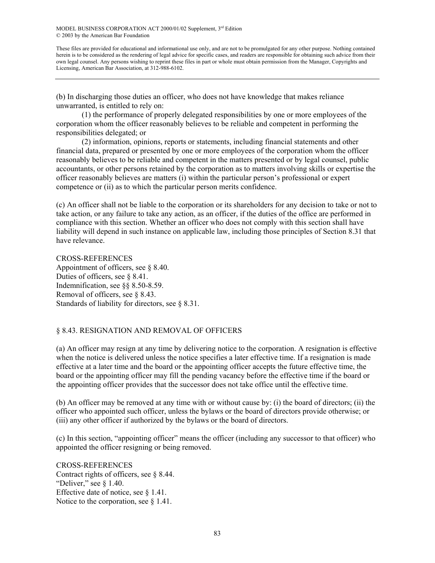(b) In discharging those duties an officer, who does not have knowledge that makes reliance unwarranted, is entitled to rely on:

 (1) the performance of properly delegated responsibilities by one or more employees of the corporation whom the officer reasonably believes to be reliable and competent in performing the responsibilities delegated; or

 (2) information, opinions, reports or statements, including financial statements and other financial data, prepared or presented by one or more employees of the corporation whom the officer reasonably believes to be reliable and competent in the matters presented or by legal counsel, public accountants, or other persons retained by the corporation as to matters involving skills or expertise the officer reasonably believes are matters (i) within the particular person's professional or expert competence or (ii) as to which the particular person merits confidence.

(c) An officer shall not be liable to the corporation or its shareholders for any decision to take or not to take action, or any failure to take any action, as an officer, if the duties of the office are performed in compliance with this section. Whether an officer who does not comply with this section shall have liability will depend in such instance on applicable law, including those principles of Section 8.31 that have relevance.

CROSS-REFERENCES Appointment of officers, see § 8.40. Duties of officers, see § 8.41. Indemnification, see §§ 8.50-8.59. Removal of officers, see § 8.43. Standards of liability for directors, see § 8.31.

# § 8.43. RESIGNATION AND REMOVAL OF OFFICERS

(a) An officer may resign at any time by delivering notice to the corporation. A resignation is effective when the notice is delivered unless the notice specifies a later effective time. If a resignation is made effective at a later time and the board or the appointing officer accepts the future effective time, the board or the appointing officer may fill the pending vacancy before the effective time if the board or the appointing officer provides that the successor does not take office until the effective time.

(b) An officer may be removed at any time with or without cause by: (i) the board of directors; (ii) the officer who appointed such officer, unless the bylaws or the board of directors provide otherwise; or (iii) any other officer if authorized by the bylaws or the board of directors.

(c) In this section, "appointing officer" means the officer (including any successor to that officer) who appointed the officer resigning or being removed.

CROSS-REFERENCES Contract rights of officers, see § 8.44. "Deliver," see  $§$  1.40. Effective date of notice, see § 1.41. Notice to the corporation, see § 1.41.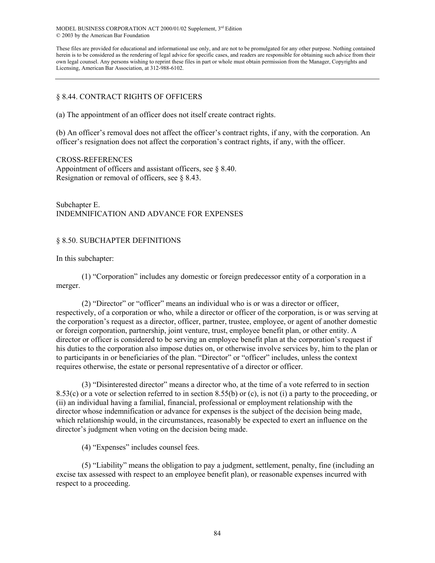These files are provided for educational and informational use only, and are not to be promulgated for any other purpose. Nothing contained herein is to be considered as the rendering of legal advice for specific cases, and readers are responsible for obtaining such advice from their own legal counsel. Any persons wishing to reprint these files in part or whole must obtain permission from the Manager, Copyrights and Licensing, American Bar Association, at 312-988-6102.

## § 8.44. CONTRACT RIGHTS OF OFFICERS

(a) The appointment of an officer does not itself create contract rights.

(b) An officer's removal does not affect the officer's contract rights, if any, with the corporation. An officer's resignation does not affect the corporation's contract rights, if any, with the officer.

CROSS-REFERENCES Appointment of officers and assistant officers, see § 8.40. Resignation or removal of officers, see § 8.43.

Subchapter E. INDEMNIFICATION AND ADVANCE FOR EXPENSES

## § 8.50. SUBCHAPTER DEFINITIONS

In this subchapter:

 (1) "Corporation" includes any domestic or foreign predecessor entity of a corporation in a merger.

 (2) "Director" or "officer" means an individual who is or was a director or officer, respectively, of a corporation or who, while a director or officer of the corporation, is or was serving at the corporation's request as a director, officer, partner, trustee, employee, or agent of another domestic or foreign corporation, partnership, joint venture, trust, employee benefit plan, or other entity. A director or officer is considered to be serving an employee benefit plan at the corporation's request if his duties to the corporation also impose duties on, or otherwise involve services by, him to the plan or to participants in or beneficiaries of the plan. "Director" or "officer" includes, unless the context requires otherwise, the estate or personal representative of a director or officer.

 (3) "Disinterested director" means a director who, at the time of a vote referred to in section 8.53(c) or a vote or selection referred to in section 8.55(b) or (c), is not (i) a party to the proceeding, or (ii) an individual having a familial, financial, professional or employment relationship with the director whose indemnification or advance for expenses is the subject of the decision being made, which relationship would, in the circumstances, reasonably be expected to exert an influence on the director's judgment when voting on the decision being made.

(4) "Expenses" includes counsel fees.

 (5) "Liability" means the obligation to pay a judgment, settlement, penalty, fine (including an excise tax assessed with respect to an employee benefit plan), or reasonable expenses incurred with respect to a proceeding.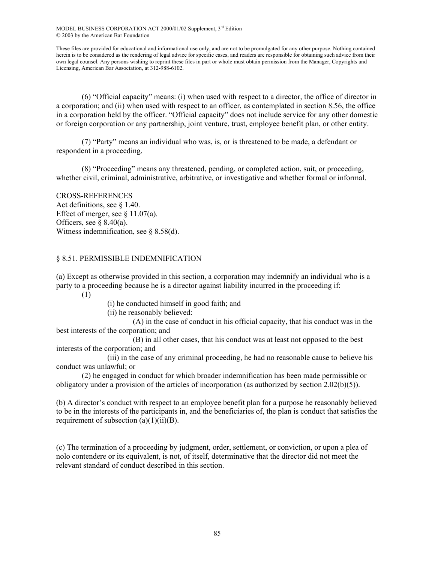These files are provided for educational and informational use only, and are not to be promulgated for any other purpose. Nothing contained herein is to be considered as the rendering of legal advice for specific cases, and readers are responsible for obtaining such advice from their own legal counsel. Any persons wishing to reprint these files in part or whole must obtain permission from the Manager, Copyrights and Licensing, American Bar Association, at 312-988-6102.

 (6) "Official capacity" means: (i) when used with respect to a director, the office of director in a corporation; and (ii) when used with respect to an officer, as contemplated in section 8.56, the office in a corporation held by the officer. "Official capacity" does not include service for any other domestic or foreign corporation or any partnership, joint venture, trust, employee benefit plan, or other entity.

 (7) "Party" means an individual who was, is, or is threatened to be made, a defendant or respondent in a proceeding.

 (8) "Proceeding" means any threatened, pending, or completed action, suit, or proceeding, whether civil, criminal, administrative, arbitrative, or investigative and whether formal or informal.

CROSS-REFERENCES Act definitions, see § 1.40. Effect of merger, see  $\S$  11.07(a). Officers, see  $§ 8.40(a)$ . Witness indemnification, see § 8.58(d).

## § 8.51. PERMISSIBLE INDEMNIFICATION

(a) Except as otherwise provided in this section, a corporation may indemnify an individual who is a party to a proceeding because he is a director against liability incurred in the proceeding if:

(1)

(i) he conducted himself in good faith; and

(ii) he reasonably believed:

 (A) in the case of conduct in his official capacity, that his conduct was in the best interests of the corporation; and

 (B) in all other cases, that his conduct was at least not opposed to the best interests of the corporation; and

 (iii) in the case of any criminal proceeding, he had no reasonable cause to believe his conduct was unlawful; or

 (2) he engaged in conduct for which broader indemnification has been made permissible or obligatory under a provision of the articles of incorporation (as authorized by section  $2.02(b)(5)$ ).

(b) A director's conduct with respect to an employee benefit plan for a purpose he reasonably believed to be in the interests of the participants in, and the beneficiaries of, the plan is conduct that satisfies the requirement of subsection  $(a)(1)(ii)(B)$ .

(c) The termination of a proceeding by judgment, order, settlement, or conviction, or upon a plea of nolo contendere or its equivalent, is not, of itself, determinative that the director did not meet the relevant standard of conduct described in this section.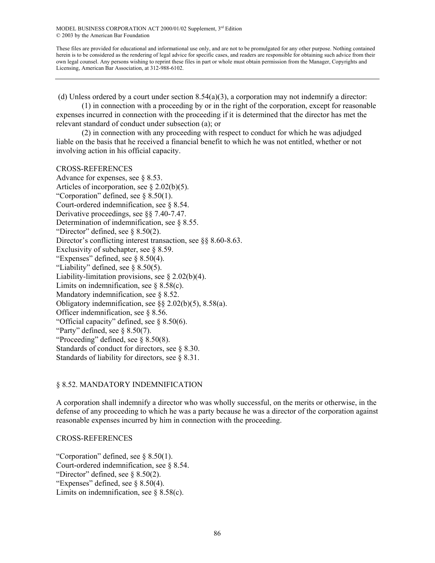(d) Unless ordered by a court under section  $8.54(a)(3)$ , a corporation may not indemnify a director:

 (1) in connection with a proceeding by or in the right of the corporation, except for reasonable expenses incurred in connection with the proceeding if it is determined that the director has met the relevant standard of conduct under subsection (a); or

 (2) in connection with any proceeding with respect to conduct for which he was adjudged liable on the basis that he received a financial benefit to which he was not entitled, whether or not involving action in his official capacity.

## CROSS-REFERENCES

Advance for expenses, see § 8.53. Articles of incorporation, see § 2.02(b)(5). "Corporation" defined, see § 8.50(1). Court-ordered indemnification, see § 8.54. Derivative proceedings, see §§ 7.40-7.47. Determination of indemnification, see § 8.55. "Director" defined, see  $\S$  8.50(2). Director's conflicting interest transaction, see §§ 8.60-8.63. Exclusivity of subchapter, see § 8.59. "Expenses" defined, see § 8.50(4). "Liability" defined, see § 8.50(5). Liability-limitation provisions, see  $\S 2.02(b)(4)$ . Limits on indemnification, see  $\S$  8.58(c). Mandatory indemnification, see § 8.52. Obligatory indemnification, see §§ 2.02(b)(5), 8.58(a). Officer indemnification, see § 8.56. "Official capacity" defined, see § 8.50(6). "Party" defined, see  $\S 8.50(7)$ . "Proceeding" defined, see  $\S$  8.50(8). Standards of conduct for directors, see § 8.30. Standards of liability for directors, see § 8.31.

# § 8.52. MANDATORY INDEMNIFICATION

A corporation shall indemnify a director who was wholly successful, on the merits or otherwise, in the defense of any proceeding to which he was a party because he was a director of the corporation against reasonable expenses incurred by him in connection with the proceeding.

## CROSS-REFERENCES

"Corporation" defined, see § 8.50(1). Court-ordered indemnification, see § 8.54. "Director" defined, see § 8.50(2). "Expenses" defined, see  $§ 8.50(4)$ . Limits on indemnification, see  $\S$  8.58(c).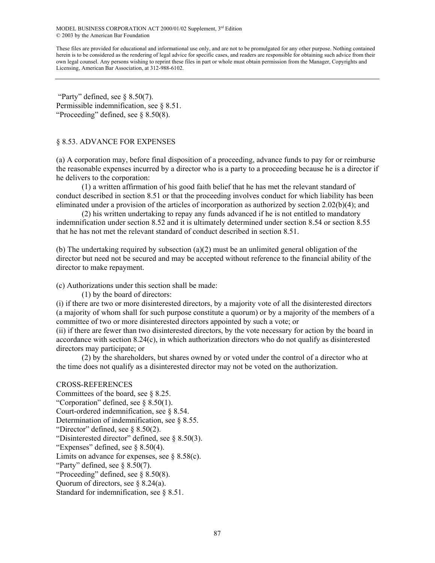These files are provided for educational and informational use only, and are not to be promulgated for any other purpose. Nothing contained herein is to be considered as the rendering of legal advice for specific cases, and readers are responsible for obtaining such advice from their own legal counsel. Any persons wishing to reprint these files in part or whole must obtain permission from the Manager, Copyrights and Licensing, American Bar Association, at 312-988-6102.

"Party" defined, see  $8.50(7)$ . Permissible indemnification, see § 8.51. "Proceeding" defined, see § 8.50(8).

#### § 8.53. ADVANCE FOR EXPENSES

(a) A corporation may, before final disposition of a proceeding, advance funds to pay for or reimburse the reasonable expenses incurred by a director who is a party to a proceeding because he is a director if he delivers to the corporation:

 (1) a written affirmation of his good faith belief that he has met the relevant standard of conduct described in section 8.51 or that the proceeding involves conduct for which liability has been eliminated under a provision of the articles of incorporation as authorized by section 2.02(b)(4); and

 (2) his written undertaking to repay any funds advanced if he is not entitled to mandatory indemnification under section 8.52 and it is ultimately determined under section 8.54 or section 8.55 that he has not met the relevant standard of conduct described in section 8.51.

(b) The undertaking required by subsection (a)(2) must be an unlimited general obligation of the director but need not be secured and may be accepted without reference to the financial ability of the director to make repayment.

(c) Authorizations under this section shall be made:

(1) by the board of directors:

(i) if there are two or more disinterested directors, by a majority vote of all the disinterested directors (a majority of whom shall for such purpose constitute a quorum) or by a majority of the members of a committee of two or more disinterested directors appointed by such a vote; or

(ii) if there are fewer than two disinterested directors, by the vote necessary for action by the board in accordance with section 8.24(c), in which authorization directors who do not qualify as disinterested directors may participate; or

 (2) by the shareholders, but shares owned by or voted under the control of a director who at the time does not qualify as a disinterested director may not be voted on the authorization.

## CROSS-REFERENCES

Committees of the board, see § 8.25. "Corporation" defined, see § 8.50(1). Court-ordered indemnification, see § 8.54. Determination of indemnification, see § 8.55. "Director" defined, see  $\S$  8.50(2). "Disinterested director" defined, see § 8.50(3). "Expenses" defined, see  $\S$  8.50(4). Limits on advance for expenses, see  $\S$  8.58(c). "Party" defined, see  $\S$  8.50(7). "Proceeding" defined, see  $§ 8.50(8)$ . Quorum of directors, see § 8.24(a). Standard for indemnification, see § 8.51.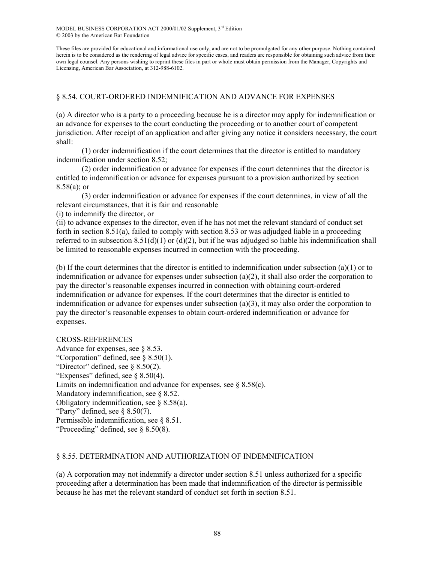These files are provided for educational and informational use only, and are not to be promulgated for any other purpose. Nothing contained herein is to be considered as the rendering of legal advice for specific cases, and readers are responsible for obtaining such advice from their own legal counsel. Any persons wishing to reprint these files in part or whole must obtain permission from the Manager, Copyrights and Licensing, American Bar Association, at 312-988-6102.

## § 8.54. COURT-ORDERED INDEMNIFICATION AND ADVANCE FOR EXPENSES

(a) A director who is a party to a proceeding because he is a director may apply for indemnification or an advance for expenses to the court conducting the proceeding or to another court of competent jurisdiction. After receipt of an application and after giving any notice it considers necessary, the court shall:

 (1) order indemnification if the court determines that the director is entitled to mandatory indemnification under section 8.52;

 (2) order indemnification or advance for expenses if the court determines that the director is entitled to indemnification or advance for expenses pursuant to a provision authorized by section  $8.58(a)$ ; or

 (3) order indemnification or advance for expenses if the court determines, in view of all the relevant circumstances, that it is fair and reasonable

(i) to indemnify the director, or

(ii) to advance expenses to the director, even if he has not met the relevant standard of conduct set forth in section 8.51(a), failed to comply with section 8.53 or was adjudged liable in a proceeding referred to in subsection 8.51(d)(1) or (d)(2), but if he was adjudged so liable his indemnification shall be limited to reasonable expenses incurred in connection with the proceeding.

(b) If the court determines that the director is entitled to indemnification under subsection (a)(1) or to indemnification or advance for expenses under subsection  $(a)(2)$ , it shall also order the corporation to pay the director's reasonable expenses incurred in connection with obtaining court-ordered indemnification or advance for expenses. If the court determines that the director is entitled to indemnification or advance for expenses under subsection  $(a)(3)$ , it may also order the corporation to pay the director's reasonable expenses to obtain court-ordered indemnification or advance for expenses.

## CROSS-REFERENCES

Advance for expenses, see § 8.53. "Corporation" defined, see § 8.50(1). "Director" defined, see  $\S$  8.50(2). "Expenses" defined, see  $\S$  8.50(4). Limits on indemnification and advance for expenses, see § 8.58(c). Mandatory indemnification, see § 8.52. Obligatory indemnification, see § 8.58(a). "Party" defined, see  $\S$  8.50(7). Permissible indemnification, see § 8.51. "Proceeding" defined, see  $\S$  8.50(8).

## § 8.55. DETERMINATION AND AUTHORIZATION OF INDEMNIFICATION

(a) A corporation may not indemnify a director under section 8.51 unless authorized for a specific proceeding after a determination has been made that indemnification of the director is permissible because he has met the relevant standard of conduct set forth in section 8.51.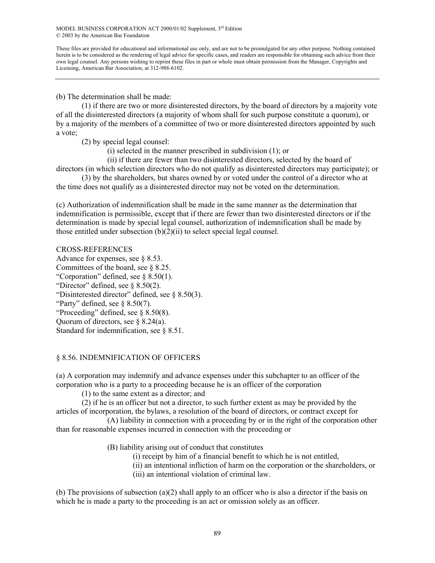These files are provided for educational and informational use only, and are not to be promulgated for any other purpose. Nothing contained herein is to be considered as the rendering of legal advice for specific cases, and readers are responsible for obtaining such advice from their own legal counsel. Any persons wishing to reprint these files in part or whole must obtain permission from the Manager, Copyrights and Licensing, American Bar Association, at 312-988-6102.

(b) The determination shall be made:

 (1) if there are two or more disinterested directors, by the board of directors by a majority vote of all the disinterested directors (a majority of whom shall for such purpose constitute a quorum), or by a majority of the members of a committee of two or more disinterested directors appointed by such a vote;

(2) by special legal counsel:

(i) selected in the manner prescribed in subdivision (1); or

 (ii) if there are fewer than two disinterested directors, selected by the board of directors (in which selection directors who do not qualify as disinterested directors may participate); or

 (3) by the shareholders, but shares owned by or voted under the control of a director who at the time does not qualify as a disinterested director may not be voted on the determination.

(c) Authorization of indemnification shall be made in the same manner as the determination that indemnification is permissible, except that if there are fewer than two disinterested directors or if the determination is made by special legal counsel, authorization of indemnification shall be made by those entitled under subsection  $(b)(2)(ii)$  to select special legal counsel.

#### CROSS-REFERENCES

Advance for expenses, see § 8.53. Committees of the board, see § 8.25. "Corporation" defined, see § 8.50(1). "Director" defined, see § 8.50(2). "Disinterested director" defined, see § 8.50(3). "Party" defined, see  $\S$  8.50(7). "Proceeding" defined, see § 8.50(8). Quorum of directors, see § 8.24(a). Standard for indemnification, see § 8.51.

## § 8.56. INDEMNIFICATION OF OFFICERS

(a) A corporation may indemnify and advance expenses under this subchapter to an officer of the corporation who is a party to a proceeding because he is an officer of the corporation

(1) to the same extent as a director; and

 (2) if he is an officer but not a director, to such further extent as may be provided by the articles of incorporation, the bylaws, a resolution of the board of directors, or contract except for

 (A) liability in connection with a proceeding by or in the right of the corporation other than for reasonable expenses incurred in connection with the proceeding or

(B) liability arising out of conduct that constitutes

(i) receipt by him of a financial benefit to which he is not entitled,

(ii) an intentional infliction of harm on the corporation or the shareholders, or

(iii) an intentional violation of criminal law.

(b) The provisions of subsection (a)(2) shall apply to an officer who is also a director if the basis on which he is made a party to the proceeding is an act or omission solely as an officer.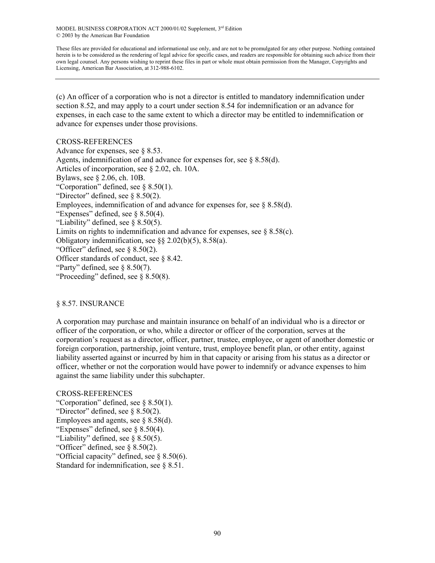These files are provided for educational and informational use only, and are not to be promulgated for any other purpose. Nothing contained herein is to be considered as the rendering of legal advice for specific cases, and readers are responsible for obtaining such advice from their own legal counsel. Any persons wishing to reprint these files in part or whole must obtain permission from the Manager, Copyrights and Licensing, American Bar Association, at 312-988-6102.

(c) An officer of a corporation who is not a director is entitled to mandatory indemnification under section 8.52, and may apply to a court under section 8.54 for indemnification or an advance for expenses, in each case to the same extent to which a director may be entitled to indemnification or advance for expenses under those provisions.

#### CROSS-REFERENCES

Advance for expenses, see § 8.53. Agents, indemnification of and advance for expenses for, see § 8.58(d). Articles of incorporation, see § 2.02, ch. 10A. Bylaws, see § 2.06, ch. 10B. "Corporation" defined, see § 8.50(1). "Director" defined, see § 8.50(2). Employees, indemnification of and advance for expenses for, see § 8.58(d). "Expenses" defined, see § 8.50(4). "Liability" defined, see § 8.50(5). Limits on rights to indemnification and advance for expenses, see  $\S 8.58(c)$ . Obligatory indemnification, see §§ 2.02(b)(5), 8.58(a). "Officer" defined, see  $\S$  8.50(2). Officer standards of conduct, see § 8.42. "Party" defined, see  $\S$  8.50(7). "Proceeding" defined, see  $\S$  8.50(8).

## § 8.57. INSURANCE

A corporation may purchase and maintain insurance on behalf of an individual who is a director or officer of the corporation, or who, while a director or officer of the corporation, serves at the corporation's request as a director, officer, partner, trustee, employee, or agent of another domestic or foreign corporation, partnership, joint venture, trust, employee benefit plan, or other entity, against liability asserted against or incurred by him in that capacity or arising from his status as a director or officer, whether or not the corporation would have power to indemnify or advance expenses to him against the same liability under this subchapter.

## CROSS-REFERENCES "Corporation" defined, see § 8.50(1). "Director" defined, see § 8.50(2). Employees and agents, see  $\S$  8.58(d). "Expenses" defined, see  $\S$  8.50(4). "Liability" defined, see § 8.50(5). "Officer" defined, see  $\S$  8.50(2). "Official capacity" defined, see § 8.50(6). Standard for indemnification, see § 8.51.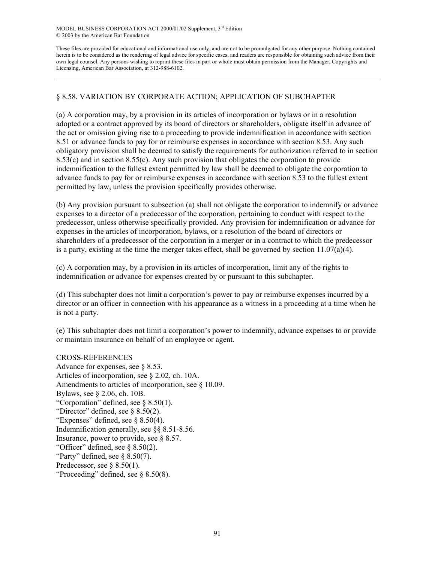# § 8.58. VARIATION BY CORPORATE ACTION; APPLICATION OF SUBCHAPTER

(a) A corporation may, by a provision in its articles of incorporation or bylaws or in a resolution adopted or a contract approved by its board of directors or shareholders, obligate itself in advance of the act or omission giving rise to a proceeding to provide indemnification in accordance with section 8.51 or advance funds to pay for or reimburse expenses in accordance with section 8.53. Any such obligatory provision shall be deemed to satisfy the requirements for authorization referred to in section 8.53(c) and in section 8.55(c). Any such provision that obligates the corporation to provide indemnification to the fullest extent permitted by law shall be deemed to obligate the corporation to advance funds to pay for or reimburse expenses in accordance with section 8.53 to the fullest extent permitted by law, unless the provision specifically provides otherwise.

(b) Any provision pursuant to subsection (a) shall not obligate the corporation to indemnify or advance expenses to a director of a predecessor of the corporation, pertaining to conduct with respect to the predecessor, unless otherwise specifically provided. Any provision for indemnification or advance for expenses in the articles of incorporation, bylaws, or a resolution of the board of directors or shareholders of a predecessor of the corporation in a merger or in a contract to which the predecessor is a party, existing at the time the merger takes effect, shall be governed by section  $11.07(a)(4)$ .

(c) A corporation may, by a provision in its articles of incorporation, limit any of the rights to indemnification or advance for expenses created by or pursuant to this subchapter.

(d) This subchapter does not limit a corporation's power to pay or reimburse expenses incurred by a director or an officer in connection with his appearance as a witness in a proceeding at a time when he is not a party.

(e) This subchapter does not limit a corporation's power to indemnify, advance expenses to or provide or maintain insurance on behalf of an employee or agent.

#### CROSS-REFERENCES

Advance for expenses, see § 8.53. Articles of incorporation, see § 2.02, ch. 10A. Amendments to articles of incorporation, see § 10.09. Bylaws, see § 2.06, ch. 10B. "Corporation" defined, see § 8.50(1). "Director" defined, see § 8.50(2). "Expenses" defined, see § 8.50(4). Indemnification generally, see §§ 8.51-8.56. Insurance, power to provide, see § 8.57. "Officer" defined, see  $\S$  8.50(2). "Party" defined, see  $\S$  8.50(7). Predecessor, see  $\S$  8.50(1). "Proceeding" defined, see  $\S$  8.50(8).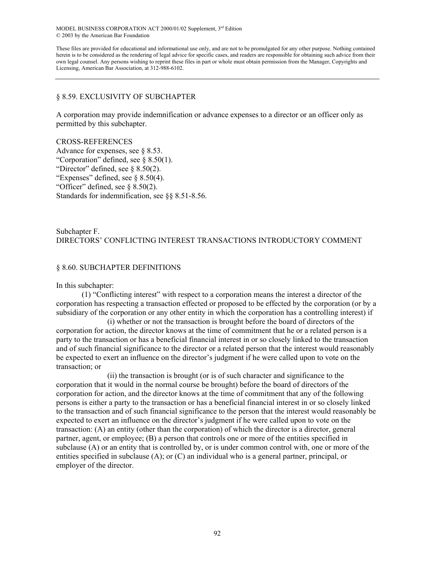These files are provided for educational and informational use only, and are not to be promulgated for any other purpose. Nothing contained herein is to be considered as the rendering of legal advice for specific cases, and readers are responsible for obtaining such advice from their own legal counsel. Any persons wishing to reprint these files in part or whole must obtain permission from the Manager, Copyrights and Licensing, American Bar Association, at 312-988-6102.

## § 8.59. EXCLUSIVITY OF SUBCHAPTER

A corporation may provide indemnification or advance expenses to a director or an officer only as permitted by this subchapter.

CROSS-REFERENCES Advance for expenses, see § 8.53. "Corporation" defined, see § 8.50(1). "Director" defined, see § 8.50(2). "Expenses" defined, see § 8.50(4). "Officer" defined, see  $\S$  8.50(2). Standards for indemnification, see §§ 8.51-8.56.

## Subchapter F. DIRECTORS' CONFLICTING INTEREST TRANSACTIONS INTRODUCTORY COMMENT

## § 8.60. SUBCHAPTER DEFINITIONS

In this subchapter:

 (1) "Conflicting interest" with respect to a corporation means the interest a director of the corporation has respecting a transaction effected or proposed to be effected by the corporation (or by a subsidiary of the corporation or any other entity in which the corporation has a controlling interest) if

 (i) whether or not the transaction is brought before the board of directors of the corporation for action, the director knows at the time of commitment that he or a related person is a party to the transaction or has a beneficial financial interest in or so closely linked to the transaction and of such financial significance to the director or a related person that the interest would reasonably be expected to exert an influence on the director's judgment if he were called upon to vote on the transaction; or

 (ii) the transaction is brought (or is of such character and significance to the corporation that it would in the normal course be brought) before the board of directors of the corporation for action, and the director knows at the time of commitment that any of the following persons is either a party to the transaction or has a beneficial financial interest in or so closely linked to the transaction and of such financial significance to the person that the interest would reasonably be expected to exert an influence on the director's judgment if he were called upon to vote on the transaction: (A) an entity (other than the corporation) of which the director is a director, general partner, agent, or employee; (B) a person that controls one or more of the entities specified in subclause (A) or an entity that is controlled by, or is under common control with, one or more of the entities specified in subclause (A); or (C) an individual who is a general partner, principal, or employer of the director.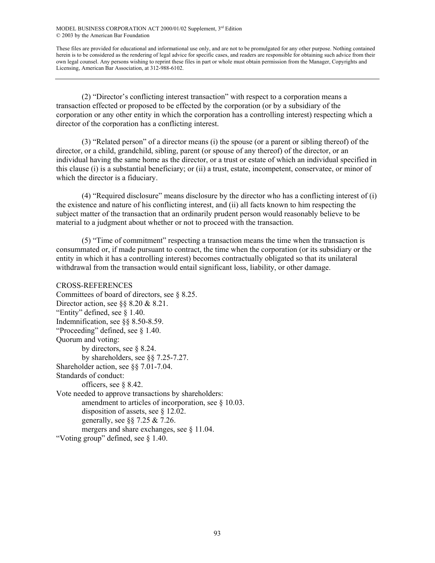These files are provided for educational and informational use only, and are not to be promulgated for any other purpose. Nothing contained herein is to be considered as the rendering of legal advice for specific cases, and readers are responsible for obtaining such advice from their own legal counsel. Any persons wishing to reprint these files in part or whole must obtain permission from the Manager, Copyrights and Licensing, American Bar Association, at 312-988-6102.

 (2) "Director's conflicting interest transaction" with respect to a corporation means a transaction effected or proposed to be effected by the corporation (or by a subsidiary of the corporation or any other entity in which the corporation has a controlling interest) respecting which a director of the corporation has a conflicting interest.

 (3) "Related person" of a director means (i) the spouse (or a parent or sibling thereof) of the director, or a child, grandchild, sibling, parent (or spouse of any thereof) of the director, or an individual having the same home as the director, or a trust or estate of which an individual specified in this clause (i) is a substantial beneficiary; or (ii) a trust, estate, incompetent, conservatee, or minor of which the director is a fiduciary.

 (4) "Required disclosure" means disclosure by the director who has a conflicting interest of (i) the existence and nature of his conflicting interest, and (ii) all facts known to him respecting the subject matter of the transaction that an ordinarily prudent person would reasonably believe to be material to a judgment about whether or not to proceed with the transaction.

 (5) "Time of commitment" respecting a transaction means the time when the transaction is consummated or, if made pursuant to contract, the time when the corporation (or its subsidiary or the entity in which it has a controlling interest) becomes contractually obligated so that its unilateral withdrawal from the transaction would entail significant loss, liability, or other damage.

CROSS-REFERENCES Committees of board of directors, see § 8.25. Director action, see §§ 8.20 & 8.21. "Entity" defined, see § 1.40. Indemnification, see §§ 8.50-8.59. "Proceeding" defined, see § 1.40. Quorum and voting: by directors, see § 8.24. by shareholders, see §§ 7.25-7.27. Shareholder action, see §§ 7.01-7.04. Standards of conduct: officers, see § 8.42. Vote needed to approve transactions by shareholders: amendment to articles of incorporation, see § 10.03. disposition of assets, see § 12.02. generally, see §§ 7.25 & 7.26. mergers and share exchanges, see § 11.04. "Voting group" defined, see § 1.40.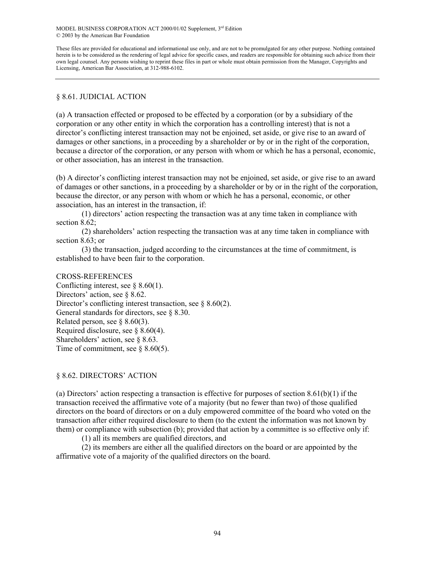These files are provided for educational and informational use only, and are not to be promulgated for any other purpose. Nothing contained herein is to be considered as the rendering of legal advice for specific cases, and readers are responsible for obtaining such advice from their own legal counsel. Any persons wishing to reprint these files in part or whole must obtain permission from the Manager, Copyrights and Licensing, American Bar Association, at 312-988-6102.

## § 8.61. JUDICIAL ACTION

(a) A transaction effected or proposed to be effected by a corporation (or by a subsidiary of the corporation or any other entity in which the corporation has a controlling interest) that is not a director's conflicting interest transaction may not be enjoined, set aside, or give rise to an award of damages or other sanctions, in a proceeding by a shareholder or by or in the right of the corporation, because a director of the corporation, or any person with whom or which he has a personal, economic, or other association, has an interest in the transaction.

(b) A director's conflicting interest transaction may not be enjoined, set aside, or give rise to an award of damages or other sanctions, in a proceeding by a shareholder or by or in the right of the corporation, because the director, or any person with whom or which he has a personal, economic, or other association, has an interest in the transaction, if:

 (1) directors' action respecting the transaction was at any time taken in compliance with section 8.62;

 (2) shareholders' action respecting the transaction was at any time taken in compliance with section 8.63; or

 (3) the transaction, judged according to the circumstances at the time of commitment, is established to have been fair to the corporation.

#### CROSS-REFERENCES

Conflicting interest, see  $\S$  8.60(1). Directors' action, see  $8, 8, 62$ . Director's conflicting interest transaction, see § 8.60(2). General standards for directors, see § 8.30. Related person, see  $\S$  8.60(3). Required disclosure, see § 8.60(4). Shareholders' action, see § 8.63. Time of commitment, see § 8.60(5).

## § 8.62. DIRECTORS' ACTION

(a) Directors' action respecting a transaction is effective for purposes of section  $8.61(b)(1)$  if the transaction received the affirmative vote of a majority (but no fewer than two) of those qualified directors on the board of directors or on a duly empowered committee of the board who voted on the transaction after either required disclosure to them (to the extent the information was not known by them) or compliance with subsection (b); provided that action by a committee is so effective only if:

(1) all its members are qualified directors, and

 (2) its members are either all the qualified directors on the board or are appointed by the affirmative vote of a majority of the qualified directors on the board.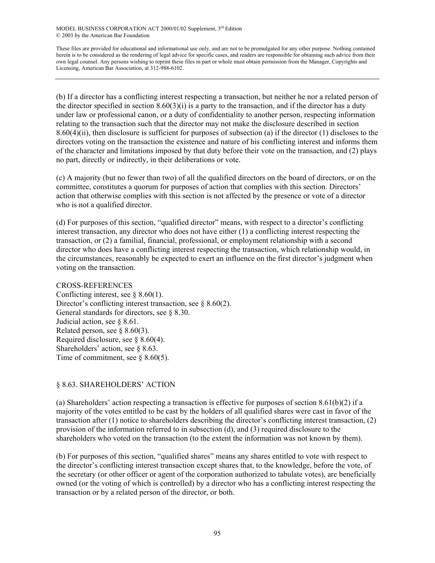(b) If a director has a conflicting interest respecting a transaction, but neither he nor a related person of the director specified in section  $8.60(3)(i)$  is a party to the transaction, and if the director has a duty under law or professional canon, or a duty of confidentiality to another person, respecting information relating to the transaction such that the director may not make the disclosure described in section  $8.60(4)$ (ii), then disclosure is sufficient for purposes of subsection (a) if the director (1) discloses to the directors voting on the transaction the existence and nature of his conflicting interest and informs them of the character and limitations imposed by that duty before their vote on the transaction, and (2) plays no part, directly or indirectly, in their deliberations or vote.

(c) A majority (but no fewer than two) of all the qualified directors on the board of directors, or on the committee, constitutes a quorum for purposes of action that complies with this section. Directors' action that otherwise complies with this section is not affected by the presence or vote of a director who is not a qualified director.

(d) For purposes of this section, "qualified director" means, with respect to a director's conflicting interest transaction, any director who does not have either (1) a conflicting interest respecting the transaction, or (2) a familial, financial, professional, or employment relationship with a second director who does have a conflicting interest respecting the transaction, which relationship would, in the circumstances, reasonably be expected to exert an influence on the first director's judgment when voting on the transaction.

CROSS-REFERENCES Conflicting interest, see § 8.60(1). Director's conflicting interest transaction, see § 8.60(2). General standards for directors, see § 8.30. Judicial action, see § 8.61. Related person, see § 8.60(3). Required disclosure, see § 8.60(4). Shareholders' action, see § 8.63. Time of commitment, see  $\S$  8.60(5).

# § 8.63. SHAREHOLDERS' ACTION

(a) Shareholders' action respecting a transaction is effective for purposes of section  $8.61(b)(2)$  if a majority of the votes entitled to be cast by the holders of all qualified shares were cast in favor of the transaction after (1) notice to shareholders describing the director's conflicting interest transaction, (2) provision of the information referred to in subsection (d), and (3) required disclosure to the shareholders who voted on the transaction (to the extent the information was not known by them).

(b) For purposes of this section, "qualified shares" means any shares entitled to vote with respect to the director's conflicting interest transaction except shares that, to the knowledge, before the vote, of the secretary (or other officer or agent of the corporation authorized to tabulate votes), are beneficially owned (or the voting of which is controlled) by a director who has a conflicting interest respecting the transaction or by a related person of the director, or both.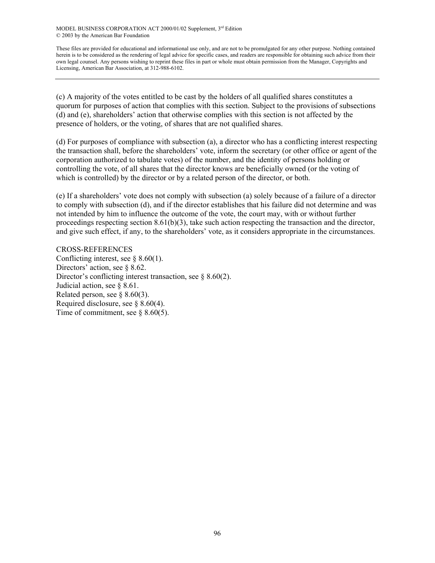(c) A majority of the votes entitled to be cast by the holders of all qualified shares constitutes a quorum for purposes of action that complies with this section. Subject to the provisions of subsections (d) and (e), shareholders' action that otherwise complies with this section is not affected by the presence of holders, or the voting, of shares that are not qualified shares.

(d) For purposes of compliance with subsection (a), a director who has a conflicting interest respecting the transaction shall, before the shareholders' vote, inform the secretary (or other office or agent of the corporation authorized to tabulate votes) of the number, and the identity of persons holding or controlling the vote, of all shares that the director knows are beneficially owned (or the voting of which is controlled) by the director or by a related person of the director, or both.

(e) If a shareholders' vote does not comply with subsection (a) solely because of a failure of a director to comply with subsection (d), and if the director establishes that his failure did not determine and was not intended by him to influence the outcome of the vote, the court may, with or without further proceedings respecting section 8.61(b)(3), take such action respecting the transaction and the director, and give such effect, if any, to the shareholders' vote, as it considers appropriate in the circumstances.

CROSS-REFERENCES Conflicting interest, see  $\S$  8.60(1). Directors' action, see § 8.62. Director's conflicting interest transaction, see § 8.60(2). Judicial action, see § 8.61. Related person, see  $\S$  8.60(3). Required disclosure, see § 8.60(4). Time of commitment, see  $\S$  8.60(5).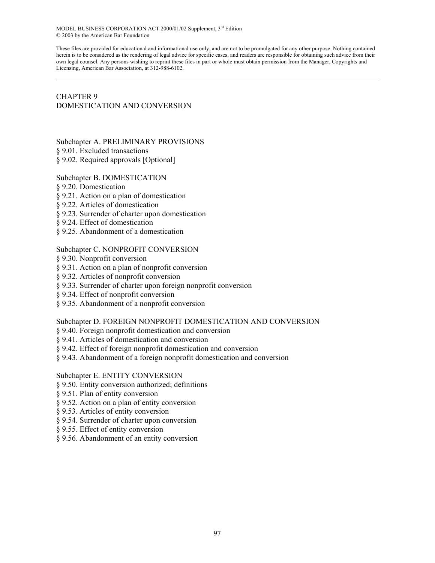These files are provided for educational and informational use only, and are not to be promulgated for any other purpose. Nothing contained herein is to be considered as the rendering of legal advice for specific cases, and readers are responsible for obtaining such advice from their own legal counsel. Any persons wishing to reprint these files in part or whole must obtain permission from the Manager, Copyrights and Licensing, American Bar Association, at 312-988-6102.

# CHAPTER 9 DOMESTICATION AND CONVERSION

#### Subchapter A. PRELIMINARY PROVISIONS

- § 9.01. Excluded transactions
- § 9.02. Required approvals [Optional]

Subchapter B. DOMESTICATION

- § 9.20. Domestication
- § 9.21. Action on a plan of domestication
- § 9.22. Articles of domestication
- § 9.23. Surrender of charter upon domestication
- § 9.24. Effect of domestication
- § 9.25. Abandonment of a domestication

#### Subchapter C. NONPROFIT CONVERSION

- § 9.30. Nonprofit conversion
- § 9.31. Action on a plan of nonprofit conversion
- § 9.32. Articles of nonprofit conversion
- § 9.33. Surrender of charter upon foreign nonprofit conversion
- § 9.34. Effect of nonprofit conversion
- § 9.35. Abandonment of a nonprofit conversion

#### Subchapter D. FOREIGN NONPROFIT DOMESTICATION AND CONVERSION

- § 9.40. Foreign nonprofit domestication and conversion
- § 9.41. Articles of domestication and conversion
- § 9.42. Effect of foreign nonprofit domestication and conversion
- § 9.43. Abandonment of a foreign nonprofit domestication and conversion

#### Subchapter E. ENTITY CONVERSION

- § 9.50. Entity conversion authorized; definitions
- § 9.51. Plan of entity conversion
- § 9.52. Action on a plan of entity conversion
- § 9.53. Articles of entity conversion
- § 9.54. Surrender of charter upon conversion
- § 9.55. Effect of entity conversion
- § 9.56. Abandonment of an entity conversion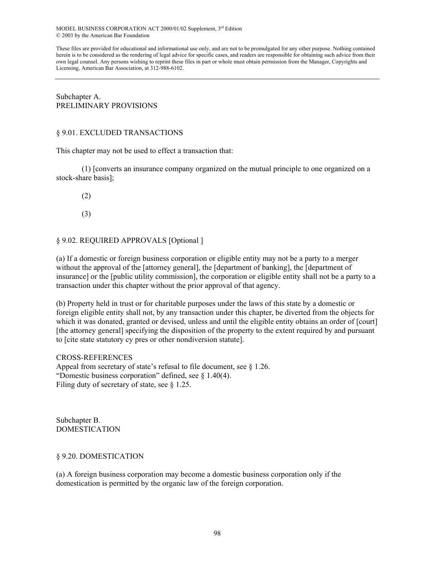These files are provided for educational and informational use only, and are not to be promulgated for any other purpose. Nothing contained herein is to be considered as the rendering of legal advice for specific cases, and readers are responsible for obtaining such advice from their own legal counsel. Any persons wishing to reprint these files in part or whole must obtain permission from the Manager, Copyrights and Licensing, American Bar Association, at 312-988-6102.

## Subchapter A. PRELIMINARY PROVISIONS

# § 9.01. EXCLUDED TRANSACTIONS

This chapter may not be used to effect a transaction that:

 (1) [converts an insurance company organized on the mutual principle to one organized on a stock-share basis];

(2)

(3)

# § 9.02. REQUIRED APPROVALS [Optional ]

(a) If a domestic or foreign business corporation or eligible entity may not be a party to a merger without the approval of the [attorney general], the [department of banking], the [department of insurance] or the [public utility commission], the corporation or eligible entity shall not be a party to a transaction under this chapter without the prior approval of that agency.

(b) Property held in trust or for charitable purposes under the laws of this state by a domestic or foreign eligible entity shall not, by any transaction under this chapter, be diverted from the objects for which it was donated, granted or devised, unless and until the eligible entity obtains an order of [court] [the attorney general] specifying the disposition of the property to the extent required by and pursuant to [cite state statutory cy pres or other nondiversion statute].

CROSS-REFERENCES Appeal from secretary of state's refusal to file document, see § 1.26.

"Domestic business corporation" defined, see § 1.40(4). Filing duty of secretary of state, see § 1.25.

Subchapter B. DOMESTICATION

# § 9.20. DOMESTICATION

(a) A foreign business corporation may become a domestic business corporation only if the domestication is permitted by the organic law of the foreign corporation.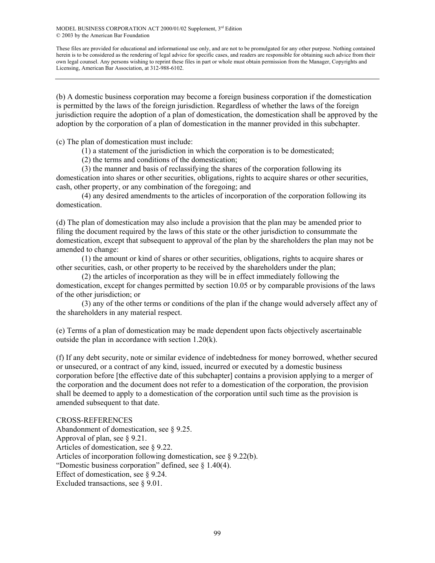These files are provided for educational and informational use only, and are not to be promulgated for any other purpose. Nothing contained herein is to be considered as the rendering of legal advice for specific cases, and readers are responsible for obtaining such advice from their own legal counsel. Any persons wishing to reprint these files in part or whole must obtain permission from the Manager, Copyrights and Licensing, American Bar Association, at 312-988-6102.

(b) A domestic business corporation may become a foreign business corporation if the domestication is permitted by the laws of the foreign jurisdiction. Regardless of whether the laws of the foreign jurisdiction require the adoption of a plan of domestication, the domestication shall be approved by the adoption by the corporation of a plan of domestication in the manner provided in this subchapter.

(c) The plan of domestication must include:

- (1) a statement of the jurisdiction in which the corporation is to be domesticated;
- (2) the terms and conditions of the domestication;

 (3) the manner and basis of reclassifying the shares of the corporation following its domestication into shares or other securities, obligations, rights to acquire shares or other securities, cash, other property, or any combination of the foregoing; and

 (4) any desired amendments to the articles of incorporation of the corporation following its domestication.

(d) The plan of domestication may also include a provision that the plan may be amended prior to filing the document required by the laws of this state or the other jurisdiction to consummate the domestication, except that subsequent to approval of the plan by the shareholders the plan may not be amended to change:

 (1) the amount or kind of shares or other securities, obligations, rights to acquire shares or other securities, cash, or other property to be received by the shareholders under the plan;

 (2) the articles of incorporation as they will be in effect immediately following the domestication, except for changes permitted by section 10.05 or by comparable provisions of the laws of the other jurisdiction; or

 (3) any of the other terms or conditions of the plan if the change would adversely affect any of the shareholders in any material respect.

(e) Terms of a plan of domestication may be made dependent upon facts objectively ascertainable outside the plan in accordance with section 1.20(k).

(f) If any debt security, note or similar evidence of indebtedness for money borrowed, whether secured or unsecured, or a contract of any kind, issued, incurred or executed by a domestic business corporation before [the effective date of this subchapter] contains a provision applying to a merger of the corporation and the document does not refer to a domestication of the corporation, the provision shall be deemed to apply to a domestication of the corporation until such time as the provision is amended subsequent to that date.

CROSS-REFERENCES Abandonment of domestication, see § 9.25. Approval of plan, see § 9.21. Articles of domestication, see § 9.22. Articles of incorporation following domestication, see § 9.22(b). "Domestic business corporation" defined, see  $\S$  1.40(4). Effect of domestication, see § 9.24. Excluded transactions, see § 9.01.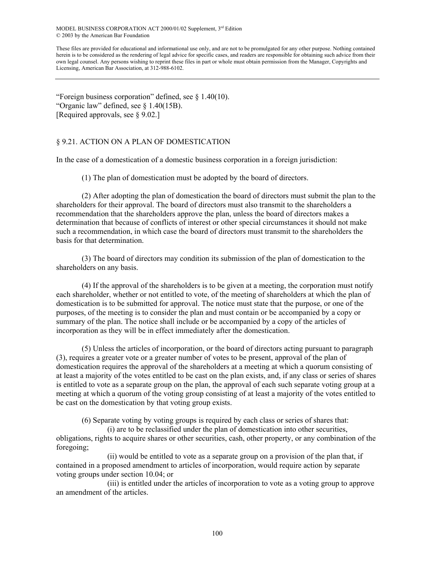These files are provided for educational and informational use only, and are not to be promulgated for any other purpose. Nothing contained herein is to be considered as the rendering of legal advice for specific cases, and readers are responsible for obtaining such advice from their own legal counsel. Any persons wishing to reprint these files in part or whole must obtain permission from the Manager, Copyrights and Licensing, American Bar Association, at 312-988-6102.

"Foreign business corporation" defined, see § 1.40(10). "Organic law" defined, see § 1.40(15B). [Required approvals, see § 9.02.]

## § 9.21. ACTION ON A PLAN OF DOMESTICATION

In the case of a domestication of a domestic business corporation in a foreign jurisdiction:

(1) The plan of domestication must be adopted by the board of directors.

 (2) After adopting the plan of domestication the board of directors must submit the plan to the shareholders for their approval. The board of directors must also transmit to the shareholders a recommendation that the shareholders approve the plan, unless the board of directors makes a determination that because of conflicts of interest or other special circumstances it should not make such a recommendation, in which case the board of directors must transmit to the shareholders the basis for that determination.

 (3) The board of directors may condition its submission of the plan of domestication to the shareholders on any basis.

 (4) If the approval of the shareholders is to be given at a meeting, the corporation must notify each shareholder, whether or not entitled to vote, of the meeting of shareholders at which the plan of domestication is to be submitted for approval. The notice must state that the purpose, or one of the purposes, of the meeting is to consider the plan and must contain or be accompanied by a copy or summary of the plan. The notice shall include or be accompanied by a copy of the articles of incorporation as they will be in effect immediately after the domestication.

 (5) Unless the articles of incorporation, or the board of directors acting pursuant to paragraph (3), requires a greater vote or a greater number of votes to be present, approval of the plan of domestication requires the approval of the shareholders at a meeting at which a quorum consisting of at least a majority of the votes entitled to be cast on the plan exists, and, if any class or series of shares is entitled to vote as a separate group on the plan, the approval of each such separate voting group at a meeting at which a quorum of the voting group consisting of at least a majority of the votes entitled to be cast on the domestication by that voting group exists.

(6) Separate voting by voting groups is required by each class or series of shares that:

(i) are to be reclassified under the plan of domestication into other securities,

obligations, rights to acquire shares or other securities, cash, other property, or any combination of the foregoing;

 (ii) would be entitled to vote as a separate group on a provision of the plan that, if contained in a proposed amendment to articles of incorporation, would require action by separate voting groups under section 10.04; or

 (iii) is entitled under the articles of incorporation to vote as a voting group to approve an amendment of the articles.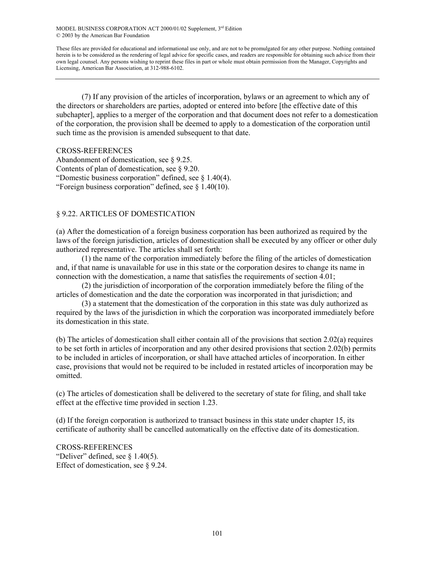These files are provided for educational and informational use only, and are not to be promulgated for any other purpose. Nothing contained herein is to be considered as the rendering of legal advice for specific cases, and readers are responsible for obtaining such advice from their own legal counsel. Any persons wishing to reprint these files in part or whole must obtain permission from the Manager, Copyrights and Licensing, American Bar Association, at 312-988-6102.

 (7) If any provision of the articles of incorporation, bylaws or an agreement to which any of the directors or shareholders are parties, adopted or entered into before [the effective date of this subchapter], applies to a merger of the corporation and that document does not refer to a domestication of the corporation, the provision shall be deemed to apply to a domestication of the corporation until such time as the provision is amended subsequent to that date.

CROSS-REFERENCES

Abandonment of domestication, see § 9.25. Contents of plan of domestication, see § 9.20. "Domestic business corporation" defined, see § 1.40(4). "Foreign business corporation" defined, see § 1.40(10).

## § 9.22. ARTICLES OF DOMESTICATION

(a) After the domestication of a foreign business corporation has been authorized as required by the laws of the foreign jurisdiction, articles of domestication shall be executed by any officer or other duly authorized representative. The articles shall set forth:

 (1) the name of the corporation immediately before the filing of the articles of domestication and, if that name is unavailable for use in this state or the corporation desires to change its name in connection with the domestication, a name that satisfies the requirements of section 4.01;

 (2) the jurisdiction of incorporation of the corporation immediately before the filing of the articles of domestication and the date the corporation was incorporated in that jurisdiction; and

 (3) a statement that the domestication of the corporation in this state was duly authorized as required by the laws of the jurisdiction in which the corporation was incorporated immediately before its domestication in this state.

(b) The articles of domestication shall either contain all of the provisions that section 2.02(a) requires to be set forth in articles of incorporation and any other desired provisions that section 2.02(b) permits to be included in articles of incorporation, or shall have attached articles of incorporation. In either case, provisions that would not be required to be included in restated articles of incorporation may be omitted.

(c) The articles of domestication shall be delivered to the secretary of state for filing, and shall take effect at the effective time provided in section 1.23.

(d) If the foreign corporation is authorized to transact business in this state under chapter 15, its certificate of authority shall be cancelled automatically on the effective date of its domestication.

CROSS-REFERENCES "Deliver" defined, see  $\S$  1.40(5). Effect of domestication, see § 9.24.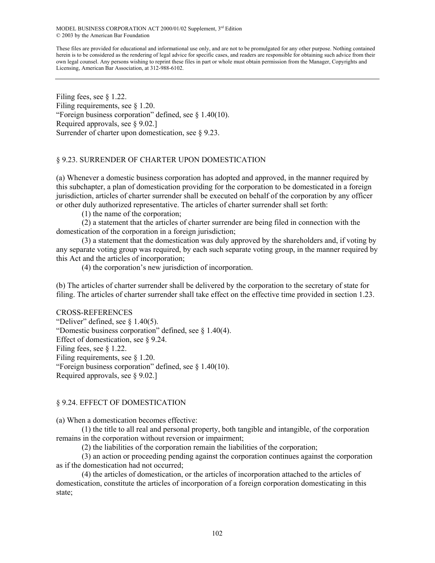These files are provided for educational and informational use only, and are not to be promulgated for any other purpose. Nothing contained herein is to be considered as the rendering of legal advice for specific cases, and readers are responsible for obtaining such advice from their own legal counsel. Any persons wishing to reprint these files in part or whole must obtain permission from the Manager, Copyrights and Licensing, American Bar Association, at 312-988-6102.

Filing fees, see § 1.22. Filing requirements, see § 1.20. "Foreign business corporation" defined, see § 1.40(10). Required approvals, see § 9.02.] Surrender of charter upon domestication, see § 9.23.

#### § 9.23. SURRENDER OF CHARTER UPON DOMESTICATION

(a) Whenever a domestic business corporation has adopted and approved, in the manner required by this subchapter, a plan of domestication providing for the corporation to be domesticated in a foreign jurisdiction, articles of charter surrender shall be executed on behalf of the corporation by any officer or other duly authorized representative. The articles of charter surrender shall set forth:

(1) the name of the corporation;

 (2) a statement that the articles of charter surrender are being filed in connection with the domestication of the corporation in a foreign jurisdiction;

 (3) a statement that the domestication was duly approved by the shareholders and, if voting by any separate voting group was required, by each such separate voting group, in the manner required by this Act and the articles of incorporation;

(4) the corporation's new jurisdiction of incorporation.

(b) The articles of charter surrender shall be delivered by the corporation to the secretary of state for filing. The articles of charter surrender shall take effect on the effective time provided in section 1.23.

CROSS-REFERENCES "Deliver" defined, see  $\S$  1.40(5). "Domestic business corporation" defined, see § 1.40(4). Effect of domestication, see § 9.24. Filing fees, see § 1.22. Filing requirements, see § 1.20. "Foreign business corporation" defined, see § 1.40(10). Required approvals, see § 9.02.]

## § 9.24. EFFECT OF DOMESTICATION

(a) When a domestication becomes effective:

 (1) the title to all real and personal property, both tangible and intangible, of the corporation remains in the corporation without reversion or impairment;

(2) the liabilities of the corporation remain the liabilities of the corporation;

 (3) an action or proceeding pending against the corporation continues against the corporation as if the domestication had not occurred;

 (4) the articles of domestication, or the articles of incorporation attached to the articles of domestication, constitute the articles of incorporation of a foreign corporation domesticating in this state;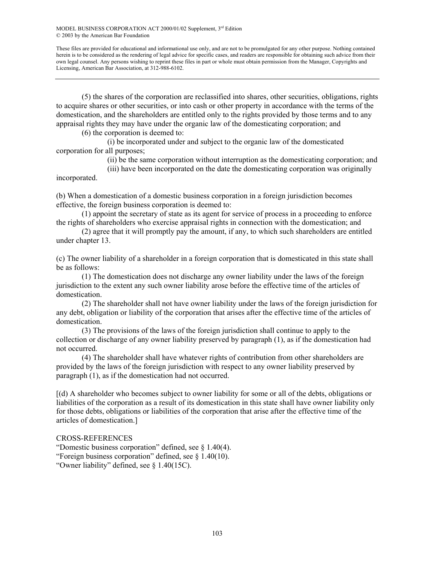(5) the shares of the corporation are reclassified into shares, other securities, obligations, rights to acquire shares or other securities, or into cash or other property in accordance with the terms of the domestication, and the shareholders are entitled only to the rights provided by those terms and to any appraisal rights they may have under the organic law of the domesticating corporation; and

(6) the corporation is deemed to:

 (i) be incorporated under and subject to the organic law of the domesticated corporation for all purposes;

(ii) be the same corporation without interruption as the domesticating corporation; and

(iii) have been incorporated on the date the domesticating corporation was originally

incorporated.

(b) When a domestication of a domestic business corporation in a foreign jurisdiction becomes effective, the foreign business corporation is deemed to:

 (1) appoint the secretary of state as its agent for service of process in a proceeding to enforce the rights of shareholders who exercise appraisal rights in connection with the domestication; and

 (2) agree that it will promptly pay the amount, if any, to which such shareholders are entitled under chapter 13.

(c) The owner liability of a shareholder in a foreign corporation that is domesticated in this state shall be as follows:

 (1) The domestication does not discharge any owner liability under the laws of the foreign jurisdiction to the extent any such owner liability arose before the effective time of the articles of domestication.

 (2) The shareholder shall not have owner liability under the laws of the foreign jurisdiction for any debt, obligation or liability of the corporation that arises after the effective time of the articles of domestication.

 (3) The provisions of the laws of the foreign jurisdiction shall continue to apply to the collection or discharge of any owner liability preserved by paragraph (1), as if the domestication had not occurred.

 (4) The shareholder shall have whatever rights of contribution from other shareholders are provided by the laws of the foreign jurisdiction with respect to any owner liability preserved by paragraph (1), as if the domestication had not occurred.

[(d) A shareholder who becomes subject to owner liability for some or all of the debts, obligations or liabilities of the corporation as a result of its domestication in this state shall have owner liability only for those debts, obligations or liabilities of the corporation that arise after the effective time of the articles of domestication.]

#### CROSS-REFERENCES

"Domestic business corporation" defined, see § 1.40(4).

"Foreign business corporation" defined, see § 1.40(10).

"Owner liability" defined, see § 1.40(15C).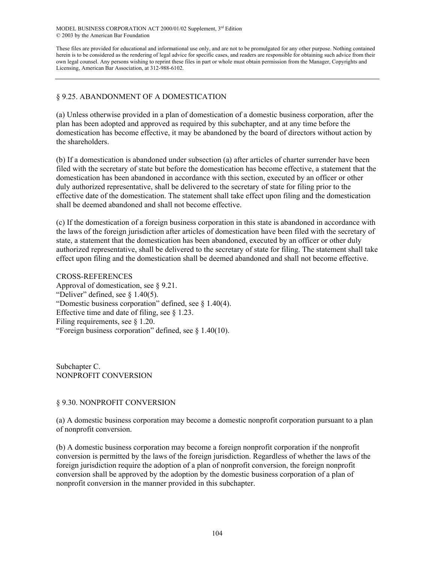These files are provided for educational and informational use only, and are not to be promulgated for any other purpose. Nothing contained herein is to be considered as the rendering of legal advice for specific cases, and readers are responsible for obtaining such advice from their own legal counsel. Any persons wishing to reprint these files in part or whole must obtain permission from the Manager, Copyrights and Licensing, American Bar Association, at 312-988-6102.

## § 9.25. ABANDONMENT OF A DOMESTICATION

(a) Unless otherwise provided in a plan of domestication of a domestic business corporation, after the plan has been adopted and approved as required by this subchapter, and at any time before the domestication has become effective, it may be abandoned by the board of directors without action by the shareholders.

(b) If a domestication is abandoned under subsection (a) after articles of charter surrender have been filed with the secretary of state but before the domestication has become effective, a statement that the domestication has been abandoned in accordance with this section, executed by an officer or other duly authorized representative, shall be delivered to the secretary of state for filing prior to the effective date of the domestication. The statement shall take effect upon filing and the domestication shall be deemed abandoned and shall not become effective.

(c) If the domestication of a foreign business corporation in this state is abandoned in accordance with the laws of the foreign jurisdiction after articles of domestication have been filed with the secretary of state, a statement that the domestication has been abandoned, executed by an officer or other duly authorized representative, shall be delivered to the secretary of state for filing. The statement shall take effect upon filing and the domestication shall be deemed abandoned and shall not become effective.

CROSS-REFERENCES Approval of domestication, see § 9.21. "Deliver" defined, see  $\S$  1.40(5). "Domestic business corporation" defined, see § 1.40(4). Effective time and date of filing, see § 1.23. Filing requirements, see § 1.20. "Foreign business corporation" defined, see § 1.40(10).

Subchapter C. NONPROFIT CONVERSION

# § 9.30. NONPROFIT CONVERSION

(a) A domestic business corporation may become a domestic nonprofit corporation pursuant to a plan of nonprofit conversion.

(b) A domestic business corporation may become a foreign nonprofit corporation if the nonprofit conversion is permitted by the laws of the foreign jurisdiction. Regardless of whether the laws of the foreign jurisdiction require the adoption of a plan of nonprofit conversion, the foreign nonprofit conversion shall be approved by the adoption by the domestic business corporation of a plan of nonprofit conversion in the manner provided in this subchapter.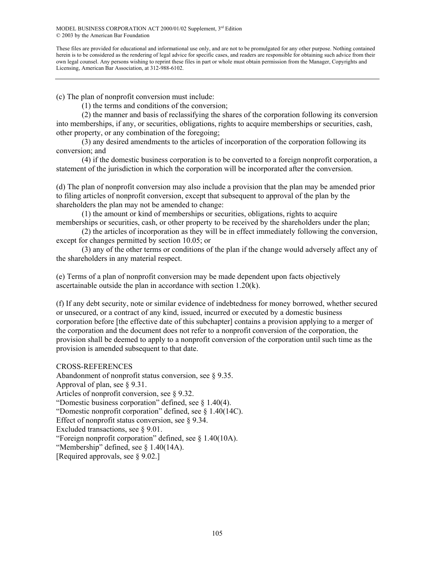(c) The plan of nonprofit conversion must include:

(1) the terms and conditions of the conversion;

 (2) the manner and basis of reclassifying the shares of the corporation following its conversion into memberships, if any, or securities, obligations, rights to acquire memberships or securities, cash, other property, or any combination of the foregoing;

 (3) any desired amendments to the articles of incorporation of the corporation following its conversion; and

 (4) if the domestic business corporation is to be converted to a foreign nonprofit corporation, a statement of the jurisdiction in which the corporation will be incorporated after the conversion.

(d) The plan of nonprofit conversion may also include a provision that the plan may be amended prior to filing articles of nonprofit conversion, except that subsequent to approval of the plan by the shareholders the plan may not be amended to change:

 (1) the amount or kind of memberships or securities, obligations, rights to acquire memberships or securities, cash, or other property to be received by the shareholders under the plan;

 (2) the articles of incorporation as they will be in effect immediately following the conversion, except for changes permitted by section 10.05; or

 (3) any of the other terms or conditions of the plan if the change would adversely affect any of the shareholders in any material respect.

(e) Terms of a plan of nonprofit conversion may be made dependent upon facts objectively ascertainable outside the plan in accordance with section 1.20(k).

(f) If any debt security, note or similar evidence of indebtedness for money borrowed, whether secured or unsecured, or a contract of any kind, issued, incurred or executed by a domestic business corporation before [the effective date of this subchapter] contains a provision applying to a merger of the corporation and the document does not refer to a nonprofit conversion of the corporation, the provision shall be deemed to apply to a nonprofit conversion of the corporation until such time as the provision is amended subsequent to that date.

## CROSS-REFERENCES

Abandonment of nonprofit status conversion, see § 9.35. Approval of plan, see § 9.31. Articles of nonprofit conversion, see § 9.32. "Domestic business corporation" defined, see § 1.40(4). "Domestic nonprofit corporation" defined, see § 1.40(14C). Effect of nonprofit status conversion, see § 9.34. Excluded transactions, see § 9.01. "Foreign nonprofit corporation" defined, see § 1.40(10A). "Membership" defined, see § 1.40(14A). [Required approvals, see § 9.02.]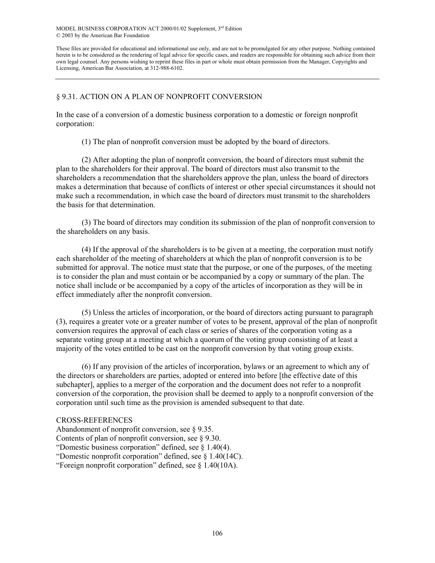These files are provided for educational and informational use only, and are not to be promulgated for any other purpose. Nothing contained herein is to be considered as the rendering of legal advice for specific cases, and readers are responsible for obtaining such advice from their own legal counsel. Any persons wishing to reprint these files in part or whole must obtain permission from the Manager, Copyrights and Licensing, American Bar Association, at 312-988-6102.

## § 9.31. ACTION ON A PLAN OF NONPROFIT CONVERSION

In the case of a conversion of a domestic business corporation to a domestic or foreign nonprofit corporation:

(1) The plan of nonprofit conversion must be adopted by the board of directors.

 (2) After adopting the plan of nonprofit conversion, the board of directors must submit the plan to the shareholders for their approval. The board of directors must also transmit to the shareholders a recommendation that the shareholders approve the plan, unless the board of directors makes a determination that because of conflicts of interest or other special circumstances it should not make such a recommendation, in which case the board of directors must transmit to the shareholders the basis for that determination.

 (3) The board of directors may condition its submission of the plan of nonprofit conversion to the shareholders on any basis.

 (4) If the approval of the shareholders is to be given at a meeting, the corporation must notify each shareholder of the meeting of shareholders at which the plan of nonprofit conversion is to be submitted for approval. The notice must state that the purpose, or one of the purposes, of the meeting is to consider the plan and must contain or be accompanied by a copy or summary of the plan. The notice shall include or be accompanied by a copy of the articles of incorporation as they will be in effect immediately after the nonprofit conversion.

 (5) Unless the articles of incorporation, or the board of directors acting pursuant to paragraph (3), requires a greater vote or a greater number of votes to be present, approval of the plan of nonprofit conversion requires the approval of each class or series of shares of the corporation voting as a separate voting group at a meeting at which a quorum of the voting group consisting of at least a majority of the votes entitled to be cast on the nonprofit conversion by that voting group exists.

 (6) If any provision of the articles of incorporation, bylaws or an agreement to which any of the directors or shareholders are parties, adopted or entered into before [the effective date of this subchapter], applies to a merger of the corporation and the document does not refer to a nonprofit conversion of the corporation, the provision shall be deemed to apply to a nonprofit conversion of the corporation until such time as the provision is amended subsequent to that date.

## CROSS-REFERENCES

Abandonment of nonprofit conversion, see § 9.35. Contents of plan of nonprofit conversion, see § 9.30.

"Domestic business corporation" defined, see § 1.40(4).

"Domestic nonprofit corporation" defined, see § 1.40(14C).

"Foreign nonprofit corporation" defined, see § 1.40(10A).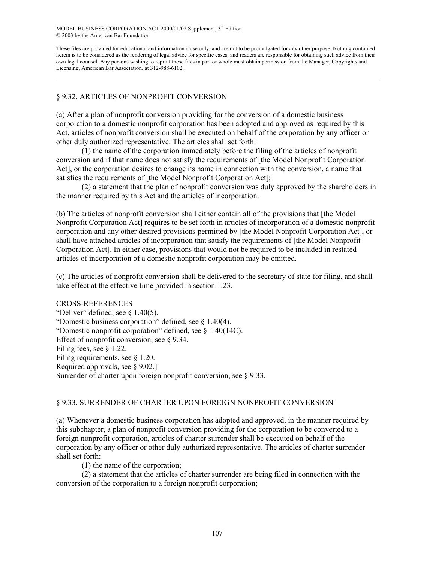These files are provided for educational and informational use only, and are not to be promulgated for any other purpose. Nothing contained herein is to be considered as the rendering of legal advice for specific cases, and readers are responsible for obtaining such advice from their own legal counsel. Any persons wishing to reprint these files in part or whole must obtain permission from the Manager, Copyrights and Licensing, American Bar Association, at 312-988-6102.

# § 9.32. ARTICLES OF NONPROFIT CONVERSION

(a) After a plan of nonprofit conversion providing for the conversion of a domestic business corporation to a domestic nonprofit corporation has been adopted and approved as required by this Act, articles of nonprofit conversion shall be executed on behalf of the corporation by any officer or other duly authorized representative. The articles shall set forth:

 (1) the name of the corporation immediately before the filing of the articles of nonprofit conversion and if that name does not satisfy the requirements of [the Model Nonprofit Corporation Act], or the corporation desires to change its name in connection with the conversion, a name that satisfies the requirements of [the Model Nonprofit Corporation Act];

 (2) a statement that the plan of nonprofit conversion was duly approved by the shareholders in the manner required by this Act and the articles of incorporation.

(b) The articles of nonprofit conversion shall either contain all of the provisions that [the Model Nonprofit Corporation Act] requires to be set forth in articles of incorporation of a domestic nonprofit corporation and any other desired provisions permitted by [the Model Nonprofit Corporation Act], or shall have attached articles of incorporation that satisfy the requirements of [the Model Nonprofit Corporation Act]. In either case, provisions that would not be required to be included in restated articles of incorporation of a domestic nonprofit corporation may be omitted.

(c) The articles of nonprofit conversion shall be delivered to the secretary of state for filing, and shall take effect at the effective time provided in section 1.23.

CROSS-REFERENCES "Deliver" defined, see  $§$  1.40(5). "Domestic business corporation" defined, see § 1.40(4). "Domestic nonprofit corporation" defined, see § 1.40(14C). Effect of nonprofit conversion, see § 9.34. Filing fees, see § 1.22. Filing requirements, see § 1.20. Required approvals, see § 9.02.] Surrender of charter upon foreign nonprofit conversion, see § 9.33.

## § 9.33. SURRENDER OF CHARTER UPON FOREIGN NONPROFIT CONVERSION

(a) Whenever a domestic business corporation has adopted and approved, in the manner required by this subchapter, a plan of nonprofit conversion providing for the corporation to be converted to a foreign nonprofit corporation, articles of charter surrender shall be executed on behalf of the corporation by any officer or other duly authorized representative. The articles of charter surrender shall set forth:

(1) the name of the corporation;

 (2) a statement that the articles of charter surrender are being filed in connection with the conversion of the corporation to a foreign nonprofit corporation;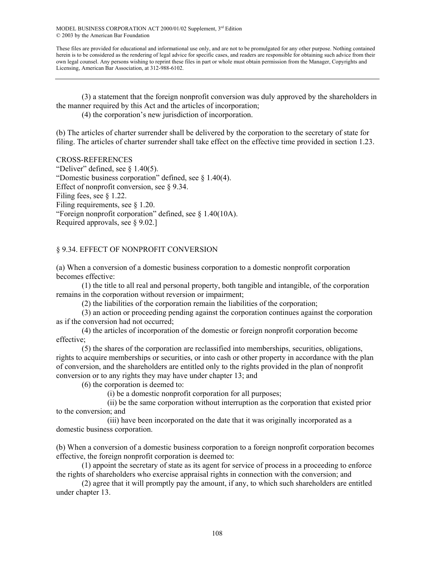These files are provided for educational and informational use only, and are not to be promulgated for any other purpose. Nothing contained herein is to be considered as the rendering of legal advice for specific cases, and readers are responsible for obtaining such advice from their own legal counsel. Any persons wishing to reprint these files in part or whole must obtain permission from the Manager, Copyrights and Licensing, American Bar Association, at 312-988-6102.

 (3) a statement that the foreign nonprofit conversion was duly approved by the shareholders in the manner required by this Act and the articles of incorporation;

(4) the corporation's new jurisdiction of incorporation.

(b) The articles of charter surrender shall be delivered by the corporation to the secretary of state for filing. The articles of charter surrender shall take effect on the effective time provided in section 1.23.

CROSS-REFERENCES "Deliver" defined, see  $§$  1.40(5). "Domestic business corporation" defined, see § 1.40(4). Effect of nonprofit conversion, see § 9.34. Filing fees, see § 1.22. Filing requirements, see § 1.20. "Foreign nonprofit corporation" defined, see § 1.40(10A). Required approvals, see § 9.02.]

## § 9.34. EFFECT OF NONPROFIT CONVERSION

(a) When a conversion of a domestic business corporation to a domestic nonprofit corporation becomes effective:

 (1) the title to all real and personal property, both tangible and intangible, of the corporation remains in the corporation without reversion or impairment;

(2) the liabilities of the corporation remain the liabilities of the corporation;

 (3) an action or proceeding pending against the corporation continues against the corporation as if the conversion had not occurred;

 (4) the articles of incorporation of the domestic or foreign nonprofit corporation become effective;

 (5) the shares of the corporation are reclassified into memberships, securities, obligations, rights to acquire memberships or securities, or into cash or other property in accordance with the plan of conversion, and the shareholders are entitled only to the rights provided in the plan of nonprofit conversion or to any rights they may have under chapter 13; and

(6) the corporation is deemed to:

(i) be a domestic nonprofit corporation for all purposes;

 (ii) be the same corporation without interruption as the corporation that existed prior to the conversion; and

 (iii) have been incorporated on the date that it was originally incorporated as a domestic business corporation.

(b) When a conversion of a domestic business corporation to a foreign nonprofit corporation becomes effective, the foreign nonprofit corporation is deemed to:

 (1) appoint the secretary of state as its agent for service of process in a proceeding to enforce the rights of shareholders who exercise appraisal rights in connection with the conversion; and

 (2) agree that it will promptly pay the amount, if any, to which such shareholders are entitled under chapter 13.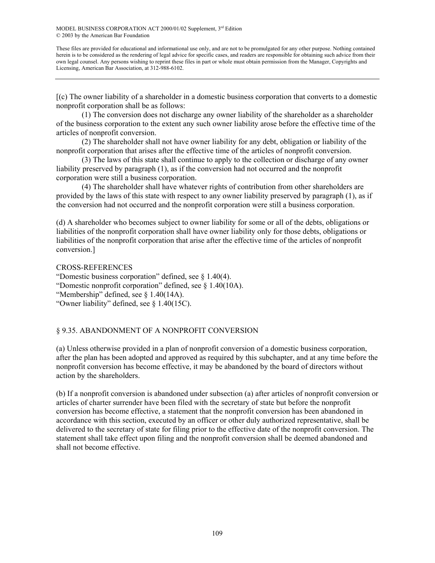[(c) The owner liability of a shareholder in a domestic business corporation that converts to a domestic nonprofit corporation shall be as follows:

 (1) The conversion does not discharge any owner liability of the shareholder as a shareholder of the business corporation to the extent any such owner liability arose before the effective time of the articles of nonprofit conversion.

 (2) The shareholder shall not have owner liability for any debt, obligation or liability of the nonprofit corporation that arises after the effective time of the articles of nonprofit conversion.

 (3) The laws of this state shall continue to apply to the collection or discharge of any owner liability preserved by paragraph (1), as if the conversion had not occurred and the nonprofit corporation were still a business corporation.

 (4) The shareholder shall have whatever rights of contribution from other shareholders are provided by the laws of this state with respect to any owner liability preserved by paragraph (1), as if the conversion had not occurred and the nonprofit corporation were still a business corporation.

(d) A shareholder who becomes subject to owner liability for some or all of the debts, obligations or liabilities of the nonprofit corporation shall have owner liability only for those debts, obligations or liabilities of the nonprofit corporation that arise after the effective time of the articles of nonprofit conversion.]

CROSS-REFERENCES

"Domestic business corporation" defined, see § 1.40(4).

"Domestic nonprofit corporation" defined, see § 1.40(10A).

"Membership" defined, see § 1.40(14A).

"Owner liability" defined, see § 1.40(15C).

# § 9.35. ABANDONMENT OF A NONPROFIT CONVERSION

(a) Unless otherwise provided in a plan of nonprofit conversion of a domestic business corporation, after the plan has been adopted and approved as required by this subchapter, and at any time before the nonprofit conversion has become effective, it may be abandoned by the board of directors without action by the shareholders.

(b) If a nonprofit conversion is abandoned under subsection (a) after articles of nonprofit conversion or articles of charter surrender have been filed with the secretary of state but before the nonprofit conversion has become effective, a statement that the nonprofit conversion has been abandoned in accordance with this section, executed by an officer or other duly authorized representative, shall be delivered to the secretary of state for filing prior to the effective date of the nonprofit conversion. The statement shall take effect upon filing and the nonprofit conversion shall be deemed abandoned and shall not become effective.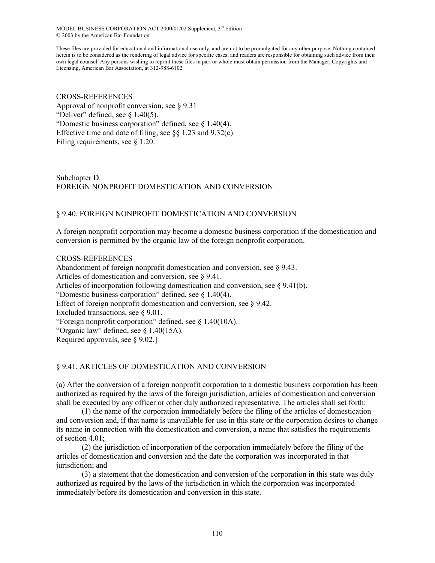These files are provided for educational and informational use only, and are not to be promulgated for any other purpose. Nothing contained herein is to be considered as the rendering of legal advice for specific cases, and readers are responsible for obtaining such advice from their own legal counsel. Any persons wishing to reprint these files in part or whole must obtain permission from the Manager, Copyrights and Licensing, American Bar Association, at 312-988-6102.

#### CROSS-REFERENCES

Approval of nonprofit conversion, see § 9.31 "Deliver" defined, see  $\S$  1.40(5). "Domestic business corporation" defined, see § 1.40(4). Effective time and date of filing, see §§ 1.23 and 9.32(c). Filing requirements, see § 1.20.

# Subchapter D. FOREIGN NONPROFIT DOMESTICATION AND CONVERSION

# § 9.40. FOREIGN NONPROFIT DOMESTICATION AND CONVERSION

A foreign nonprofit corporation may become a domestic business corporation if the domestication and conversion is permitted by the organic law of the foreign nonprofit corporation.

#### CROSS-REFERENCES

Abandonment of foreign nonprofit domestication and conversion, see § 9.43. Articles of domestication and conversion, see § 9.41. Articles of incorporation following domestication and conversion, see § 9.41(b). "Domestic business corporation" defined, see § 1.40(4). Effect of foreign nonprofit domestication and conversion, see § 9.42. Excluded transactions, see § 9.01. "Foreign nonprofit corporation" defined, see § 1.40(10A). "Organic law" defined, see § 1.40(15A). Required approvals, see § 9.02.]

## § 9.41. ARTICLES OF DOMESTICATION AND CONVERSION

(a) After the conversion of a foreign nonprofit corporation to a domestic business corporation has been authorized as required by the laws of the foreign jurisdiction, articles of domestication and conversion shall be executed by any officer or other duly authorized representative. The articles shall set forth:

 (1) the name of the corporation immediately before the filing of the articles of domestication and conversion and, if that name is unavailable for use in this state or the corporation desires to change its name in connection with the domestication and conversion, a name that satisfies the requirements of section 4.01;

 (2) the jurisdiction of incorporation of the corporation immediately before the filing of the articles of domestication and conversion and the date the corporation was incorporated in that jurisdiction; and

 (3) a statement that the domestication and conversion of the corporation in this state was duly authorized as required by the laws of the jurisdiction in which the corporation was incorporated immediately before its domestication and conversion in this state.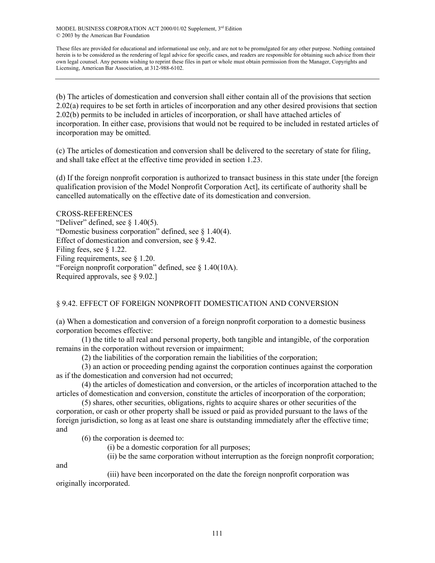(b) The articles of domestication and conversion shall either contain all of the provisions that section 2.02(a) requires to be set forth in articles of incorporation and any other desired provisions that section 2.02(b) permits to be included in articles of incorporation, or shall have attached articles of incorporation. In either case, provisions that would not be required to be included in restated articles of incorporation may be omitted.

(c) The articles of domestication and conversion shall be delivered to the secretary of state for filing, and shall take effect at the effective time provided in section 1.23.

(d) If the foreign nonprofit corporation is authorized to transact business in this state under [the foreign qualification provision of the Model Nonprofit Corporation Act], its certificate of authority shall be cancelled automatically on the effective date of its domestication and conversion.

CROSS-REFERENCES "Deliver" defined, see  $\S$  1.40(5). "Domestic business corporation" defined, see § 1.40(4). Effect of domestication and conversion, see § 9.42. Filing fees, see § 1.22. Filing requirements, see § 1.20. "Foreign nonprofit corporation" defined, see § 1.40(10A). Required approvals, see § 9.02.]

# § 9.42. EFFECT OF FOREIGN NONPROFIT DOMESTICATION AND CONVERSION

(a) When a domestication and conversion of a foreign nonprofit corporation to a domestic business corporation becomes effective:

 (1) the title to all real and personal property, both tangible and intangible, of the corporation remains in the corporation without reversion or impairment;

(2) the liabilities of the corporation remain the liabilities of the corporation;

 (3) an action or proceeding pending against the corporation continues against the corporation as if the domestication and conversion had not occurred;

 (4) the articles of domestication and conversion, or the articles of incorporation attached to the articles of domestication and conversion, constitute the articles of incorporation of the corporation;

 (5) shares, other securities, obligations, rights to acquire shares or other securities of the corporation, or cash or other property shall be issued or paid as provided pursuant to the laws of the foreign jurisdiction, so long as at least one share is outstanding immediately after the effective time; and

(6) the corporation is deemed to:

(i) be a domestic corporation for all purposes;

(ii) be the same corporation without interruption as the foreign nonprofit corporation;

and

 (iii) have been incorporated on the date the foreign nonprofit corporation was originally incorporated.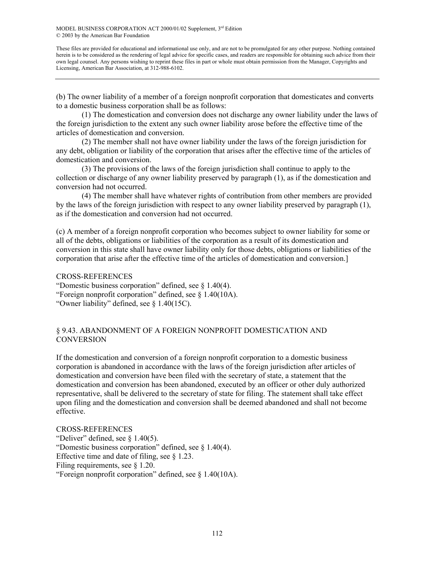(b) The owner liability of a member of a foreign nonprofit corporation that domesticates and converts to a domestic business corporation shall be as follows:

 (1) The domestication and conversion does not discharge any owner liability under the laws of the foreign jurisdiction to the extent any such owner liability arose before the effective time of the articles of domestication and conversion.

 (2) The member shall not have owner liability under the laws of the foreign jurisdiction for any debt, obligation or liability of the corporation that arises after the effective time of the articles of domestication and conversion.

 (3) The provisions of the laws of the foreign jurisdiction shall continue to apply to the collection or discharge of any owner liability preserved by paragraph (1), as if the domestication and conversion had not occurred.

 (4) The member shall have whatever rights of contribution from other members are provided by the laws of the foreign jurisdiction with respect to any owner liability preserved by paragraph (1), as if the domestication and conversion had not occurred.

(c) A member of a foreign nonprofit corporation who becomes subject to owner liability for some or all of the debts, obligations or liabilities of the corporation as a result of its domestication and conversion in this state shall have owner liability only for those debts, obligations or liabilities of the corporation that arise after the effective time of the articles of domestication and conversion.]

#### CROSS-REFERENCES

"Domestic business corporation" defined, see § 1.40(4).

"Foreign nonprofit corporation" defined, see § 1.40(10A).

"Owner liability" defined, see § 1.40(15C).

# § 9.43. ABANDONMENT OF A FOREIGN NONPROFIT DOMESTICATION AND **CONVERSION**

If the domestication and conversion of a foreign nonprofit corporation to a domestic business corporation is abandoned in accordance with the laws of the foreign jurisdiction after articles of domestication and conversion have been filed with the secretary of state, a statement that the domestication and conversion has been abandoned, executed by an officer or other duly authorized representative, shall be delivered to the secretary of state for filing. The statement shall take effect upon filing and the domestication and conversion shall be deemed abandoned and shall not become effective.

CROSS-REFERENCES

"Deliver" defined, see  $§$  1.40(5). "Domestic business corporation" defined, see § 1.40(4). Effective time and date of filing, see § 1.23. Filing requirements, see § 1.20. "Foreign nonprofit corporation" defined, see § 1.40(10A).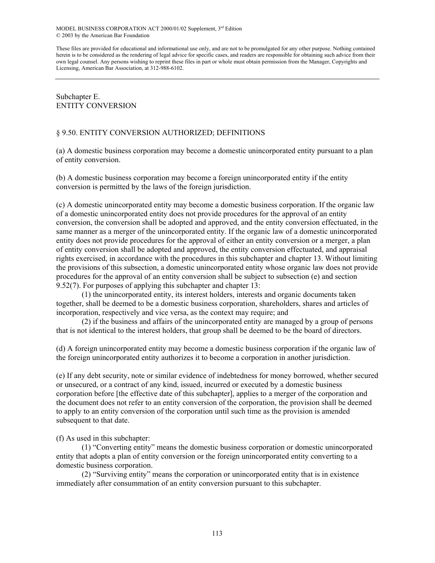These files are provided for educational and informational use only, and are not to be promulgated for any other purpose. Nothing contained herein is to be considered as the rendering of legal advice for specific cases, and readers are responsible for obtaining such advice from their own legal counsel. Any persons wishing to reprint these files in part or whole must obtain permission from the Manager, Copyrights and Licensing, American Bar Association, at 312-988-6102.

Subchapter E. ENTITY CONVERSION

# § 9.50. ENTITY CONVERSION AUTHORIZED; DEFINITIONS

(a) A domestic business corporation may become a domestic unincorporated entity pursuant to a plan of entity conversion.

(b) A domestic business corporation may become a foreign unincorporated entity if the entity conversion is permitted by the laws of the foreign jurisdiction.

(c) A domestic unincorporated entity may become a domestic business corporation. If the organic law of a domestic unincorporated entity does not provide procedures for the approval of an entity conversion, the conversion shall be adopted and approved, and the entity conversion effectuated, in the same manner as a merger of the unincorporated entity. If the organic law of a domestic unincorporated entity does not provide procedures for the approval of either an entity conversion or a merger, a plan of entity conversion shall be adopted and approved, the entity conversion effectuated, and appraisal rights exercised, in accordance with the procedures in this subchapter and chapter 13. Without limiting the provisions of this subsection, a domestic unincorporated entity whose organic law does not provide procedures for the approval of an entity conversion shall be subject to subsection (e) and section 9.52(7). For purposes of applying this subchapter and chapter 13:

 (1) the unincorporated entity, its interest holders, interests and organic documents taken together, shall be deemed to be a domestic business corporation, shareholders, shares and articles of incorporation, respectively and vice versa, as the context may require; and

 (2) if the business and affairs of the unincorporated entity are managed by a group of persons that is not identical to the interest holders, that group shall be deemed to be the board of directors.

(d) A foreign unincorporated entity may become a domestic business corporation if the organic law of the foreign unincorporated entity authorizes it to become a corporation in another jurisdiction.

(e) If any debt security, note or similar evidence of indebtedness for money borrowed, whether secured or unsecured, or a contract of any kind, issued, incurred or executed by a domestic business corporation before [the effective date of this subchapter], applies to a merger of the corporation and the document does not refer to an entity conversion of the corporation, the provision shall be deemed to apply to an entity conversion of the corporation until such time as the provision is amended subsequent to that date.

(f) As used in this subchapter:

 (1) "Converting entity" means the domestic business corporation or domestic unincorporated entity that adopts a plan of entity conversion or the foreign unincorporated entity converting to a domestic business corporation.

 (2) "Surviving entity" means the corporation or unincorporated entity that is in existence immediately after consummation of an entity conversion pursuant to this subchapter.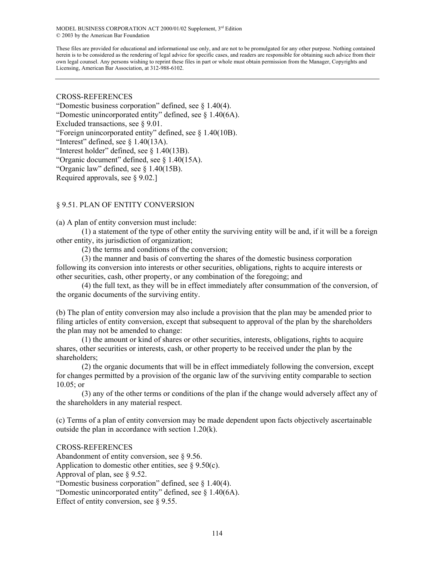These files are provided for educational and informational use only, and are not to be promulgated for any other purpose. Nothing contained herein is to be considered as the rendering of legal advice for specific cases, and readers are responsible for obtaining such advice from their own legal counsel. Any persons wishing to reprint these files in part or whole must obtain permission from the Manager, Copyrights and Licensing, American Bar Association, at 312-988-6102.

#### CROSS-REFERENCES

"Domestic business corporation" defined, see § 1.40(4). "Domestic unincorporated entity" defined, see § 1.40(6A). Excluded transactions, see § 9.01. "Foreign unincorporated entity" defined, see § 1.40(10B). "Interest" defined, see  $\S$  1.40(13A). "Interest holder" defined, see § 1.40(13B).

"Organic document" defined, see § 1.40(15A).

"Organic law" defined, see § 1.40(15B).

Required approvals, see § 9.02.]

## § 9.51. PLAN OF ENTITY CONVERSION

(a) A plan of entity conversion must include:

 (1) a statement of the type of other entity the surviving entity will be and, if it will be a foreign other entity, its jurisdiction of organization;

(2) the terms and conditions of the conversion;

 (3) the manner and basis of converting the shares of the domestic business corporation following its conversion into interests or other securities, obligations, rights to acquire interests or other securities, cash, other property, or any combination of the foregoing; and

 (4) the full text, as they will be in effect immediately after consummation of the conversion, of the organic documents of the surviving entity.

(b) The plan of entity conversion may also include a provision that the plan may be amended prior to filing articles of entity conversion, except that subsequent to approval of the plan by the shareholders the plan may not be amended to change:

 (1) the amount or kind of shares or other securities, interests, obligations, rights to acquire shares, other securities or interests, cash, or other property to be received under the plan by the shareholders;

 (2) the organic documents that will be in effect immediately following the conversion, except for changes permitted by a provision of the organic law of the surviving entity comparable to section 10.05; or

 (3) any of the other terms or conditions of the plan if the change would adversely affect any of the shareholders in any material respect.

(c) Terms of a plan of entity conversion may be made dependent upon facts objectively ascertainable outside the plan in accordance with section 1.20(k).

CROSS-REFERENCES

Abandonment of entity conversion, see § 9.56.

Application to domestic other entities, see  $\S$  9.50(c).

Approval of plan, see § 9.52.

"Domestic business corporation" defined, see § 1.40(4).

"Domestic unincorporated entity" defined, see § 1.40(6A).

Effect of entity conversion, see § 9.55.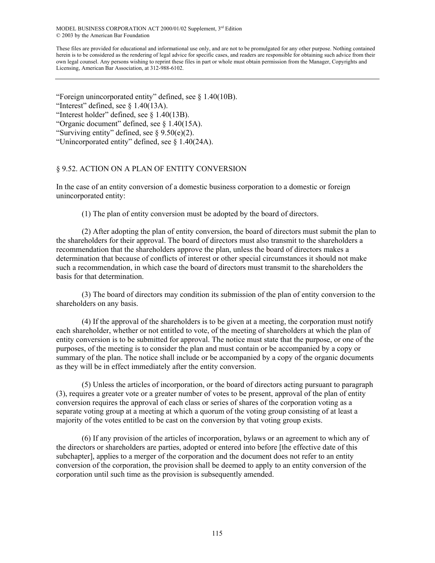These files are provided for educational and informational use only, and are not to be promulgated for any other purpose. Nothing contained herein is to be considered as the rendering of legal advice for specific cases, and readers are responsible for obtaining such advice from their own legal counsel. Any persons wishing to reprint these files in part or whole must obtain permission from the Manager, Copyrights and Licensing, American Bar Association, at 312-988-6102.

"Foreign unincorporated entity" defined, see § 1.40(10B).

"Interest" defined, see § 1.40(13A).

"Interest holder" defined, see § 1.40(13B).

"Organic document" defined, see § 1.40(15A).

"Surviving entity" defined, see § 9.50(e)(2).

"Unincorporated entity" defined, see § 1.40(24A).

## § 9.52. ACTION ON A PLAN OF ENTITY CONVERSION

In the case of an entity conversion of a domestic business corporation to a domestic or foreign unincorporated entity:

(1) The plan of entity conversion must be adopted by the board of directors.

 (2) After adopting the plan of entity conversion, the board of directors must submit the plan to the shareholders for their approval. The board of directors must also transmit to the shareholders a recommendation that the shareholders approve the plan, unless the board of directors makes a determination that because of conflicts of interest or other special circumstances it should not make such a recommendation, in which case the board of directors must transmit to the shareholders the basis for that determination.

 (3) The board of directors may condition its submission of the plan of entity conversion to the shareholders on any basis.

 (4) If the approval of the shareholders is to be given at a meeting, the corporation must notify each shareholder, whether or not entitled to vote, of the meeting of shareholders at which the plan of entity conversion is to be submitted for approval. The notice must state that the purpose, or one of the purposes, of the meeting is to consider the plan and must contain or be accompanied by a copy or summary of the plan. The notice shall include or be accompanied by a copy of the organic documents as they will be in effect immediately after the entity conversion.

 (5) Unless the articles of incorporation, or the board of directors acting pursuant to paragraph (3), requires a greater vote or a greater number of votes to be present, approval of the plan of entity conversion requires the approval of each class or series of shares of the corporation voting as a separate voting group at a meeting at which a quorum of the voting group consisting of at least a majority of the votes entitled to be cast on the conversion by that voting group exists.

 (6) If any provision of the articles of incorporation, bylaws or an agreement to which any of the directors or shareholders are parties, adopted or entered into before [the effective date of this subchapter], applies to a merger of the corporation and the document does not refer to an entity conversion of the corporation, the provision shall be deemed to apply to an entity conversion of the corporation until such time as the provision is subsequently amended.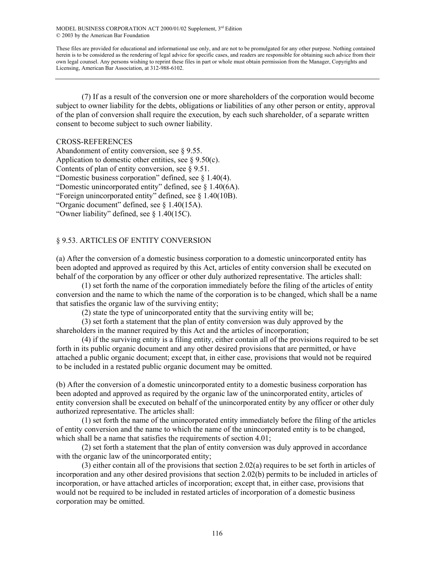These files are provided for educational and informational use only, and are not to be promulgated for any other purpose. Nothing contained herein is to be considered as the rendering of legal advice for specific cases, and readers are responsible for obtaining such advice from their own legal counsel. Any persons wishing to reprint these files in part or whole must obtain permission from the Manager, Copyrights and Licensing, American Bar Association, at 312-988-6102.

 (7) If as a result of the conversion one or more shareholders of the corporation would become subject to owner liability for the debts, obligations or liabilities of any other person or entity, approval of the plan of conversion shall require the execution, by each such shareholder, of a separate written consent to become subject to such owner liability.

#### CROSS-REFERENCES

Abandonment of entity conversion, see § 9.55. Application to domestic other entities, see  $\S 9.50(c)$ . Contents of plan of entity conversion, see § 9.51. "Domestic business corporation" defined, see § 1.40(4). "Domestic unincorporated entity" defined, see § 1.40(6A). "Foreign unincorporated entity" defined, see § 1.40(10B). "Organic document" defined, see § 1.40(15A). "Owner liability" defined, see § 1.40(15C).

# § 9.53. ARTICLES OF ENTITY CONVERSION

(a) After the conversion of a domestic business corporation to a domestic unincorporated entity has been adopted and approved as required by this Act, articles of entity conversion shall be executed on behalf of the corporation by any officer or other duly authorized representative. The articles shall:

 (1) set forth the name of the corporation immediately before the filing of the articles of entity conversion and the name to which the name of the corporation is to be changed, which shall be a name that satisfies the organic law of the surviving entity;

(2) state the type of unincorporated entity that the surviving entity will be;

 (3) set forth a statement that the plan of entity conversion was duly approved by the shareholders in the manner required by this Act and the articles of incorporation;

 (4) if the surviving entity is a filing entity, either contain all of the provisions required to be set forth in its public organic document and any other desired provisions that are permitted, or have attached a public organic document; except that, in either case, provisions that would not be required to be included in a restated public organic document may be omitted.

(b) After the conversion of a domestic unincorporated entity to a domestic business corporation has been adopted and approved as required by the organic law of the unincorporated entity, articles of entity conversion shall be executed on behalf of the unincorporated entity by any officer or other duly authorized representative. The articles shall:

 (1) set forth the name of the unincorporated entity immediately before the filing of the articles of entity conversion and the name to which the name of the unincorporated entity is to be changed, which shall be a name that satisfies the requirements of section 4.01;

 (2) set forth a statement that the plan of entity conversion was duly approved in accordance with the organic law of the unincorporated entity;

 (3) either contain all of the provisions that section 2.02(a) requires to be set forth in articles of incorporation and any other desired provisions that section 2.02(b) permits to be included in articles of incorporation, or have attached articles of incorporation; except that, in either case, provisions that would not be required to be included in restated articles of incorporation of a domestic business corporation may be omitted.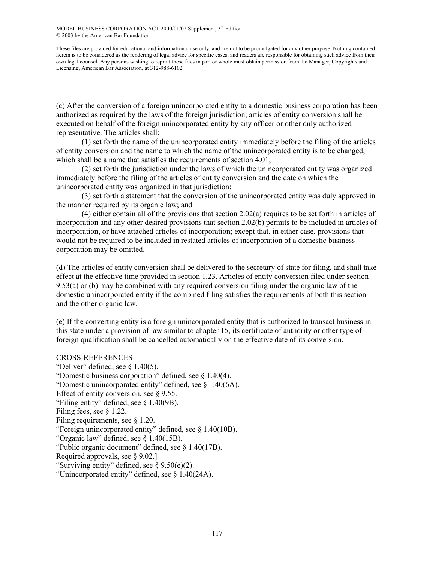(c) After the conversion of a foreign unincorporated entity to a domestic business corporation has been authorized as required by the laws of the foreign jurisdiction, articles of entity conversion shall be executed on behalf of the foreign unincorporated entity by any officer or other duly authorized representative. The articles shall:

 (1) set forth the name of the unincorporated entity immediately before the filing of the articles of entity conversion and the name to which the name of the unincorporated entity is to be changed, which shall be a name that satisfies the requirements of section 4.01;

 (2) set forth the jurisdiction under the laws of which the unincorporated entity was organized immediately before the filing of the articles of entity conversion and the date on which the unincorporated entity was organized in that jurisdiction;

 (3) set forth a statement that the conversion of the unincorporated entity was duly approved in the manner required by its organic law; and

 (4) either contain all of the provisions that section 2.02(a) requires to be set forth in articles of incorporation and any other desired provisions that section 2.02(b) permits to be included in articles of incorporation, or have attached articles of incorporation; except that, in either case, provisions that would not be required to be included in restated articles of incorporation of a domestic business corporation may be omitted.

(d) The articles of entity conversion shall be delivered to the secretary of state for filing, and shall take effect at the effective time provided in section 1.23. Articles of entity conversion filed under section 9.53(a) or (b) may be combined with any required conversion filing under the organic law of the domestic unincorporated entity if the combined filing satisfies the requirements of both this section and the other organic law.

(e) If the converting entity is a foreign unincorporated entity that is authorized to transact business in this state under a provision of law similar to chapter 15, its certificate of authority or other type of foreign qualification shall be cancelled automatically on the effective date of its conversion.

#### CROSS-REFERENCES

"Deliver" defined, see  $\S$  1.40(5). "Domestic business corporation" defined, see § 1.40(4). "Domestic unincorporated entity" defined, see § 1.40(6A). Effect of entity conversion, see § 9.55. "Filing entity" defined, see § 1.40(9B). Filing fees, see § 1.22. Filing requirements, see § 1.20. "Foreign unincorporated entity" defined, see § 1.40(10B). "Organic law" defined, see § 1.40(15B). "Public organic document" defined, see § 1.40(17B). Required approvals, see § 9.02.] "Surviving entity" defined, see § 9.50(e)(2). "Unincorporated entity" defined, see § 1.40(24A).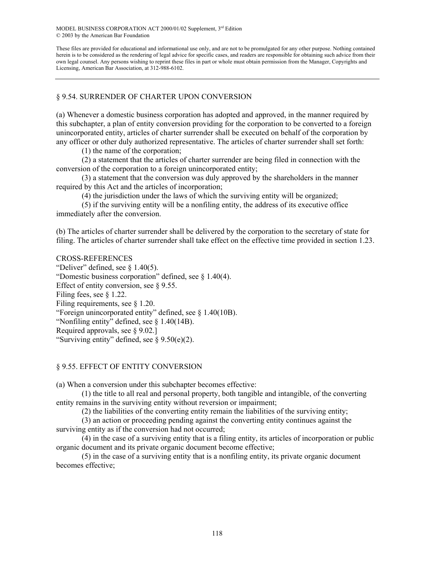These files are provided for educational and informational use only, and are not to be promulgated for any other purpose. Nothing contained herein is to be considered as the rendering of legal advice for specific cases, and readers are responsible for obtaining such advice from their own legal counsel. Any persons wishing to reprint these files in part or whole must obtain permission from the Manager, Copyrights and Licensing, American Bar Association, at 312-988-6102.

# § 9.54. SURRENDER OF CHARTER UPON CONVERSION

(a) Whenever a domestic business corporation has adopted and approved, in the manner required by this subchapter, a plan of entity conversion providing for the corporation to be converted to a foreign unincorporated entity, articles of charter surrender shall be executed on behalf of the corporation by any officer or other duly authorized representative. The articles of charter surrender shall set forth:

(1) the name of the corporation;

 (2) a statement that the articles of charter surrender are being filed in connection with the conversion of the corporation to a foreign unincorporated entity;

 (3) a statement that the conversion was duly approved by the shareholders in the manner required by this Act and the articles of incorporation;

(4) the jurisdiction under the laws of which the surviving entity will be organized;

 (5) if the surviving entity will be a nonfiling entity, the address of its executive office immediately after the conversion.

(b) The articles of charter surrender shall be delivered by the corporation to the secretary of state for filing. The articles of charter surrender shall take effect on the effective time provided in section 1.23.

CROSS-REFERENCES "Deliver" defined, see  $\S$  1.40(5). "Domestic business corporation" defined, see § 1.40(4). Effect of entity conversion, see § 9.55. Filing fees, see § 1.22. Filing requirements, see § 1.20. "Foreign unincorporated entity" defined, see § 1.40(10B). "Nonfiling entity" defined, see § 1.40(14B). Required approvals, see § 9.02.] "Surviving entity" defined, see  $\S$  9.50(e)(2).

## § 9.55. EFFECT OF ENTITY CONVERSION

(a) When a conversion under this subchapter becomes effective:

 (1) the title to all real and personal property, both tangible and intangible, of the converting entity remains in the surviving entity without reversion or impairment;

(2) the liabilities of the converting entity remain the liabilities of the surviving entity;

 (3) an action or proceeding pending against the converting entity continues against the surviving entity as if the conversion had not occurred;

 (4) in the case of a surviving entity that is a filing entity, its articles of incorporation or public organic document and its private organic document become effective;

 (5) in the case of a surviving entity that is a nonfiling entity, its private organic document becomes effective;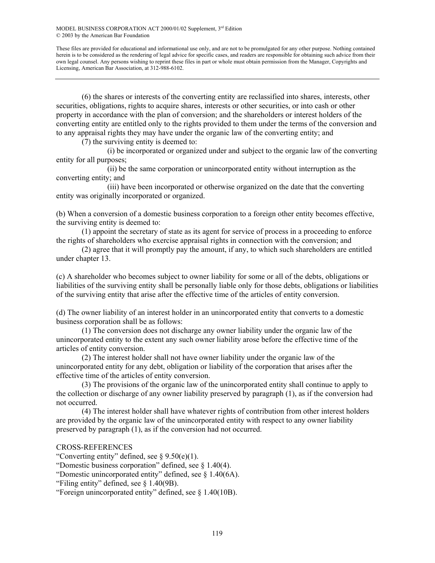(6) the shares or interests of the converting entity are reclassified into shares, interests, other securities, obligations, rights to acquire shares, interests or other securities, or into cash or other property in accordance with the plan of conversion; and the shareholders or interest holders of the converting entity are entitled only to the rights provided to them under the terms of the conversion and to any appraisal rights they may have under the organic law of the converting entity; and

(7) the surviving entity is deemed to:

 (i) be incorporated or organized under and subject to the organic law of the converting entity for all purposes;

 (ii) be the same corporation or unincorporated entity without interruption as the converting entity; and

 (iii) have been incorporated or otherwise organized on the date that the converting entity was originally incorporated or organized.

(b) When a conversion of a domestic business corporation to a foreign other entity becomes effective, the surviving entity is deemed to:

 (1) appoint the secretary of state as its agent for service of process in a proceeding to enforce the rights of shareholders who exercise appraisal rights in connection with the conversion; and

 (2) agree that it will promptly pay the amount, if any, to which such shareholders are entitled under chapter 13.

(c) A shareholder who becomes subject to owner liability for some or all of the debts, obligations or liabilities of the surviving entity shall be personally liable only for those debts, obligations or liabilities of the surviving entity that arise after the effective time of the articles of entity conversion.

(d) The owner liability of an interest holder in an unincorporated entity that converts to a domestic business corporation shall be as follows:

 (1) The conversion does not discharge any owner liability under the organic law of the unincorporated entity to the extent any such owner liability arose before the effective time of the articles of entity conversion.

 (2) The interest holder shall not have owner liability under the organic law of the unincorporated entity for any debt, obligation or liability of the corporation that arises after the effective time of the articles of entity conversion.

 (3) The provisions of the organic law of the unincorporated entity shall continue to apply to the collection or discharge of any owner liability preserved by paragraph (1), as if the conversion had not occurred.

 (4) The interest holder shall have whatever rights of contribution from other interest holders are provided by the organic law of the unincorporated entity with respect to any owner liability preserved by paragraph (1), as if the conversion had not occurred.

## CROSS-REFERENCES

"Converting entity" defined, see  $\S 9.50(e)(1)$ .

"Domestic business corporation" defined, see § 1.40(4).

"Domestic unincorporated entity" defined, see § 1.40(6A).

"Filing entity" defined, see § 1.40(9B).

"Foreign unincorporated entity" defined, see § 1.40(10B).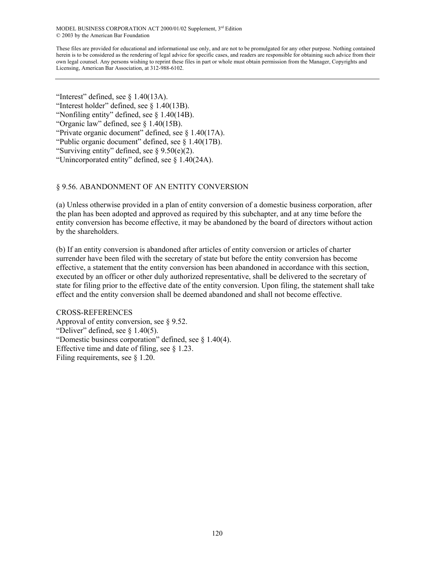These files are provided for educational and informational use only, and are not to be promulgated for any other purpose. Nothing contained herein is to be considered as the rendering of legal advice for specific cases, and readers are responsible for obtaining such advice from their own legal counsel. Any persons wishing to reprint these files in part or whole must obtain permission from the Manager, Copyrights and Licensing, American Bar Association, at 312-988-6102.

"Interest" defined, see  $\S$  1.40(13A).

"Interest holder" defined, see § 1.40(13B).

"Nonfiling entity" defined, see § 1.40(14B).

"Organic law" defined, see § 1.40(15B).

"Private organic document" defined, see § 1.40(17A).

"Public organic document" defined, see § 1.40(17B).

"Surviving entity" defined, see  $\S 9.50(e)(2)$ .

"Unincorporated entity" defined, see § 1.40(24A).

#### § 9.56. ABANDONMENT OF AN ENTITY CONVERSION

(a) Unless otherwise provided in a plan of entity conversion of a domestic business corporation, after the plan has been adopted and approved as required by this subchapter, and at any time before the entity conversion has become effective, it may be abandoned by the board of directors without action by the shareholders.

(b) If an entity conversion is abandoned after articles of entity conversion or articles of charter surrender have been filed with the secretary of state but before the entity conversion has become effective, a statement that the entity conversion has been abandoned in accordance with this section, executed by an officer or other duly authorized representative, shall be delivered to the secretary of state for filing prior to the effective date of the entity conversion. Upon filing, the statement shall take effect and the entity conversion shall be deemed abandoned and shall not become effective.

CROSS-REFERENCES Approval of entity conversion, see § 9.52. "Deliver" defined, see  $\S$  1.40(5). "Domestic business corporation" defined, see § 1.40(4). Effective time and date of filing, see § 1.23. Filing requirements, see § 1.20.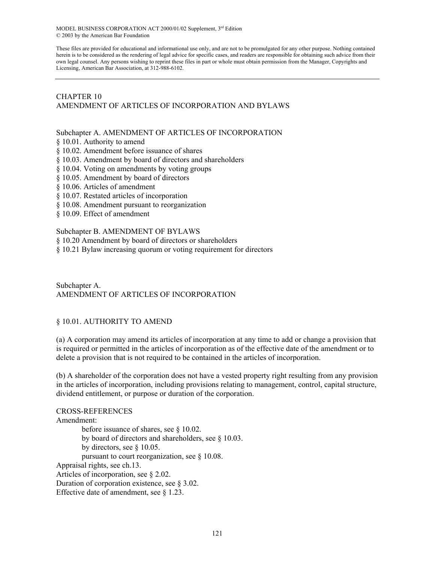These files are provided for educational and informational use only, and are not to be promulgated for any other purpose. Nothing contained herein is to be considered as the rendering of legal advice for specific cases, and readers are responsible for obtaining such advice from their own legal counsel. Any persons wishing to reprint these files in part or whole must obtain permission from the Manager, Copyrights and Licensing, American Bar Association, at 312-988-6102.

# CHAPTER 10 AMENDMENT OF ARTICLES OF INCORPORATION AND BYLAWS

## Subchapter A. AMENDMENT OF ARTICLES OF INCORPORATION

- § 10.01. Authority to amend
- § 10.02. Amendment before issuance of shares
- § 10.03. Amendment by board of directors and shareholders
- § 10.04. Voting on amendments by voting groups
- § 10.05. Amendment by board of directors
- § 10.06. Articles of amendment
- § 10.07. Restated articles of incorporation
- § 10.08. Amendment pursuant to reorganization
- § 10.09. Effect of amendment

Subchapter B. AMENDMENT OF BYLAWS

- § 10.20 Amendment by board of directors or shareholders
- § 10.21 Bylaw increasing quorum or voting requirement for directors

Subchapter A. AMENDMENT OF ARTICLES OF INCORPORATION

## § 10.01. AUTHORITY TO AMEND

(a) A corporation may amend its articles of incorporation at any time to add or change a provision that is required or permitted in the articles of incorporation as of the effective date of the amendment or to delete a provision that is not required to be contained in the articles of incorporation.

(b) A shareholder of the corporation does not have a vested property right resulting from any provision in the articles of incorporation, including provisions relating to management, control, capital structure, dividend entitlement, or purpose or duration of the corporation.

## CROSS-REFERENCES Amendment: before issuance of shares, see § 10.02. by board of directors and shareholders, see § 10.03. by directors, see § 10.05. pursuant to court reorganization, see § 10.08. Appraisal rights, see ch.13. Articles of incorporation, see § 2.02. Duration of corporation existence, see § 3.02. Effective date of amendment, see § 1.23.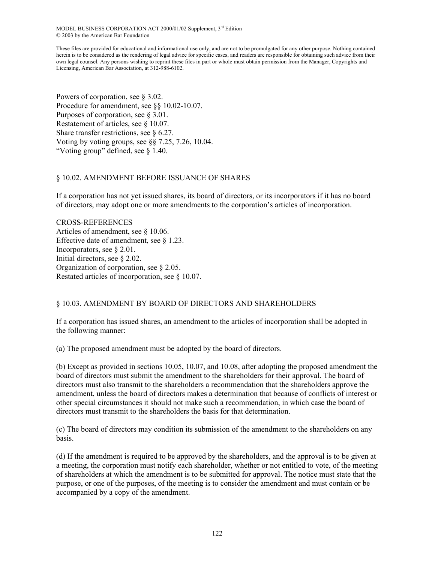These files are provided for educational and informational use only, and are not to be promulgated for any other purpose. Nothing contained herein is to be considered as the rendering of legal advice for specific cases, and readers are responsible for obtaining such advice from their own legal counsel. Any persons wishing to reprint these files in part or whole must obtain permission from the Manager, Copyrights and Licensing, American Bar Association, at 312-988-6102.

Powers of corporation, see § 3.02. Procedure for amendment, see §§ 10.02-10.07. Purposes of corporation, see § 3.01. Restatement of articles, see § 10.07. Share transfer restrictions, see § 6.27. Voting by voting groups, see §§ 7.25, 7.26, 10.04. "Voting group" defined, see § 1.40.

# § 10.02. AMENDMENT BEFORE ISSUANCE OF SHARES

If a corporation has not yet issued shares, its board of directors, or its incorporators if it has no board of directors, may adopt one or more amendments to the corporation's articles of incorporation.

CROSS-REFERENCES Articles of amendment, see § 10.06. Effective date of amendment, see § 1.23. Incorporators, see § 2.01. Initial directors, see § 2.02. Organization of corporation, see § 2.05. Restated articles of incorporation, see § 10.07.

# § 10.03. AMENDMENT BY BOARD OF DIRECTORS AND SHAREHOLDERS

If a corporation has issued shares, an amendment to the articles of incorporation shall be adopted in the following manner:

(a) The proposed amendment must be adopted by the board of directors.

(b) Except as provided in sections 10.05, 10.07, and 10.08, after adopting the proposed amendment the board of directors must submit the amendment to the shareholders for their approval. The board of directors must also transmit to the shareholders a recommendation that the shareholders approve the amendment, unless the board of directors makes a determination that because of conflicts of interest or other special circumstances it should not make such a recommendation, in which case the board of directors must transmit to the shareholders the basis for that determination.

(c) The board of directors may condition its submission of the amendment to the shareholders on any basis.

(d) If the amendment is required to be approved by the shareholders, and the approval is to be given at a meeting, the corporation must notify each shareholder, whether or not entitled to vote, of the meeting of shareholders at which the amendment is to be submitted for approval. The notice must state that the purpose, or one of the purposes, of the meeting is to consider the amendment and must contain or be accompanied by a copy of the amendment.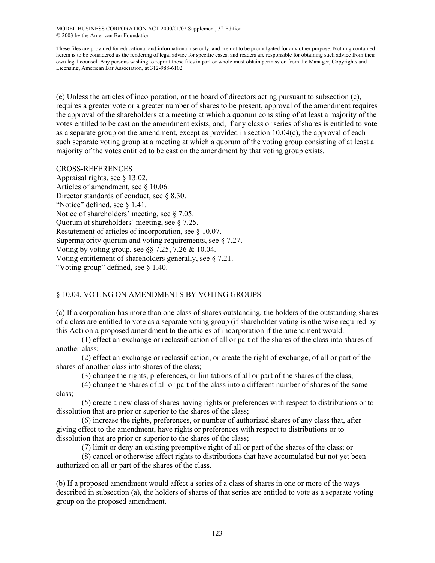These files are provided for educational and informational use only, and are not to be promulgated for any other purpose. Nothing contained herein is to be considered as the rendering of legal advice for specific cases, and readers are responsible for obtaining such advice from their own legal counsel. Any persons wishing to reprint these files in part or whole must obtain permission from the Manager, Copyrights and Licensing, American Bar Association, at 312-988-6102.

(e) Unless the articles of incorporation, or the board of directors acting pursuant to subsection (c), requires a greater vote or a greater number of shares to be present, approval of the amendment requires the approval of the shareholders at a meeting at which a quorum consisting of at least a majority of the votes entitled to be cast on the amendment exists, and, if any class or series of shares is entitled to vote as a separate group on the amendment, except as provided in section 10.04(c), the approval of each such separate voting group at a meeting at which a quorum of the voting group consisting of at least a majority of the votes entitled to be cast on the amendment by that voting group exists.

#### CROSS-REFERENCES

Appraisal rights, see § 13.02. Articles of amendment, see § 10.06. Director standards of conduct, see § 8.30. "Notice" defined, see § 1.41. Notice of shareholders' meeting, see § 7.05. Quorum at shareholders' meeting, see § 7.25. Restatement of articles of incorporation, see § 10.07. Supermajority quorum and voting requirements, see § 7.27. Voting by voting group, see §§ 7.25, 7.26 & 10.04. Voting entitlement of shareholders generally, see § 7.21. "Voting group" defined, see § 1.40.

## § 10.04. VOTING ON AMENDMENTS BY VOTING GROUPS

(a) If a corporation has more than one class of shares outstanding, the holders of the outstanding shares of a class are entitled to vote as a separate voting group (if shareholder voting is otherwise required by this Act) on a proposed amendment to the articles of incorporation if the amendment would:

 (1) effect an exchange or reclassification of all or part of the shares of the class into shares of another class;

 (2) effect an exchange or reclassification, or create the right of exchange, of all or part of the shares of another class into shares of the class;

(3) change the rights, preferences, or limitations of all or part of the shares of the class;

 (4) change the shares of all or part of the class into a different number of shares of the same class;

 (5) create a new class of shares having rights or preferences with respect to distributions or to dissolution that are prior or superior to the shares of the class;

 (6) increase the rights, preferences, or number of authorized shares of any class that, after giving effect to the amendment, have rights or preferences with respect to distributions or to dissolution that are prior or superior to the shares of the class;

(7) limit or deny an existing preemptive right of all or part of the shares of the class; or

 (8) cancel or otherwise affect rights to distributions that have accumulated but not yet been authorized on all or part of the shares of the class.

(b) If a proposed amendment would affect a series of a class of shares in one or more of the ways described in subsection (a), the holders of shares of that series are entitled to vote as a separate voting group on the proposed amendment.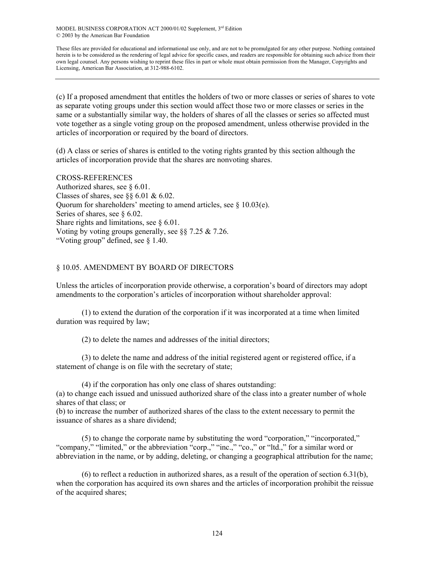These files are provided for educational and informational use only, and are not to be promulgated for any other purpose. Nothing contained herein is to be considered as the rendering of legal advice for specific cases, and readers are responsible for obtaining such advice from their own legal counsel. Any persons wishing to reprint these files in part or whole must obtain permission from the Manager, Copyrights and Licensing, American Bar Association, at 312-988-6102.

(c) If a proposed amendment that entitles the holders of two or more classes or series of shares to vote as separate voting groups under this section would affect those two or more classes or series in the same or a substantially similar way, the holders of shares of all the classes or series so affected must vote together as a single voting group on the proposed amendment, unless otherwise provided in the articles of incorporation or required by the board of directors.

(d) A class or series of shares is entitled to the voting rights granted by this section although the articles of incorporation provide that the shares are nonvoting shares.

CROSS-REFERENCES Authorized shares, see § 6.01. Classes of shares, see  $\S$ § 6.01 & 6.02. Quorum for shareholders' meeting to amend articles, see § 10.03(e). Series of shares, see § 6.02. Share rights and limitations, see § 6.01. Voting by voting groups generally, see §§ 7.25 & 7.26. "Voting group" defined, see § 1.40.

## § 10.05. AMENDMENT BY BOARD OF DIRECTORS

Unless the articles of incorporation provide otherwise, a corporation's board of directors may adopt amendments to the corporation's articles of incorporation without shareholder approval:

 (1) to extend the duration of the corporation if it was incorporated at a time when limited duration was required by law;

(2) to delete the names and addresses of the initial directors;

 (3) to delete the name and address of the initial registered agent or registered office, if a statement of change is on file with the secretary of state;

(4) if the corporation has only one class of shares outstanding:

(a) to change each issued and unissued authorized share of the class into a greater number of whole shares of that class; or

(b) to increase the number of authorized shares of the class to the extent necessary to permit the issuance of shares as a share dividend;

 (5) to change the corporate name by substituting the word "corporation," "incorporated," "company," "limited," or the abbreviation "corp.," "inc.," "co.," or "ltd.," for a similar word or abbreviation in the name, or by adding, deleting, or changing a geographical attribution for the name;

 (6) to reflect a reduction in authorized shares, as a result of the operation of section 6.31(b), when the corporation has acquired its own shares and the articles of incorporation prohibit the reissue of the acquired shares;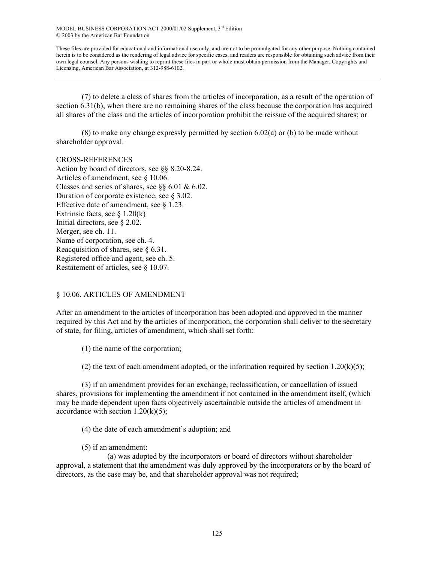These files are provided for educational and informational use only, and are not to be promulgated for any other purpose. Nothing contained herein is to be considered as the rendering of legal advice for specific cases, and readers are responsible for obtaining such advice from their own legal counsel. Any persons wishing to reprint these files in part or whole must obtain permission from the Manager, Copyrights and Licensing, American Bar Association, at 312-988-6102.

 (7) to delete a class of shares from the articles of incorporation, as a result of the operation of section 6.31(b), when there are no remaining shares of the class because the corporation has acquired all shares of the class and the articles of incorporation prohibit the reissue of the acquired shares; or

 (8) to make any change expressly permitted by section 6.02(a) or (b) to be made without shareholder approval.

#### CROSS-REFERENCES

Action by board of directors, see §§ 8.20-8.24. Articles of amendment, see § 10.06. Classes and series of shares, see §§ 6.01 & 6.02. Duration of corporate existence, see § 3.02. Effective date of amendment, see § 1.23. Extrinsic facts, see  $\S$  1.20(k) Initial directors, see § 2.02. Merger, see ch. 11. Name of corporation, see ch. 4. Reacquisition of shares, see § 6.31. Registered office and agent, see ch. 5. Restatement of articles, see § 10.07.

## § 10.06. ARTICLES OF AMENDMENT

After an amendment to the articles of incorporation has been adopted and approved in the manner required by this Act and by the articles of incorporation, the corporation shall deliver to the secretary of state, for filing, articles of amendment, which shall set forth:

- (1) the name of the corporation;
- (2) the text of each amendment adopted, or the information required by section  $1.20(k)(5)$ ;

 (3) if an amendment provides for an exchange, reclassification, or cancellation of issued shares, provisions for implementing the amendment if not contained in the amendment itself, (which may be made dependent upon facts objectively ascertainable outside the articles of amendment in accordance with section  $1.20(k)(5)$ ;

- (4) the date of each amendment's adoption; and
- (5) if an amendment:

 (a) was adopted by the incorporators or board of directors without shareholder approval, a statement that the amendment was duly approved by the incorporators or by the board of directors, as the case may be, and that shareholder approval was not required;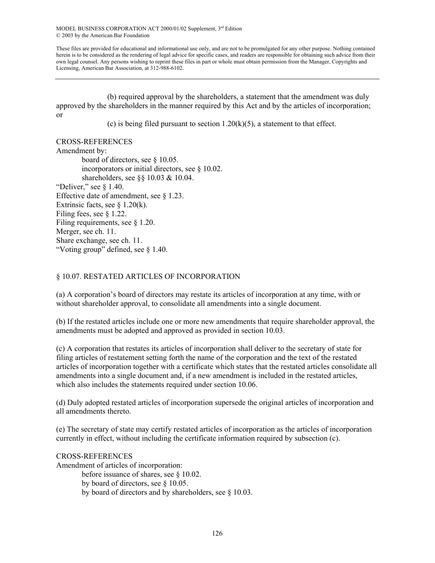These files are provided for educational and informational use only, and are not to be promulgated for any other purpose. Nothing contained herein is to be considered as the rendering of legal advice for specific cases, and readers are responsible for obtaining such advice from their own legal counsel. Any persons wishing to reprint these files in part or whole must obtain permission from the Manager, Copyrights and Licensing, American Bar Association, at 312-988-6102.

 (b) required approval by the shareholders, a statement that the amendment was duly approved by the shareholders in the manner required by this Act and by the articles of incorporation; or

(c) is being filed pursuant to section  $1.20(k)(5)$ , a statement to that effect.

CROSS-REFERENCES Amendment by: board of directors, see § 10.05. incorporators or initial directors, see § 10.02. shareholders, see §§ 10.03 & 10.04. "Deliver," see § 1.40. Effective date of amendment, see § 1.23. Extrinsic facts, see  $\S$  1.20(k). Filing fees, see § 1.22. Filing requirements, see § 1.20. Merger, see ch. 11. Share exchange, see ch. 11. "Voting group" defined, see § 1.40.

#### § 10.07. RESTATED ARTICLES OF INCORPORATION

(a) A corporation's board of directors may restate its articles of incorporation at any time, with or without shareholder approval, to consolidate all amendments into a single document.

(b) If the restated articles include one or more new amendments that require shareholder approval, the amendments must be adopted and approved as provided in section 10.03.

(c) A corporation that restates its articles of incorporation shall deliver to the secretary of state for filing articles of restatement setting forth the name of the corporation and the text of the restated articles of incorporation together with a certificate which states that the restated articles consolidate all amendments into a single document and, if a new amendment is included in the restated articles, which also includes the statements required under section 10.06.

(d) Duly adopted restated articles of incorporation supersede the original articles of incorporation and all amendments thereto.

(e) The secretary of state may certify restated articles of incorporation as the articles of incorporation currently in effect, without including the certificate information required by subsection (c).

#### CROSS-REFERENCES

Amendment of articles of incorporation: before issuance of shares, see § 10.02. by board of directors, see § 10.05. by board of directors and by shareholders, see § 10.03.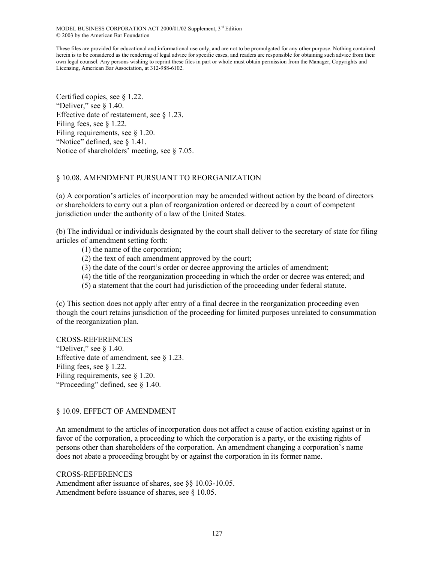These files are provided for educational and informational use only, and are not to be promulgated for any other purpose. Nothing contained herein is to be considered as the rendering of legal advice for specific cases, and readers are responsible for obtaining such advice from their own legal counsel. Any persons wishing to reprint these files in part or whole must obtain permission from the Manager, Copyrights and Licensing, American Bar Association, at 312-988-6102.

Certified copies, see § 1.22. "Deliver," see § 1.40. Effective date of restatement, see § 1.23. Filing fees, see § 1.22. Filing requirements, see § 1.20. "Notice" defined, see § 1.41. Notice of shareholders' meeting, see § 7.05.

# § 10.08. AMENDMENT PURSUANT TO REORGANIZATION

(a) A corporation's articles of incorporation may be amended without action by the board of directors or shareholders to carry out a plan of reorganization ordered or decreed by a court of competent jurisdiction under the authority of a law of the United States.

(b) The individual or individuals designated by the court shall deliver to the secretary of state for filing articles of amendment setting forth:

- (1) the name of the corporation;
- (2) the text of each amendment approved by the court;
- (3) the date of the court's order or decree approving the articles of amendment;
- (4) the title of the reorganization proceeding in which the order or decree was entered; and
- (5) a statement that the court had jurisdiction of the proceeding under federal statute.

(c) This section does not apply after entry of a final decree in the reorganization proceeding even though the court retains jurisdiction of the proceeding for limited purposes unrelated to consummation of the reorganization plan.

CROSS-REFERENCES "Deliver," see § 1.40. Effective date of amendment, see § 1.23. Filing fees, see § 1.22. Filing requirements, see § 1.20. "Proceeding" defined, see § 1.40.

## § 10.09. EFFECT OF AMENDMENT

An amendment to the articles of incorporation does not affect a cause of action existing against or in favor of the corporation, a proceeding to which the corporation is a party, or the existing rights of persons other than shareholders of the corporation. An amendment changing a corporation's name does not abate a proceeding brought by or against the corporation in its former name.

CROSS-REFERENCES Amendment after issuance of shares, see §§ 10.03-10.05. Amendment before issuance of shares, see § 10.05.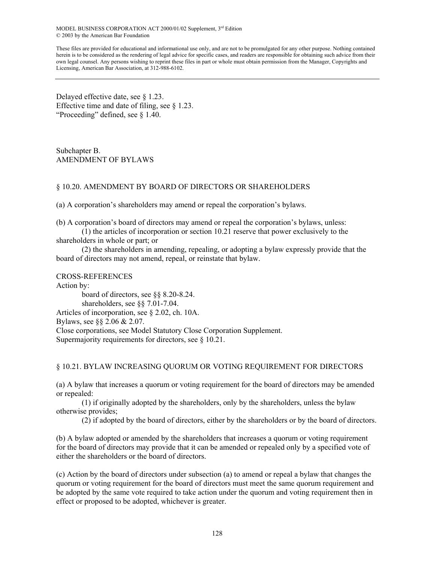These files are provided for educational and informational use only, and are not to be promulgated for any other purpose. Nothing contained herein is to be considered as the rendering of legal advice for specific cases, and readers are responsible for obtaining such advice from their own legal counsel. Any persons wishing to reprint these files in part or whole must obtain permission from the Manager, Copyrights and Licensing, American Bar Association, at 312-988-6102.

Delayed effective date, see § 1.23. Effective time and date of filing, see § 1.23. "Proceeding" defined, see § 1.40.

Subchapter B. AMENDMENT OF BYLAWS

# § 10.20. AMENDMENT BY BOARD OF DIRECTORS OR SHAREHOLDERS

(a) A corporation's shareholders may amend or repeal the corporation's bylaws.

(b) A corporation's board of directors may amend or repeal the corporation's bylaws, unless:

 (1) the articles of incorporation or section 10.21 reserve that power exclusively to the shareholders in whole or part; or

 (2) the shareholders in amending, repealing, or adopting a bylaw expressly provide that the board of directors may not amend, repeal, or reinstate that bylaw.

CROSS-REFERENCES

Action by:

board of directors, see §§ 8.20-8.24.

 shareholders, see §§ 7.01-7.04. Articles of incorporation, see § 2.02, ch. 10A.

Bylaws, see §§ 2.06 & 2.07.

Close corporations, see Model Statutory Close Corporation Supplement.

Supermajority requirements for directors, see § 10.21.

§ 10.21. BYLAW INCREASING QUORUM OR VOTING REQUIREMENT FOR DIRECTORS

(a) A bylaw that increases a quorum or voting requirement for the board of directors may be amended or repealed:

 (1) if originally adopted by the shareholders, only by the shareholders, unless the bylaw otherwise provides;

(2) if adopted by the board of directors, either by the shareholders or by the board of directors.

(b) A bylaw adopted or amended by the shareholders that increases a quorum or voting requirement for the board of directors may provide that it can be amended or repealed only by a specified vote of either the shareholders or the board of directors.

(c) Action by the board of directors under subsection (a) to amend or repeal a bylaw that changes the quorum or voting requirement for the board of directors must meet the same quorum requirement and be adopted by the same vote required to take action under the quorum and voting requirement then in effect or proposed to be adopted, whichever is greater.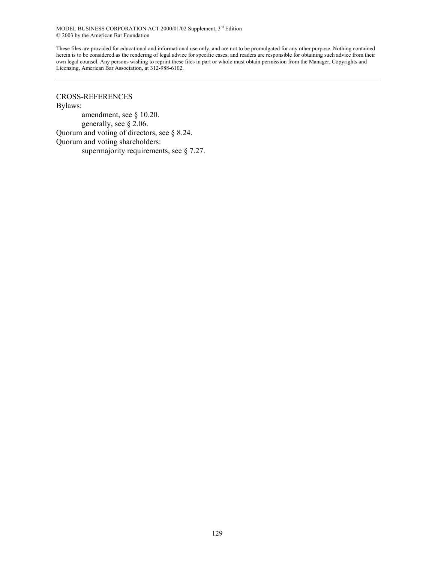These files are provided for educational and informational use only, and are not to be promulgated for any other purpose. Nothing contained herein is to be considered as the rendering of legal advice for specific cases, and readers are responsible for obtaining such advice from their own legal counsel. Any persons wishing to reprint these files in part or whole must obtain permission from the Manager, Copyrights and Licensing, American Bar Association, at 312-988-6102.

CROSS-REFERENCES Bylaws: amendment, see § 10.20. generally, see § 2.06. Quorum and voting of directors, see § 8.24. Quorum and voting shareholders: supermajority requirements, see § 7.27.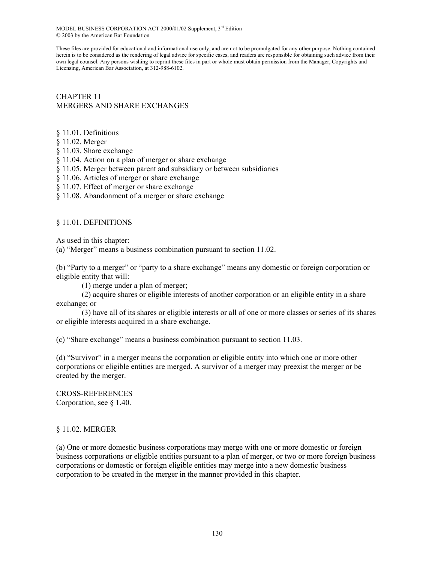These files are provided for educational and informational use only, and are not to be promulgated for any other purpose. Nothing contained herein is to be considered as the rendering of legal advice for specific cases, and readers are responsible for obtaining such advice from their own legal counsel. Any persons wishing to reprint these files in part or whole must obtain permission from the Manager, Copyrights and Licensing, American Bar Association, at 312-988-6102.

# CHAPTER 11 MERGERS AND SHARE EXCHANGES

- § 11.01. Definitions
- § 11.02. Merger
- § 11.03. Share exchange
- § 11.04. Action on a plan of merger or share exchange
- § 11.05. Merger between parent and subsidiary or between subsidiaries
- § 11.06. Articles of merger or share exchange
- § 11.07. Effect of merger or share exchange
- § 11.08. Abandonment of a merger or share exchange

## § 11.01. DEFINITIONS

As used in this chapter:

(a) "Merger" means a business combination pursuant to section 11.02.

(b) "Party to a merger" or "party to a share exchange" means any domestic or foreign corporation or eligible entity that will:

(1) merge under a plan of merger;

 (2) acquire shares or eligible interests of another corporation or an eligible entity in a share exchange; or

 (3) have all of its shares or eligible interests or all of one or more classes or series of its shares or eligible interests acquired in a share exchange.

(c) "Share exchange" means a business combination pursuant to section 11.03.

(d) "Survivor" in a merger means the corporation or eligible entity into which one or more other corporations or eligible entities are merged. A survivor of a merger may preexist the merger or be created by the merger.

CROSS-REFERENCES Corporation, see § 1.40.

#### § 11.02. MERGER

(a) One or more domestic business corporations may merge with one or more domestic or foreign business corporations or eligible entities pursuant to a plan of merger, or two or more foreign business corporations or domestic or foreign eligible entities may merge into a new domestic business corporation to be created in the merger in the manner provided in this chapter.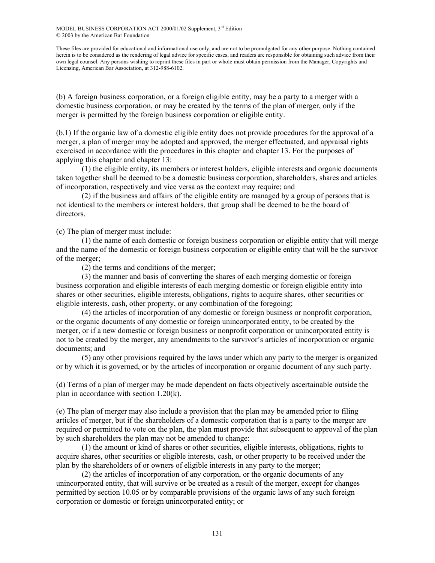(b) A foreign business corporation, or a foreign eligible entity, may be a party to a merger with a domestic business corporation, or may be created by the terms of the plan of merger, only if the merger is permitted by the foreign business corporation or eligible entity.

(b.1) If the organic law of a domestic eligible entity does not provide procedures for the approval of a merger, a plan of merger may be adopted and approved, the merger effectuated, and appraisal rights exercised in accordance with the procedures in this chapter and chapter 13. For the purposes of applying this chapter and chapter 13:

 (1) the eligible entity, its members or interest holders, eligible interests and organic documents taken together shall be deemed to be a domestic business corporation, shareholders, shares and articles of incorporation, respectively and vice versa as the context may require; and

 (2) if the business and affairs of the eligible entity are managed by a group of persons that is not identical to the members or interest holders, that group shall be deemed to be the board of directors.

(c) The plan of merger must include:

 (1) the name of each domestic or foreign business corporation or eligible entity that will merge and the name of the domestic or foreign business corporation or eligible entity that will be the survivor of the merger;

(2) the terms and conditions of the merger;

 (3) the manner and basis of converting the shares of each merging domestic or foreign business corporation and eligible interests of each merging domestic or foreign eligible entity into shares or other securities, eligible interests, obligations, rights to acquire shares, other securities or eligible interests, cash, other property, or any combination of the foregoing;

 (4) the articles of incorporation of any domestic or foreign business or nonprofit corporation, or the organic documents of any domestic or foreign unincorporated entity, to be created by the merger, or if a new domestic or foreign business or nonprofit corporation or unincorporated entity is not to be created by the merger, any amendments to the survivor's articles of incorporation or organic documents; and

 (5) any other provisions required by the laws under which any party to the merger is organized or by which it is governed, or by the articles of incorporation or organic document of any such party.

(d) Terms of a plan of merger may be made dependent on facts objectively ascertainable outside the plan in accordance with section 1.20(k).

(e) The plan of merger may also include a provision that the plan may be amended prior to filing articles of merger, but if the shareholders of a domestic corporation that is a party to the merger are required or permitted to vote on the plan, the plan must provide that subsequent to approval of the plan by such shareholders the plan may not be amended to change:

 (1) the amount or kind of shares or other securities, eligible interests, obligations, rights to acquire shares, other securities or eligible interests, cash, or other property to be received under the plan by the shareholders of or owners of eligible interests in any party to the merger;

 (2) the articles of incorporation of any corporation, or the organic documents of any unincorporated entity, that will survive or be created as a result of the merger, except for changes permitted by section 10.05 or by comparable provisions of the organic laws of any such foreign corporation or domestic or foreign unincorporated entity; or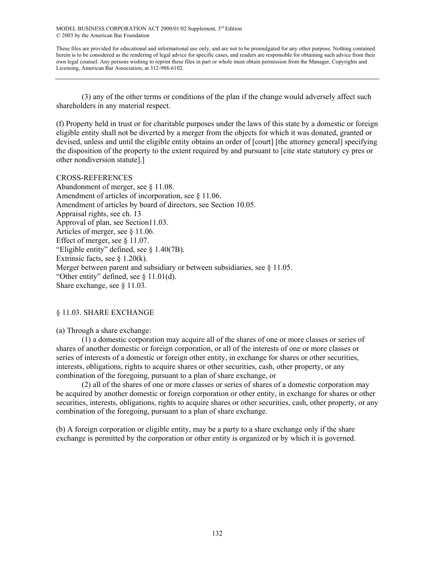(3) any of the other terms or conditions of the plan if the change would adversely affect such shareholders in any material respect.

(f) Property held in trust or for charitable purposes under the laws of this state by a domestic or foreign eligible entity shall not be diverted by a merger from the objects for which it was donated, granted or devised, unless and until the eligible entity obtains an order of [court] [the attorney general] specifying the disposition of the property to the extent required by and pursuant to [cite state statutory cy pres or other nondiversion statute].]

## CROSS-REFERENCES

Abandonment of merger, see § 11.08. Amendment of articles of incorporation, see § 11.06. Amendment of articles by board of directors, see Section 10.05. Appraisal rights, see ch. 13 Approval of plan, see Section11.03. Articles of merger, see § 11.06. Effect of merger, see § 11.07. "Eligible entity" defined, see § 1.40(7B). Extrinsic facts, see  $\S$  1.20(k). Merger between parent and subsidiary or between subsidiaries, see § 11.05. "Other entity" defined, see § 11.01(d). Share exchange, see § 11.03.

## § 11.03. SHARE EXCHANGE

(a) Through a share exchange:

 (1) a domestic corporation may acquire all of the shares of one or more classes or series of shares of another domestic or foreign corporation, or all of the interests of one or more classes or series of interests of a domestic or foreign other entity, in exchange for shares or other securities, interests, obligations, rights to acquire shares or other securities, cash, other property, or any combination of the foregoing, pursuant to a plan of share exchange, or

 (2) all of the shares of one or more classes or series of shares of a domestic corporation may be acquired by another domestic or foreign corporation or other entity, in exchange for shares or other securities, interests, obligations, rights to acquire shares or other securities, cash, other property, or any combination of the foregoing, pursuant to a plan of share exchange.

(b) A foreign corporation or eligible entity, may be a party to a share exchange only if the share exchange is permitted by the corporation or other entity is organized or by which it is governed.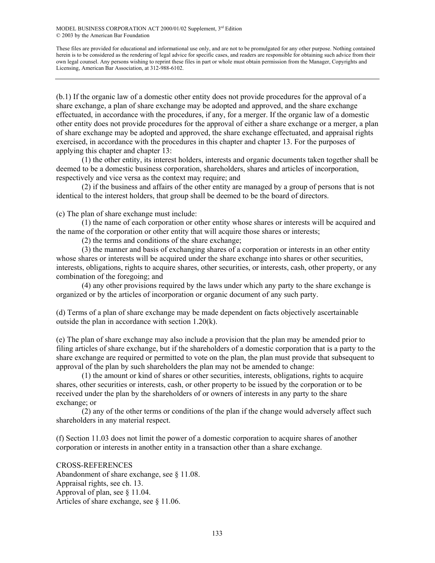These files are provided for educational and informational use only, and are not to be promulgated for any other purpose. Nothing contained herein is to be considered as the rendering of legal advice for specific cases, and readers are responsible for obtaining such advice from their own legal counsel. Any persons wishing to reprint these files in part or whole must obtain permission from the Manager, Copyrights and Licensing, American Bar Association, at 312-988-6102.

(b.1) If the organic law of a domestic other entity does not provide procedures for the approval of a share exchange, a plan of share exchange may be adopted and approved, and the share exchange effectuated, in accordance with the procedures, if any, for a merger. If the organic law of a domestic other entity does not provide procedures for the approval of either a share exchange or a merger, a plan of share exchange may be adopted and approved, the share exchange effectuated, and appraisal rights exercised, in accordance with the procedures in this chapter and chapter 13. For the purposes of applying this chapter and chapter 13:

 (1) the other entity, its interest holders, interests and organic documents taken together shall be deemed to be a domestic business corporation, shareholders, shares and articles of incorporation, respectively and vice versa as the context may require; and

 (2) if the business and affairs of the other entity are managed by a group of persons that is not identical to the interest holders, that group shall be deemed to be the board of directors.

(c) The plan of share exchange must include:

 (1) the name of each corporation or other entity whose shares or interests will be acquired and the name of the corporation or other entity that will acquire those shares or interests;

(2) the terms and conditions of the share exchange;

 (3) the manner and basis of exchanging shares of a corporation or interests in an other entity whose shares or interests will be acquired under the share exchange into shares or other securities, interests, obligations, rights to acquire shares, other securities, or interests, cash, other property, or any combination of the foregoing; and

 (4) any other provisions required by the laws under which any party to the share exchange is organized or by the articles of incorporation or organic document of any such party.

(d) Terms of a plan of share exchange may be made dependent on facts objectively ascertainable outside the plan in accordance with section 1.20(k).

(e) The plan of share exchange may also include a provision that the plan may be amended prior to filing articles of share exchange, but if the shareholders of a domestic corporation that is a party to the share exchange are required or permitted to vote on the plan, the plan must provide that subsequent to approval of the plan by such shareholders the plan may not be amended to change:

 (1) the amount or kind of shares or other securities, interests, obligations, rights to acquire shares, other securities or interests, cash, or other property to be issued by the corporation or to be received under the plan by the shareholders of or owners of interests in any party to the share exchange; or

 (2) any of the other terms or conditions of the plan if the change would adversely affect such shareholders in any material respect.

(f) Section 11.03 does not limit the power of a domestic corporation to acquire shares of another corporation or interests in another entity in a transaction other than a share exchange.

# CROSS-REFERENCES

Abandonment of share exchange, see  $\S$  11.08. Appraisal rights, see ch. 13. Approval of plan, see § 11.04. Articles of share exchange, see § 11.06.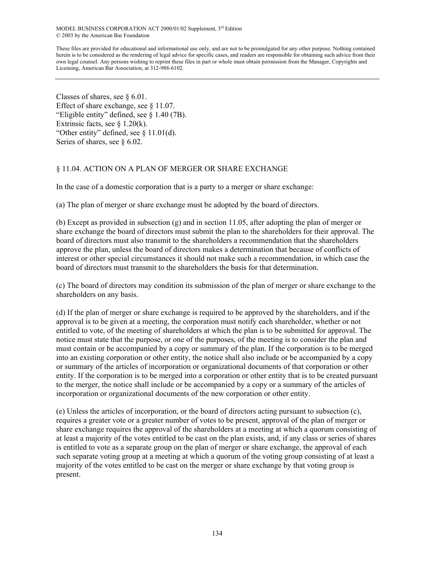These files are provided for educational and informational use only, and are not to be promulgated for any other purpose. Nothing contained herein is to be considered as the rendering of legal advice for specific cases, and readers are responsible for obtaining such advice from their own legal counsel. Any persons wishing to reprint these files in part or whole must obtain permission from the Manager, Copyrights and Licensing, American Bar Association, at 312-988-6102.

Classes of shares, see § 6.01. Effect of share exchange, see § 11.07. "Eligible entity" defined, see § 1.40 (7B). Extrinsic facts, see  $\S$  1.20(k). "Other entity" defined, see § 11.01(d). Series of shares, see § 6.02.

# § 11.04. ACTION ON A PLAN OF MERGER OR SHARE EXCHANGE

In the case of a domestic corporation that is a party to a merger or share exchange:

(a) The plan of merger or share exchange must be adopted by the board of directors.

(b) Except as provided in subsection (g) and in section 11.05, after adopting the plan of merger or share exchange the board of directors must submit the plan to the shareholders for their approval. The board of directors must also transmit to the shareholders a recommendation that the shareholders approve the plan, unless the board of directors makes a determination that because of conflicts of interest or other special circumstances it should not make such a recommendation, in which case the board of directors must transmit to the shareholders the basis for that determination.

(c) The board of directors may condition its submission of the plan of merger or share exchange to the shareholders on any basis.

(d) If the plan of merger or share exchange is required to be approved by the shareholders, and if the approval is to be given at a meeting, the corporation must notify each shareholder, whether or not entitled to vote, of the meeting of shareholders at which the plan is to be submitted for approval. The notice must state that the purpose, or one of the purposes, of the meeting is to consider the plan and must contain or be accompanied by a copy or summary of the plan. If the corporation is to be merged into an existing corporation or other entity, the notice shall also include or be accompanied by a copy or summary of the articles of incorporation or organizational documents of that corporation or other entity. If the corporation is to be merged into a corporation or other entity that is to be created pursuant to the merger, the notice shall include or be accompanied by a copy or a summary of the articles of incorporation or organizational documents of the new corporation or other entity.

(e) Unless the articles of incorporation, or the board of directors acting pursuant to subsection (c), requires a greater vote or a greater number of votes to be present, approval of the plan of merger or share exchange requires the approval of the shareholders at a meeting at which a quorum consisting of at least a majority of the votes entitled to be cast on the plan exists, and, if any class or series of shares is entitled to vote as a separate group on the plan of merger or share exchange, the approval of each such separate voting group at a meeting at which a quorum of the voting group consisting of at least a majority of the votes entitled to be cast on the merger or share exchange by that voting group is present.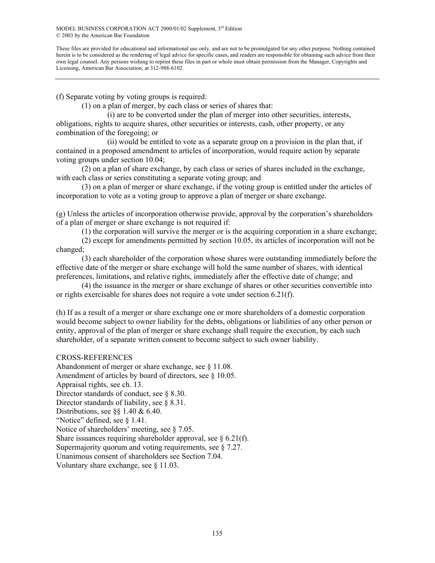(f) Separate voting by voting groups is required:

(1) on a plan of merger, by each class or series of shares that:

 (i) are to be converted under the plan of merger into other securities, interests, obligations, rights to acquire shares, other securities or interests, cash, other property, or any combination of the foregoing; or

 (ii) would be entitled to vote as a separate group on a provision in the plan that, if contained in a proposed amendment to articles of incorporation, would require action by separate voting groups under section 10.04;

 (2) on a plan of share exchange, by each class or series of shares included in the exchange, with each class or series constituting a separate voting group; and

 (3) on a plan of merger or share exchange, if the voting group is entitled under the articles of incorporation to vote as a voting group to approve a plan of merger or share exchange.

(g) Unless the articles of incorporation otherwise provide, approval by the corporation's shareholders of a plan of merger or share exchange is not required if:

(1) the corporation will survive the merger or is the acquiring corporation in a share exchange;

 (2) except for amendments permitted by section 10.05, its articles of incorporation will not be changed;

 (3) each shareholder of the corporation whose shares were outstanding immediately before the effective date of the merger or share exchange will hold the same number of shares, with identical preferences, limitations, and relative rights, immediately after the effective date of change; and

 (4) the issuance in the merger or share exchange of shares or other securities convertible into or rights exercisable for shares does not require a vote under section 6.21(f).

(h) If as a result of a merger or share exchange one or more shareholders of a domestic corporation would become subject to owner liability for the debts, obligations or liabilities of any other person or entity, approval of the plan of merger or share exchange shall require the execution, by each such shareholder, of a separate written consent to become subject to such owner liability.

## CROSS-REFERENCES

Abandonment of merger or share exchange, see § 11.08. Amendment of articles by board of directors, see § 10.05. Appraisal rights, see ch. 13. Director standards of conduct, see § 8.30. Director standards of liability, see § 8.31. Distributions, see §§ 1.40 & 6.40. "Notice" defined, see § 1.41. Notice of shareholders' meeting, see  $\S$  7.05. Share issuances requiring shareholder approval, see  $\S 6.21(f)$ . Supermajority quorum and voting requirements, see § 7.27. Unanimous consent of shareholders see Section 7.04. Voluntary share exchange, see § 11.03.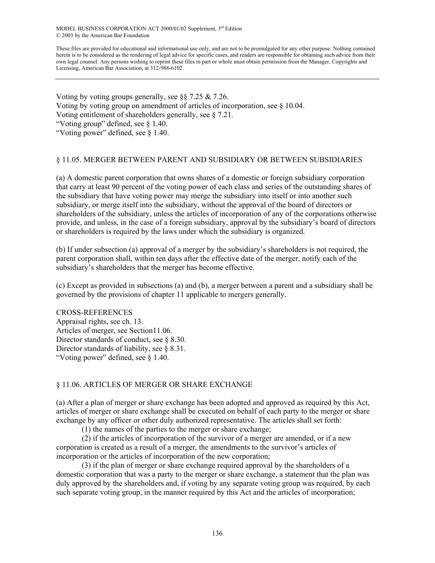These files are provided for educational and informational use only, and are not to be promulgated for any other purpose. Nothing contained herein is to be considered as the rendering of legal advice for specific cases, and readers are responsible for obtaining such advice from their own legal counsel. Any persons wishing to reprint these files in part or whole must obtain permission from the Manager, Copyrights and Licensing, American Bar Association, at 312-988-6102.

Voting by voting groups generally, see §§ 7.25 & 7.26. Voting by voting group on amendment of articles of incorporation, see § 10.04. Voting entitlement of shareholders generally, see § 7.21. "Voting group" defined, see § 1.40. "Voting power" defined, see § 1.40.

#### § 11.05. MERGER BETWEEN PARENT AND SUBSIDIARY OR BETWEEN SUBSIDIARIES

(a) A domestic parent corporation that owns shares of a domestic or foreign subsidiary corporation that carry at least 90 percent of the voting power of each class and series of the outstanding shares of the subsidiary that have voting power may merge the subsidiary into itself or into another such subsidiary, or merge itself into the subsidiary, without the approval of the board of directors or shareholders of the subsidiary, unless the articles of incorporation of any of the corporations otherwise provide, and unless, in the case of a foreign subsidiary, approval by the subsidiary's board of directors or shareholders is required by the laws under which the subsidiary is organized.

(b) If under subsection (a) approval of a merger by the subsidiary's shareholders is not required, the parent corporation shall, within ten days after the effective date of the merger, notify each of the subsidiary's shareholders that the merger has become effective.

(c) Except as provided in subsections (a) and (b), a merger between a parent and a subsidiary shall be governed by the provisions of chapter 11 applicable to mergers generally.

CROSS-REFERENCES Appraisal rights, see ch. 13. Articles of merger, see Section11.06. Director standards of conduct, see § 8.30. Director standards of liability, see § 8.31. "Voting power" defined, see § 1.40.

## § 11.06. ARTICLES OF MERGER OR SHARE EXCHANGE

(a) After a plan of merger or share exchange has been adopted and approved as required by this Act, articles of merger or share exchange shall be executed on behalf of each party to the merger or share exchange by any officer or other duly authorized representative. The articles shall set forth:

(1) the names of the parties to the merger or share exchange;

 (2) if the articles of incorporation of the survivor of a merger are amended, or if a new corporation is created as a result of a merger, the amendments to the survivor's articles of incorporation or the articles of incorporation of the new corporation;

 (3) if the plan of merger or share exchange required approval by the shareholders of a domestic corporation that was a party to the merger or share exchange, a statement that the plan was duly approved by the shareholders and, if voting by any separate voting group was required, by each such separate voting group, in the manner required by this Act and the articles of incorporation;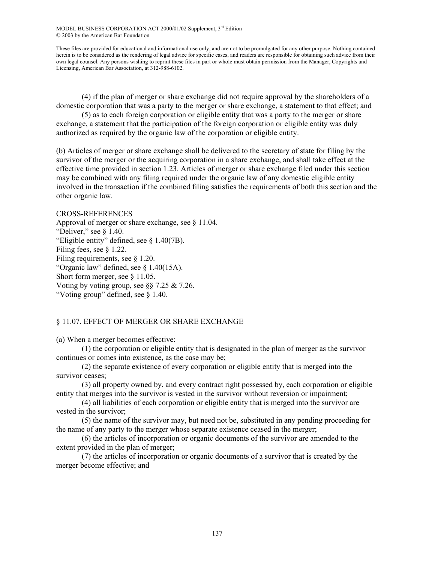These files are provided for educational and informational use only, and are not to be promulgated for any other purpose. Nothing contained herein is to be considered as the rendering of legal advice for specific cases, and readers are responsible for obtaining such advice from their own legal counsel. Any persons wishing to reprint these files in part or whole must obtain permission from the Manager, Copyrights and Licensing, American Bar Association, at 312-988-6102.

 (4) if the plan of merger or share exchange did not require approval by the shareholders of a domestic corporation that was a party to the merger or share exchange, a statement to that effect; and

 (5) as to each foreign corporation or eligible entity that was a party to the merger or share exchange, a statement that the participation of the foreign corporation or eligible entity was duly authorized as required by the organic law of the corporation or eligible entity.

(b) Articles of merger or share exchange shall be delivered to the secretary of state for filing by the survivor of the merger or the acquiring corporation in a share exchange, and shall take effect at the effective time provided in section 1.23. Articles of merger or share exchange filed under this section may be combined with any filing required under the organic law of any domestic eligible entity involved in the transaction if the combined filing satisfies the requirements of both this section and the other organic law.

CROSS-REFERENCES Approval of merger or share exchange, see § 11.04. "Deliver," see § 1.40. "Eligible entity" defined, see § 1.40(7B). Filing fees, see § 1.22. Filing requirements, see § 1.20. "Organic law" defined, see § 1.40(15A). Short form merger, see § 11.05. Voting by voting group, see  $\S$ § 7.25 & 7.26. "Voting group" defined, see § 1.40.

#### § 11.07. EFFECT OF MERGER OR SHARE EXCHANGE

(a) When a merger becomes effective:

 (1) the corporation or eligible entity that is designated in the plan of merger as the survivor continues or comes into existence, as the case may be;

 (2) the separate existence of every corporation or eligible entity that is merged into the survivor ceases;

 (3) all property owned by, and every contract right possessed by, each corporation or eligible entity that merges into the survivor is vested in the survivor without reversion or impairment;

 (4) all liabilities of each corporation or eligible entity that is merged into the survivor are vested in the survivor;

 (5) the name of the survivor may, but need not be, substituted in any pending proceeding for the name of any party to the merger whose separate existence ceased in the merger;

 (6) the articles of incorporation or organic documents of the survivor are amended to the extent provided in the plan of merger;

 (7) the articles of incorporation or organic documents of a survivor that is created by the merger become effective; and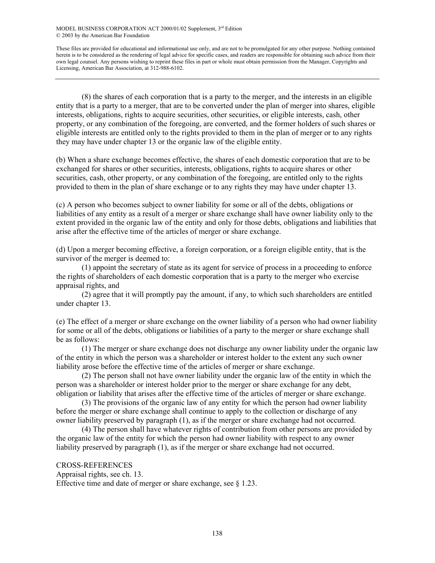(8) the shares of each corporation that is a party to the merger, and the interests in an eligible entity that is a party to a merger, that are to be converted under the plan of merger into shares, eligible interests, obligations, rights to acquire securities, other securities, or eligible interests, cash, other property, or any combination of the foregoing, are converted, and the former holders of such shares or eligible interests are entitled only to the rights provided to them in the plan of merger or to any rights they may have under chapter 13 or the organic law of the eligible entity.

(b) When a share exchange becomes effective, the shares of each domestic corporation that are to be exchanged for shares or other securities, interests, obligations, rights to acquire shares or other securities, cash, other property, or any combination of the foregoing, are entitled only to the rights provided to them in the plan of share exchange or to any rights they may have under chapter 13.

(c) A person who becomes subject to owner liability for some or all of the debts, obligations or liabilities of any entity as a result of a merger or share exchange shall have owner liability only to the extent provided in the organic law of the entity and only for those debts, obligations and liabilities that arise after the effective time of the articles of merger or share exchange.

(d) Upon a merger becoming effective, a foreign corporation, or a foreign eligible entity, that is the survivor of the merger is deemed to:

 (1) appoint the secretary of state as its agent for service of process in a proceeding to enforce the rights of shareholders of each domestic corporation that is a party to the merger who exercise appraisal rights, and

 (2) agree that it will promptly pay the amount, if any, to which such shareholders are entitled under chapter 13.

(e) The effect of a merger or share exchange on the owner liability of a person who had owner liability for some or all of the debts, obligations or liabilities of a party to the merger or share exchange shall be as follows:

 (1) The merger or share exchange does not discharge any owner liability under the organic law of the entity in which the person was a shareholder or interest holder to the extent any such owner liability arose before the effective time of the articles of merger or share exchange.

 (2) The person shall not have owner liability under the organic law of the entity in which the person was a shareholder or interest holder prior to the merger or share exchange for any debt, obligation or liability that arises after the effective time of the articles of merger or share exchange.

 (3) The provisions of the organic law of any entity for which the person had owner liability before the merger or share exchange shall continue to apply to the collection or discharge of any owner liability preserved by paragraph (1), as if the merger or share exchange had not occurred.

 (4) The person shall have whatever rights of contribution from other persons are provided by the organic law of the entity for which the person had owner liability with respect to any owner liability preserved by paragraph (1), as if the merger or share exchange had not occurred.

CROSS-REFERENCES Appraisal rights, see ch. 13. Effective time and date of merger or share exchange, see § 1.23.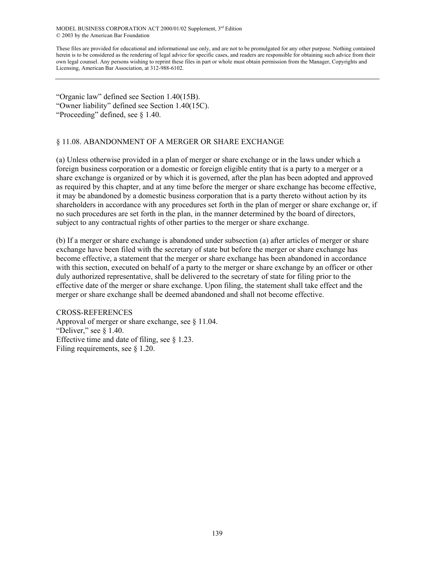These files are provided for educational and informational use only, and are not to be promulgated for any other purpose. Nothing contained herein is to be considered as the rendering of legal advice for specific cases, and readers are responsible for obtaining such advice from their own legal counsel. Any persons wishing to reprint these files in part or whole must obtain permission from the Manager, Copyrights and Licensing, American Bar Association, at 312-988-6102.

"Organic law" defined see Section 1.40(15B).

"Owner liability" defined see Section 1.40(15C).

"Proceeding" defined, see § 1.40.

# § 11.08. ABANDONMENT OF A MERGER OR SHARE EXCHANGE

(a) Unless otherwise provided in a plan of merger or share exchange or in the laws under which a foreign business corporation or a domestic or foreign eligible entity that is a party to a merger or a share exchange is organized or by which it is governed, after the plan has been adopted and approved as required by this chapter, and at any time before the merger or share exchange has become effective, it may be abandoned by a domestic business corporation that is a party thereto without action by its shareholders in accordance with any procedures set forth in the plan of merger or share exchange or, if no such procedures are set forth in the plan, in the manner determined by the board of directors, subject to any contractual rights of other parties to the merger or share exchange.

(b) If a merger or share exchange is abandoned under subsection (a) after articles of merger or share exchange have been filed with the secretary of state but before the merger or share exchange has become effective, a statement that the merger or share exchange has been abandoned in accordance with this section, executed on behalf of a party to the merger or share exchange by an officer or other duly authorized representative, shall be delivered to the secretary of state for filing prior to the effective date of the merger or share exchange. Upon filing, the statement shall take effect and the merger or share exchange shall be deemed abandoned and shall not become effective.

CROSS-REFERENCES Approval of merger or share exchange, see § 11.04. "Deliver," see § 1.40. Effective time and date of filing, see § 1.23. Filing requirements, see § 1.20.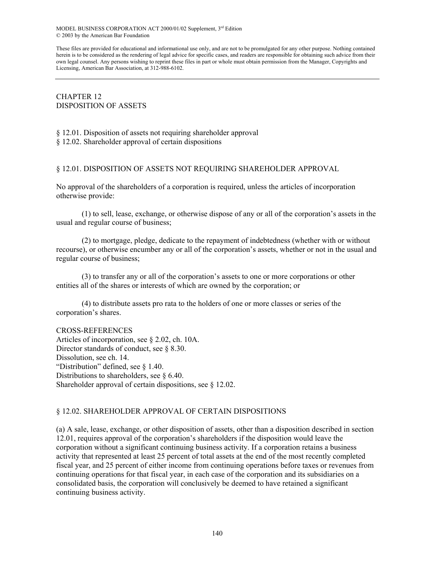These files are provided for educational and informational use only, and are not to be promulgated for any other purpose. Nothing contained herein is to be considered as the rendering of legal advice for specific cases, and readers are responsible for obtaining such advice from their own legal counsel. Any persons wishing to reprint these files in part or whole must obtain permission from the Manager, Copyrights and Licensing, American Bar Association, at 312-988-6102.

CHAPTER 12 DISPOSITION OF ASSETS

§ 12.01. Disposition of assets not requiring shareholder approval

§ 12.02. Shareholder approval of certain dispositions

## § 12.01. DISPOSITION OF ASSETS NOT REQUIRING SHAREHOLDER APPROVAL

No approval of the shareholders of a corporation is required, unless the articles of incorporation otherwise provide:

 (1) to sell, lease, exchange, or otherwise dispose of any or all of the corporation's assets in the usual and regular course of business;

 (2) to mortgage, pledge, dedicate to the repayment of indebtedness (whether with or without recourse), or otherwise encumber any or all of the corporation's assets, whether or not in the usual and regular course of business;

 (3) to transfer any or all of the corporation's assets to one or more corporations or other entities all of the shares or interests of which are owned by the corporation; or

 (4) to distribute assets pro rata to the holders of one or more classes or series of the corporation's shares.

CROSS-REFERENCES Articles of incorporation, see § 2.02, ch. 10A. Director standards of conduct, see § 8.30. Dissolution, see ch. 14. "Distribution" defined, see § 1.40. Distributions to shareholders, see § 6.40. Shareholder approval of certain dispositions, see § 12.02.

## § 12.02. SHAREHOLDER APPROVAL OF CERTAIN DISPOSITIONS

(a) A sale, lease, exchange, or other disposition of assets, other than a disposition described in section 12.01, requires approval of the corporation's shareholders if the disposition would leave the corporation without a significant continuing business activity. If a corporation retains a business activity that represented at least 25 percent of total assets at the end of the most recently completed fiscal year, and 25 percent of either income from continuing operations before taxes or revenues from continuing operations for that fiscal year, in each case of the corporation and its subsidiaries on a consolidated basis, the corporation will conclusively be deemed to have retained a significant continuing business activity.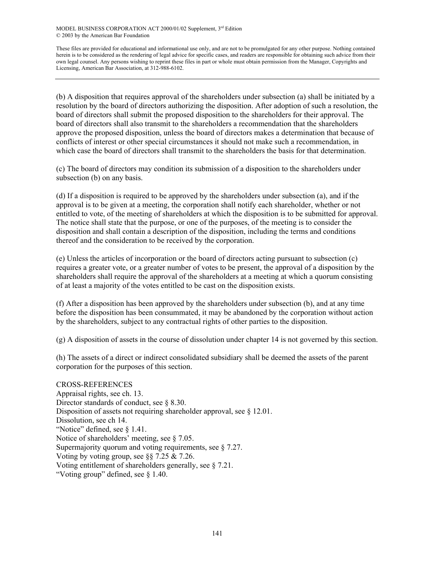(b) A disposition that requires approval of the shareholders under subsection (a) shall be initiated by a resolution by the board of directors authorizing the disposition. After adoption of such a resolution, the board of directors shall submit the proposed disposition to the shareholders for their approval. The board of directors shall also transmit to the shareholders a recommendation that the shareholders approve the proposed disposition, unless the board of directors makes a determination that because of conflicts of interest or other special circumstances it should not make such a recommendation, in which case the board of directors shall transmit to the shareholders the basis for that determination.

(c) The board of directors may condition its submission of a disposition to the shareholders under subsection (b) on any basis.

(d) If a disposition is required to be approved by the shareholders under subsection (a), and if the approval is to be given at a meeting, the corporation shall notify each shareholder, whether or not entitled to vote, of the meeting of shareholders at which the disposition is to be submitted for approval. The notice shall state that the purpose, or one of the purposes, of the meeting is to consider the disposition and shall contain a description of the disposition, including the terms and conditions thereof and the consideration to be received by the corporation.

(e) Unless the articles of incorporation or the board of directors acting pursuant to subsection (c) requires a greater vote, or a greater number of votes to be present, the approval of a disposition by the shareholders shall require the approval of the shareholders at a meeting at which a quorum consisting of at least a majority of the votes entitled to be cast on the disposition exists.

(f) After a disposition has been approved by the shareholders under subsection (b), and at any time before the disposition has been consummated, it may be abandoned by the corporation without action by the shareholders, subject to any contractual rights of other parties to the disposition.

(g) A disposition of assets in the course of dissolution under chapter 14 is not governed by this section.

(h) The assets of a direct or indirect consolidated subsidiary shall be deemed the assets of the parent corporation for the purposes of this section.

CROSS-REFERENCES Appraisal rights, see ch. 13. Director standards of conduct, see § 8.30. Disposition of assets not requiring shareholder approval, see § 12.01. Dissolution, see ch 14. "Notice" defined, see § 1.41. Notice of shareholders' meeting, see § 7.05. Supermajority quorum and voting requirements, see § 7.27. Voting by voting group, see §§ 7.25 & 7.26. Voting entitlement of shareholders generally, see § 7.21. "Voting group" defined, see § 1.40.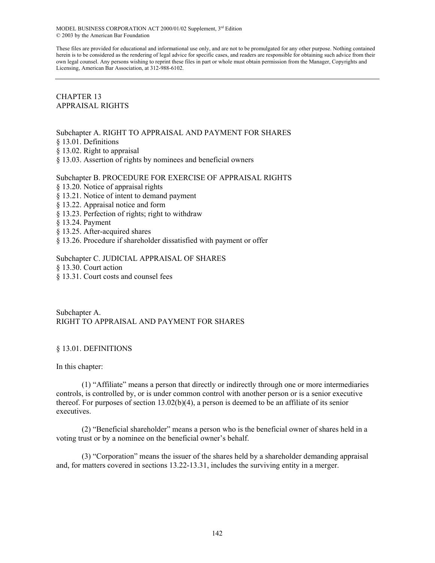These files are provided for educational and informational use only, and are not to be promulgated for any other purpose. Nothing contained herein is to be considered as the rendering of legal advice for specific cases, and readers are responsible for obtaining such advice from their own legal counsel. Any persons wishing to reprint these files in part or whole must obtain permission from the Manager, Copyrights and Licensing, American Bar Association, at 312-988-6102.

CHAPTER 13 APPRAISAL RIGHTS

Subchapter A. RIGHT TO APPRAISAL AND PAYMENT FOR SHARES

- § 13.01. Definitions
- § 13.02. Right to appraisal
- § 13.03. Assertion of rights by nominees and beneficial owners

Subchapter B. PROCEDURE FOR EXERCISE OF APPRAISAL RIGHTS

- § 13.20. Notice of appraisal rights
- § 13.21. Notice of intent to demand payment
- § 13.22. Appraisal notice and form
- § 13.23. Perfection of rights; right to withdraw
- § 13.24. Payment
- § 13.25. After-acquired shares
- § 13.26. Procedure if shareholder dissatisfied with payment or offer

Subchapter C. JUDICIAL APPRAISAL OF SHARES

- § 13.30. Court action
- § 13.31. Court costs and counsel fees

Subchapter A. RIGHT TO APPRAISAL AND PAYMENT FOR SHARES

## § 13.01. DEFINITIONS

In this chapter:

 (1) "Affiliate" means a person that directly or indirectly through one or more intermediaries controls, is controlled by, or is under common control with another person or is a senior executive thereof. For purposes of section 13.02(b)(4), a person is deemed to be an affiliate of its senior executives.

 (2) "Beneficial shareholder" means a person who is the beneficial owner of shares held in a voting trust or by a nominee on the beneficial owner's behalf.

 (3) "Corporation" means the issuer of the shares held by a shareholder demanding appraisal and, for matters covered in sections 13.22-13.31, includes the surviving entity in a merger.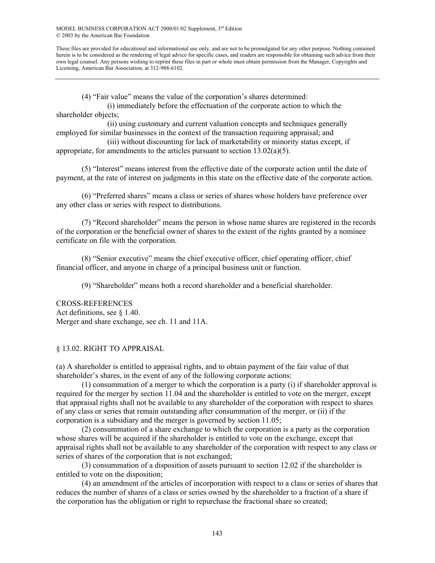(4) "Fair value" means the value of the corporation's shares determined:

 (i) immediately before the effectuation of the corporate action to which the shareholder objects;

 (ii) using customary and current valuation concepts and techniques generally employed for similar businesses in the context of the transaction requiring appraisal; and

 (iii) without discounting for lack of marketability or minority status except, if appropriate, for amendments to the articles pursuant to section  $13.02(a)(5)$ .

 (5) "Interest" means interest from the effective date of the corporate action until the date of payment, at the rate of interest on judgments in this state on the effective date of the corporate action.

 (6) "Preferred shares" means a class or series of shares whose holders have preference over any other class or series with respect to distributions.

 (7) "Record shareholder" means the person in whose name shares are registered in the records of the corporation or the beneficial owner of shares to the extent of the rights granted by a nominee certificate on file with the corporation.

 (8) "Senior executive" means the chief executive officer, chief operating officer, chief financial officer, and anyone in charge of a principal business unit or function.

(9) "Shareholder" means both a record shareholder and a beneficial shareholder.

CROSS-REFERENCES Act definitions, see § 1.40. Merger and share exchange, see ch. 11 and 11A.

# § 13.02. RIGHT TO APPRAISAL

(a) A shareholder is entitled to appraisal rights, and to obtain payment of the fair value of that shareholder's shares, in the event of any of the following corporate actions:

 (1) consummation of a merger to which the corporation is a party (i) if shareholder approval is required for the merger by section 11.04 and the shareholder is entitled to vote on the merger, except that appraisal rights shall not be available to any shareholder of the corporation with respect to shares of any class or series that remain outstanding after consummation of the merger, or (ii) if the corporation is a subsidiary and the merger is governed by section 11.05;

 (2) consummation of a share exchange to which the corporation is a party as the corporation whose shares will be acquired if the shareholder is entitled to vote on the exchange, except that appraisal rights shall not be available to any shareholder of the corporation with respect to any class or series of shares of the corporation that is not exchanged;

 (3) consummation of a disposition of assets pursuant to section 12.02 if the shareholder is entitled to vote on the disposition;

 (4) an amendment of the articles of incorporation with respect to a class or series of shares that reduces the number of shares of a class or series owned by the shareholder to a fraction of a share if the corporation has the obligation or right to repurchase the fractional share so created;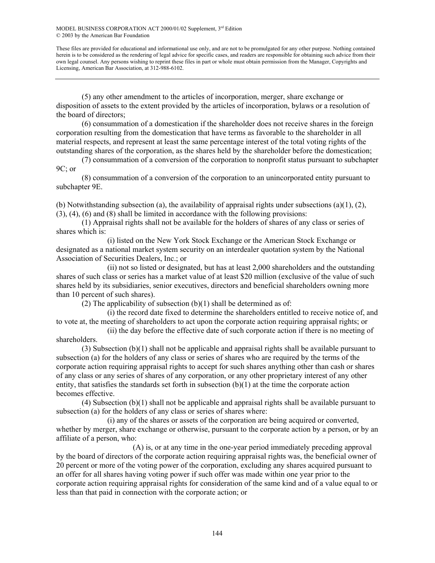(5) any other amendment to the articles of incorporation, merger, share exchange or disposition of assets to the extent provided by the articles of incorporation, bylaws or a resolution of the board of directors;

 (6) consummation of a domestication if the shareholder does not receive shares in the foreign corporation resulting from the domestication that have terms as favorable to the shareholder in all material respects, and represent at least the same percentage interest of the total voting rights of the outstanding shares of the corporation, as the shares held by the shareholder before the domestication;

 (7) consummation of a conversion of the corporation to nonprofit status pursuant to subchapter  $9C$ ; or

 (8) consummation of a conversion of the corporation to an unincorporated entity pursuant to subchapter 9E.

(b) Notwithstanding subsection (a), the availability of appraisal rights under subsections (a)(1), (2), (3), (4), (6) and (8) shall be limited in accordance with the following provisions:

 (1) Appraisal rights shall not be available for the holders of shares of any class or series of shares which is:

 (i) listed on the New York Stock Exchange or the American Stock Exchange or designated as a national market system security on an interdealer quotation system by the National Association of Securities Dealers, Inc.; or

 (ii) not so listed or designated, but has at least 2,000 shareholders and the outstanding shares of such class or series has a market value of at least \$20 million (exclusive of the value of such shares held by its subsidiaries, senior executives, directors and beneficial shareholders owning more than 10 percent of such shares).

(2) The applicability of subsection  $(b)(1)$  shall be determined as of:

 (i) the record date fixed to determine the shareholders entitled to receive notice of, and to vote at, the meeting of shareholders to act upon the corporate action requiring appraisal rights; or

 (ii) the day before the effective date of such corporate action if there is no meeting of shareholders.

 (3) Subsection (b)(1) shall not be applicable and appraisal rights shall be available pursuant to subsection (a) for the holders of any class or series of shares who are required by the terms of the corporate action requiring appraisal rights to accept for such shares anything other than cash or shares of any class or any series of shares of any corporation, or any other proprietary interest of any other entity, that satisfies the standards set forth in subsection (b)(1) at the time the corporate action becomes effective.

 (4) Subsection (b)(1) shall not be applicable and appraisal rights shall be available pursuant to subsection (a) for the holders of any class or series of shares where:

 (i) any of the shares or assets of the corporation are being acquired or converted, whether by merger, share exchange or otherwise, pursuant to the corporate action by a person, or by an affiliate of a person, who:

 (A) is, or at any time in the one-year period immediately preceding approval by the board of directors of the corporate action requiring appraisal rights was, the beneficial owner of 20 percent or more of the voting power of the corporation, excluding any shares acquired pursuant to an offer for all shares having voting power if such offer was made within one year prior to the corporate action requiring appraisal rights for consideration of the same kind and of a value equal to or less than that paid in connection with the corporate action; or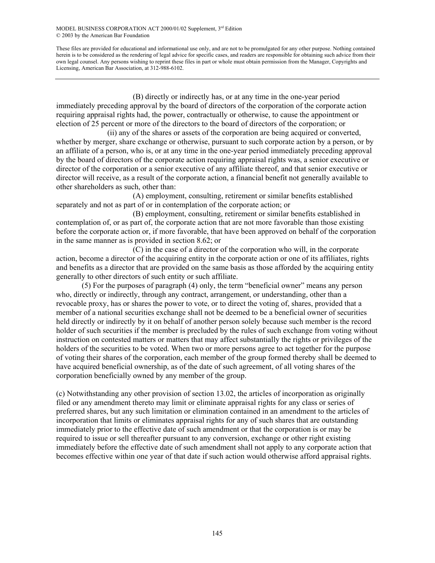These files are provided for educational and informational use only, and are not to be promulgated for any other purpose. Nothing contained herein is to be considered as the rendering of legal advice for specific cases, and readers are responsible for obtaining such advice from their own legal counsel. Any persons wishing to reprint these files in part or whole must obtain permission from the Manager, Copyrights and Licensing, American Bar Association, at 312-988-6102.

 (B) directly or indirectly has, or at any time in the one-year period immediately preceding approval by the board of directors of the corporation of the corporate action requiring appraisal rights had, the power, contractually or otherwise, to cause the appointment or election of 25 percent or more of the directors to the board of directors of the corporation; or

 (ii) any of the shares or assets of the corporation are being acquired or converted, whether by merger, share exchange or otherwise, pursuant to such corporate action by a person, or by an affiliate of a person, who is, or at any time in the one-year period immediately preceding approval by the board of directors of the corporate action requiring appraisal rights was, a senior executive or director of the corporation or a senior executive of any affiliate thereof, and that senior executive or director will receive, as a result of the corporate action, a financial benefit not generally available to other shareholders as such, other than:

 (A) employment, consulting, retirement or similar benefits established separately and not as part of or in contemplation of the corporate action; or

 (B) employment, consulting, retirement or similar benefits established in contemplation of, or as part of, the corporate action that are not more favorable than those existing before the corporate action or, if more favorable, that have been approved on behalf of the corporation in the same manner as is provided in section 8.62; or

 (C) in the case of a director of the corporation who will, in the corporate action, become a director of the acquiring entity in the corporate action or one of its affiliates, rights and benefits as a director that are provided on the same basis as those afforded by the acquiring entity generally to other directors of such entity or such affiliate.

 (5) For the purposes of paragraph (4) only, the term "beneficial owner" means any person who, directly or indirectly, through any contract, arrangement, or understanding, other than a revocable proxy, has or shares the power to vote, or to direct the voting of, shares, provided that a member of a national securities exchange shall not be deemed to be a beneficial owner of securities held directly or indirectly by it on behalf of another person solely because such member is the record holder of such securities if the member is precluded by the rules of such exchange from voting without instruction on contested matters or matters that may affect substantially the rights or privileges of the holders of the securities to be voted. When two or more persons agree to act together for the purpose of voting their shares of the corporation, each member of the group formed thereby shall be deemed to have acquired beneficial ownership, as of the date of such agreement, of all voting shares of the corporation beneficially owned by any member of the group.

(c) Notwithstanding any other provision of section 13.02, the articles of incorporation as originally filed or any amendment thereto may limit or eliminate appraisal rights for any class or series of preferred shares, but any such limitation or elimination contained in an amendment to the articles of incorporation that limits or eliminates appraisal rights for any of such shares that are outstanding immediately prior to the effective date of such amendment or that the corporation is or may be required to issue or sell thereafter pursuant to any conversion, exchange or other right existing immediately before the effective date of such amendment shall not apply to any corporate action that becomes effective within one year of that date if such action would otherwise afford appraisal rights.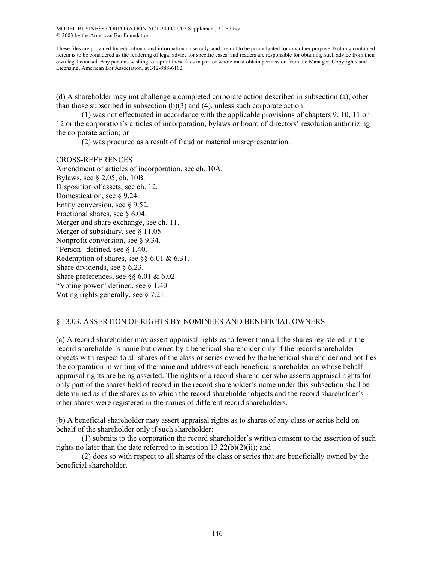These files are provided for educational and informational use only, and are not to be promulgated for any other purpose. Nothing contained herein is to be considered as the rendering of legal advice for specific cases, and readers are responsible for obtaining such advice from their own legal counsel. Any persons wishing to reprint these files in part or whole must obtain permission from the Manager, Copyrights and Licensing, American Bar Association, at 312-988-6102.

(d) A shareholder may not challenge a completed corporate action described in subsection (a), other than those subscribed in subsection  $(b)(3)$  and  $(4)$ , unless such corporate action:

 (1) was not effectuated in accordance with the applicable provisions of chapters 9, 10, 11 or 12 or the corporation's articles of incorporation, bylaws or board of directors' resolution authorizing the corporate action; or

(2) was procured as a result of fraud or material misrepresentation.

#### CROSS-REFERENCES

Amendment of articles of incorporation, see ch. 10A. Bylaws, see § 2.05, ch. 10B. Disposition of assets, see ch. 12. Domestication, see § 9.24. Entity conversion, see § 9.52. Fractional shares, see § 6.04. Merger and share exchange, see ch. 11. Merger of subsidiary, see  $\S$  11.05. Nonprofit conversion, see § 9.34. "Person" defined, see § 1.40. Redemption of shares, see §§ 6.01 & 6.31. Share dividends, see § 6.23. Share preferences, see §§ 6.01 & 6.02. "Voting power" defined, see § 1.40. Voting rights generally, see § 7.21.

## § 13.03. ASSERTION OF RIGHTS BY NOMINEES AND BENEFICIAL OWNERS

(a) A record shareholder may assert appraisal rights as to fewer than all the shares registered in the record shareholder's name but owned by a beneficial shareholder only if the record shareholder objects with respect to all shares of the class or series owned by the beneficial shareholder and notifies the corporation in writing of the name and address of each beneficial shareholder on whose behalf appraisal rights are being asserted. The rights of a record shareholder who asserts appraisal rights for only part of the shares held of record in the record shareholder's name under this subsection shall be determined as if the shares as to which the record shareholder objects and the record shareholder's other shares were registered in the names of different record shareholders.

(b) A beneficial shareholder may assert appraisal rights as to shares of any class or series held on behalf of the shareholder only if such shareholder:

 (1) submits to the corporation the record shareholder's written consent to the assertion of such rights no later than the date referred to in section  $13.22(b)(2)(ii)$ ; and

 (2) does so with respect to all shares of the class or series that are beneficially owned by the beneficial shareholder.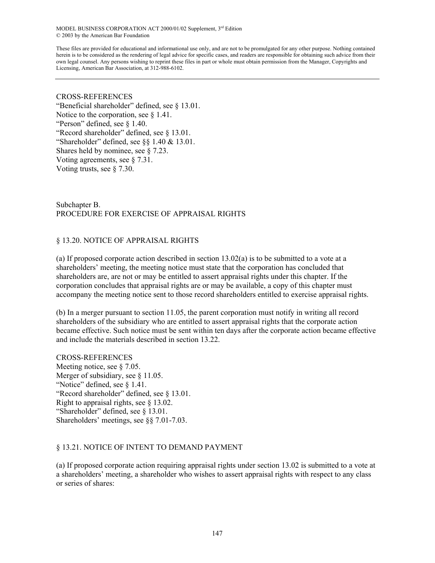These files are provided for educational and informational use only, and are not to be promulgated for any other purpose. Nothing contained herein is to be considered as the rendering of legal advice for specific cases, and readers are responsible for obtaining such advice from their own legal counsel. Any persons wishing to reprint these files in part or whole must obtain permission from the Manager, Copyrights and Licensing, American Bar Association, at 312-988-6102.

CROSS-REFERENCES "Beneficial shareholder" defined, see § 13.01. Notice to the corporation, see § 1.41. "Person" defined, see § 1.40. "Record shareholder" defined, see § 13.01. "Shareholder" defined, see  $\S$ § 1.40 & 13.01. Shares held by nominee, see § 7.23. Voting agreements, see § 7.31. Voting trusts, see § 7.30.

## Subchapter B. PROCEDURE FOR EXERCISE OF APPRAISAL RIGHTS

# § 13.20. NOTICE OF APPRAISAL RIGHTS

(a) If proposed corporate action described in section 13.02(a) is to be submitted to a vote at a shareholders' meeting, the meeting notice must state that the corporation has concluded that shareholders are, are not or may be entitled to assert appraisal rights under this chapter. If the corporation concludes that appraisal rights are or may be available, a copy of this chapter must accompany the meeting notice sent to those record shareholders entitled to exercise appraisal rights.

(b) In a merger pursuant to section 11.05, the parent corporation must notify in writing all record shareholders of the subsidiary who are entitled to assert appraisal rights that the corporate action became effective. Such notice must be sent within ten days after the corporate action became effective and include the materials described in section 13.22.

## CROSS-REFERENCES

Meeting notice, see § 7.05. Merger of subsidiary, see § 11.05. "Notice" defined, see § 1.41. "Record shareholder" defined, see § 13.01. Right to appraisal rights, see § 13.02. "Shareholder" defined, see § 13.01. Shareholders' meetings, see §§ 7.01-7.03.

## § 13.21. NOTICE OF INTENT TO DEMAND PAYMENT

(a) If proposed corporate action requiring appraisal rights under section 13.02 is submitted to a vote at a shareholders' meeting, a shareholder who wishes to assert appraisal rights with respect to any class or series of shares: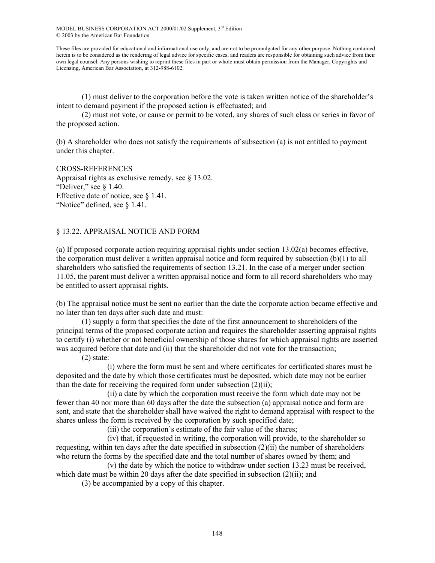These files are provided for educational and informational use only, and are not to be promulgated for any other purpose. Nothing contained herein is to be considered as the rendering of legal advice for specific cases, and readers are responsible for obtaining such advice from their own legal counsel. Any persons wishing to reprint these files in part or whole must obtain permission from the Manager, Copyrights and Licensing, American Bar Association, at 312-988-6102.

 (1) must deliver to the corporation before the vote is taken written notice of the shareholder's intent to demand payment if the proposed action is effectuated; and

 (2) must not vote, or cause or permit to be voted, any shares of such class or series in favor of the proposed action.

(b) A shareholder who does not satisfy the requirements of subsection (a) is not entitled to payment under this chapter.

CROSS-REFERENCES Appraisal rights as exclusive remedy, see § 13.02. "Deliver," see § 1.40. Effective date of notice, see § 1.41. "Notice" defined, see § 1.41.

#### § 13.22. APPRAISAL NOTICE AND FORM

(a) If proposed corporate action requiring appraisal rights under section 13.02(a) becomes effective, the corporation must deliver a written appraisal notice and form required by subsection  $(b)(1)$  to all shareholders who satisfied the requirements of section 13.21. In the case of a merger under section 11.05, the parent must deliver a written appraisal notice and form to all record shareholders who may be entitled to assert appraisal rights.

(b) The appraisal notice must be sent no earlier than the date the corporate action became effective and no later than ten days after such date and must:

 (1) supply a form that specifies the date of the first announcement to shareholders of the principal terms of the proposed corporate action and requires the shareholder asserting appraisal rights to certify (i) whether or not beneficial ownership of those shares for which appraisal rights are asserted was acquired before that date and (ii) that the shareholder did not vote for the transaction;

(2) state:

 (i) where the form must be sent and where certificates for certificated shares must be deposited and the date by which those certificates must be deposited, which date may not be earlier than the date for receiving the required form under subsection  $(2)(ii)$ ;

 (ii) a date by which the corporation must receive the form which date may not be fewer than 40 nor more than 60 days after the date the subsection (a) appraisal notice and form are sent, and state that the shareholder shall have waived the right to demand appraisal with respect to the shares unless the form is received by the corporation by such specified date;

(iii) the corporation's estimate of the fair value of the shares;

 (iv) that, if requested in writing, the corporation will provide, to the shareholder so requesting, within ten days after the date specified in subsection (2)(ii) the number of shareholders who return the forms by the specified date and the total number of shares owned by them; and

 (v) the date by which the notice to withdraw under section 13.23 must be received, which date must be within 20 days after the date specified in subsection  $(2)(ii)$ ; and

(3) be accompanied by a copy of this chapter.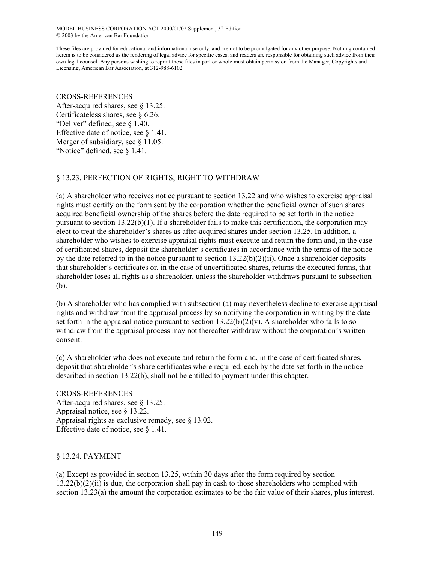These files are provided for educational and informational use only, and are not to be promulgated for any other purpose. Nothing contained herein is to be considered as the rendering of legal advice for specific cases, and readers are responsible for obtaining such advice from their own legal counsel. Any persons wishing to reprint these files in part or whole must obtain permission from the Manager, Copyrights and Licensing, American Bar Association, at 312-988-6102.

CROSS-REFERENCES After-acquired shares, see § 13.25. Certificateless shares, see § 6.26. "Deliver" defined, see § 1.40. Effective date of notice, see § 1.41. Merger of subsidiary, see § 11.05. "Notice" defined, see § 1.41.

# § 13.23. PERFECTION OF RIGHTS; RIGHT TO WITHDRAW

(a) A shareholder who receives notice pursuant to section 13.22 and who wishes to exercise appraisal rights must certify on the form sent by the corporation whether the beneficial owner of such shares acquired beneficial ownership of the shares before the date required to be set forth in the notice pursuant to section 13.22(b)(1). If a shareholder fails to make this certification, the corporation may elect to treat the shareholder's shares as after-acquired shares under section 13.25. In addition, a shareholder who wishes to exercise appraisal rights must execute and return the form and, in the case of certificated shares, deposit the shareholder's certificates in accordance with the terms of the notice by the date referred to in the notice pursuant to section  $13.22(b)(2)(ii)$ . Once a shareholder deposits that shareholder's certificates or, in the case of uncertificated shares, returns the executed forms, that shareholder loses all rights as a shareholder, unless the shareholder withdraws pursuant to subsection (b).

(b) A shareholder who has complied with subsection (a) may nevertheless decline to exercise appraisal rights and withdraw from the appraisal process by so notifying the corporation in writing by the date set forth in the appraisal notice pursuant to section  $13.22(b)(2)(v)$ . A shareholder who fails to so withdraw from the appraisal process may not thereafter withdraw without the corporation's written consent.

(c) A shareholder who does not execute and return the form and, in the case of certificated shares, deposit that shareholder's share certificates where required, each by the date set forth in the notice described in section 13.22(b), shall not be entitled to payment under this chapter.

CROSS-REFERENCES After-acquired shares, see § 13.25. Appraisal notice, see § 13.22. Appraisal rights as exclusive remedy, see § 13.02. Effective date of notice, see § 1.41.

# § 13.24. PAYMENT

(a) Except as provided in section 13.25, within 30 days after the form required by section  $13.22(b)(2)(ii)$  is due, the corporation shall pay in cash to those shareholders who complied with section 13.23(a) the amount the corporation estimates to be the fair value of their shares, plus interest.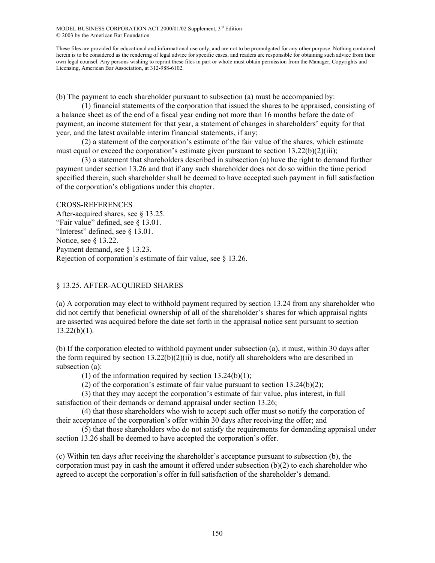These files are provided for educational and informational use only, and are not to be promulgated for any other purpose. Nothing contained herein is to be considered as the rendering of legal advice for specific cases, and readers are responsible for obtaining such advice from their own legal counsel. Any persons wishing to reprint these files in part or whole must obtain permission from the Manager, Copyrights and Licensing, American Bar Association, at 312-988-6102.

(b) The payment to each shareholder pursuant to subsection (a) must be accompanied by:

 (1) financial statements of the corporation that issued the shares to be appraised, consisting of a balance sheet as of the end of a fiscal year ending not more than 16 months before the date of payment, an income statement for that year, a statement of changes in shareholders' equity for that year, and the latest available interim financial statements, if any;

 (2) a statement of the corporation's estimate of the fair value of the shares, which estimate must equal or exceed the corporation's estimate given pursuant to section  $13.22(b)(2)(iii)$ ;

 (3) a statement that shareholders described in subsection (a) have the right to demand further payment under section 13.26 and that if any such shareholder does not do so within the time period specified therein, such shareholder shall be deemed to have accepted such payment in full satisfaction of the corporation's obligations under this chapter.

CROSS-REFERENCES After-acquired shares, see § 13.25. "Fair value" defined, see § 13.01. "Interest" defined, see § 13.01. Notice, see § 13.22. Payment demand, see § 13.23. Rejection of corporation's estimate of fair value, see § 13.26.

# § 13.25. AFTER-ACQUIRED SHARES

(a) A corporation may elect to withhold payment required by section 13.24 from any shareholder who did not certify that beneficial ownership of all of the shareholder's shares for which appraisal rights are asserted was acquired before the date set forth in the appraisal notice sent pursuant to section  $13.22(b)(1)$ .

(b) If the corporation elected to withhold payment under subsection (a), it must, within 30 days after the form required by section  $13.22(b)(2)(ii)$  is due, notify all shareholders who are described in subsection (a):

(1) of the information required by section  $13.24(b)(1)$ ;

(2) of the corporation's estimate of fair value pursuant to section  $13.24(b)(2)$ ;

 (3) that they may accept the corporation's estimate of fair value, plus interest, in full satisfaction of their demands or demand appraisal under section 13.26;

 (4) that those shareholders who wish to accept such offer must so notify the corporation of their acceptance of the corporation's offer within 30 days after receiving the offer; and

 (5) that those shareholders who do not satisfy the requirements for demanding appraisal under section 13.26 shall be deemed to have accepted the corporation's offer.

(c) Within ten days after receiving the shareholder's acceptance pursuant to subsection (b), the corporation must pay in cash the amount it offered under subsection  $(b)(2)$  to each shareholder who agreed to accept the corporation's offer in full satisfaction of the shareholder's demand.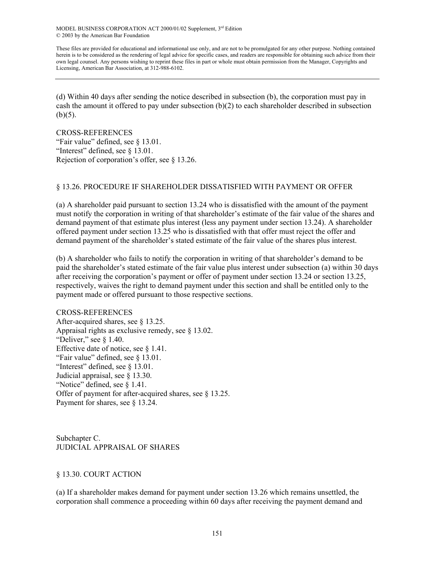These files are provided for educational and informational use only, and are not to be promulgated for any other purpose. Nothing contained herein is to be considered as the rendering of legal advice for specific cases, and readers are responsible for obtaining such advice from their own legal counsel. Any persons wishing to reprint these files in part or whole must obtain permission from the Manager, Copyrights and Licensing, American Bar Association, at 312-988-6102.

(d) Within 40 days after sending the notice described in subsection (b), the corporation must pay in cash the amount it offered to pay under subsection (b)(2) to each shareholder described in subsection  $(b)(5)$ .

CROSS-REFERENCES "Fair value" defined, see § 13.01. "Interest" defined, see § 13.01. Rejection of corporation's offer, see § 13.26.

#### § 13.26. PROCEDURE IF SHAREHOLDER DISSATISFIED WITH PAYMENT OR OFFER

(a) A shareholder paid pursuant to section 13.24 who is dissatisfied with the amount of the payment must notify the corporation in writing of that shareholder's estimate of the fair value of the shares and demand payment of that estimate plus interest (less any payment under section 13.24). A shareholder offered payment under section 13.25 who is dissatisfied with that offer must reject the offer and demand payment of the shareholder's stated estimate of the fair value of the shares plus interest.

(b) A shareholder who fails to notify the corporation in writing of that shareholder's demand to be paid the shareholder's stated estimate of the fair value plus interest under subsection (a) within 30 days after receiving the corporation's payment or offer of payment under section 13.24 or section 13.25, respectively, waives the right to demand payment under this section and shall be entitled only to the payment made or offered pursuant to those respective sections.

CROSS-REFERENCES After-acquired shares, see § 13.25. Appraisal rights as exclusive remedy, see § 13.02. "Deliver," see § 1.40. Effective date of notice, see § 1.41. "Fair value" defined, see § 13.01. "Interest" defined, see § 13.01. Judicial appraisal, see § 13.30. "Notice" defined, see § 1.41. Offer of payment for after-acquired shares, see § 13.25. Payment for shares, see § 13.24.

Subchapter C. JUDICIAL APPRAISAL OF SHARES

## § 13.30. COURT ACTION

(a) If a shareholder makes demand for payment under section 13.26 which remains unsettled, the corporation shall commence a proceeding within 60 days after receiving the payment demand and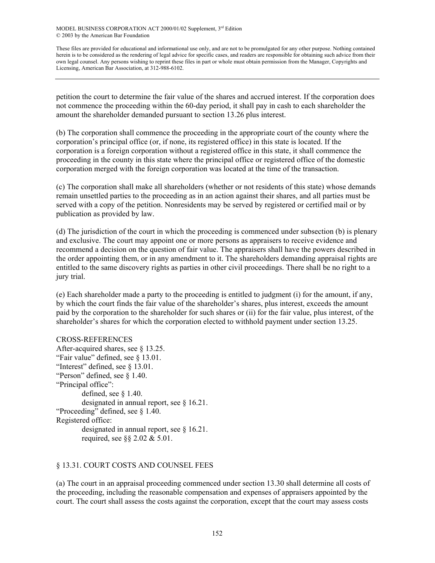These files are provided for educational and informational use only, and are not to be promulgated for any other purpose. Nothing contained herein is to be considered as the rendering of legal advice for specific cases, and readers are responsible for obtaining such advice from their own legal counsel. Any persons wishing to reprint these files in part or whole must obtain permission from the Manager, Copyrights and Licensing, American Bar Association, at 312-988-6102.

petition the court to determine the fair value of the shares and accrued interest. If the corporation does not commence the proceeding within the 60-day period, it shall pay in cash to each shareholder the amount the shareholder demanded pursuant to section 13.26 plus interest.

(b) The corporation shall commence the proceeding in the appropriate court of the county where the corporation's principal office (or, if none, its registered office) in this state is located. If the corporation is a foreign corporation without a registered office in this state, it shall commence the proceeding in the county in this state where the principal office or registered office of the domestic corporation merged with the foreign corporation was located at the time of the transaction.

(c) The corporation shall make all shareholders (whether or not residents of this state) whose demands remain unsettled parties to the proceeding as in an action against their shares, and all parties must be served with a copy of the petition. Nonresidents may be served by registered or certified mail or by publication as provided by law.

(d) The jurisdiction of the court in which the proceeding is commenced under subsection (b) is plenary and exclusive. The court may appoint one or more persons as appraisers to receive evidence and recommend a decision on the question of fair value. The appraisers shall have the powers described in the order appointing them, or in any amendment to it. The shareholders demanding appraisal rights are entitled to the same discovery rights as parties in other civil proceedings. There shall be no right to a jury trial.

(e) Each shareholder made a party to the proceeding is entitled to judgment (i) for the amount, if any, by which the court finds the fair value of the shareholder's shares, plus interest, exceeds the amount paid by the corporation to the shareholder for such shares or (ii) for the fair value, plus interest, of the shareholder's shares for which the corporation elected to withhold payment under section 13.25.

## CROSS-REFERENCES

After-acquired shares, see § 13.25. "Fair value" defined, see § 13.01. "Interest" defined, see § 13.01. "Person" defined, see § 1.40. "Principal office": defined, see § 1.40. designated in annual report, see § 16.21. "Proceeding" defined, see § 1.40. Registered office: designated in annual report, see § 16.21. required, see §§ 2.02 & 5.01.

## § 13.31. COURT COSTS AND COUNSEL FEES

(a) The court in an appraisal proceeding commenced under section 13.30 shall determine all costs of the proceeding, including the reasonable compensation and expenses of appraisers appointed by the court. The court shall assess the costs against the corporation, except that the court may assess costs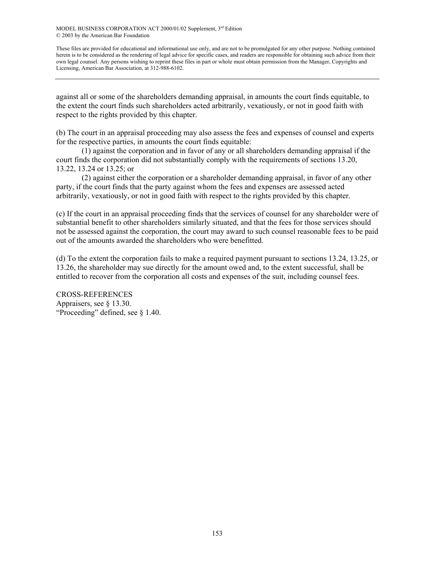These files are provided for educational and informational use only, and are not to be promulgated for any other purpose. Nothing contained herein is to be considered as the rendering of legal advice for specific cases, and readers are responsible for obtaining such advice from their own legal counsel. Any persons wishing to reprint these files in part or whole must obtain permission from the Manager, Copyrights and Licensing, American Bar Association, at 312-988-6102.

against all or some of the shareholders demanding appraisal, in amounts the court finds equitable, to the extent the court finds such shareholders acted arbitrarily, vexatiously, or not in good faith with respect to the rights provided by this chapter.

(b) The court in an appraisal proceeding may also assess the fees and expenses of counsel and experts for the respective parties, in amounts the court finds equitable:

 (1) against the corporation and in favor of any or all shareholders demanding appraisal if the court finds the corporation did not substantially comply with the requirements of sections 13.20, 13.22, 13.24 or 13.25; or

 (2) against either the corporation or a shareholder demanding appraisal, in favor of any other party, if the court finds that the party against whom the fees and expenses are assessed acted arbitrarily, vexatiously, or not in good faith with respect to the rights provided by this chapter.

(c) If the court in an appraisal proceeding finds that the services of counsel for any shareholder were of substantial benefit to other shareholders similarly situated, and that the fees for those services should not be assessed against the corporation, the court may award to such counsel reasonable fees to be paid out of the amounts awarded the shareholders who were benefitted.

(d) To the extent the corporation fails to make a required payment pursuant to sections 13.24, 13.25, or 13.26, the shareholder may sue directly for the amount owed and, to the extent successful, shall be entitled to recover from the corporation all costs and expenses of the suit, including counsel fees.

CROSS-REFERENCES Appraisers, see § 13.30. "Proceeding" defined, see § 1.40.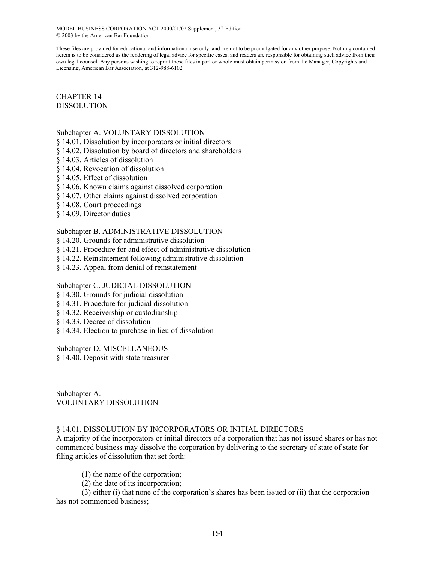These files are provided for educational and informational use only, and are not to be promulgated for any other purpose. Nothing contained herein is to be considered as the rendering of legal advice for specific cases, and readers are responsible for obtaining such advice from their own legal counsel. Any persons wishing to reprint these files in part or whole must obtain permission from the Manager, Copyrights and Licensing, American Bar Association, at 312-988-6102.

CHAPTER 14 DISSOLUTION

#### Subchapter A. VOLUNTARY DISSOLUTION

- § 14.01. Dissolution by incorporators or initial directors
- § 14.02. Dissolution by board of directors and shareholders
- § 14.03. Articles of dissolution
- § 14.04. Revocation of dissolution
- § 14.05. Effect of dissolution
- § 14.06. Known claims against dissolved corporation
- § 14.07. Other claims against dissolved corporation
- § 14.08. Court proceedings
- § 14.09. Director duties

#### Subchapter B. ADMINISTRATIVE DISSOLUTION

- § 14.20. Grounds for administrative dissolution
- § 14.21. Procedure for and effect of administrative dissolution
- § 14.22. Reinstatement following administrative dissolution
- § 14.23. Appeal from denial of reinstatement

#### Subchapter C. JUDICIAL DISSOLUTION

- § 14.30. Grounds for judicial dissolution
- § 14.31. Procedure for judicial dissolution
- § 14.32. Receivership or custodianship
- § 14.33. Decree of dissolution
- § 14.34. Election to purchase in lieu of dissolution

Subchapter D. MISCELLANEOUS § 14.40. Deposit with state treasurer

Subchapter A. VOLUNTARY DISSOLUTION

## § 14.01. DISSOLUTION BY INCORPORATORS OR INITIAL DIRECTORS

A majority of the incorporators or initial directors of a corporation that has not issued shares or has not commenced business may dissolve the corporation by delivering to the secretary of state of state for filing articles of dissolution that set forth:

(1) the name of the corporation;

(2) the date of its incorporation;

 (3) either (i) that none of the corporation's shares has been issued or (ii) that the corporation has not commenced business;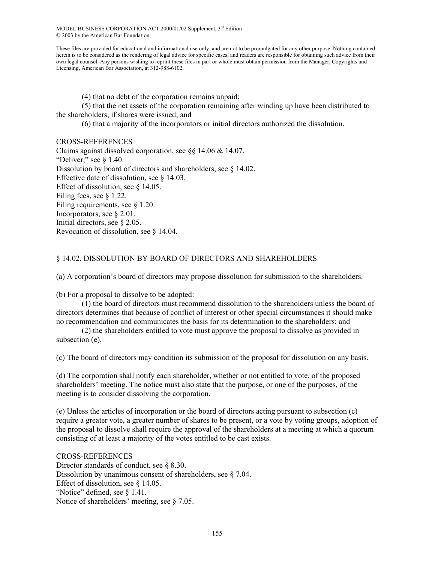These files are provided for educational and informational use only, and are not to be promulgated for any other purpose. Nothing contained herein is to be considered as the rendering of legal advice for specific cases, and readers are responsible for obtaining such advice from their own legal counsel. Any persons wishing to reprint these files in part or whole must obtain permission from the Manager, Copyrights and Licensing, American Bar Association, at 312-988-6102.

(4) that no debt of the corporation remains unpaid;

 (5) that the net assets of the corporation remaining after winding up have been distributed to the shareholders, if shares were issued; and

(6) that a majority of the incorporators or initial directors authorized the dissolution.

CROSS-REFERENCES Claims against dissolved corporation, see §§ 14.06 & 14.07. "Deliver," see  $§$  1.40. Dissolution by board of directors and shareholders, see § 14.02. Effective date of dissolution, see § 14.03. Effect of dissolution, see § 14.05. Filing fees, see § 1.22. Filing requirements, see § 1.20. Incorporators, see § 2.01. Initial directors, see § 2.05. Revocation of dissolution, see § 14.04.

## § 14.02. DISSOLUTION BY BOARD OF DIRECTORS AND SHAREHOLDERS

(a) A corporation's board of directors may propose dissolution for submission to the shareholders.

(b) For a proposal to dissolve to be adopted:

 (1) the board of directors must recommend dissolution to the shareholders unless the board of directors determines that because of conflict of interest or other special circumstances it should make no recommendation and communicates the basis for its determination to the shareholders; and

 (2) the shareholders entitled to vote must approve the proposal to dissolve as provided in subsection (e).

(c) The board of directors may condition its submission of the proposal for dissolution on any basis.

(d) The corporation shall notify each shareholder, whether or not entitled to vote, of the proposed shareholders' meeting. The notice must also state that the purpose, or one of the purposes, of the meeting is to consider dissolving the corporation.

(e) Unless the articles of incorporation or the board of directors acting pursuant to subsection (c) require a greater vote, a greater number of shares to be present, or a vote by voting groups, adoption of the proposal to dissolve shall require the approval of the shareholders at a meeting at which a quorum consisting of at least a majority of the votes entitled to be cast exists.

## CROSS-REFERENCES

Director standards of conduct, see § 8.30. Dissolution by unanimous consent of shareholders, see § 7.04. Effect of dissolution, see § 14.05. "Notice" defined, see § 1.41. Notice of shareholders' meeting, see  $\S$  7.05.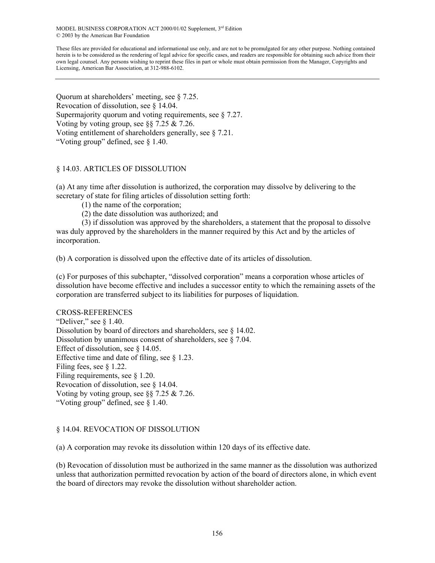These files are provided for educational and informational use only, and are not to be promulgated for any other purpose. Nothing contained herein is to be considered as the rendering of legal advice for specific cases, and readers are responsible for obtaining such advice from their own legal counsel. Any persons wishing to reprint these files in part or whole must obtain permission from the Manager, Copyrights and Licensing, American Bar Association, at 312-988-6102.

Quorum at shareholders' meeting, see § 7.25. Revocation of dissolution, see § 14.04. Supermajority quorum and voting requirements, see § 7.27. Voting by voting group, see §§ 7.25 & 7.26. Voting entitlement of shareholders generally, see § 7.21. "Voting group" defined, see § 1.40.

## § 14.03. ARTICLES OF DISSOLUTION

(a) At any time after dissolution is authorized, the corporation may dissolve by delivering to the secretary of state for filing articles of dissolution setting forth:

- (1) the name of the corporation;
- (2) the date dissolution was authorized; and

 (3) if dissolution was approved by the shareholders, a statement that the proposal to dissolve was duly approved by the shareholders in the manner required by this Act and by the articles of incorporation.

(b) A corporation is dissolved upon the effective date of its articles of dissolution.

(c) For purposes of this subchapter, "dissolved corporation" means a corporation whose articles of dissolution have become effective and includes a successor entity to which the remaining assets of the corporation are transferred subject to its liabilities for purposes of liquidation.

CROSS-REFERENCES "Deliver," see § 1.40. Dissolution by board of directors and shareholders, see § 14.02. Dissolution by unanimous consent of shareholders, see § 7.04. Effect of dissolution, see § 14.05. Effective time and date of filing, see § 1.23. Filing fees, see § 1.22. Filing requirements, see § 1.20. Revocation of dissolution, see § 14.04. Voting by voting group, see §§ 7.25 & 7.26. "Voting group" defined, see § 1.40.

## § 14.04. REVOCATION OF DISSOLUTION

(a) A corporation may revoke its dissolution within 120 days of its effective date.

(b) Revocation of dissolution must be authorized in the same manner as the dissolution was authorized unless that authorization permitted revocation by action of the board of directors alone, in which event the board of directors may revoke the dissolution without shareholder action.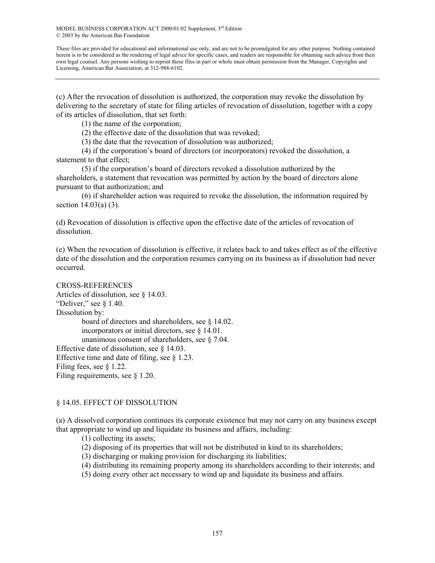These files are provided for educational and informational use only, and are not to be promulgated for any other purpose. Nothing contained herein is to be considered as the rendering of legal advice for specific cases, and readers are responsible for obtaining such advice from their own legal counsel. Any persons wishing to reprint these files in part or whole must obtain permission from the Manager, Copyrights and Licensing, American Bar Association, at 312-988-6102.

(c) After the revocation of dissolution is authorized, the corporation may revoke the dissolution by delivering to the secretary of state for filing articles of revocation of dissolution, together with a copy of its articles of dissolution, that set forth:

(1) the name of the corporation;

(2) the effective date of the dissolution that was revoked;

(3) the date that the revocation of dissolution was authorized;

 (4) if the corporation's board of directors (or incorporators) revoked the dissolution, a statement to that effect;

 (5) if the corporation's board of directors revoked a dissolution authorized by the shareholders, a statement that revocation was permitted by action by the board of directors alone pursuant to that authorization; and

 (6) if shareholder action was required to revoke the dissolution, the information required by section 14.03(a) (3).

(d) Revocation of dissolution is effective upon the effective date of the articles of revocation of dissolution.

(e) When the revocation of dissolution is effective, it relates back to and takes effect as of the effective date of the dissolution and the corporation resumes carrying on its business as if dissolution had never occurred.

CROSS-REFERENCES Articles of dissolution, see § 14.03. "Deliver," see § 1.40. Dissolution by: board of directors and shareholders, see § 14.02. incorporators or initial directors, see § 14.01. unanimous consent of shareholders, see § 7.04. Effective date of dissolution, see § 14.03. Effective time and date of filing, see § 1.23. Filing fees, see § 1.22. Filing requirements, see § 1.20.

## § 14.05. EFFECT OF DISSOLUTION

(a) A dissolved corporation continues its corporate existence but may not carry on any business except that appropriate to wind up and liquidate its business and affairs, including:

- (1) collecting its assets;
- (2) disposing of its properties that will not be distributed in kind to its shareholders;
- (3) discharging or making provision for discharging its liabilities;
- (4) distributing its remaining property among its shareholders according to their interests; and
- (5) doing every other act necessary to wind up and liquidate its business and affairs.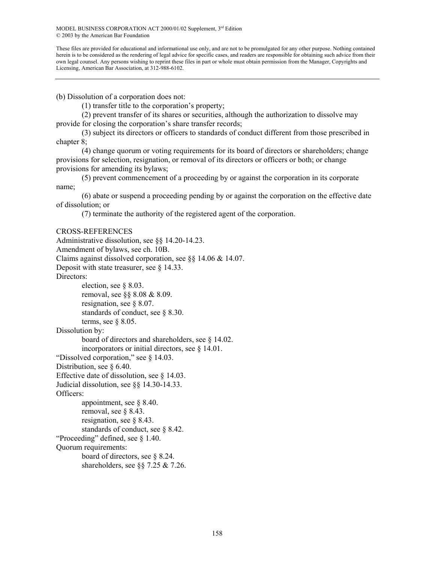These files are provided for educational and informational use only, and are not to be promulgated for any other purpose. Nothing contained herein is to be considered as the rendering of legal advice for specific cases, and readers are responsible for obtaining such advice from their own legal counsel. Any persons wishing to reprint these files in part or whole must obtain permission from the Manager, Copyrights and Licensing, American Bar Association, at 312-988-6102.

(b) Dissolution of a corporation does not:

- (1) transfer title to the corporation's property;
- (2) prevent transfer of its shares or securities, although the authorization to dissolve may provide for closing the corporation's share transfer records;
- (3) subject its directors or officers to standards of conduct different from those prescribed in chapter 8;
- (4) change quorum or voting requirements for its board of directors or shareholders; change provisions for selection, resignation, or removal of its directors or officers or both; or change provisions for amending its bylaws;
- (5) prevent commencement of a proceeding by or against the corporation in its corporate name;
- (6) abate or suspend a proceeding pending by or against the corporation on the effective date of dissolution; or
	- (7) terminate the authority of the registered agent of the corporation.

## CROSS-REFERENCES

Administrative dissolution, see §§ 14.20-14.23. Amendment of bylaws, see ch. 10B. Claims against dissolved corporation, see §§ 14.06 & 14.07. Deposit with state treasurer, see § 14.33. Directors: election, see § 8.03. removal, see §§ 8.08 & 8.09. resignation, see § 8.07. standards of conduct, see § 8.30. terms, see  $\S$  8.05. Dissolution by: board of directors and shareholders, see § 14.02. incorporators or initial directors, see § 14.01. "Dissolved corporation," see § 14.03. Distribution, see § 6.40. Effective date of dissolution, see § 14.03. Judicial dissolution, see §§ 14.30-14.33. Officers: appointment, see § 8.40. removal, see § 8.43. resignation, see § 8.43. standards of conduct, see § 8.42. "Proceeding" defined, see § 1.40. Quorum requirements: board of directors, see § 8.24. shareholders, see §§ 7.25 & 7.26.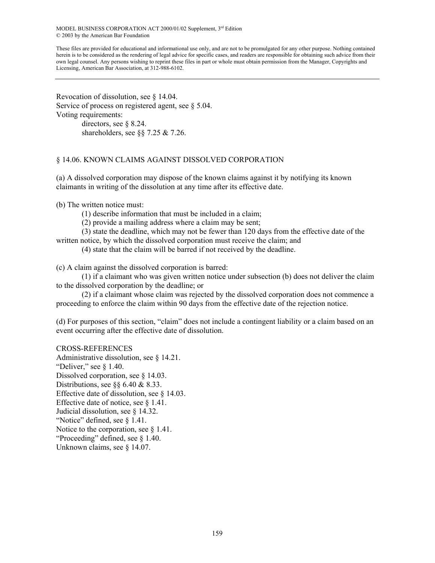These files are provided for educational and informational use only, and are not to be promulgated for any other purpose. Nothing contained herein is to be considered as the rendering of legal advice for specific cases, and readers are responsible for obtaining such advice from their own legal counsel. Any persons wishing to reprint these files in part or whole must obtain permission from the Manager, Copyrights and Licensing, American Bar Association, at 312-988-6102.

Revocation of dissolution, see § 14.04. Service of process on registered agent, see § 5.04. Voting requirements: directors, see § 8.24. shareholders, see §§ 7.25 & 7.26.

#### § 14.06. KNOWN CLAIMS AGAINST DISSOLVED CORPORATION

(a) A dissolved corporation may dispose of the known claims against it by notifying its known claimants in writing of the dissolution at any time after its effective date.

(b) The written notice must:

(1) describe information that must be included in a claim;

(2) provide a mailing address where a claim may be sent;

 (3) state the deadline, which may not be fewer than 120 days from the effective date of the written notice, by which the dissolved corporation must receive the claim; and

(4) state that the claim will be barred if not received by the deadline.

(c) A claim against the dissolved corporation is barred:

 (1) if a claimant who was given written notice under subsection (b) does not deliver the claim to the dissolved corporation by the deadline; or

 (2) if a claimant whose claim was rejected by the dissolved corporation does not commence a proceeding to enforce the claim within 90 days from the effective date of the rejection notice.

(d) For purposes of this section, "claim" does not include a contingent liability or a claim based on an event occurring after the effective date of dissolution.

CROSS-REFERENCES Administrative dissolution, see § 14.21. "Deliver," see § 1.40. Dissolved corporation, see § 14.03. Distributions, see  $\S$ § 6.40 & 8.33. Effective date of dissolution, see § 14.03. Effective date of notice, see § 1.41. Judicial dissolution, see § 14.32. "Notice" defined, see § 1.41. Notice to the corporation, see § 1.41. "Proceeding" defined, see § 1.40. Unknown claims, see § 14.07.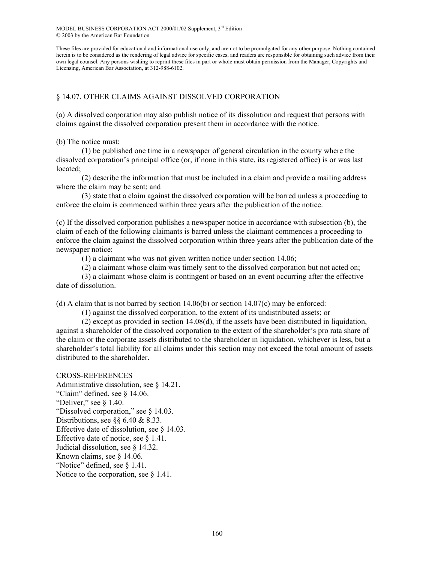These files are provided for educational and informational use only, and are not to be promulgated for any other purpose. Nothing contained herein is to be considered as the rendering of legal advice for specific cases, and readers are responsible for obtaining such advice from their own legal counsel. Any persons wishing to reprint these files in part or whole must obtain permission from the Manager, Copyrights and Licensing, American Bar Association, at 312-988-6102.

## § 14.07. OTHER CLAIMS AGAINST DISSOLVED CORPORATION

(a) A dissolved corporation may also publish notice of its dissolution and request that persons with claims against the dissolved corporation present them in accordance with the notice.

(b) The notice must:

 (1) be published one time in a newspaper of general circulation in the county where the dissolved corporation's principal office (or, if none in this state, its registered office) is or was last located;

 (2) describe the information that must be included in a claim and provide a mailing address where the claim may be sent; and

 (3) state that a claim against the dissolved corporation will be barred unless a proceeding to enforce the claim is commenced within three years after the publication of the notice.

(c) If the dissolved corporation publishes a newspaper notice in accordance with subsection (b), the claim of each of the following claimants is barred unless the claimant commences a proceeding to enforce the claim against the dissolved corporation within three years after the publication date of the newspaper notice:

(1) a claimant who was not given written notice under section 14.06;

(2) a claimant whose claim was timely sent to the dissolved corporation but not acted on;

 (3) a claimant whose claim is contingent or based on an event occurring after the effective date of dissolution.

(d) A claim that is not barred by section  $14.06(b)$  or section  $14.07(c)$  may be enforced:

(1) against the dissolved corporation, to the extent of its undistributed assets; or

 (2) except as provided in section 14.08(d), if the assets have been distributed in liquidation, against a shareholder of the dissolved corporation to the extent of the shareholder's pro rata share of the claim or the corporate assets distributed to the shareholder in liquidation, whichever is less, but a shareholder's total liability for all claims under this section may not exceed the total amount of assets distributed to the shareholder.

CROSS-REFERENCES Administrative dissolution, see § 14.21. "Claim" defined, see § 14.06. "Deliver," see § 1.40. "Dissolved corporation," see § 14.03. Distributions, see  $886.40 & 8.33$ . Effective date of dissolution, see § 14.03. Effective date of notice, see § 1.41. Judicial dissolution, see § 14.32. Known claims, see § 14.06. "Notice" defined, see § 1.41. Notice to the corporation, see  $\S$  1.41.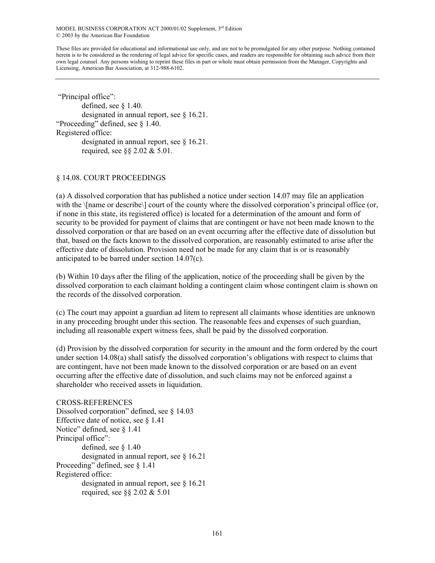These files are provided for educational and informational use only, and are not to be promulgated for any other purpose. Nothing contained herein is to be considered as the rendering of legal advice for specific cases, and readers are responsible for obtaining such advice from their own legal counsel. Any persons wishing to reprint these files in part or whole must obtain permission from the Manager, Copyrights and Licensing, American Bar Association, at 312-988-6102.

 "Principal office": defined, see § 1.40. designated in annual report, see § 16.21. "Proceeding" defined, see § 1.40. Registered office: designated in annual report, see § 16.21. required, see §§ 2.02 & 5.01.

## § 14.08. COURT PROCEEDINGS

(a) A dissolved corporation that has published a notice under section 14.07 may file an application with the  $\langle$ [name or describe $\rangle$ ] court of the county where the dissolved corporation's principal office (or, if none in this state, its registered office) is located for a determination of the amount and form of security to be provided for payment of claims that are contingent or have not been made known to the dissolved corporation or that are based on an event occurring after the effective date of dissolution but that, based on the facts known to the dissolved corporation, are reasonably estimated to arise after the effective date of dissolution. Provision need not be made for any claim that is or is reasonably anticipated to be barred under section 14.07(c).

(b) Within 10 days after the filing of the application, notice of the proceeding shall be given by the dissolved corporation to each claimant holding a contingent claim whose contingent claim is shown on the records of the dissolved corporation.

(c) The court may appoint a guardian ad litem to represent all claimants whose identities are unknown in any proceeding brought under this section. The reasonable fees and expenses of such guardian, including all reasonable expert witness fees, shall be paid by the dissolved corporation.

(d) Provision by the dissolved corporation for security in the amount and the form ordered by the court under section 14.08(a) shall satisfy the dissolved corporation's obligations with respect to claims that are contingent, have not been made known to the dissolved corporation or are based on an event occurring after the effective date of dissolution, and such claims may not be enforced against a shareholder who received assets in liquidation.

CROSS-REFERENCES Dissolved corporation" defined, see § 14.03 Effective date of notice, see § 1.41 Notice" defined, see § 1.41 Principal office": defined, see § 1.40 designated in annual report, see § 16.21 Proceeding" defined, see § 1.41 Registered office: designated in annual report, see § 16.21 required, see §§ 2.02 & 5.01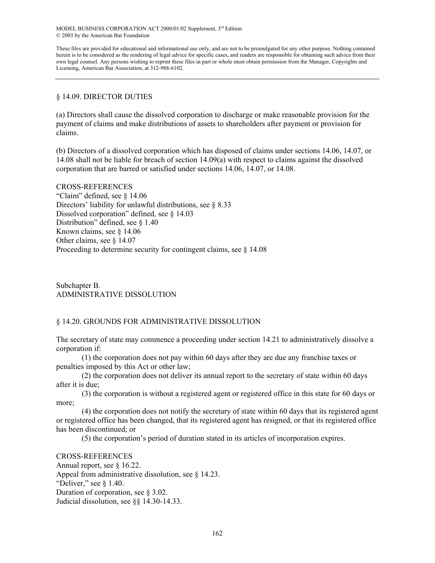These files are provided for educational and informational use only, and are not to be promulgated for any other purpose. Nothing contained herein is to be considered as the rendering of legal advice for specific cases, and readers are responsible for obtaining such advice from their own legal counsel. Any persons wishing to reprint these files in part or whole must obtain permission from the Manager, Copyrights and Licensing, American Bar Association, at 312-988-6102.

#### § 14.09. DIRECTOR DUTIES

(a) Directors shall cause the dissolved corporation to discharge or make reasonable provision for the payment of claims and make distributions of assets to shareholders after payment or provision for claims.

(b) Directors of a dissolved corporation which has disposed of claims under sections 14.06, 14.07, or 14.08 shall not be liable for breach of section 14.09(a) with respect to claims against the dissolved corporation that are barred or satisfied under sections 14.06, 14.07, or 14.08.

CROSS-REFERENCES "Claim" defined, see § 14.06 Directors' liability for unlawful distributions, see § 8.33 Dissolved corporation" defined, see § 14.03 Distribution" defined, see § 1.40 Known claims, see § 14.06 Other claims, see § 14.07 Proceeding to determine security for contingent claims, see § 14.08

Subchapter B. ADMINISTRATIVE DISSOLUTION

#### § 14.20. GROUNDS FOR ADMINISTRATIVE DISSOLUTION

The secretary of state may commence a proceeding under section 14.21 to administratively dissolve a corporation if:

 (1) the corporation does not pay within 60 days after they are due any franchise taxes or penalties imposed by this Act or other law;

 (2) the corporation does not deliver its annual report to the secretary of state within 60 days after it is due;

 (3) the corporation is without a registered agent or registered office in this state for 60 days or more;

 (4) the corporation does not notify the secretary of state within 60 days that its registered agent or registered office has been changed, that its registered agent has resigned, or that its registered office has been discontinued; or

(5) the corporation's period of duration stated in its articles of incorporation expires.

#### CROSS-REFERENCES

Annual report, see § 16.22. Appeal from administrative dissolution, see § 14.23. "Deliver," see  $§$  1.40. Duration of corporation, see § 3.02. Judicial dissolution, see §§ 14.30-14.33.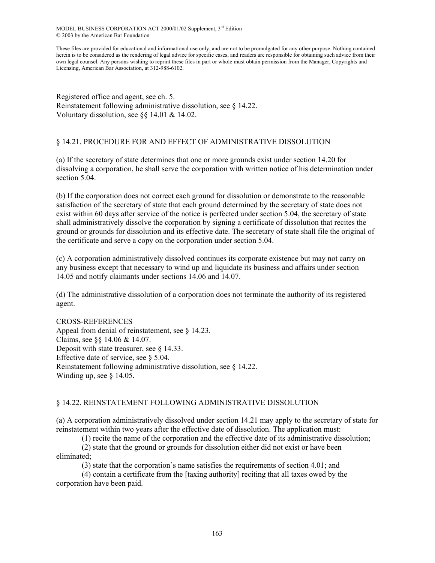These files are provided for educational and informational use only, and are not to be promulgated for any other purpose. Nothing contained herein is to be considered as the rendering of legal advice for specific cases, and readers are responsible for obtaining such advice from their own legal counsel. Any persons wishing to reprint these files in part or whole must obtain permission from the Manager, Copyrights and Licensing, American Bar Association, at 312-988-6102.

Registered office and agent, see ch. 5. Reinstatement following administrative dissolution, see § 14.22. Voluntary dissolution, see §§ 14.01 & 14.02.

## § 14.21. PROCEDURE FOR AND EFFECT OF ADMINISTRATIVE DISSOLUTION

(a) If the secretary of state determines that one or more grounds exist under section 14.20 for dissolving a corporation, he shall serve the corporation with written notice of his determination under section 5.04

(b) If the corporation does not correct each ground for dissolution or demonstrate to the reasonable satisfaction of the secretary of state that each ground determined by the secretary of state does not exist within 60 days after service of the notice is perfected under section 5.04, the secretary of state shall administratively dissolve the corporation by signing a certificate of dissolution that recites the ground or grounds for dissolution and its effective date. The secretary of state shall file the original of the certificate and serve a copy on the corporation under section 5.04.

(c) A corporation administratively dissolved continues its corporate existence but may not carry on any business except that necessary to wind up and liquidate its business and affairs under section 14.05 and notify claimants under sections 14.06 and 14.07.

(d) The administrative dissolution of a corporation does not terminate the authority of its registered agent.

CROSS-REFERENCES Appeal from denial of reinstatement, see § 14.23. Claims, see §§ 14.06 & 14.07. Deposit with state treasurer, see § 14.33. Effective date of service, see § 5.04. Reinstatement following administrative dissolution, see § 14.22. Winding up, see § 14.05.

# § 14.22. REINSTATEMENT FOLLOWING ADMINISTRATIVE DISSOLUTION

(a) A corporation administratively dissolved under section 14.21 may apply to the secretary of state for reinstatement within two years after the effective date of dissolution. The application must:

(1) recite the name of the corporation and the effective date of its administrative dissolution;

 (2) state that the ground or grounds for dissolution either did not exist or have been eliminated;

(3) state that the corporation's name satisfies the requirements of section 4.01; and

 (4) contain a certificate from the [taxing authority] reciting that all taxes owed by the corporation have been paid.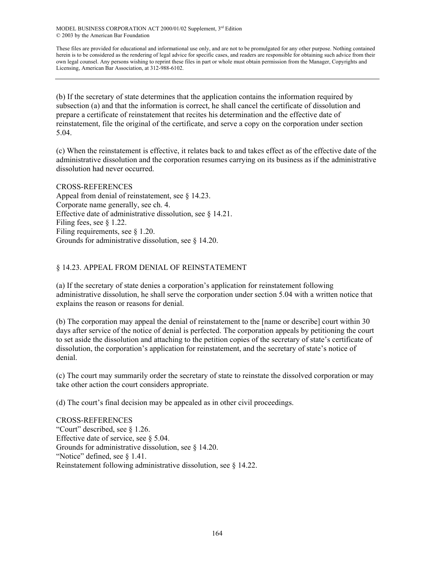These files are provided for educational and informational use only, and are not to be promulgated for any other purpose. Nothing contained herein is to be considered as the rendering of legal advice for specific cases, and readers are responsible for obtaining such advice from their own legal counsel. Any persons wishing to reprint these files in part or whole must obtain permission from the Manager, Copyrights and Licensing, American Bar Association, at 312-988-6102.

(b) If the secretary of state determines that the application contains the information required by subsection (a) and that the information is correct, he shall cancel the certificate of dissolution and prepare a certificate of reinstatement that recites his determination and the effective date of reinstatement, file the original of the certificate, and serve a copy on the corporation under section 5.04.

(c) When the reinstatement is effective, it relates back to and takes effect as of the effective date of the administrative dissolution and the corporation resumes carrying on its business as if the administrative dissolution had never occurred.

CROSS-REFERENCES Appeal from denial of reinstatement, see § 14.23. Corporate name generally, see ch. 4. Effective date of administrative dissolution, see § 14.21. Filing fees, see § 1.22. Filing requirements, see § 1.20. Grounds for administrative dissolution, see § 14.20.

# § 14.23. APPEAL FROM DENIAL OF REINSTATEMENT

(a) If the secretary of state denies a corporation's application for reinstatement following administrative dissolution, he shall serve the corporation under section 5.04 with a written notice that explains the reason or reasons for denial.

(b) The corporation may appeal the denial of reinstatement to the [name or describe] court within 30 days after service of the notice of denial is perfected. The corporation appeals by petitioning the court to set aside the dissolution and attaching to the petition copies of the secretary of state's certificate of dissolution, the corporation's application for reinstatement, and the secretary of state's notice of denial.

(c) The court may summarily order the secretary of state to reinstate the dissolved corporation or may take other action the court considers appropriate.

(d) The court's final decision may be appealed as in other civil proceedings.

CROSS-REFERENCES "Court" described, see § 1.26. Effective date of service, see § 5.04. Grounds for administrative dissolution, see § 14.20. "Notice" defined, see § 1.41. Reinstatement following administrative dissolution, see § 14.22.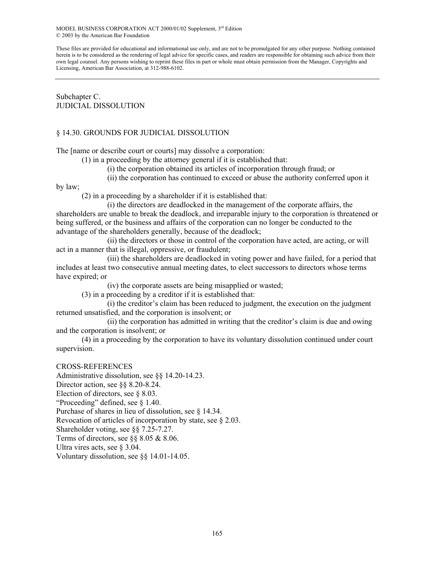These files are provided for educational and informational use only, and are not to be promulgated for any other purpose. Nothing contained herein is to be considered as the rendering of legal advice for specific cases, and readers are responsible for obtaining such advice from their own legal counsel. Any persons wishing to reprint these files in part or whole must obtain permission from the Manager, Copyrights and Licensing, American Bar Association, at 312-988-6102.

Subchapter C. JUDICIAL DISSOLUTION

## § 14.30. GROUNDS FOR JUDICIAL DISSOLUTION

The [name or describe court or courts] may dissolve a corporation:

(1) in a proceeding by the attorney general if it is established that:

(i) the corporation obtained its articles of incorporation through fraud; or

(ii) the corporation has continued to exceed or abuse the authority conferred upon it

by law;

(2) in a proceeding by a shareholder if it is established that:

 (i) the directors are deadlocked in the management of the corporate affairs, the shareholders are unable to break the deadlock, and irreparable injury to the corporation is threatened or being suffered, or the business and affairs of the corporation can no longer be conducted to the advantage of the shareholders generally, because of the deadlock;

 (ii) the directors or those in control of the corporation have acted, are acting, or will act in a manner that is illegal, oppressive, or fraudulent;

 (iii) the shareholders are deadlocked in voting power and have failed, for a period that includes at least two consecutive annual meeting dates, to elect successors to directors whose terms have expired; or

(iv) the corporate assets are being misapplied or wasted;

(3) in a proceeding by a creditor if it is established that:

 (i) the creditor's claim has been reduced to judgment, the execution on the judgment returned unsatisfied, and the corporation is insolvent; or

 (ii) the corporation has admitted in writing that the creditor's claim is due and owing and the corporation is insolvent; or

 (4) in a proceeding by the corporation to have its voluntary dissolution continued under court supervision.

CROSS-REFERENCES Administrative dissolution, see §§ 14.20-14.23. Director action, see §§ 8.20-8.24. Election of directors, see § 8.03. "Proceeding" defined, see § 1.40. Purchase of shares in lieu of dissolution, see § 14.34. Revocation of articles of incorporation by state, see § 2.03. Shareholder voting, see §§ 7.25-7.27. Terms of directors, see §§ 8.05 & 8.06. Ultra vires acts, see § 3.04. Voluntary dissolution, see §§ 14.01-14.05.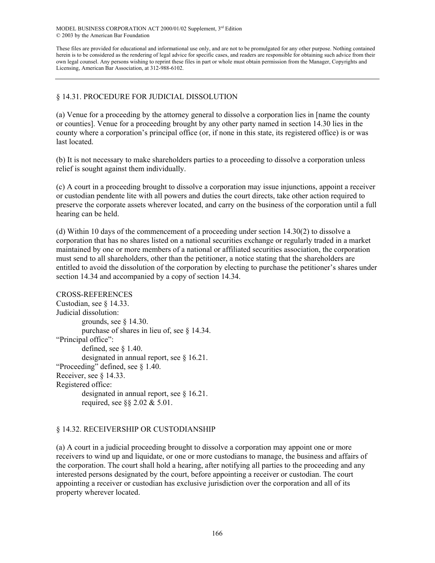These files are provided for educational and informational use only, and are not to be promulgated for any other purpose. Nothing contained herein is to be considered as the rendering of legal advice for specific cases, and readers are responsible for obtaining such advice from their own legal counsel. Any persons wishing to reprint these files in part or whole must obtain permission from the Manager, Copyrights and Licensing, American Bar Association, at 312-988-6102.

## § 14.31. PROCEDURE FOR JUDICIAL DISSOLUTION

(a) Venue for a proceeding by the attorney general to dissolve a corporation lies in [name the county or counties]. Venue for a proceeding brought by any other party named in section 14.30 lies in the county where a corporation's principal office (or, if none in this state, its registered office) is or was last located.

(b) It is not necessary to make shareholders parties to a proceeding to dissolve a corporation unless relief is sought against them individually.

(c) A court in a proceeding brought to dissolve a corporation may issue injunctions, appoint a receiver or custodian pendente lite with all powers and duties the court directs, take other action required to preserve the corporate assets wherever located, and carry on the business of the corporation until a full hearing can be held.

(d) Within 10 days of the commencement of a proceeding under section 14.30(2) to dissolve a corporation that has no shares listed on a national securities exchange or regularly traded in a market maintained by one or more members of a national or affiliated securities association, the corporation must send to all shareholders, other than the petitioner, a notice stating that the shareholders are entitled to avoid the dissolution of the corporation by electing to purchase the petitioner's shares under section 14.34 and accompanied by a copy of section 14.34.

CROSS-REFERENCES Custodian, see § 14.33. Judicial dissolution: grounds, see  $§$  14.30. purchase of shares in lieu of, see § 14.34. "Principal office": defined, see § 1.40. designated in annual report, see § 16.21. "Proceeding" defined, see § 1.40. Receiver, see § 14.33. Registered office: designated in annual report, see § 16.21. required, see §§ 2.02 & 5.01.

## § 14.32. RECEIVERSHIP OR CUSTODIANSHIP

(a) A court in a judicial proceeding brought to dissolve a corporation may appoint one or more receivers to wind up and liquidate, or one or more custodians to manage, the business and affairs of the corporation. The court shall hold a hearing, after notifying all parties to the proceeding and any interested persons designated by the court, before appointing a receiver or custodian. The court appointing a receiver or custodian has exclusive jurisdiction over the corporation and all of its property wherever located.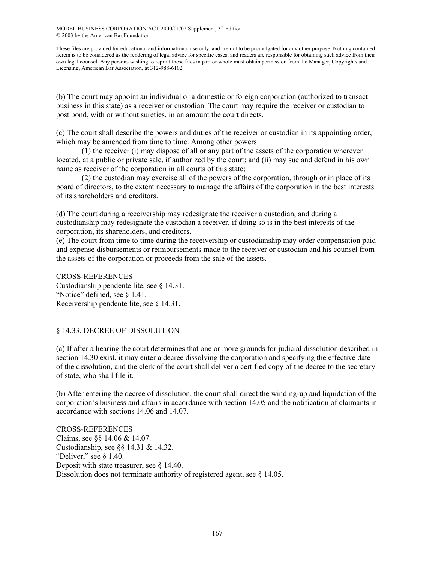These files are provided for educational and informational use only, and are not to be promulgated for any other purpose. Nothing contained herein is to be considered as the rendering of legal advice for specific cases, and readers are responsible for obtaining such advice from their own legal counsel. Any persons wishing to reprint these files in part or whole must obtain permission from the Manager, Copyrights and Licensing, American Bar Association, at 312-988-6102.

(b) The court may appoint an individual or a domestic or foreign corporation (authorized to transact business in this state) as a receiver or custodian. The court may require the receiver or custodian to post bond, with or without sureties, in an amount the court directs.

(c) The court shall describe the powers and duties of the receiver or custodian in its appointing order, which may be amended from time to time. Among other powers:

 (1) the receiver (i) may dispose of all or any part of the assets of the corporation wherever located, at a public or private sale, if authorized by the court; and (ii) may sue and defend in his own name as receiver of the corporation in all courts of this state;

 (2) the custodian may exercise all of the powers of the corporation, through or in place of its board of directors, to the extent necessary to manage the affairs of the corporation in the best interests of its shareholders and creditors.

(d) The court during a receivership may redesignate the receiver a custodian, and during a custodianship may redesignate the custodian a receiver, if doing so is in the best interests of the corporation, its shareholders, and creditors.

(e) The court from time to time during the receivership or custodianship may order compensation paid and expense disbursements or reimbursements made to the receiver or custodian and his counsel from the assets of the corporation or proceeds from the sale of the assets.

CROSS-REFERENCES Custodianship pendente lite, see § 14.31. "Notice" defined, see § 1.41. Receivership pendente lite, see § 14.31.

## § 14.33. DECREE OF DISSOLUTION

(a) If after a hearing the court determines that one or more grounds for judicial dissolution described in section 14.30 exist, it may enter a decree dissolving the corporation and specifying the effective date of the dissolution, and the clerk of the court shall deliver a certified copy of the decree to the secretary of state, who shall file it.

(b) After entering the decree of dissolution, the court shall direct the winding-up and liquidation of the corporation's business and affairs in accordance with section 14.05 and the notification of claimants in accordance with sections 14.06 and 14.07.

CROSS-REFERENCES Claims, see §§ 14.06 & 14.07. Custodianship, see §§ 14.31 & 14.32. "Deliver," see § 1.40. Deposit with state treasurer, see § 14.40. Dissolution does not terminate authority of registered agent, see  $\S$  14.05.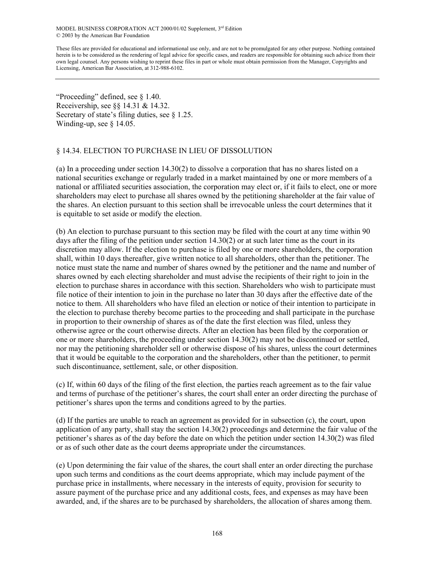These files are provided for educational and informational use only, and are not to be promulgated for any other purpose. Nothing contained herein is to be considered as the rendering of legal advice for specific cases, and readers are responsible for obtaining such advice from their own legal counsel. Any persons wishing to reprint these files in part or whole must obtain permission from the Manager, Copyrights and Licensing, American Bar Association, at 312-988-6102.

"Proceeding" defined, see § 1.40. Receivership, see §§ 14.31 & 14.32. Secretary of state's filing duties, see § 1.25. Winding-up, see § 14.05.

# § 14.34. ELECTION TO PURCHASE IN LIEU OF DISSOLUTION

(a) In a proceeding under section 14.30(2) to dissolve a corporation that has no shares listed on a national securities exchange or regularly traded in a market maintained by one or more members of a national or affiliated securities association, the corporation may elect or, if it fails to elect, one or more shareholders may elect to purchase all shares owned by the petitioning shareholder at the fair value of the shares. An election pursuant to this section shall be irrevocable unless the court determines that it is equitable to set aside or modify the election.

(b) An election to purchase pursuant to this section may be filed with the court at any time within 90 days after the filing of the petition under section 14.30(2) or at such later time as the court in its discretion may allow. If the election to purchase is filed by one or more shareholders, the corporation shall, within 10 days thereafter, give written notice to all shareholders, other than the petitioner. The notice must state the name and number of shares owned by the petitioner and the name and number of shares owned by each electing shareholder and must advise the recipients of their right to join in the election to purchase shares in accordance with this section. Shareholders who wish to participate must file notice of their intention to join in the purchase no later than 30 days after the effective date of the notice to them. All shareholders who have filed an election or notice of their intention to participate in the election to purchase thereby become parties to the proceeding and shall participate in the purchase in proportion to their ownership of shares as of the date the first election was filed, unless they otherwise agree or the court otherwise directs. After an election has been filed by the corporation or one or more shareholders, the proceeding under section 14.30(2) may not be discontinued or settled, nor may the petitioning shareholder sell or otherwise dispose of his shares, unless the court determines that it would be equitable to the corporation and the shareholders, other than the petitioner, to permit such discontinuance, settlement, sale, or other disposition.

(c) If, within 60 days of the filing of the first election, the parties reach agreement as to the fair value and terms of purchase of the petitioner's shares, the court shall enter an order directing the purchase of petitioner's shares upon the terms and conditions agreed to by the parties.

(d) If the parties are unable to reach an agreement as provided for in subsection (c), the court, upon application of any party, shall stay the section 14.30(2) proceedings and determine the fair value of the petitioner's shares as of the day before the date on which the petition under section 14.30(2) was filed or as of such other date as the court deems appropriate under the circumstances.

(e) Upon determining the fair value of the shares, the court shall enter an order directing the purchase upon such terms and conditions as the court deems appropriate, which may include payment of the purchase price in installments, where necessary in the interests of equity, provision for security to assure payment of the purchase price and any additional costs, fees, and expenses as may have been awarded, and, if the shares are to be purchased by shareholders, the allocation of shares among them.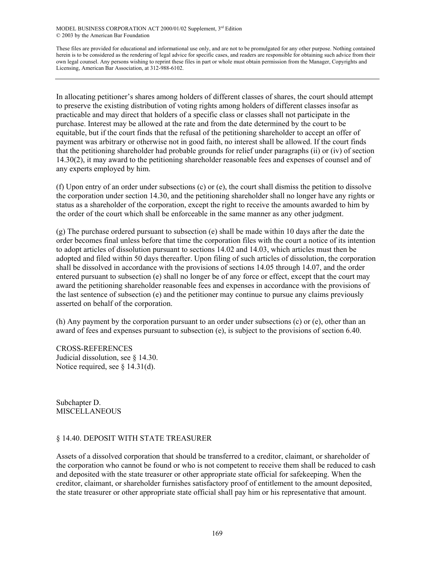These files are provided for educational and informational use only, and are not to be promulgated for any other purpose. Nothing contained herein is to be considered as the rendering of legal advice for specific cases, and readers are responsible for obtaining such advice from their own legal counsel. Any persons wishing to reprint these files in part or whole must obtain permission from the Manager, Copyrights and Licensing, American Bar Association, at 312-988-6102.

In allocating petitioner's shares among holders of different classes of shares, the court should attempt to preserve the existing distribution of voting rights among holders of different classes insofar as practicable and may direct that holders of a specific class or classes shall not participate in the purchase. Interest may be allowed at the rate and from the date determined by the court to be equitable, but if the court finds that the refusal of the petitioning shareholder to accept an offer of payment was arbitrary or otherwise not in good faith, no interest shall be allowed. If the court finds that the petitioning shareholder had probable grounds for relief under paragraphs (ii) or (iv) of section 14.30(2), it may award to the petitioning shareholder reasonable fees and expenses of counsel and of any experts employed by him.

(f) Upon entry of an order under subsections (c) or (e), the court shall dismiss the petition to dissolve the corporation under section 14.30, and the petitioning shareholder shall no longer have any rights or status as a shareholder of the corporation, except the right to receive the amounts awarded to him by the order of the court which shall be enforceable in the same manner as any other judgment.

(g) The purchase ordered pursuant to subsection (e) shall be made within 10 days after the date the order becomes final unless before that time the corporation files with the court a notice of its intention to adopt articles of dissolution pursuant to sections 14.02 and 14.03, which articles must then be adopted and filed within 50 days thereafter. Upon filing of such articles of dissolution, the corporation shall be dissolved in accordance with the provisions of sections 14.05 through 14.07, and the order entered pursuant to subsection (e) shall no longer be of any force or effect, except that the court may award the petitioning shareholder reasonable fees and expenses in accordance with the provisions of the last sentence of subsection (e) and the petitioner may continue to pursue any claims previously asserted on behalf of the corporation.

(h) Any payment by the corporation pursuant to an order under subsections (c) or (e), other than an award of fees and expenses pursuant to subsection (e), is subject to the provisions of section 6.40.

CROSS-REFERENCES Judicial dissolution, see § 14.30. Notice required, see § 14.31(d).

Subchapter D. MISCELLANEOUS

# § 14.40. DEPOSIT WITH STATE TREASURER

Assets of a dissolved corporation that should be transferred to a creditor, claimant, or shareholder of the corporation who cannot be found or who is not competent to receive them shall be reduced to cash and deposited with the state treasurer or other appropriate state official for safekeeping. When the creditor, claimant, or shareholder furnishes satisfactory proof of entitlement to the amount deposited, the state treasurer or other appropriate state official shall pay him or his representative that amount.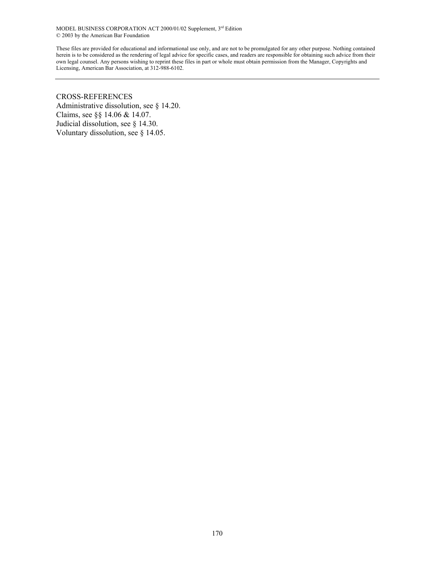These files are provided for educational and informational use only, and are not to be promulgated for any other purpose. Nothing contained herein is to be considered as the rendering of legal advice for specific cases, and readers are responsible for obtaining such advice from their own legal counsel. Any persons wishing to reprint these files in part or whole must obtain permission from the Manager, Copyrights and Licensing, American Bar Association, at 312-988-6102.

CROSS-REFERENCES Administrative dissolution, see § 14.20. Claims, see §§ 14.06 & 14.07. Judicial dissolution, see § 14.30. Voluntary dissolution, see § 14.05.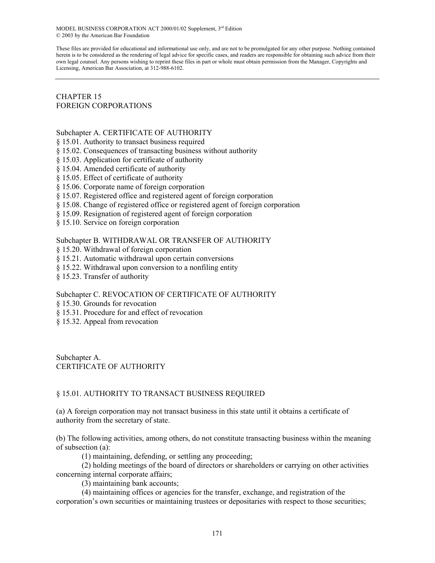These files are provided for educational and informational use only, and are not to be promulgated for any other purpose. Nothing contained herein is to be considered as the rendering of legal advice for specific cases, and readers are responsible for obtaining such advice from their own legal counsel. Any persons wishing to reprint these files in part or whole must obtain permission from the Manager, Copyrights and Licensing, American Bar Association, at 312-988-6102.

## CHAPTER 15 FOREIGN CORPORATIONS

## Subchapter A. CERTIFICATE OF AUTHORITY

- § 15.01. Authority to transact business required
- § 15.02. Consequences of transacting business without authority
- § 15.03. Application for certificate of authority
- § 15.04. Amended certificate of authority
- § 15.05. Effect of certificate of authority
- § 15.06. Corporate name of foreign corporation
- § 15.07. Registered office and registered agent of foreign corporation
- § 15.08. Change of registered office or registered agent of foreign corporation
- § 15.09. Resignation of registered agent of foreign corporation
- § 15.10. Service on foreign corporation

## Subchapter B. WITHDRAWAL OR TRANSFER OF AUTHORITY

- § 15.20. Withdrawal of foreign corporation
- § 15.21. Automatic withdrawal upon certain conversions
- § 15.22. Withdrawal upon conversion to a nonfiling entity
- § 15.23. Transfer of authority

## Subchapter C. REVOCATION OF CERTIFICATE OF AUTHORITY

- § 15.30. Grounds for revocation
- § 15.31. Procedure for and effect of revocation
- § 15.32. Appeal from revocation

Subchapter A. CERTIFICATE OF AUTHORITY

## § 15.01. AUTHORITY TO TRANSACT BUSINESS REQUIRED

(a) A foreign corporation may not transact business in this state until it obtains a certificate of authority from the secretary of state.

(b) The following activities, among others, do not constitute transacting business within the meaning of subsection (a):

(1) maintaining, defending, or settling any proceeding;

 (2) holding meetings of the board of directors or shareholders or carrying on other activities concerning internal corporate affairs;

(3) maintaining bank accounts;

 (4) maintaining offices or agencies for the transfer, exchange, and registration of the corporation's own securities or maintaining trustees or depositaries with respect to those securities;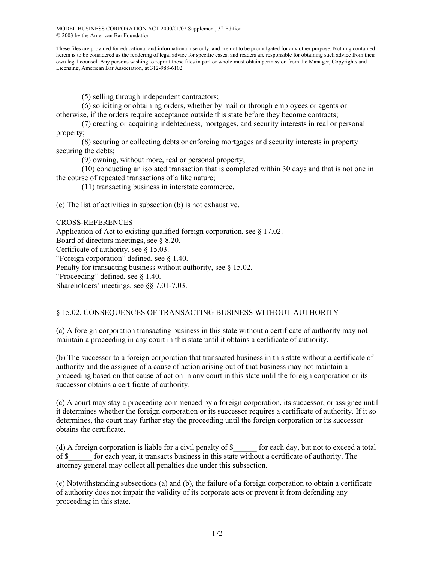These files are provided for educational and informational use only, and are not to be promulgated for any other purpose. Nothing contained herein is to be considered as the rendering of legal advice for specific cases, and readers are responsible for obtaining such advice from their own legal counsel. Any persons wishing to reprint these files in part or whole must obtain permission from the Manager, Copyrights and Licensing, American Bar Association, at 312-988-6102.

(5) selling through independent contractors;

 (6) soliciting or obtaining orders, whether by mail or through employees or agents or otherwise, if the orders require acceptance outside this state before they become contracts;

 (7) creating or acquiring indebtedness, mortgages, and security interests in real or personal property;

 (8) securing or collecting debts or enforcing mortgages and security interests in property securing the debts;

(9) owning, without more, real or personal property;

 (10) conducting an isolated transaction that is completed within 30 days and that is not one in the course of repeated transactions of a like nature;

(11) transacting business in interstate commerce.

(c) The list of activities in subsection (b) is not exhaustive.

CROSS-REFERENCES

Application of Act to existing qualified foreign corporation, see § 17.02.

Board of directors meetings, see § 8.20.

Certificate of authority, see § 15.03.

"Foreign corporation" defined, see § 1.40.

Penalty for transacting business without authority, see § 15.02.

"Proceeding" defined, see § 1.40.

Shareholders' meetings, see §§ 7.01-7.03.

# § 15.02. CONSEQUENCES OF TRANSACTING BUSINESS WITHOUT AUTHORITY

(a) A foreign corporation transacting business in this state without a certificate of authority may not maintain a proceeding in any court in this state until it obtains a certificate of authority.

(b) The successor to a foreign corporation that transacted business in this state without a certificate of authority and the assignee of a cause of action arising out of that business may not maintain a proceeding based on that cause of action in any court in this state until the foreign corporation or its successor obtains a certificate of authority.

(c) A court may stay a proceeding commenced by a foreign corporation, its successor, or assignee until it determines whether the foreign corporation or its successor requires a certificate of authority. If it so determines, the court may further stay the proceeding until the foreign corporation or its successor obtains the certificate.

(d) A foreign corporation is liable for a civil penalty of  $\$\$ for each day, but not to exceed a total of \$\_\_\_\_\_\_ for each year, it transacts business in this state without a certificate of authority. The attorney general may collect all penalties due under this subsection.

(e) Notwithstanding subsections (a) and (b), the failure of a foreign corporation to obtain a certificate of authority does not impair the validity of its corporate acts or prevent it from defending any proceeding in this state.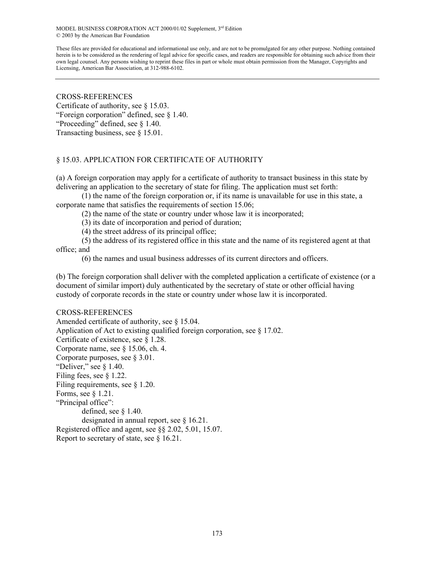These files are provided for educational and informational use only, and are not to be promulgated for any other purpose. Nothing contained herein is to be considered as the rendering of legal advice for specific cases, and readers are responsible for obtaining such advice from their own legal counsel. Any persons wishing to reprint these files in part or whole must obtain permission from the Manager, Copyrights and Licensing, American Bar Association, at 312-988-6102.

CROSS-REFERENCES Certificate of authority, see § 15.03. "Foreign corporation" defined, see § 1.40. "Proceeding" defined, see § 1.40. Transacting business, see § 15.01.

## § 15.03. APPLICATION FOR CERTIFICATE OF AUTHORITY

(a) A foreign corporation may apply for a certificate of authority to transact business in this state by delivering an application to the secretary of state for filing. The application must set forth:

 (1) the name of the foreign corporation or, if its name is unavailable for use in this state, a corporate name that satisfies the requirements of section 15.06;

(2) the name of the state or country under whose law it is incorporated;

(3) its date of incorporation and period of duration;

(4) the street address of its principal office;

 (5) the address of its registered office in this state and the name of its registered agent at that office; and

(6) the names and usual business addresses of its current directors and officers.

(b) The foreign corporation shall deliver with the completed application a certificate of existence (or a document of similar import) duly authenticated by the secretary of state or other official having custody of corporate records in the state or country under whose law it is incorporated.

## CROSS-REFERENCES

Amended certificate of authority, see § 15.04. Application of Act to existing qualified foreign corporation, see § 17.02. Certificate of existence, see § 1.28. Corporate name, see § 15.06, ch. 4. Corporate purposes, see § 3.01. "Deliver," see § 1.40. Filing fees, see § 1.22. Filing requirements, see § 1.20. Forms, see § 1.21. "Principal office": defined, see § 1.40. designated in annual report, see § 16.21. Registered office and agent, see §§ 2.02, 5.01, 15.07. Report to secretary of state, see § 16.21.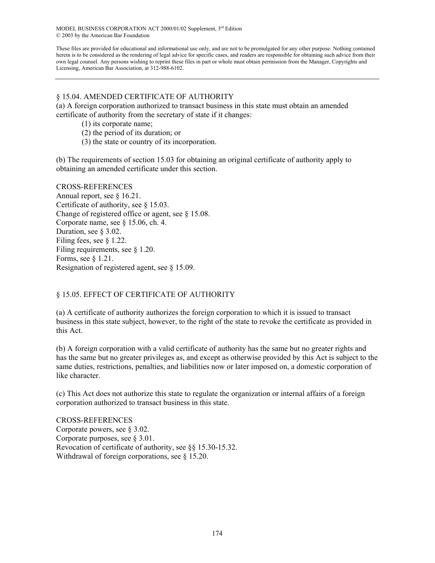These files are provided for educational and informational use only, and are not to be promulgated for any other purpose. Nothing contained herein is to be considered as the rendering of legal advice for specific cases, and readers are responsible for obtaining such advice from their own legal counsel. Any persons wishing to reprint these files in part or whole must obtain permission from the Manager, Copyrights and Licensing, American Bar Association, at 312-988-6102.

## § 15.04. AMENDED CERTIFICATE OF AUTHORITY

(a) A foreign corporation authorized to transact business in this state must obtain an amended certificate of authority from the secretary of state if it changes:

- (1) its corporate name;
- (2) the period of its duration; or
- (3) the state or country of its incorporation.

(b) The requirements of section 15.03 for obtaining an original certificate of authority apply to obtaining an amended certificate under this section.

CROSS-REFERENCES Annual report, see § 16.21. Certificate of authority, see § 15.03. Change of registered office or agent, see § 15.08. Corporate name, see § 15.06, ch. 4. Duration, see § 3.02. Filing fees, see § 1.22. Filing requirements, see § 1.20. Forms, see § 1.21. Resignation of registered agent, see § 15.09.

# § 15.05. EFFECT OF CERTIFICATE OF AUTHORITY

(a) A certificate of authority authorizes the foreign corporation to which it is issued to transact business in this state subject, however, to the right of the state to revoke the certificate as provided in this Act.

(b) A foreign corporation with a valid certificate of authority has the same but no greater rights and has the same but no greater privileges as, and except as otherwise provided by this Act is subject to the same duties, restrictions, penalties, and liabilities now or later imposed on, a domestic corporation of like character.

(c) This Act does not authorize this state to regulate the organization or internal affairs of a foreign corporation authorized to transact business in this state.

CROSS-REFERENCES Corporate powers, see § 3.02. Corporate purposes, see § 3.01. Revocation of certificate of authority, see §§ 15.30-15.32. Withdrawal of foreign corporations, see § 15.20.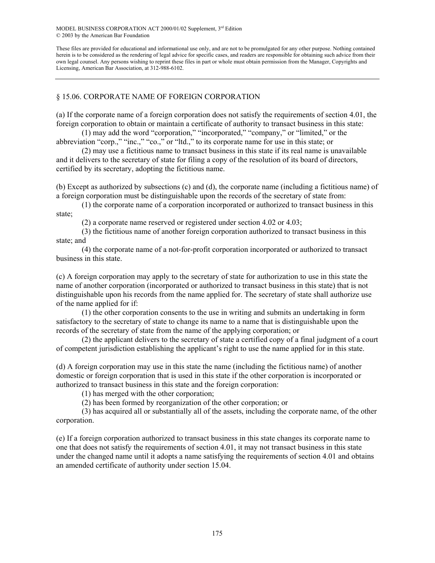These files are provided for educational and informational use only, and are not to be promulgated for any other purpose. Nothing contained herein is to be considered as the rendering of legal advice for specific cases, and readers are responsible for obtaining such advice from their own legal counsel. Any persons wishing to reprint these files in part or whole must obtain permission from the Manager, Copyrights and Licensing, American Bar Association, at 312-988-6102.

## § 15.06. CORPORATE NAME OF FOREIGN CORPORATION

(a) If the corporate name of a foreign corporation does not satisfy the requirements of section 4.01, the foreign corporation to obtain or maintain a certificate of authority to transact business in this state:

 (1) may add the word "corporation," "incorporated," "company," or "limited," or the abbreviation "corp.," "inc.," "co.," or "ltd.," to its corporate name for use in this state; or

 (2) may use a fictitious name to transact business in this state if its real name is unavailable and it delivers to the secretary of state for filing a copy of the resolution of its board of directors, certified by its secretary, adopting the fictitious name.

(b) Except as authorized by subsections (c) and (d), the corporate name (including a fictitious name) of a foreign corporation must be distinguishable upon the records of the secretary of state from:

 (1) the corporate name of a corporation incorporated or authorized to transact business in this state;

(2) a corporate name reserved or registered under section 4.02 or 4.03;

 (3) the fictitious name of another foreign corporation authorized to transact business in this state; and

 (4) the corporate name of a not-for-profit corporation incorporated or authorized to transact business in this state.

(c) A foreign corporation may apply to the secretary of state for authorization to use in this state the name of another corporation (incorporated or authorized to transact business in this state) that is not distinguishable upon his records from the name applied for. The secretary of state shall authorize use of the name applied for if:

 (1) the other corporation consents to the use in writing and submits an undertaking in form satisfactory to the secretary of state to change its name to a name that is distinguishable upon the records of the secretary of state from the name of the applying corporation; or

 (2) the applicant delivers to the secretary of state a certified copy of a final judgment of a court of competent jurisdiction establishing the applicant's right to use the name applied for in this state.

(d) A foreign corporation may use in this state the name (including the fictitious name) of another domestic or foreign corporation that is used in this state if the other corporation is incorporated or authorized to transact business in this state and the foreign corporation:

(1) has merged with the other corporation;

(2) has been formed by reorganization of the other corporation; or

 (3) has acquired all or substantially all of the assets, including the corporate name, of the other corporation.

(e) If a foreign corporation authorized to transact business in this state changes its corporate name to one that does not satisfy the requirements of section 4.01, it may not transact business in this state under the changed name until it adopts a name satisfying the requirements of section 4.01 and obtains an amended certificate of authority under section 15.04.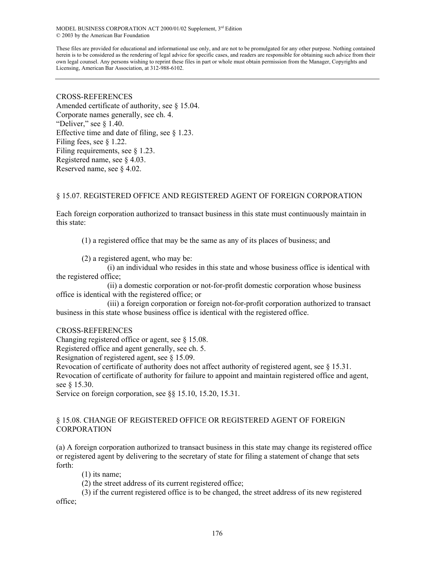These files are provided for educational and informational use only, and are not to be promulgated for any other purpose. Nothing contained herein is to be considered as the rendering of legal advice for specific cases, and readers are responsible for obtaining such advice from their own legal counsel. Any persons wishing to reprint these files in part or whole must obtain permission from the Manager, Copyrights and Licensing, American Bar Association, at 312-988-6102.

CROSS-REFERENCES Amended certificate of authority, see § 15.04. Corporate names generally, see ch. 4. "Deliver," see § 1.40. Effective time and date of filing, see § 1.23. Filing fees, see § 1.22. Filing requirements, see § 1.23. Registered name, see § 4.03. Reserved name, see § 4.02.

# § 15.07. REGISTERED OFFICE AND REGISTERED AGENT OF FOREIGN CORPORATION

Each foreign corporation authorized to transact business in this state must continuously maintain in this state:

(1) a registered office that may be the same as any of its places of business; and

(2) a registered agent, who may be:

 (i) an individual who resides in this state and whose business office is identical with the registered office;

 (ii) a domestic corporation or not-for-profit domestic corporation whose business office is identical with the registered office; or

 (iii) a foreign corporation or foreign not-for-profit corporation authorized to transact business in this state whose business office is identical with the registered office.

CROSS-REFERENCES

Changing registered office or agent, see § 15.08.

Registered office and agent generally, see ch. 5.

Resignation of registered agent, see § 15.09.

Revocation of certificate of authority does not affect authority of registered agent, see § 15.31.

Revocation of certificate of authority for failure to appoint and maintain registered office and agent, see § 15.30.

Service on foreign corporation, see §§ 15.10, 15.20, 15.31.

## § 15.08. CHANGE OF REGISTERED OFFICE OR REGISTERED AGENT OF FOREIGN CORPORATION

(a) A foreign corporation authorized to transact business in this state may change its registered office or registered agent by delivering to the secretary of state for filing a statement of change that sets forth:

(1) its name;

(2) the street address of its current registered office;

 (3) if the current registered office is to be changed, the street address of its new registered office;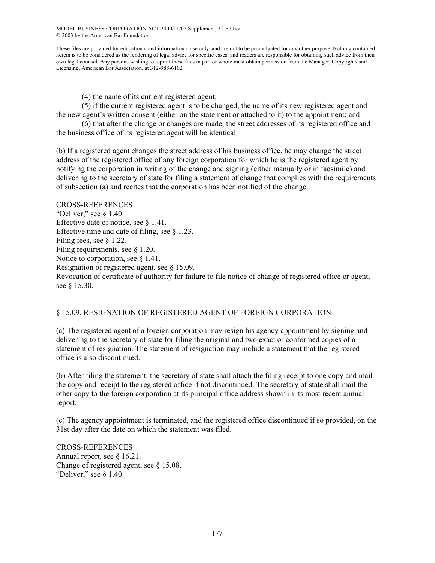These files are provided for educational and informational use only, and are not to be promulgated for any other purpose. Nothing contained herein is to be considered as the rendering of legal advice for specific cases, and readers are responsible for obtaining such advice from their own legal counsel. Any persons wishing to reprint these files in part or whole must obtain permission from the Manager, Copyrights and Licensing, American Bar Association, at 312-988-6102.

(4) the name of its current registered agent;

 (5) if the current registered agent is to be changed, the name of its new registered agent and the new agent's written consent (either on the statement or attached to it) to the appointment; and

 (6) that after the change or changes are made, the street addresses of its registered office and the business office of its registered agent will be identical.

(b) If a registered agent changes the street address of his business office, he may change the street address of the registered office of any foreign corporation for which he is the registered agent by notifying the corporation in writing of the change and signing (either manually or in facsimile) and delivering to the secretary of state for filing a statement of change that complies with the requirements of subsection (a) and recites that the corporation has been notified of the change.

CROSS-REFERENCES "Deliver," see § 1.40. Effective date of notice, see § 1.41. Effective time and date of filing, see § 1.23. Filing fees, see § 1.22. Filing requirements, see § 1.20. Notice to corporation, see § 1.41. Resignation of registered agent, see § 15.09. Revocation of certificate of authority for failure to file notice of change of registered office or agent, see § 15.30.

# § 15.09. RESIGNATION OF REGISTERED AGENT OF FOREIGN CORPORATION

(a) The registered agent of a foreign corporation may resign his agency appointment by signing and delivering to the secretary of state for filing the original and two exact or conformed copies of a statement of resignation. The statement of resignation may include a statement that the registered office is also discontinued.

(b) After filing the statement, the secretary of state shall attach the filing receipt to one copy and mail the copy and receipt to the registered office if not discontinued. The secretary of state shall mail the other copy to the foreign corporation at its principal office address shown in its most recent annual report.

(c) The agency appointment is terminated, and the registered office discontinued if so provided, on the 31st day after the date on which the statement was filed.

CROSS-REFERENCES Annual report, see § 16.21. Change of registered agent, see § 15.08. "Deliver," see § 1.40.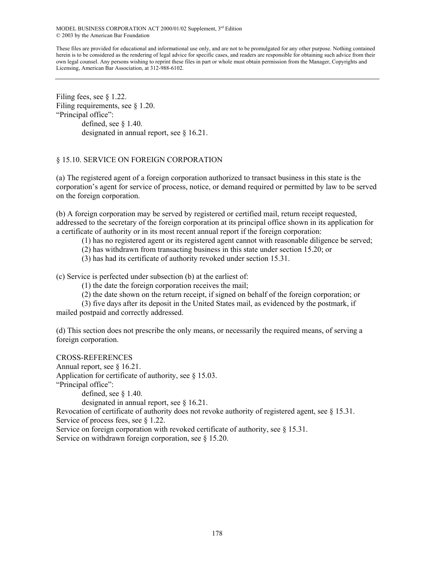These files are provided for educational and informational use only, and are not to be promulgated for any other purpose. Nothing contained herein is to be considered as the rendering of legal advice for specific cases, and readers are responsible for obtaining such advice from their own legal counsel. Any persons wishing to reprint these files in part or whole must obtain permission from the Manager, Copyrights and Licensing, American Bar Association, at 312-988-6102.

Filing fees, see § 1.22. Filing requirements, see § 1.20. "Principal office": defined, see § 1.40. designated in annual report, see § 16.21.

## § 15.10. SERVICE ON FOREIGN CORPORATION

(a) The registered agent of a foreign corporation authorized to transact business in this state is the corporation's agent for service of process, notice, or demand required or permitted by law to be served on the foreign corporation.

(b) A foreign corporation may be served by registered or certified mail, return receipt requested, addressed to the secretary of the foreign corporation at its principal office shown in its application for a certificate of authority or in its most recent annual report if the foreign corporation:

(1) has no registered agent or its registered agent cannot with reasonable diligence be served;

(2) has withdrawn from transacting business in this state under section 15.20; or

(3) has had its certificate of authority revoked under section 15.31.

(c) Service is perfected under subsection (b) at the earliest of:

(1) the date the foreign corporation receives the mail;

(2) the date shown on the return receipt, if signed on behalf of the foreign corporation; or

 (3) five days after its deposit in the United States mail, as evidenced by the postmark, if mailed postpaid and correctly addressed.

(d) This section does not prescribe the only means, or necessarily the required means, of serving a foreign corporation.

CROSS-REFERENCES

Annual report, see § 16.21.

Application for certificate of authority, see § 15.03.

"Principal office":

defined, see § 1.40.

designated in annual report, see § 16.21.

Revocation of certificate of authority does not revoke authority of registered agent, see § 15.31. Service of process fees, see § 1.22.

Service on foreign corporation with revoked certificate of authority, see § 15.31.

Service on withdrawn foreign corporation, see § 15.20.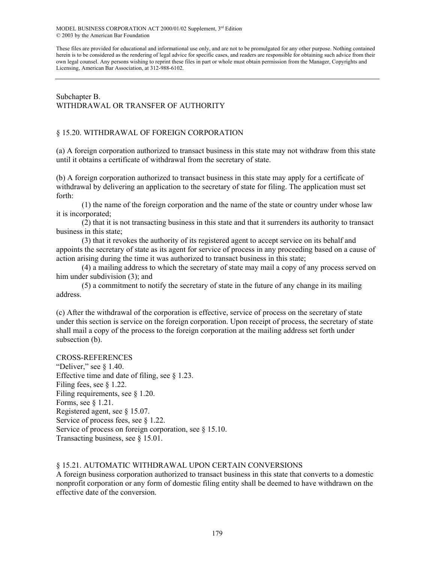These files are provided for educational and informational use only, and are not to be promulgated for any other purpose. Nothing contained herein is to be considered as the rendering of legal advice for specific cases, and readers are responsible for obtaining such advice from their own legal counsel. Any persons wishing to reprint these files in part or whole must obtain permission from the Manager, Copyrights and Licensing, American Bar Association, at 312-988-6102.

# Subchapter B. WITHDRAWAL OR TRANSFER OF AUTHORITY

# § 15.20. WITHDRAWAL OF FOREIGN CORPORATION

(a) A foreign corporation authorized to transact business in this state may not withdraw from this state until it obtains a certificate of withdrawal from the secretary of state.

(b) A foreign corporation authorized to transact business in this state may apply for a certificate of withdrawal by delivering an application to the secretary of state for filing. The application must set forth:

 (1) the name of the foreign corporation and the name of the state or country under whose law it is incorporated;

 (2) that it is not transacting business in this state and that it surrenders its authority to transact business in this state;

 (3) that it revokes the authority of its registered agent to accept service on its behalf and appoints the secretary of state as its agent for service of process in any proceeding based on a cause of action arising during the time it was authorized to transact business in this state;

 (4) a mailing address to which the secretary of state may mail a copy of any process served on him under subdivision (3); and

 (5) a commitment to notify the secretary of state in the future of any change in its mailing address.

(c) After the withdrawal of the corporation is effective, service of process on the secretary of state under this section is service on the foreign corporation. Upon receipt of process, the secretary of state shall mail a copy of the process to the foreign corporation at the mailing address set forth under subsection (b).

## CROSS-REFERENCES

"Deliver," see § 1.40. Effective time and date of filing, see § 1.23. Filing fees, see § 1.22. Filing requirements, see § 1.20. Forms, see § 1.21. Registered agent, see § 15.07. Service of process fees, see  $\S$  1.22. Service of process on foreign corporation, see  $\S$  15.10. Transacting business, see § 15.01.

## § 15.21. AUTOMATIC WITHDRAWAL UPON CERTAIN CONVERSIONS

A foreign business corporation authorized to transact business in this state that converts to a domestic nonprofit corporation or any form of domestic filing entity shall be deemed to have withdrawn on the effective date of the conversion.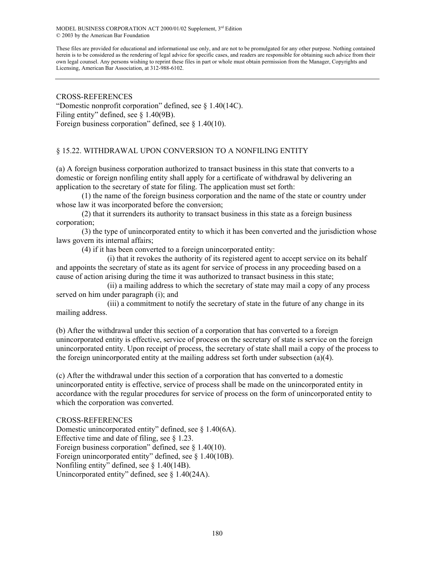These files are provided for educational and informational use only, and are not to be promulgated for any other purpose. Nothing contained herein is to be considered as the rendering of legal advice for specific cases, and readers are responsible for obtaining such advice from their own legal counsel. Any persons wishing to reprint these files in part or whole must obtain permission from the Manager, Copyrights and Licensing, American Bar Association, at 312-988-6102.

CROSS-REFERENCES "Domestic nonprofit corporation" defined, see § 1.40(14C). Filing entity" defined, see § 1.40(9B). Foreign business corporation" defined, see § 1.40(10).

# § 15.22. WITHDRAWAL UPON CONVERSION TO A NONFILING ENTITY

(a) A foreign business corporation authorized to transact business in this state that converts to a domestic or foreign nonfiling entity shall apply for a certificate of withdrawal by delivering an application to the secretary of state for filing. The application must set forth:

 (1) the name of the foreign business corporation and the name of the state or country under whose law it was incorporated before the conversion;

 (2) that it surrenders its authority to transact business in this state as a foreign business corporation;

 (3) the type of unincorporated entity to which it has been converted and the jurisdiction whose laws govern its internal affairs;

(4) if it has been converted to a foreign unincorporated entity:

 (i) that it revokes the authority of its registered agent to accept service on its behalf and appoints the secretary of state as its agent for service of process in any proceeding based on a cause of action arising during the time it was authorized to transact business in this state;

 (ii) a mailing address to which the secretary of state may mail a copy of any process served on him under paragraph (i); and

 (iii) a commitment to notify the secretary of state in the future of any change in its mailing address.

(b) After the withdrawal under this section of a corporation that has converted to a foreign unincorporated entity is effective, service of process on the secretary of state is service on the foreign unincorporated entity. Upon receipt of process, the secretary of state shall mail a copy of the process to the foreign unincorporated entity at the mailing address set forth under subsection (a)(4).

(c) After the withdrawal under this section of a corporation that has converted to a domestic unincorporated entity is effective, service of process shall be made on the unincorporated entity in accordance with the regular procedures for service of process on the form of unincorporated entity to which the corporation was converted.

CROSS-REFERENCES Domestic unincorporated entity" defined, see § 1.40(6A). Effective time and date of filing, see § 1.23. Foreign business corporation" defined, see  $\S$  1.40(10). Foreign unincorporated entity" defined, see § 1.40(10B). Nonfiling entity" defined, see § 1.40(14B). Unincorporated entity" defined, see § 1.40(24A).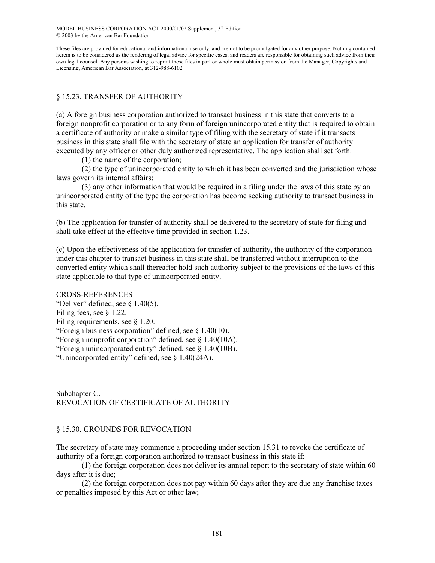These files are provided for educational and informational use only, and are not to be promulgated for any other purpose. Nothing contained herein is to be considered as the rendering of legal advice for specific cases, and readers are responsible for obtaining such advice from their own legal counsel. Any persons wishing to reprint these files in part or whole must obtain permission from the Manager, Copyrights and Licensing, American Bar Association, at 312-988-6102.

# § 15.23. TRANSFER OF AUTHORITY

(a) A foreign business corporation authorized to transact business in this state that converts to a foreign nonprofit corporation or to any form of foreign unincorporated entity that is required to obtain a certificate of authority or make a similar type of filing with the secretary of state if it transacts business in this state shall file with the secretary of state an application for transfer of authority executed by any officer or other duly authorized representative. The application shall set forth:

(1) the name of the corporation;

 (2) the type of unincorporated entity to which it has been converted and the jurisdiction whose laws govern its internal affairs;

 (3) any other information that would be required in a filing under the laws of this state by an unincorporated entity of the type the corporation has become seeking authority to transact business in this state.

(b) The application for transfer of authority shall be delivered to the secretary of state for filing and shall take effect at the effective time provided in section 1.23.

(c) Upon the effectiveness of the application for transfer of authority, the authority of the corporation under this chapter to transact business in this state shall be transferred without interruption to the converted entity which shall thereafter hold such authority subject to the provisions of the laws of this state applicable to that type of unincorporated entity.

#### CROSS-REFERENCES

"Deliver" defined, see  $\S$  1.40(5). Filing fees, see § 1.22. Filing requirements, see § 1.20. "Foreign business corporation" defined, see § 1.40(10). "Foreign nonprofit corporation" defined, see § 1.40(10A). "Foreign unincorporated entity" defined, see § 1.40(10B). "Unincorporated entity" defined, see § 1.40(24A).

Subchapter C. REVOCATION OF CERTIFICATE OF AUTHORITY

#### § 15.30. GROUNDS FOR REVOCATION

The secretary of state may commence a proceeding under section 15.31 to revoke the certificate of authority of a foreign corporation authorized to transact business in this state if:

 (1) the foreign corporation does not deliver its annual report to the secretary of state within 60 days after it is due;

 (2) the foreign corporation does not pay within 60 days after they are due any franchise taxes or penalties imposed by this Act or other law;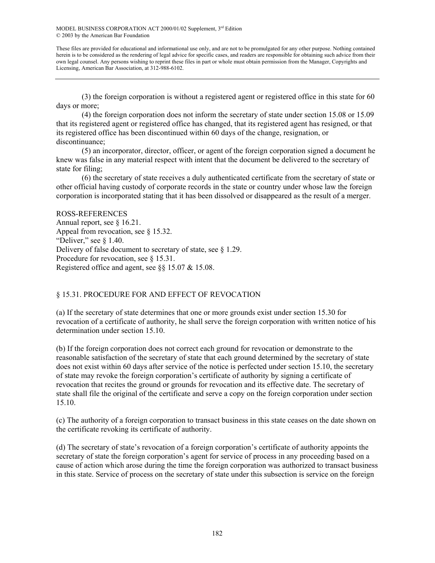These files are provided for educational and informational use only, and are not to be promulgated for any other purpose. Nothing contained herein is to be considered as the rendering of legal advice for specific cases, and readers are responsible for obtaining such advice from their own legal counsel. Any persons wishing to reprint these files in part or whole must obtain permission from the Manager, Copyrights and Licensing, American Bar Association, at 312-988-6102.

 (3) the foreign corporation is without a registered agent or registered office in this state for 60 days or more;

 (4) the foreign corporation does not inform the secretary of state under section 15.08 or 15.09 that its registered agent or registered office has changed, that its registered agent has resigned, or that its registered office has been discontinued within 60 days of the change, resignation, or discontinuance;

 (5) an incorporator, director, officer, or agent of the foreign corporation signed a document he knew was false in any material respect with intent that the document be delivered to the secretary of state for filing;

 (6) the secretary of state receives a duly authenticated certificate from the secretary of state or other official having custody of corporate records in the state or country under whose law the foreign corporation is incorporated stating that it has been dissolved or disappeared as the result of a merger.

ROSS-REFERENCES Annual report, see § 16.21. Appeal from revocation, see § 15.32. "Deliver," see  $§$  1.40. Delivery of false document to secretary of state, see § 1.29. Procedure for revocation, see § 15.31. Registered office and agent, see §§ 15.07 & 15.08.

# § 15.31. PROCEDURE FOR AND EFFECT OF REVOCATION

(a) If the secretary of state determines that one or more grounds exist under section 15.30 for revocation of a certificate of authority, he shall serve the foreign corporation with written notice of his determination under section 15.10.

(b) If the foreign corporation does not correct each ground for revocation or demonstrate to the reasonable satisfaction of the secretary of state that each ground determined by the secretary of state does not exist within 60 days after service of the notice is perfected under section 15.10, the secretary of state may revoke the foreign corporation's certificate of authority by signing a certificate of revocation that recites the ground or grounds for revocation and its effective date. The secretary of state shall file the original of the certificate and serve a copy on the foreign corporation under section 15.10.

(c) The authority of a foreign corporation to transact business in this state ceases on the date shown on the certificate revoking its certificate of authority.

(d) The secretary of state's revocation of a foreign corporation's certificate of authority appoints the secretary of state the foreign corporation's agent for service of process in any proceeding based on a cause of action which arose during the time the foreign corporation was authorized to transact business in this state. Service of process on the secretary of state under this subsection is service on the foreign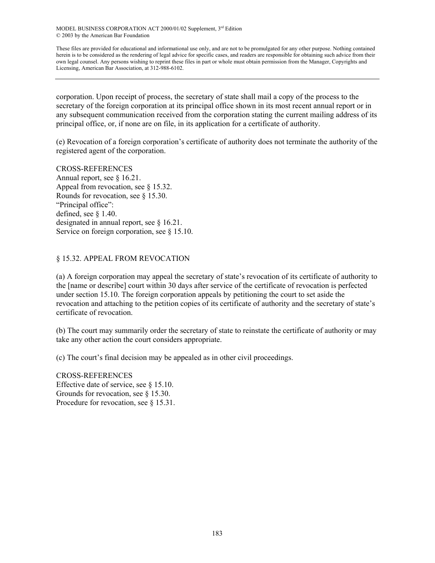These files are provided for educational and informational use only, and are not to be promulgated for any other purpose. Nothing contained herein is to be considered as the rendering of legal advice for specific cases, and readers are responsible for obtaining such advice from their own legal counsel. Any persons wishing to reprint these files in part or whole must obtain permission from the Manager, Copyrights and Licensing, American Bar Association, at 312-988-6102.

corporation. Upon receipt of process, the secretary of state shall mail a copy of the process to the secretary of the foreign corporation at its principal office shown in its most recent annual report or in any subsequent communication received from the corporation stating the current mailing address of its principal office, or, if none are on file, in its application for a certificate of authority.

(e) Revocation of a foreign corporation's certificate of authority does not terminate the authority of the registered agent of the corporation.

CROSS-REFERENCES Annual report, see § 16.21. Appeal from revocation, see § 15.32. Rounds for revocation, see § 15.30. "Principal office": defined, see § 1.40. designated in annual report, see § 16.21. Service on foreign corporation, see  $\S$  15.10.

## § 15.32. APPEAL FROM REVOCATION

(a) A foreign corporation may appeal the secretary of state's revocation of its certificate of authority to the [name or describe] court within 30 days after service of the certificate of revocation is perfected under section 15.10. The foreign corporation appeals by petitioning the court to set aside the revocation and attaching to the petition copies of its certificate of authority and the secretary of state's certificate of revocation.

(b) The court may summarily order the secretary of state to reinstate the certificate of authority or may take any other action the court considers appropriate.

(c) The court's final decision may be appealed as in other civil proceedings.

CROSS-REFERENCES Effective date of service, see § 15.10. Grounds for revocation, see § 15.30. Procedure for revocation, see § 15.31.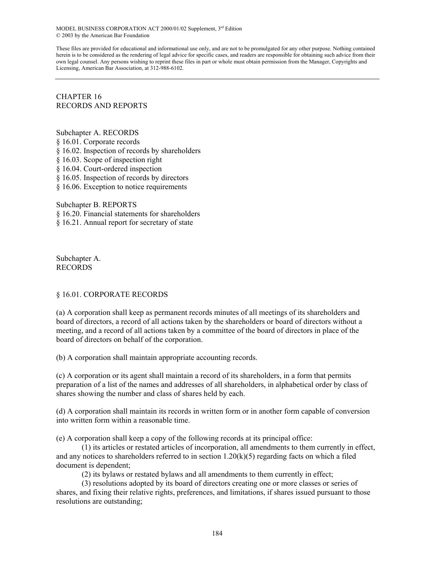These files are provided for educational and informational use only, and are not to be promulgated for any other purpose. Nothing contained herein is to be considered as the rendering of legal advice for specific cases, and readers are responsible for obtaining such advice from their own legal counsel. Any persons wishing to reprint these files in part or whole must obtain permission from the Manager, Copyrights and Licensing, American Bar Association, at 312-988-6102.

CHAPTER 16 RECORDS AND REPORTS

Subchapter A. RECORDS § 16.01. Corporate records § 16.02. Inspection of records by shareholders § 16.03. Scope of inspection right § 16.04. Court-ordered inspection § 16.05. Inspection of records by directors § 16.06. Exception to notice requirements

Subchapter B. REPORTS § 16.20. Financial statements for shareholders § 16.21. Annual report for secretary of state

Subchapter A. RECORDS

## § 16.01. CORPORATE RECORDS

(a) A corporation shall keep as permanent records minutes of all meetings of its shareholders and board of directors, a record of all actions taken by the shareholders or board of directors without a meeting, and a record of all actions taken by a committee of the board of directors in place of the board of directors on behalf of the corporation.

(b) A corporation shall maintain appropriate accounting records.

(c) A corporation or its agent shall maintain a record of its shareholders, in a form that permits preparation of a list of the names and addresses of all shareholders, in alphabetical order by class of shares showing the number and class of shares held by each.

(d) A corporation shall maintain its records in written form or in another form capable of conversion into written form within a reasonable time.

(e) A corporation shall keep a copy of the following records at its principal office:

 (1) its articles or restated articles of incorporation, all amendments to them currently in effect, and any notices to shareholders referred to in section  $1.20(k)(5)$  regarding facts on which a filed document is dependent;

(2) its bylaws or restated bylaws and all amendments to them currently in effect;

 (3) resolutions adopted by its board of directors creating one or more classes or series of shares, and fixing their relative rights, preferences, and limitations, if shares issued pursuant to those resolutions are outstanding;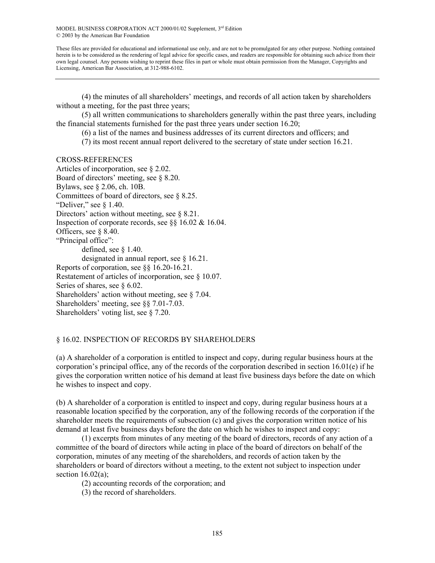These files are provided for educational and informational use only, and are not to be promulgated for any other purpose. Nothing contained herein is to be considered as the rendering of legal advice for specific cases, and readers are responsible for obtaining such advice from their own legal counsel. Any persons wishing to reprint these files in part or whole must obtain permission from the Manager, Copyrights and Licensing, American Bar Association, at 312-988-6102.

 (4) the minutes of all shareholders' meetings, and records of all action taken by shareholders without a meeting, for the past three years;

 (5) all written communications to shareholders generally within the past three years, including the financial statements furnished for the past three years under section 16.20;

(6) a list of the names and business addresses of its current directors and officers; and

(7) its most recent annual report delivered to the secretary of state under section 16.21.

# CROSS-REFERENCES

Articles of incorporation, see § 2.02. Board of directors' meeting, see § 8.20. Bylaws, see § 2.06, ch. 10B. Committees of board of directors, see § 8.25. "Deliver," see  $\S$  1.40. Directors' action without meeting, see § 8.21. Inspection of corporate records, see §§ 16.02 & 16.04. Officers, see § 8.40. "Principal office": defined, see § 1.40. designated in annual report, see § 16.21. Reports of corporation, see §§ 16.20-16.21. Restatement of articles of incorporation, see § 10.07. Series of shares, see § 6.02. Shareholders' action without meeting, see § 7.04. Shareholders' meeting, see §§ 7.01-7.03. Shareholders' voting list, see § 7.20.

# § 16.02. INSPECTION OF RECORDS BY SHAREHOLDERS

(a) A shareholder of a corporation is entitled to inspect and copy, during regular business hours at the corporation's principal office, any of the records of the corporation described in section 16.01(e) if he gives the corporation written notice of his demand at least five business days before the date on which he wishes to inspect and copy.

(b) A shareholder of a corporation is entitled to inspect and copy, during regular business hours at a reasonable location specified by the corporation, any of the following records of the corporation if the shareholder meets the requirements of subsection (c) and gives the corporation written notice of his demand at least five business days before the date on which he wishes to inspect and copy:

 (1) excerpts from minutes of any meeting of the board of directors, records of any action of a committee of the board of directors while acting in place of the board of directors on behalf of the corporation, minutes of any meeting of the shareholders, and records of action taken by the shareholders or board of directors without a meeting, to the extent not subject to inspection under section  $16.02(a)$ :

(2) accounting records of the corporation; and

(3) the record of shareholders.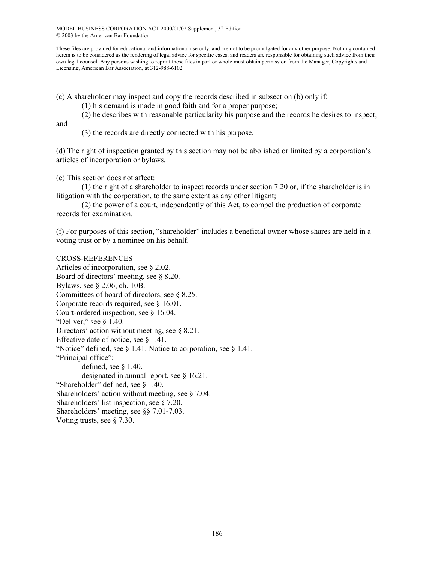These files are provided for educational and informational use only, and are not to be promulgated for any other purpose. Nothing contained herein is to be considered as the rendering of legal advice for specific cases, and readers are responsible for obtaining such advice from their own legal counsel. Any persons wishing to reprint these files in part or whole must obtain permission from the Manager, Copyrights and Licensing, American Bar Association, at 312-988-6102.

(c) A shareholder may inspect and copy the records described in subsection (b) only if:

- (1) his demand is made in good faith and for a proper purpose;
- (2) he describes with reasonable particularity his purpose and the records he desires to inspect;

and

(3) the records are directly connected with his purpose.

(d) The right of inspection granted by this section may not be abolished or limited by a corporation's articles of incorporation or bylaws.

(e) This section does not affect:

 (1) the right of a shareholder to inspect records under section 7.20 or, if the shareholder is in litigation with the corporation, to the same extent as any other litigant;

 (2) the power of a court, independently of this Act, to compel the production of corporate records for examination.

(f) For purposes of this section, "shareholder" includes a beneficial owner whose shares are held in a voting trust or by a nominee on his behalf.

#### CROSS-REFERENCES

Articles of incorporation, see § 2.02. Board of directors' meeting, see § 8.20. Bylaws, see § 2.06, ch. 10B. Committees of board of directors, see § 8.25. Corporate records required, see § 16.01. Court-ordered inspection, see § 16.04. "Deliver," see § 1.40. Directors' action without meeting, see § 8.21. Effective date of notice, see § 1.41. "Notice" defined, see  $\S$  1.41. Notice to corporation, see  $\S$  1.41. "Principal office": defined, see § 1.40. designated in annual report, see § 16.21. "Shareholder" defined, see § 1.40. Shareholders' action without meeting, see § 7.04. Shareholders' list inspection, see § 7.20. Shareholders' meeting, see §§ 7.01-7.03. Voting trusts, see § 7.30.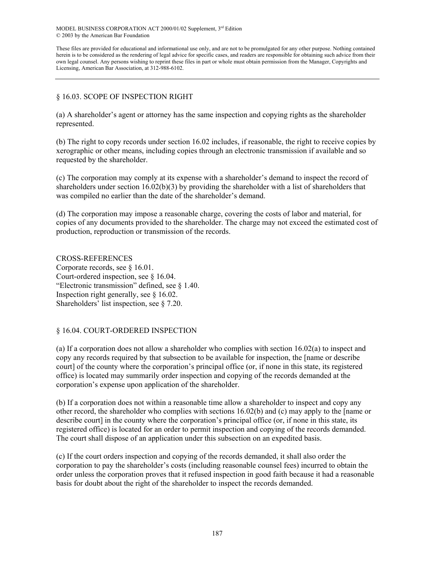These files are provided for educational and informational use only, and are not to be promulgated for any other purpose. Nothing contained herein is to be considered as the rendering of legal advice for specific cases, and readers are responsible for obtaining such advice from their own legal counsel. Any persons wishing to reprint these files in part or whole must obtain permission from the Manager, Copyrights and Licensing, American Bar Association, at 312-988-6102.

# § 16.03. SCOPE OF INSPECTION RIGHT

(a) A shareholder's agent or attorney has the same inspection and copying rights as the shareholder represented.

(b) The right to copy records under section 16.02 includes, if reasonable, the right to receive copies by xerographic or other means, including copies through an electronic transmission if available and so requested by the shareholder.

(c) The corporation may comply at its expense with a shareholder's demand to inspect the record of shareholders under section  $16.02(b)(3)$  by providing the shareholder with a list of shareholders that was compiled no earlier than the date of the shareholder's demand.

(d) The corporation may impose a reasonable charge, covering the costs of labor and material, for copies of any documents provided to the shareholder. The charge may not exceed the estimated cost of production, reproduction or transmission of the records.

CROSS-REFERENCES Corporate records, see § 16.01. Court-ordered inspection, see § 16.04. "Electronic transmission" defined, see § 1.40. Inspection right generally, see § 16.02. Shareholders' list inspection, see § 7.20.

## § 16.04. COURT-ORDERED INSPECTION

(a) If a corporation does not allow a shareholder who complies with section 16.02(a) to inspect and copy any records required by that subsection to be available for inspection, the [name or describe court] of the county where the corporation's principal office (or, if none in this state, its registered office) is located may summarily order inspection and copying of the records demanded at the corporation's expense upon application of the shareholder.

(b) If a corporation does not within a reasonable time allow a shareholder to inspect and copy any other record, the shareholder who complies with sections 16.02(b) and (c) may apply to the [name or describe court] in the county where the corporation's principal office (or, if none in this state, its registered office) is located for an order to permit inspection and copying of the records demanded. The court shall dispose of an application under this subsection on an expedited basis.

(c) If the court orders inspection and copying of the records demanded, it shall also order the corporation to pay the shareholder's costs (including reasonable counsel fees) incurred to obtain the order unless the corporation proves that it refused inspection in good faith because it had a reasonable basis for doubt about the right of the shareholder to inspect the records demanded.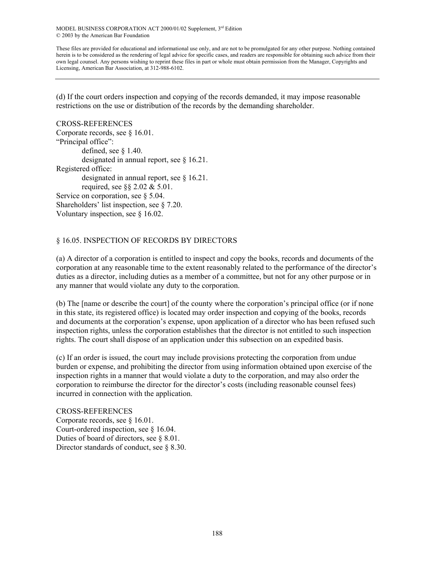These files are provided for educational and informational use only, and are not to be promulgated for any other purpose. Nothing contained herein is to be considered as the rendering of legal advice for specific cases, and readers are responsible for obtaining such advice from their own legal counsel. Any persons wishing to reprint these files in part or whole must obtain permission from the Manager, Copyrights and Licensing, American Bar Association, at 312-988-6102.

(d) If the court orders inspection and copying of the records demanded, it may impose reasonable restrictions on the use or distribution of the records by the demanding shareholder.

CROSS-REFERENCES Corporate records, see § 16.01. "Principal office": defined, see § 1.40. designated in annual report, see § 16.21. Registered office: designated in annual report, see § 16.21. required, see §§ 2.02 & 5.01. Service on corporation, see § 5.04. Shareholders' list inspection, see § 7.20. Voluntary inspection, see § 16.02.

# § 16.05. INSPECTION OF RECORDS BY DIRECTORS

(a) A director of a corporation is entitled to inspect and copy the books, records and documents of the corporation at any reasonable time to the extent reasonably related to the performance of the director's duties as a director, including duties as a member of a committee, but not for any other purpose or in any manner that would violate any duty to the corporation.

(b) The [name or describe the court] of the county where the corporation's principal office (or if none in this state, its registered office) is located may order inspection and copying of the books, records and documents at the corporation's expense, upon application of a director who has been refused such inspection rights, unless the corporation establishes that the director is not entitled to such inspection rights. The court shall dispose of an application under this subsection on an expedited basis.

(c) If an order is issued, the court may include provisions protecting the corporation from undue burden or expense, and prohibiting the director from using information obtained upon exercise of the inspection rights in a manner that would violate a duty to the corporation, and may also order the corporation to reimburse the director for the director's costs (including reasonable counsel fees) incurred in connection with the application.

CROSS-REFERENCES Corporate records, see § 16.01. Court-ordered inspection, see § 16.04. Duties of board of directors, see § 8.01. Director standards of conduct, see § 8.30.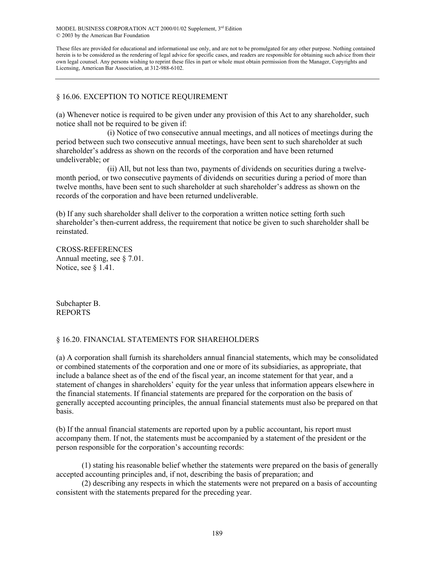These files are provided for educational and informational use only, and are not to be promulgated for any other purpose. Nothing contained herein is to be considered as the rendering of legal advice for specific cases, and readers are responsible for obtaining such advice from their own legal counsel. Any persons wishing to reprint these files in part or whole must obtain permission from the Manager, Copyrights and Licensing, American Bar Association, at 312-988-6102.

# § 16.06. EXCEPTION TO NOTICE REQUIREMENT

(a) Whenever notice is required to be given under any provision of this Act to any shareholder, such notice shall not be required to be given if:

 (i) Notice of two consecutive annual meetings, and all notices of meetings during the period between such two consecutive annual meetings, have been sent to such shareholder at such shareholder's address as shown on the records of the corporation and have been returned undeliverable; or

 (ii) All, but not less than two, payments of dividends on securities during a twelvemonth period, or two consecutive payments of dividends on securities during a period of more than twelve months, have been sent to such shareholder at such shareholder's address as shown on the records of the corporation and have been returned undeliverable.

(b) If any such shareholder shall deliver to the corporation a written notice setting forth such shareholder's then-current address, the requirement that notice be given to such shareholder shall be reinstated.

CROSS-REFERENCES Annual meeting, see § 7.01. Notice, see § 1.41.

Subchapter B. REPORTS

## § 16.20. FINANCIAL STATEMENTS FOR SHAREHOLDERS

(a) A corporation shall furnish its shareholders annual financial statements, which may be consolidated or combined statements of the corporation and one or more of its subsidiaries, as appropriate, that include a balance sheet as of the end of the fiscal year, an income statement for that year, and a statement of changes in shareholders' equity for the year unless that information appears elsewhere in the financial statements. If financial statements are prepared for the corporation on the basis of generally accepted accounting principles, the annual financial statements must also be prepared on that basis.

(b) If the annual financial statements are reported upon by a public accountant, his report must accompany them. If not, the statements must be accompanied by a statement of the president or the person responsible for the corporation's accounting records:

 (1) stating his reasonable belief whether the statements were prepared on the basis of generally accepted accounting principles and, if not, describing the basis of preparation; and

 (2) describing any respects in which the statements were not prepared on a basis of accounting consistent with the statements prepared for the preceding year.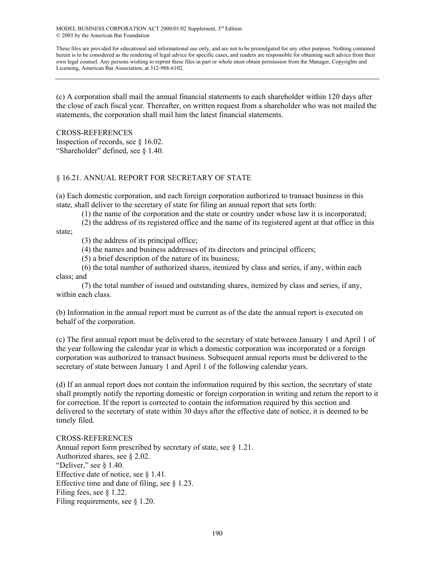These files are provided for educational and informational use only, and are not to be promulgated for any other purpose. Nothing contained herein is to be considered as the rendering of legal advice for specific cases, and readers are responsible for obtaining such advice from their own legal counsel. Any persons wishing to reprint these files in part or whole must obtain permission from the Manager, Copyrights and Licensing, American Bar Association, at 312-988-6102.

(c) A corporation shall mail the annual financial statements to each shareholder within 120 days after the close of each fiscal year. Thereafter, on written request from a shareholder who was not mailed the statements, the corporation shall mail him the latest financial statements.

CROSS-REFERENCES Inspection of records, see § 16.02. "Shareholder" defined, see § 1.40.

# § 16.21. ANNUAL REPORT FOR SECRETARY OF STATE

(a) Each domestic corporation, and each foreign corporation authorized to transact business in this state, shall deliver to the secretary of state for filing an annual report that sets forth:

(1) the name of the corporation and the state or country under whose law it is incorporated;

 (2) the address of its registered office and the name of its registered agent at that office in this state;

(3) the address of its principal office;

(4) the names and business addresses of its directors and principal officers;

(5) a brief description of the nature of its business;

 (6) the total number of authorized shares, itemized by class and series, if any, within each class; and

 (7) the total number of issued and outstanding shares, itemized by class and series, if any, within each class.

(b) Information in the annual report must be current as of the date the annual report is executed on behalf of the corporation.

(c) The first annual report must be delivered to the secretary of state between January 1 and April 1 of the year following the calendar year in which a domestic corporation was incorporated or a foreign corporation was authorized to transact business. Subsequent annual reports must be delivered to the secretary of state between January 1 and April 1 of the following calendar years.

(d) If an annual report does not contain the information required by this section, the secretary of state shall promptly notify the reporting domestic or foreign corporation in writing and return the report to it for correction. If the report is corrected to contain the information required by this section and delivered to the secretary of state within 30 days after the effective date of notice, it is deemed to be timely filed.

## CROSS-REFERENCES

Annual report form prescribed by secretary of state, see § 1.21. Authorized shares, see § 2.02. "Deliver," see § 1.40. Effective date of notice, see § 1.41. Effective time and date of filing, see § 1.23. Filing fees, see § 1.22. Filing requirements, see § 1.20.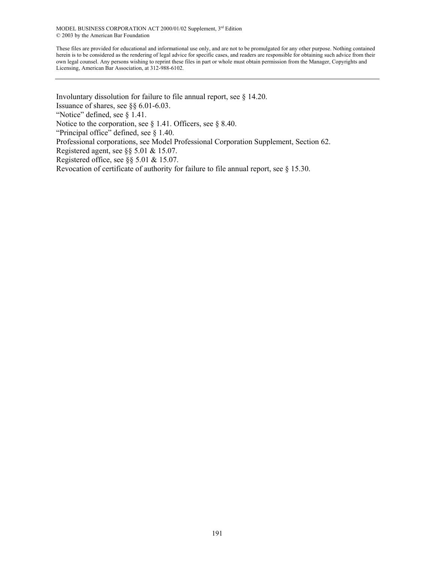These files are provided for educational and informational use only, and are not to be promulgated for any other purpose. Nothing contained herein is to be considered as the rendering of legal advice for specific cases, and readers are responsible for obtaining such advice from their own legal counsel. Any persons wishing to reprint these files in part or whole must obtain permission from the Manager, Copyrights and Licensing, American Bar Association, at 312-988-6102.

Involuntary dissolution for failure to file annual report, see § 14.20.

Issuance of shares, see §§ 6.01-6.03.

"Notice" defined, see § 1.41.

Notice to the corporation, see § 1.41. Officers, see § 8.40.

"Principal office" defined, see § 1.40.

Professional corporations, see Model Professional Corporation Supplement, Section 62.

Registered agent, see §§ 5.01 & 15.07.

Registered office, see §§ 5.01 & 15.07.

Revocation of certificate of authority for failure to file annual report, see § 15.30.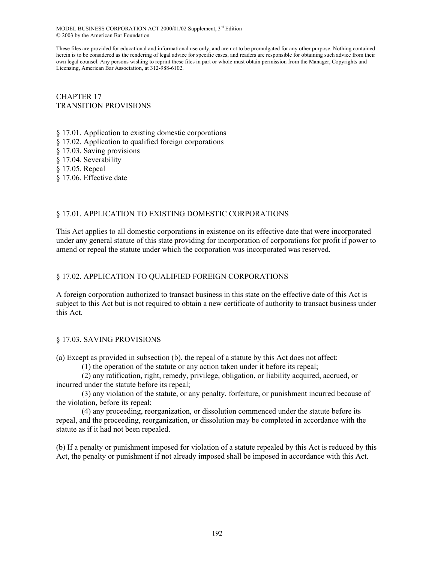These files are provided for educational and informational use only, and are not to be promulgated for any other purpose. Nothing contained herein is to be considered as the rendering of legal advice for specific cases, and readers are responsible for obtaining such advice from their own legal counsel. Any persons wishing to reprint these files in part or whole must obtain permission from the Manager, Copyrights and Licensing, American Bar Association, at 312-988-6102.

# CHAPTER 17 TRANSITION PROVISIONS

- § 17.01. Application to existing domestic corporations
- § 17.02. Application to qualified foreign corporations
- § 17.03. Saving provisions
- § 17.04. Severability
- § 17.05. Repeal
- § 17.06. Effective date

## § 17.01. APPLICATION TO EXISTING DOMESTIC CORPORATIONS

This Act applies to all domestic corporations in existence on its effective date that were incorporated under any general statute of this state providing for incorporation of corporations for profit if power to amend or repeal the statute under which the corporation was incorporated was reserved.

## § 17.02. APPLICATION TO QUALIFIED FOREIGN CORPORATIONS

A foreign corporation authorized to transact business in this state on the effective date of this Act is subject to this Act but is not required to obtain a new certificate of authority to transact business under this Act.

## § 17.03. SAVING PROVISIONS

(a) Except as provided in subsection (b), the repeal of a statute by this Act does not affect:

(1) the operation of the statute or any action taken under it before its repeal;

 (2) any ratification, right, remedy, privilege, obligation, or liability acquired, accrued, or incurred under the statute before its repeal;

 (3) any violation of the statute, or any penalty, forfeiture, or punishment incurred because of the violation, before its repeal;

 (4) any proceeding, reorganization, or dissolution commenced under the statute before its repeal, and the proceeding, reorganization, or dissolution may be completed in accordance with the statute as if it had not been repealed.

(b) If a penalty or punishment imposed for violation of a statute repealed by this Act is reduced by this Act, the penalty or punishment if not already imposed shall be imposed in accordance with this Act.